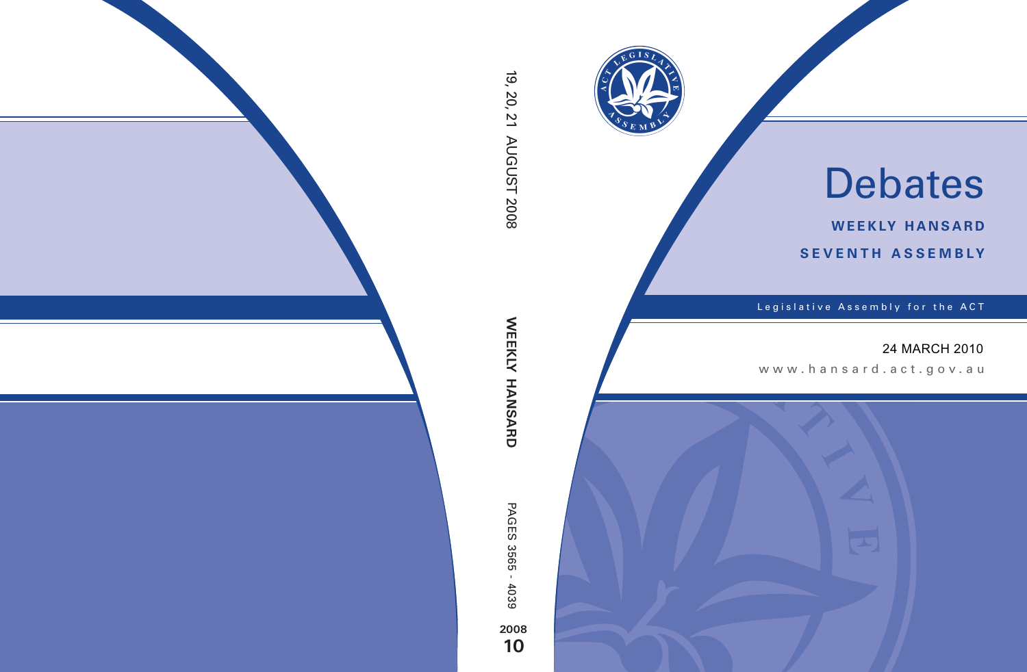

# Debates

**weekly hansard seventh asseMBly**

Legislative Assembly for the ACT

## 24 MARCH 2010

www.hansard.act.gov .au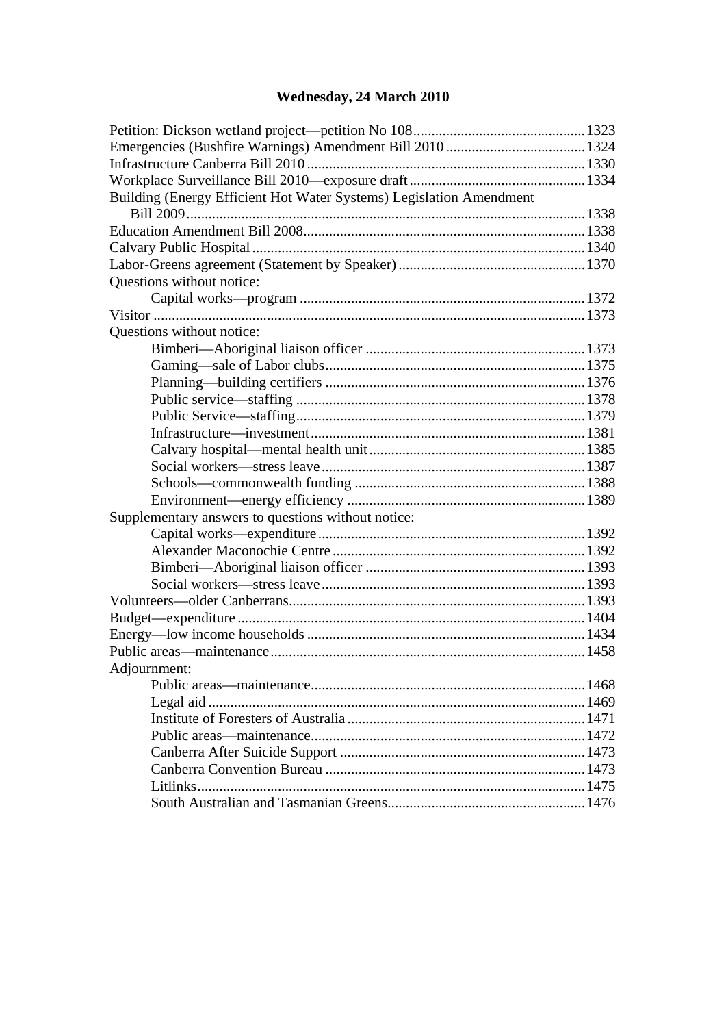## **Wednesday, 24 March 2010**

| Building (Energy Efficient Hot Water Systems) Legislation Amendment |  |
|---------------------------------------------------------------------|--|
|                                                                     |  |
|                                                                     |  |
|                                                                     |  |
|                                                                     |  |
| Questions without notice:                                           |  |
|                                                                     |  |
|                                                                     |  |
| Questions without notice:                                           |  |
|                                                                     |  |
|                                                                     |  |
|                                                                     |  |
|                                                                     |  |
|                                                                     |  |
|                                                                     |  |
|                                                                     |  |
|                                                                     |  |
|                                                                     |  |
|                                                                     |  |
| Supplementary answers to questions without notice:                  |  |
|                                                                     |  |
|                                                                     |  |
|                                                                     |  |
|                                                                     |  |
|                                                                     |  |
|                                                                     |  |
|                                                                     |  |
|                                                                     |  |
| Adjournment:                                                        |  |
|                                                                     |  |
|                                                                     |  |
|                                                                     |  |
|                                                                     |  |
|                                                                     |  |
|                                                                     |  |
|                                                                     |  |
|                                                                     |  |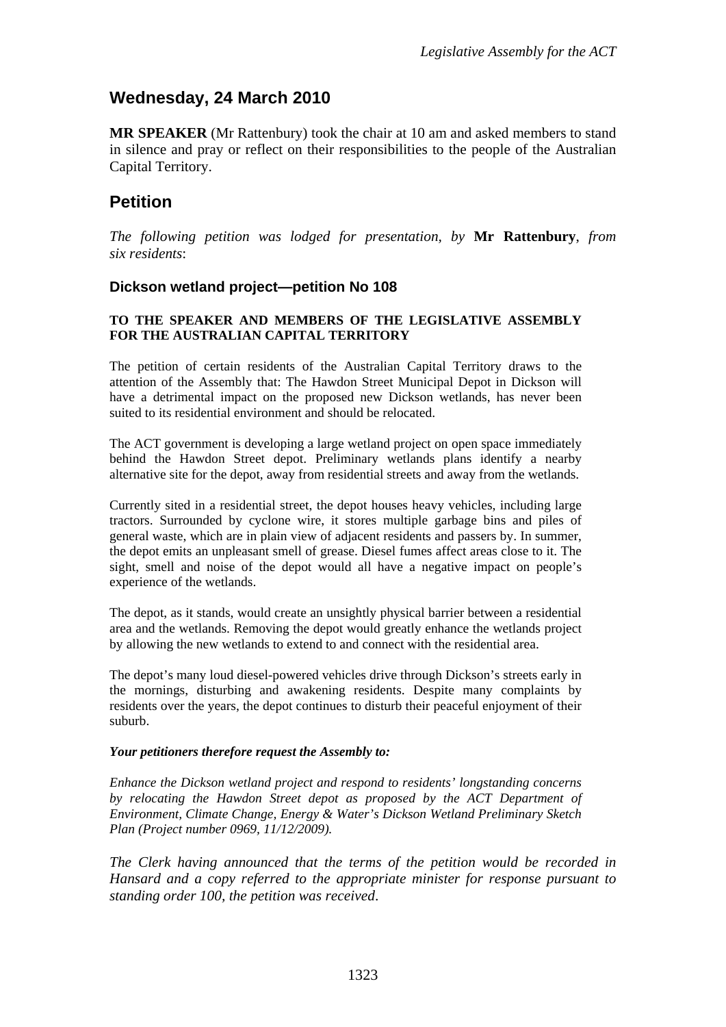## **Wednesday, 24 March 2010**

**MR SPEAKER** (Mr Rattenbury) took the chair at 10 am and asked members to stand in silence and pray or reflect on their responsibilities to the people of the Australian Capital Territory.

#### **Petition**

*The following petition was lodged for presentation, by* **Mr Rattenbury**, *from six residents*:

#### <span id="page-2-0"></span>**Dickson wetland project—petition No 108**

#### **TO THE SPEAKER AND MEMBERS OF THE LEGISLATIVE ASSEMBLY FOR THE AUSTRALIAN CAPITAL TERRITORY**

The petition of certain residents of the Australian Capital Territory draws to the attention of the Assembly that: The Hawdon Street Municipal Depot in Dickson will have a detrimental impact on the proposed new Dickson wetlands, has never been suited to its residential environment and should be relocated.

The ACT government is developing a large wetland project on open space immediately behind the Hawdon Street depot. Preliminary wetlands plans identify a nearby alternative site for the depot, away from residential streets and away from the wetlands.

Currently sited in a residential street, the depot houses heavy vehicles, including large tractors. Surrounded by cyclone wire, it stores multiple garbage bins and piles of general waste, which are in plain view of adjacent residents and passers by. In summer, the depot emits an unpleasant smell of grease. Diesel fumes affect areas close to it. The sight, smell and noise of the depot would all have a negative impact on people's experience of the wetlands.

The depot, as it stands, would create an unsightly physical barrier between a residential area and the wetlands. Removing the depot would greatly enhance the wetlands project by allowing the new wetlands to extend to and connect with the residential area.

The depot's many loud diesel-powered vehicles drive through Dickson's streets early in the mornings, disturbing and awakening residents. Despite many complaints by residents over the years, the depot continues to disturb their peaceful enjoyment of their suburb.

#### *Your petitioners therefore request the Assembly to:*

*Enhance the Dickson wetland project and respond to residents' longstanding concerns by relocating the Hawdon Street depot as proposed by the ACT Department of Environment, Climate Change, Energy & Water's Dickson Wetland Preliminary Sketch Plan (Project number 0969, 11/12/2009).* 

*The Clerk having announced that the terms of the petition would be recorded in Hansard and a copy referred to the appropriate minister for response pursuant to standing order 100, the petition was received*.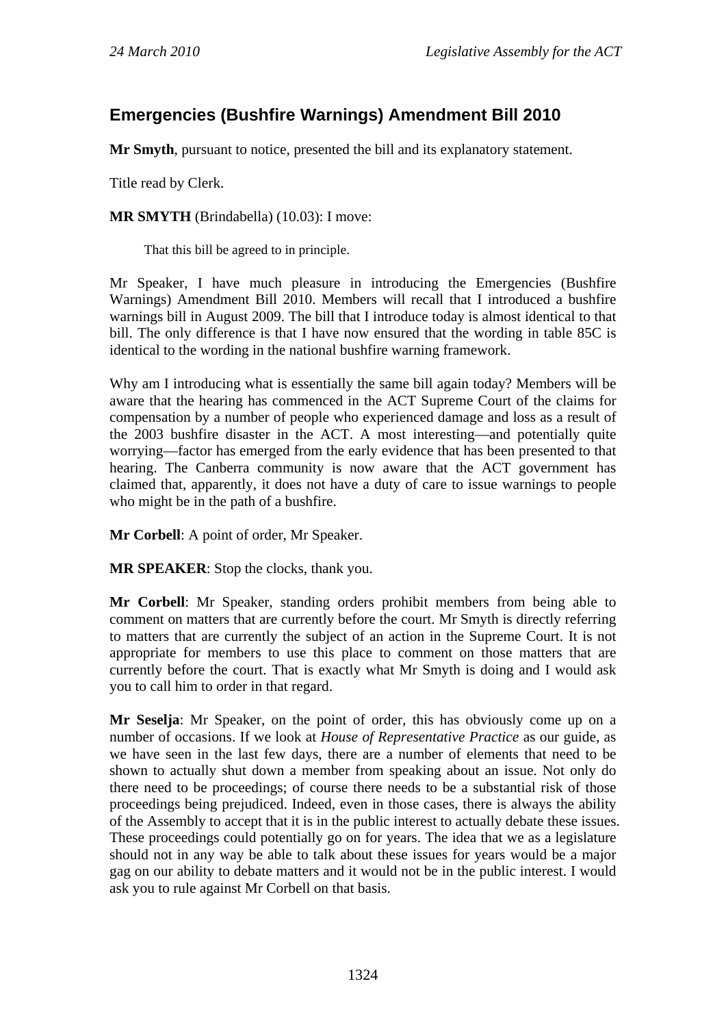## <span id="page-3-0"></span>**Emergencies (Bushfire Warnings) Amendment Bill 2010**

**Mr Smyth**, pursuant to notice, presented the bill and its explanatory statement.

Title read by Clerk.

**MR SMYTH** (Brindabella) (10.03): I move:

That this bill be agreed to in principle.

Mr Speaker, I have much pleasure in introducing the Emergencies (Bushfire Warnings) Amendment Bill 2010. Members will recall that I introduced a bushfire warnings bill in August 2009. The bill that I introduce today is almost identical to that bill. The only difference is that I have now ensured that the wording in table 85C is identical to the wording in the national bushfire warning framework.

Why am I introducing what is essentially the same bill again today? Members will be aware that the hearing has commenced in the ACT Supreme Court of the claims for compensation by a number of people who experienced damage and loss as a result of the 2003 bushfire disaster in the ACT. A most interesting—and potentially quite worrying—factor has emerged from the early evidence that has been presented to that hearing. The Canberra community is now aware that the ACT government has claimed that, apparently, it does not have a duty of care to issue warnings to people who might be in the path of a bushfire.

**Mr Corbell**: A point of order, Mr Speaker.

**MR SPEAKER**: Stop the clocks, thank you.

**Mr Corbell**: Mr Speaker, standing orders prohibit members from being able to comment on matters that are currently before the court. Mr Smyth is directly referring to matters that are currently the subject of an action in the Supreme Court. It is not appropriate for members to use this place to comment on those matters that are currently before the court. That is exactly what Mr Smyth is doing and I would ask you to call him to order in that regard.

**Mr Seselja**: Mr Speaker, on the point of order, this has obviously come up on a number of occasions. If we look at *House of Representative Practice* as our guide, as we have seen in the last few days, there are a number of elements that need to be shown to actually shut down a member from speaking about an issue. Not only do there need to be proceedings; of course there needs to be a substantial risk of those proceedings being prejudiced. Indeed, even in those cases, there is always the ability of the Assembly to accept that it is in the public interest to actually debate these issues. These proceedings could potentially go on for years. The idea that we as a legislature should not in any way be able to talk about these issues for years would be a major gag on our ability to debate matters and it would not be in the public interest. I would ask you to rule against Mr Corbell on that basis.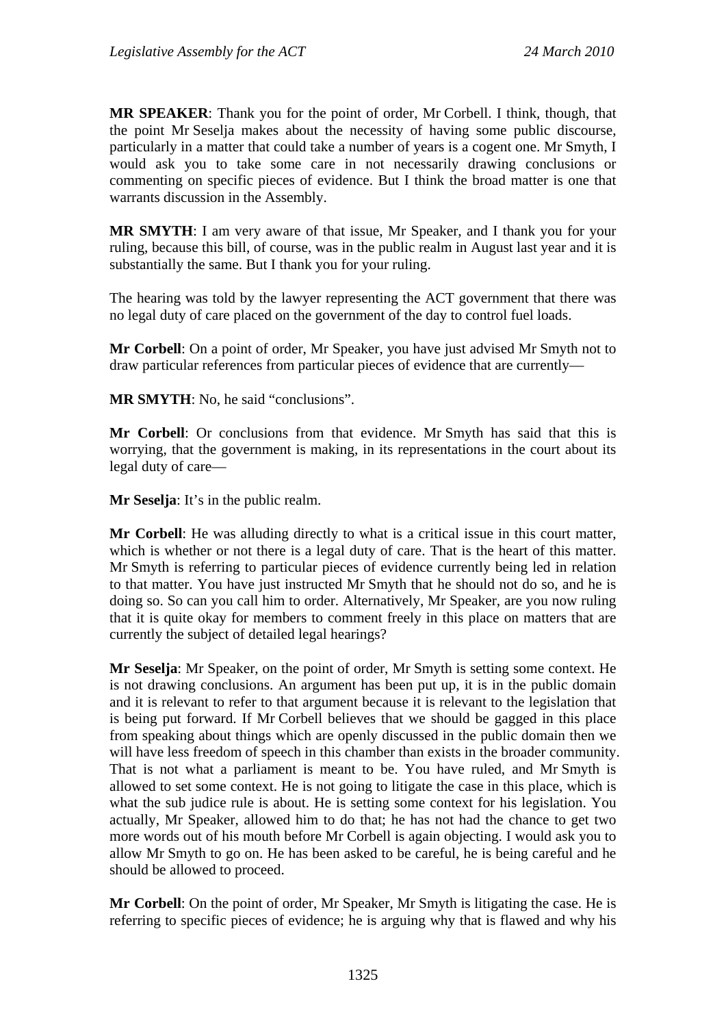**MR SPEAKER**: Thank you for the point of order, Mr Corbell. I think, though, that the point Mr Seselja makes about the necessity of having some public discourse, particularly in a matter that could take a number of years is a cogent one. Mr Smyth, I would ask you to take some care in not necessarily drawing conclusions or commenting on specific pieces of evidence. But I think the broad matter is one that warrants discussion in the Assembly.

**MR SMYTH**: I am very aware of that issue, Mr Speaker, and I thank you for your ruling, because this bill, of course, was in the public realm in August last year and it is substantially the same. But I thank you for your ruling.

The hearing was told by the lawyer representing the ACT government that there was no legal duty of care placed on the government of the day to control fuel loads.

**Mr Corbell**: On a point of order, Mr Speaker, you have just advised Mr Smyth not to draw particular references from particular pieces of evidence that are currently—

**MR SMYTH**: No, he said "conclusions".

**Mr Corbell**: Or conclusions from that evidence. Mr Smyth has said that this is worrying, that the government is making, in its representations in the court about its legal duty of care—

**Mr Seselja**: It's in the public realm.

**Mr Corbell**: He was alluding directly to what is a critical issue in this court matter, which is whether or not there is a legal duty of care. That is the heart of this matter. Mr Smyth is referring to particular pieces of evidence currently being led in relation to that matter. You have just instructed Mr Smyth that he should not do so, and he is doing so. So can you call him to order. Alternatively, Mr Speaker, are you now ruling that it is quite okay for members to comment freely in this place on matters that are currently the subject of detailed legal hearings?

**Mr Seselja**: Mr Speaker, on the point of order, Mr Smyth is setting some context. He is not drawing conclusions. An argument has been put up, it is in the public domain and it is relevant to refer to that argument because it is relevant to the legislation that is being put forward. If Mr Corbell believes that we should be gagged in this place from speaking about things which are openly discussed in the public domain then we will have less freedom of speech in this chamber than exists in the broader community. That is not what a parliament is meant to be. You have ruled, and Mr Smyth is allowed to set some context. He is not going to litigate the case in this place, which is what the sub judice rule is about. He is setting some context for his legislation. You actually, Mr Speaker, allowed him to do that; he has not had the chance to get two more words out of his mouth before Mr Corbell is again objecting. I would ask you to allow Mr Smyth to go on. He has been asked to be careful, he is being careful and he should be allowed to proceed.

**Mr Corbell**: On the point of order, Mr Speaker, Mr Smyth is litigating the case. He is referring to specific pieces of evidence; he is arguing why that is flawed and why his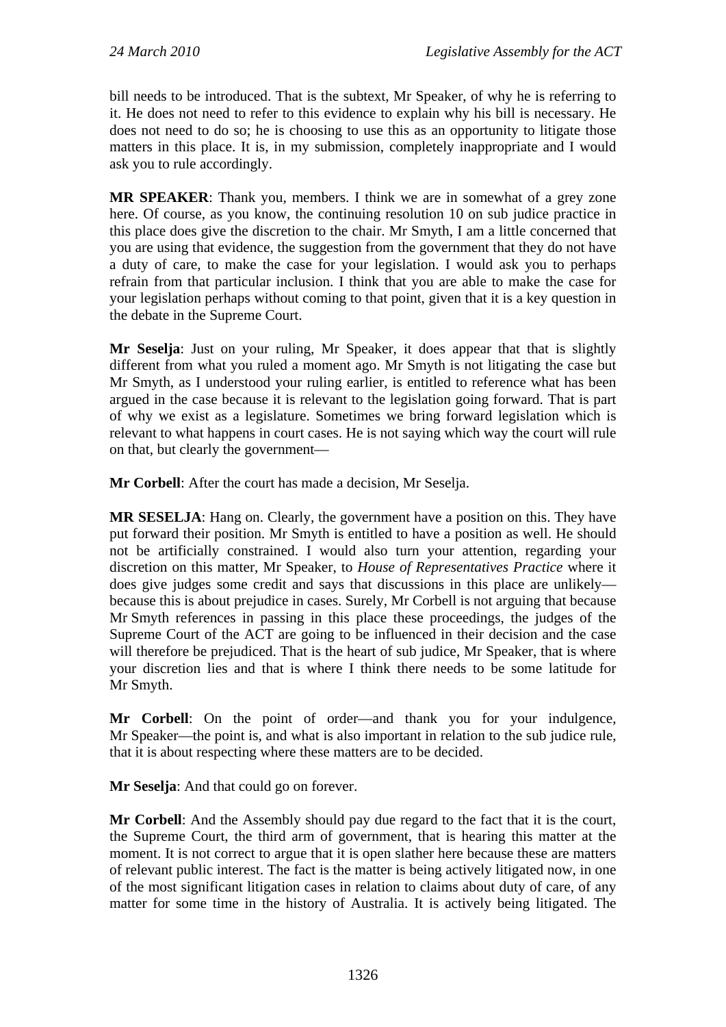bill needs to be introduced. That is the subtext, Mr Speaker, of why he is referring to it. He does not need to refer to this evidence to explain why his bill is necessary. He does not need to do so; he is choosing to use this as an opportunity to litigate those matters in this place. It is, in my submission, completely inappropriate and I would ask you to rule accordingly.

**MR SPEAKER**: Thank you, members. I think we are in somewhat of a grey zone here. Of course, as you know, the continuing resolution 10 on sub judice practice in this place does give the discretion to the chair. Mr Smyth, I am a little concerned that you are using that evidence, the suggestion from the government that they do not have a duty of care, to make the case for your legislation. I would ask you to perhaps refrain from that particular inclusion. I think that you are able to make the case for your legislation perhaps without coming to that point, given that it is a key question in the debate in the Supreme Court.

**Mr Seselja**: Just on your ruling, Mr Speaker, it does appear that that is slightly different from what you ruled a moment ago. Mr Smyth is not litigating the case but Mr Smyth, as I understood your ruling earlier, is entitled to reference what has been argued in the case because it is relevant to the legislation going forward. That is part of why we exist as a legislature. Sometimes we bring forward legislation which is relevant to what happens in court cases. He is not saying which way the court will rule on that, but clearly the government—

**Mr Corbell**: After the court has made a decision, Mr Seselja.

**MR SESELJA**: Hang on. Clearly, the government have a position on this. They have put forward their position. Mr Smyth is entitled to have a position as well. He should not be artificially constrained. I would also turn your attention, regarding your discretion on this matter, Mr Speaker, to *House of Representatives Practice* where it does give judges some credit and says that discussions in this place are unlikely because this is about prejudice in cases. Surely, Mr Corbell is not arguing that because Mr Smyth references in passing in this place these proceedings, the judges of the Supreme Court of the ACT are going to be influenced in their decision and the case will therefore be prejudiced. That is the heart of sub judice, Mr Speaker, that is where your discretion lies and that is where I think there needs to be some latitude for Mr Smyth.

**Mr Corbell**: On the point of order—and thank you for your indulgence, Mr Speaker—the point is, and what is also important in relation to the sub judice rule, that it is about respecting where these matters are to be decided.

**Mr Seselja**: And that could go on forever.

**Mr Corbell**: And the Assembly should pay due regard to the fact that it is the court, the Supreme Court, the third arm of government, that is hearing this matter at the moment. It is not correct to argue that it is open slather here because these are matters of relevant public interest. The fact is the matter is being actively litigated now, in one of the most significant litigation cases in relation to claims about duty of care, of any matter for some time in the history of Australia. It is actively being litigated. The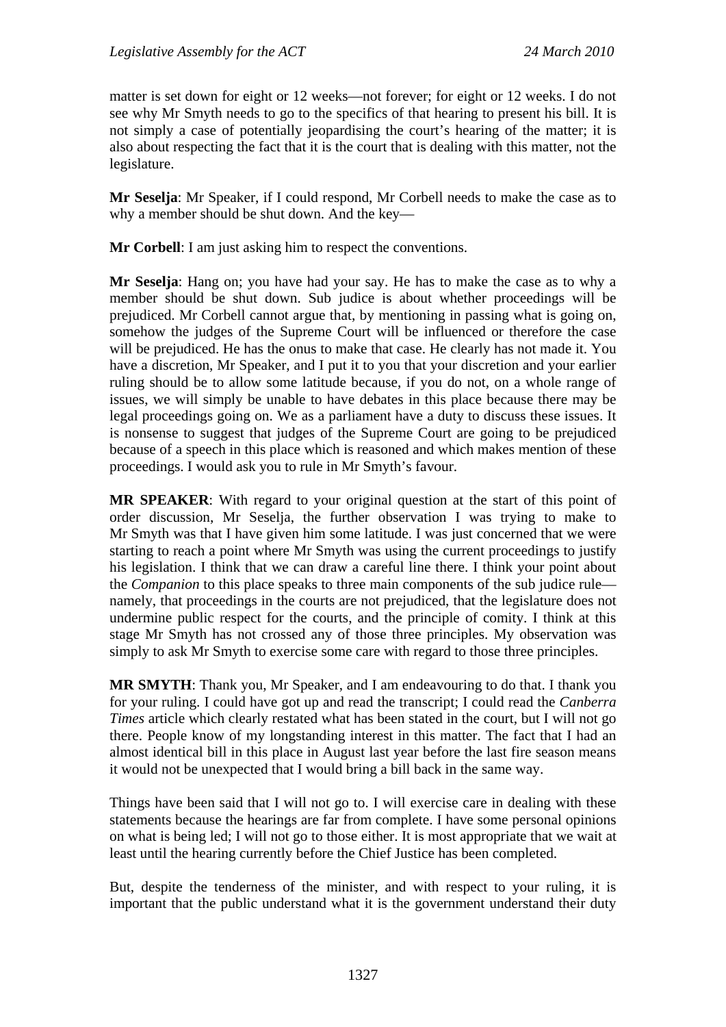matter is set down for eight or 12 weeks—not forever; for eight or 12 weeks. I do not see why Mr Smyth needs to go to the specifics of that hearing to present his bill. It is not simply a case of potentially jeopardising the court's hearing of the matter; it is also about respecting the fact that it is the court that is dealing with this matter, not the legislature.

**Mr Seselja**: Mr Speaker, if I could respond, Mr Corbell needs to make the case as to why a member should be shut down. And the key—

**Mr Corbell**: I am just asking him to respect the conventions.

**Mr Seselja**: Hang on; you have had your say. He has to make the case as to why a member should be shut down. Sub judice is about whether proceedings will be prejudiced. Mr Corbell cannot argue that, by mentioning in passing what is going on, somehow the judges of the Supreme Court will be influenced or therefore the case will be prejudiced. He has the onus to make that case. He clearly has not made it. You have a discretion, Mr Speaker, and I put it to you that your discretion and your earlier ruling should be to allow some latitude because, if you do not, on a whole range of issues, we will simply be unable to have debates in this place because there may be legal proceedings going on. We as a parliament have a duty to discuss these issues. It is nonsense to suggest that judges of the Supreme Court are going to be prejudiced because of a speech in this place which is reasoned and which makes mention of these proceedings. I would ask you to rule in Mr Smyth's favour.

**MR SPEAKER**: With regard to your original question at the start of this point of order discussion, Mr Seselja, the further observation I was trying to make to Mr Smyth was that I have given him some latitude. I was just concerned that we were starting to reach a point where Mr Smyth was using the current proceedings to justify his legislation. I think that we can draw a careful line there. I think your point about the *Companion* to this place speaks to three main components of the sub judice rule namely, that proceedings in the courts are not prejudiced, that the legislature does not undermine public respect for the courts, and the principle of comity. I think at this stage Mr Smyth has not crossed any of those three principles. My observation was simply to ask Mr Smyth to exercise some care with regard to those three principles.

**MR SMYTH**: Thank you, Mr Speaker, and I am endeavouring to do that. I thank you for your ruling. I could have got up and read the transcript; I could read the *Canberra Times* article which clearly restated what has been stated in the court, but I will not go there. People know of my longstanding interest in this matter. The fact that I had an almost identical bill in this place in August last year before the last fire season means it would not be unexpected that I would bring a bill back in the same way.

Things have been said that I will not go to. I will exercise care in dealing with these statements because the hearings are far from complete. I have some personal opinions on what is being led; I will not go to those either. It is most appropriate that we wait at least until the hearing currently before the Chief Justice has been completed.

But, despite the tenderness of the minister, and with respect to your ruling, it is important that the public understand what it is the government understand their duty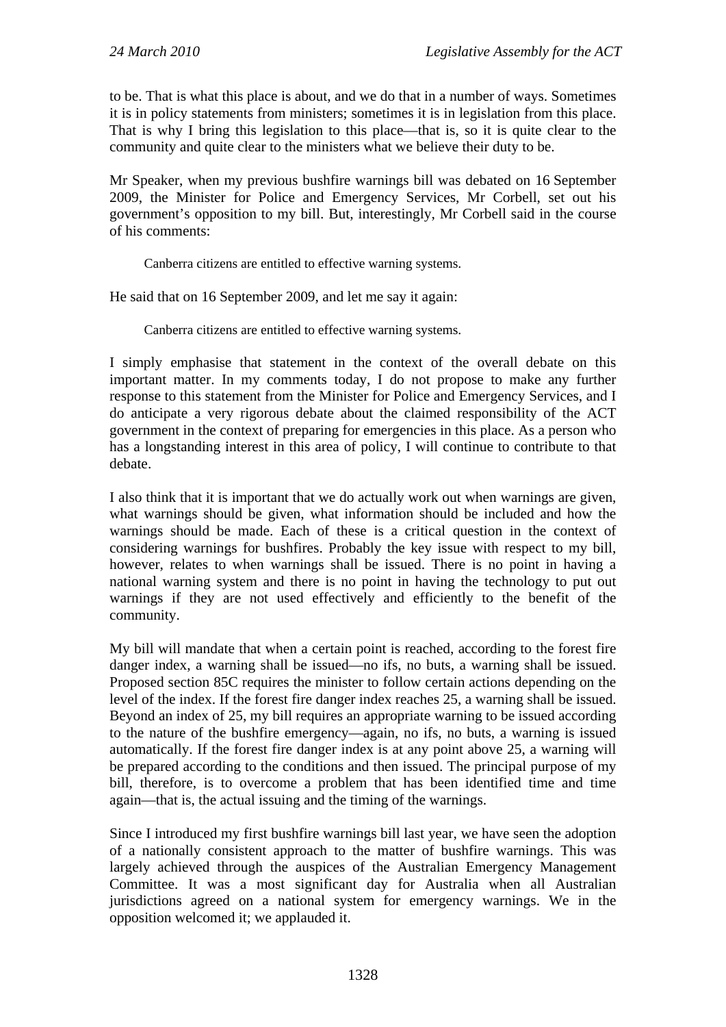to be. That is what this place is about, and we do that in a number of ways. Sometimes it is in policy statements from ministers; sometimes it is in legislation from this place. That is why I bring this legislation to this place—that is, so it is quite clear to the community and quite clear to the ministers what we believe their duty to be.

Mr Speaker, when my previous bushfire warnings bill was debated on 16 September 2009, the Minister for Police and Emergency Services, Mr Corbell, set out his government's opposition to my bill. But, interestingly, Mr Corbell said in the course of his comments:

Canberra citizens are entitled to effective warning systems.

He said that on 16 September 2009, and let me say it again:

Canberra citizens are entitled to effective warning systems.

I simply emphasise that statement in the context of the overall debate on this important matter. In my comments today, I do not propose to make any further response to this statement from the Minister for Police and Emergency Services, and I do anticipate a very rigorous debate about the claimed responsibility of the ACT government in the context of preparing for emergencies in this place. As a person who has a longstanding interest in this area of policy, I will continue to contribute to that debate.

I also think that it is important that we do actually work out when warnings are given, what warnings should be given, what information should be included and how the warnings should be made. Each of these is a critical question in the context of considering warnings for bushfires. Probably the key issue with respect to my bill, however, relates to when warnings shall be issued. There is no point in having a national warning system and there is no point in having the technology to put out warnings if they are not used effectively and efficiently to the benefit of the community.

My bill will mandate that when a certain point is reached, according to the forest fire danger index, a warning shall be issued—no ifs, no buts, a warning shall be issued. Proposed section 85C requires the minister to follow certain actions depending on the level of the index. If the forest fire danger index reaches 25, a warning shall be issued. Beyond an index of 25, my bill requires an appropriate warning to be issued according to the nature of the bushfire emergency—again, no ifs, no buts, a warning is issued automatically. If the forest fire danger index is at any point above 25, a warning will be prepared according to the conditions and then issued. The principal purpose of my bill, therefore, is to overcome a problem that has been identified time and time again—that is, the actual issuing and the timing of the warnings.

Since I introduced my first bushfire warnings bill last year, we have seen the adoption of a nationally consistent approach to the matter of bushfire warnings. This was largely achieved through the auspices of the Australian Emergency Management Committee. It was a most significant day for Australia when all Australian jurisdictions agreed on a national system for emergency warnings. We in the opposition welcomed it; we applauded it.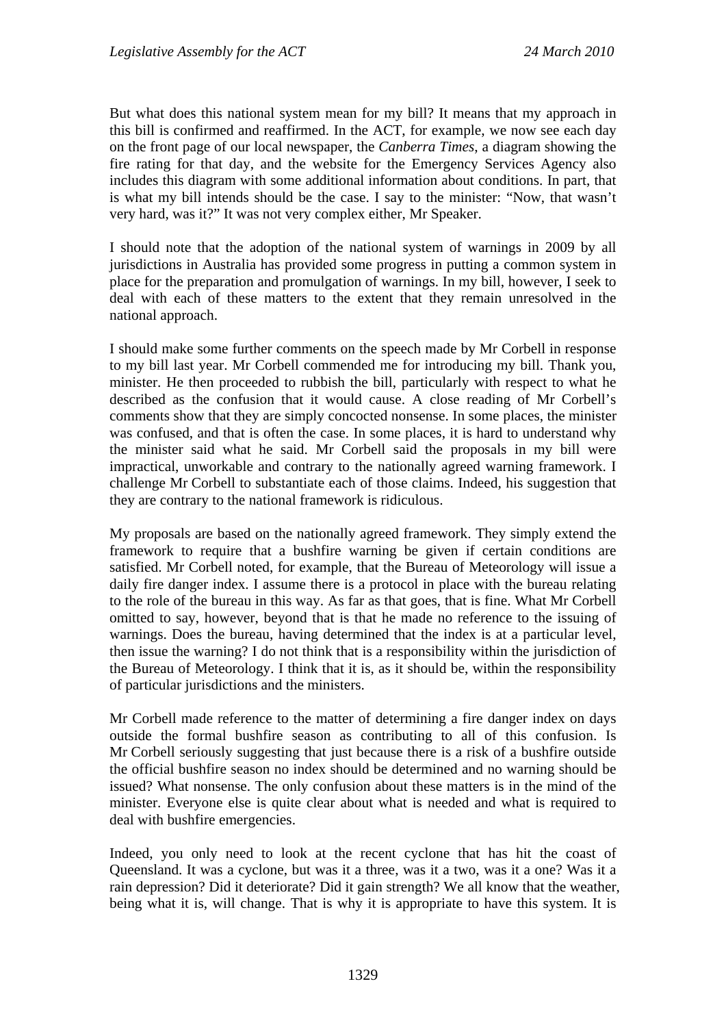But what does this national system mean for my bill? It means that my approach in this bill is confirmed and reaffirmed. In the ACT, for example, we now see each day on the front page of our local newspaper, the *Canberra Times*, a diagram showing the fire rating for that day, and the website for the Emergency Services Agency also includes this diagram with some additional information about conditions. In part, that is what my bill intends should be the case. I say to the minister: "Now, that wasn't very hard, was it?" It was not very complex either, Mr Speaker.

I should note that the adoption of the national system of warnings in 2009 by all jurisdictions in Australia has provided some progress in putting a common system in place for the preparation and promulgation of warnings. In my bill, however, I seek to deal with each of these matters to the extent that they remain unresolved in the national approach.

I should make some further comments on the speech made by Mr Corbell in response to my bill last year. Mr Corbell commended me for introducing my bill. Thank you, minister. He then proceeded to rubbish the bill, particularly with respect to what he described as the confusion that it would cause. A close reading of Mr Corbell's comments show that they are simply concocted nonsense. In some places, the minister was confused, and that is often the case. In some places, it is hard to understand why the minister said what he said. Mr Corbell said the proposals in my bill were impractical, unworkable and contrary to the nationally agreed warning framework. I challenge Mr Corbell to substantiate each of those claims. Indeed, his suggestion that they are contrary to the national framework is ridiculous.

My proposals are based on the nationally agreed framework. They simply extend the framework to require that a bushfire warning be given if certain conditions are satisfied. Mr Corbell noted, for example, that the Bureau of Meteorology will issue a daily fire danger index. I assume there is a protocol in place with the bureau relating to the role of the bureau in this way. As far as that goes, that is fine. What Mr Corbell omitted to say, however, beyond that is that he made no reference to the issuing of warnings. Does the bureau, having determined that the index is at a particular level, then issue the warning? I do not think that is a responsibility within the jurisdiction of the Bureau of Meteorology. I think that it is, as it should be, within the responsibility of particular jurisdictions and the ministers.

Mr Corbell made reference to the matter of determining a fire danger index on days outside the formal bushfire season as contributing to all of this confusion. Is Mr Corbell seriously suggesting that just because there is a risk of a bushfire outside the official bushfire season no index should be determined and no warning should be issued? What nonsense. The only confusion about these matters is in the mind of the minister. Everyone else is quite clear about what is needed and what is required to deal with bushfire emergencies.

Indeed, you only need to look at the recent cyclone that has hit the coast of Queensland. It was a cyclone, but was it a three, was it a two, was it a one? Was it a rain depression? Did it deteriorate? Did it gain strength? We all know that the weather, being what it is, will change. That is why it is appropriate to have this system. It is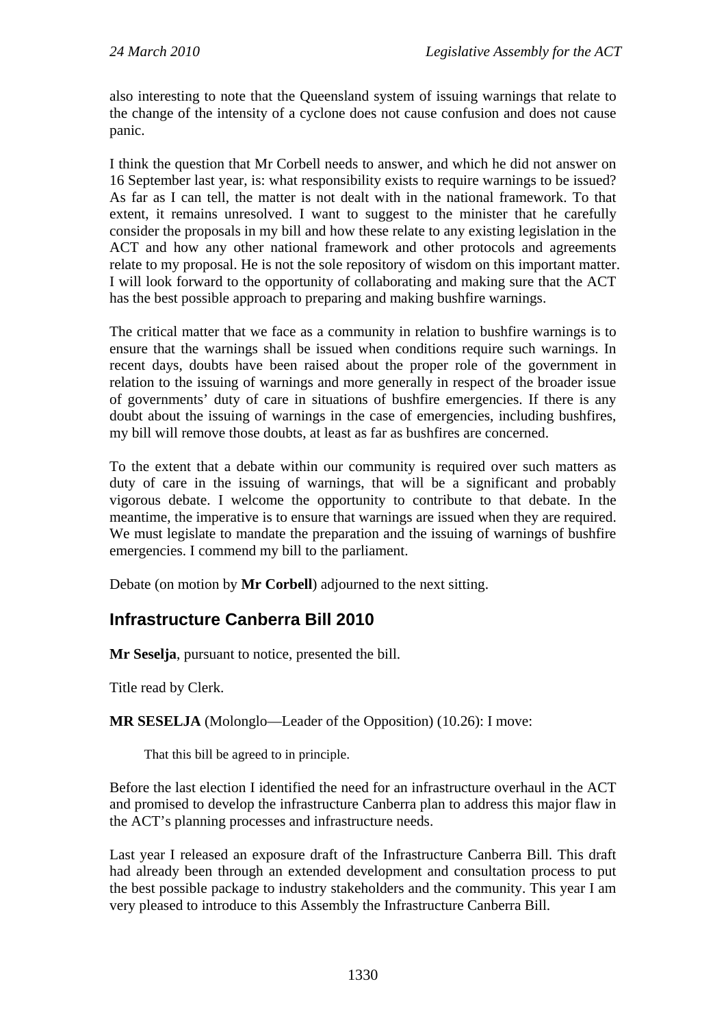also interesting to note that the Queensland system of issuing warnings that relate to the change of the intensity of a cyclone does not cause confusion and does not cause panic.

I think the question that Mr Corbell needs to answer, and which he did not answer on 16 September last year, is: what responsibility exists to require warnings to be issued? As far as I can tell, the matter is not dealt with in the national framework. To that extent, it remains unresolved. I want to suggest to the minister that he carefully consider the proposals in my bill and how these relate to any existing legislation in the ACT and how any other national framework and other protocols and agreements relate to my proposal. He is not the sole repository of wisdom on this important matter. I will look forward to the opportunity of collaborating and making sure that the ACT has the best possible approach to preparing and making bushfire warnings.

The critical matter that we face as a community in relation to bushfire warnings is to ensure that the warnings shall be issued when conditions require such warnings. In recent days, doubts have been raised about the proper role of the government in relation to the issuing of warnings and more generally in respect of the broader issue of governments' duty of care in situations of bushfire emergencies. If there is any doubt about the issuing of warnings in the case of emergencies, including bushfires, my bill will remove those doubts, at least as far as bushfires are concerned.

To the extent that a debate within our community is required over such matters as duty of care in the issuing of warnings, that will be a significant and probably vigorous debate. I welcome the opportunity to contribute to that debate. In the meantime, the imperative is to ensure that warnings are issued when they are required. We must legislate to mandate the preparation and the issuing of warnings of bushfire emergencies. I commend my bill to the parliament.

Debate (on motion by **Mr Corbell**) adjourned to the next sitting.

## <span id="page-9-0"></span>**Infrastructure Canberra Bill 2010**

**Mr Seselja**, pursuant to notice, presented the bill.

Title read by Clerk.

**MR SESELJA** (Molonglo—Leader of the Opposition) (10.26): I move:

That this bill be agreed to in principle.

Before the last election I identified the need for an infrastructure overhaul in the ACT and promised to develop the infrastructure Canberra plan to address this major flaw in the ACT's planning processes and infrastructure needs.

Last year I released an exposure draft of the Infrastructure Canberra Bill. This draft had already been through an extended development and consultation process to put the best possible package to industry stakeholders and the community. This year I am very pleased to introduce to this Assembly the Infrastructure Canberra Bill.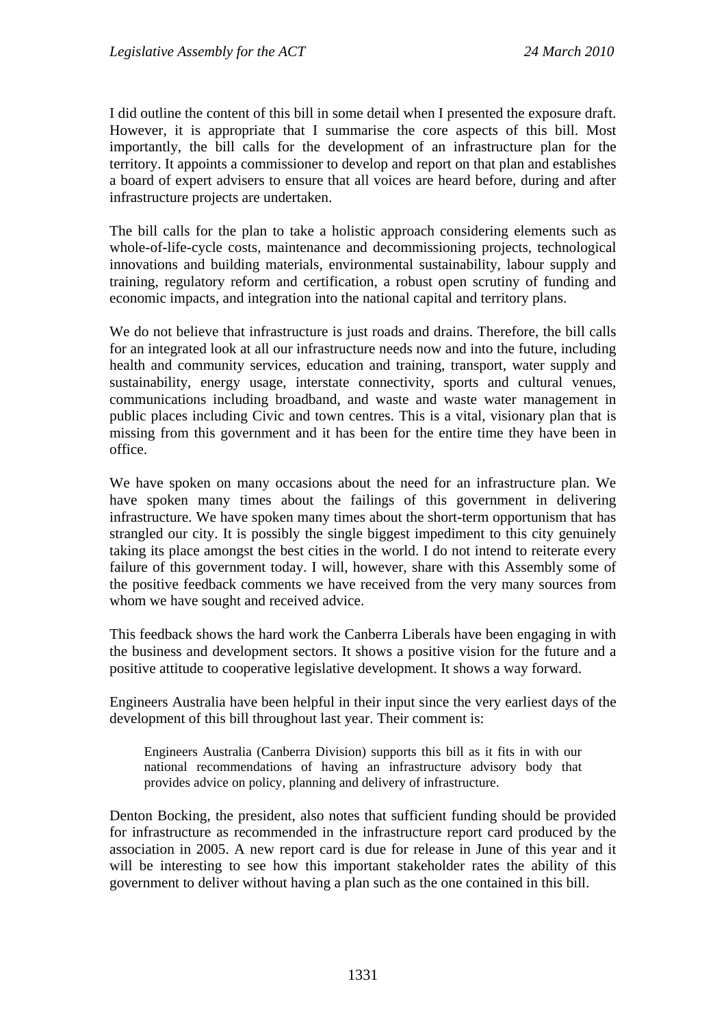I did outline the content of this bill in some detail when I presented the exposure draft. However, it is appropriate that I summarise the core aspects of this bill. Most importantly, the bill calls for the development of an infrastructure plan for the territory. It appoints a commissioner to develop and report on that plan and establishes a board of expert advisers to ensure that all voices are heard before, during and after infrastructure projects are undertaken.

The bill calls for the plan to take a holistic approach considering elements such as whole-of-life-cycle costs, maintenance and decommissioning projects, technological innovations and building materials, environmental sustainability, labour supply and training, regulatory reform and certification, a robust open scrutiny of funding and economic impacts, and integration into the national capital and territory plans.

We do not believe that infrastructure is just roads and drains. Therefore, the bill calls for an integrated look at all our infrastructure needs now and into the future, including health and community services, education and training, transport, water supply and sustainability, energy usage, interstate connectivity, sports and cultural venues, communications including broadband, and waste and waste water management in public places including Civic and town centres. This is a vital, visionary plan that is missing from this government and it has been for the entire time they have been in office.

We have spoken on many occasions about the need for an infrastructure plan. We have spoken many times about the failings of this government in delivering infrastructure. We have spoken many times about the short-term opportunism that has strangled our city. It is possibly the single biggest impediment to this city genuinely taking its place amongst the best cities in the world. I do not intend to reiterate every failure of this government today. I will, however, share with this Assembly some of the positive feedback comments we have received from the very many sources from whom we have sought and received advice.

This feedback shows the hard work the Canberra Liberals have been engaging in with the business and development sectors. It shows a positive vision for the future and a positive attitude to cooperative legislative development. It shows a way forward.

Engineers Australia have been helpful in their input since the very earliest days of the development of this bill throughout last year. Their comment is:

Engineers Australia (Canberra Division) supports this bill as it fits in with our national recommendations of having an infrastructure advisory body that provides advice on policy, planning and delivery of infrastructure.

Denton Bocking, the president, also notes that sufficient funding should be provided for infrastructure as recommended in the infrastructure report card produced by the association in 2005. A new report card is due for release in June of this year and it will be interesting to see how this important stakeholder rates the ability of this government to deliver without having a plan such as the one contained in this bill.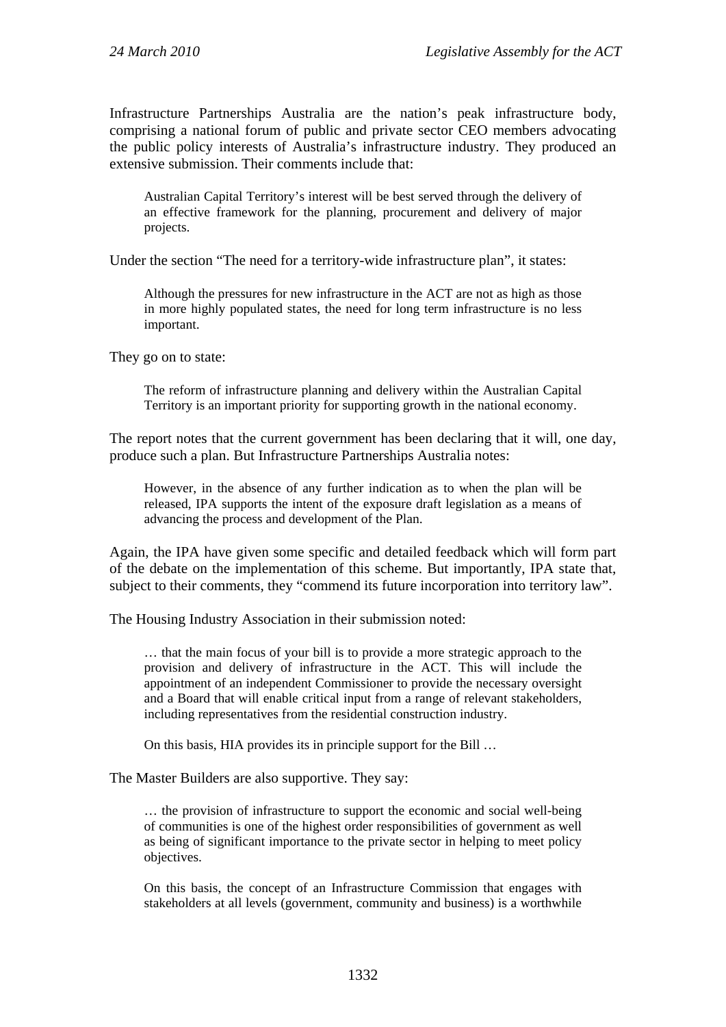Infrastructure Partnerships Australia are the nation's peak infrastructure body, comprising a national forum of public and private sector CEO members advocating the public policy interests of Australia's infrastructure industry. They produced an extensive submission. Their comments include that:

Australian Capital Territory's interest will be best served through the delivery of an effective framework for the planning, procurement and delivery of major projects.

Under the section "The need for a territory-wide infrastructure plan", it states:

Although the pressures for new infrastructure in the ACT are not as high as those in more highly populated states, the need for long term infrastructure is no less important.

They go on to state:

The reform of infrastructure planning and delivery within the Australian Capital Territory is an important priority for supporting growth in the national economy.

The report notes that the current government has been declaring that it will, one day, produce such a plan. But Infrastructure Partnerships Australia notes:

However, in the absence of any further indication as to when the plan will be released, IPA supports the intent of the exposure draft legislation as a means of advancing the process and development of the Plan.

Again, the IPA have given some specific and detailed feedback which will form part of the debate on the implementation of this scheme. But importantly, IPA state that, subject to their comments, they "commend its future incorporation into territory law".

The Housing Industry Association in their submission noted:

… that the main focus of your bill is to provide a more strategic approach to the provision and delivery of infrastructure in the ACT. This will include the appointment of an independent Commissioner to provide the necessary oversight and a Board that will enable critical input from a range of relevant stakeholders, including representatives from the residential construction industry.

On this basis, HIA provides its in principle support for the Bill …

The Master Builders are also supportive. They say:

… the provision of infrastructure to support the economic and social well-being of communities is one of the highest order responsibilities of government as well as being of significant importance to the private sector in helping to meet policy objectives.

On this basis, the concept of an Infrastructure Commission that engages with stakeholders at all levels (government, community and business) is a worthwhile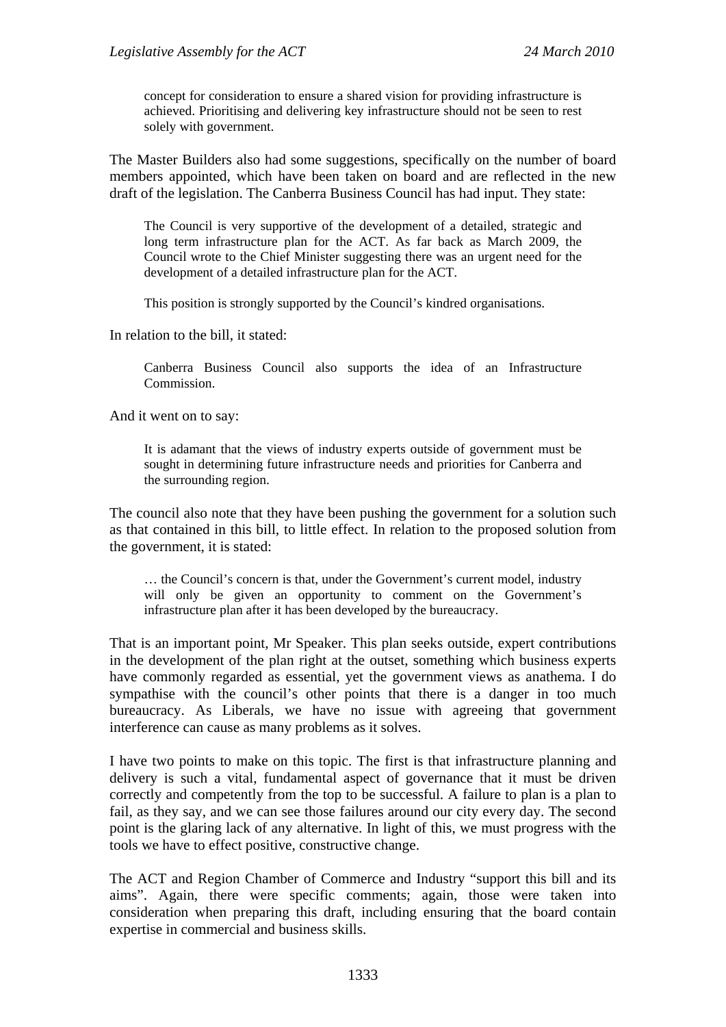concept for consideration to ensure a shared vision for providing infrastructure is achieved. Prioritising and delivering key infrastructure should not be seen to rest solely with government.

The Master Builders also had some suggestions, specifically on the number of board members appointed, which have been taken on board and are reflected in the new draft of the legislation. The Canberra Business Council has had input. They state:

The Council is very supportive of the development of a detailed, strategic and long term infrastructure plan for the ACT. As far back as March 2009, the Council wrote to the Chief Minister suggesting there was an urgent need for the development of a detailed infrastructure plan for the ACT.

This position is strongly supported by the Council's kindred organisations.

In relation to the bill, it stated:

Canberra Business Council also supports the idea of an Infrastructure Commission.

And it went on to say:

It is adamant that the views of industry experts outside of government must be sought in determining future infrastructure needs and priorities for Canberra and the surrounding region.

The council also note that they have been pushing the government for a solution such as that contained in this bill, to little effect. In relation to the proposed solution from the government, it is stated:

… the Council's concern is that, under the Government's current model, industry will only be given an opportunity to comment on the Government's infrastructure plan after it has been developed by the bureaucracy.

That is an important point, Mr Speaker. This plan seeks outside, expert contributions in the development of the plan right at the outset, something which business experts have commonly regarded as essential, yet the government views as anathema. I do sympathise with the council's other points that there is a danger in too much bureaucracy. As Liberals, we have no issue with agreeing that government interference can cause as many problems as it solves.

I have two points to make on this topic. The first is that infrastructure planning and delivery is such a vital, fundamental aspect of governance that it must be driven correctly and competently from the top to be successful. A failure to plan is a plan to fail, as they say, and we can see those failures around our city every day. The second point is the glaring lack of any alternative. In light of this, we must progress with the tools we have to effect positive, constructive change.

The ACT and Region Chamber of Commerce and Industry "support this bill and its aims". Again, there were specific comments; again, those were taken into consideration when preparing this draft, including ensuring that the board contain expertise in commercial and business skills.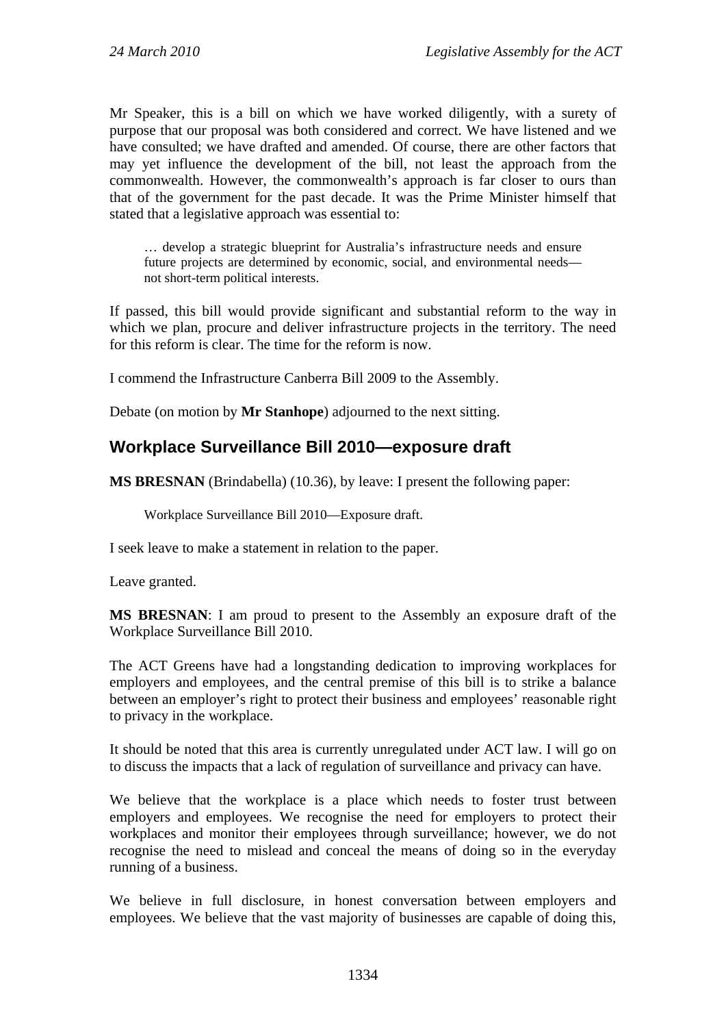Mr Speaker, this is a bill on which we have worked diligently, with a surety of purpose that our proposal was both considered and correct. We have listened and we have consulted; we have drafted and amended. Of course, there are other factors that may yet influence the development of the bill, not least the approach from the commonwealth. However, the commonwealth's approach is far closer to ours than that of the government for the past decade. It was the Prime Minister himself that stated that a legislative approach was essential to:

… develop a strategic blueprint for Australia's infrastructure needs and ensure future projects are determined by economic, social, and environmental needs not short-term political interests.

If passed, this bill would provide significant and substantial reform to the way in which we plan, procure and deliver infrastructure projects in the territory. The need for this reform is clear. The time for the reform is now.

I commend the Infrastructure Canberra Bill 2009 to the Assembly.

Debate (on motion by **Mr Stanhope**) adjourned to the next sitting.

#### <span id="page-13-0"></span>**Workplace Surveillance Bill 2010—exposure draft**

**MS BRESNAN** (Brindabella) (10.36), by leave: I present the following paper:

Workplace Surveillance Bill 2010—Exposure draft.

I seek leave to make a statement in relation to the paper.

Leave granted.

**MS BRESNAN**: I am proud to present to the Assembly an exposure draft of the Workplace Surveillance Bill 2010.

The ACT Greens have had a longstanding dedication to improving workplaces for employers and employees, and the central premise of this bill is to strike a balance between an employer's right to protect their business and employees' reasonable right to privacy in the workplace.

It should be noted that this area is currently unregulated under ACT law. I will go on to discuss the impacts that a lack of regulation of surveillance and privacy can have.

We believe that the workplace is a place which needs to foster trust between employers and employees. We recognise the need for employers to protect their workplaces and monitor their employees through surveillance; however, we do not recognise the need to mislead and conceal the means of doing so in the everyday running of a business.

We believe in full disclosure, in honest conversation between employers and employees. We believe that the vast majority of businesses are capable of doing this,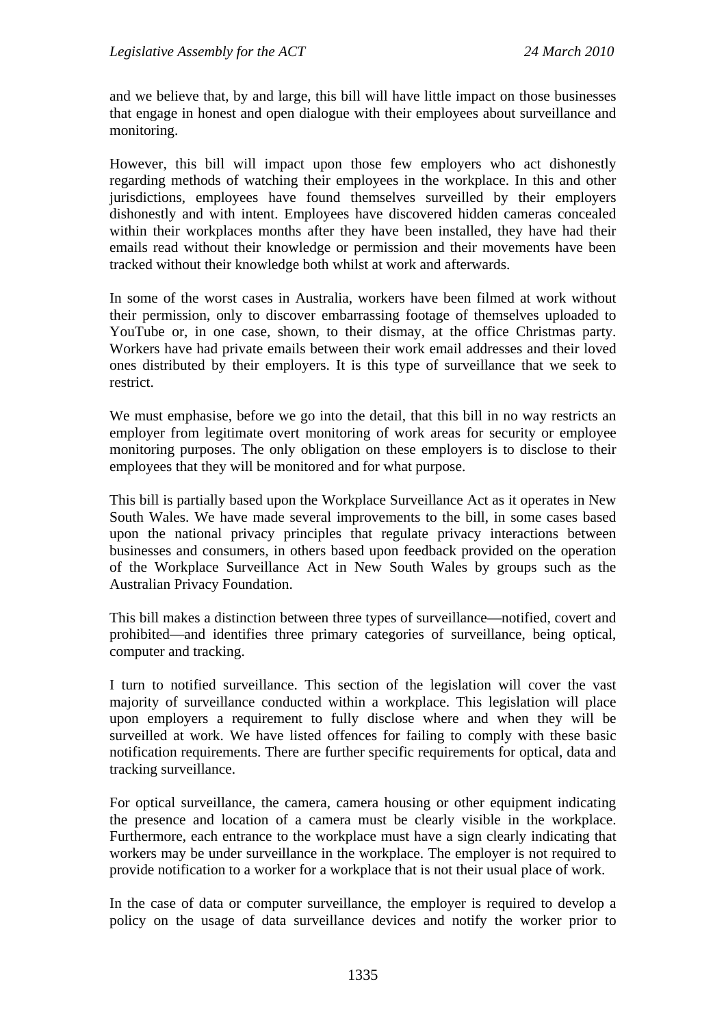and we believe that, by and large, this bill will have little impact on those businesses that engage in honest and open dialogue with their employees about surveillance and monitoring.

However, this bill will impact upon those few employers who act dishonestly regarding methods of watching their employees in the workplace. In this and other jurisdictions, employees have found themselves surveilled by their employers dishonestly and with intent. Employees have discovered hidden cameras concealed within their workplaces months after they have been installed, they have had their emails read without their knowledge or permission and their movements have been tracked without their knowledge both whilst at work and afterwards.

In some of the worst cases in Australia, workers have been filmed at work without their permission, only to discover embarrassing footage of themselves uploaded to YouTube or, in one case, shown, to their dismay, at the office Christmas party. Workers have had private emails between their work email addresses and their loved ones distributed by their employers. It is this type of surveillance that we seek to restrict.

We must emphasise, before we go into the detail, that this bill in no way restricts an employer from legitimate overt monitoring of work areas for security or employee monitoring purposes. The only obligation on these employers is to disclose to their employees that they will be monitored and for what purpose.

This bill is partially based upon the Workplace Surveillance Act as it operates in New South Wales. We have made several improvements to the bill, in some cases based upon the national privacy principles that regulate privacy interactions between businesses and consumers, in others based upon feedback provided on the operation of the Workplace Surveillance Act in New South Wales by groups such as the Australian Privacy Foundation.

This bill makes a distinction between three types of surveillance—notified, covert and prohibited—and identifies three primary categories of surveillance, being optical, computer and tracking.

I turn to notified surveillance. This section of the legislation will cover the vast majority of surveillance conducted within a workplace. This legislation will place upon employers a requirement to fully disclose where and when they will be surveilled at work. We have listed offences for failing to comply with these basic notification requirements. There are further specific requirements for optical, data and tracking surveillance.

For optical surveillance, the camera, camera housing or other equipment indicating the presence and location of a camera must be clearly visible in the workplace. Furthermore, each entrance to the workplace must have a sign clearly indicating that workers may be under surveillance in the workplace. The employer is not required to provide notification to a worker for a workplace that is not their usual place of work.

In the case of data or computer surveillance, the employer is required to develop a policy on the usage of data surveillance devices and notify the worker prior to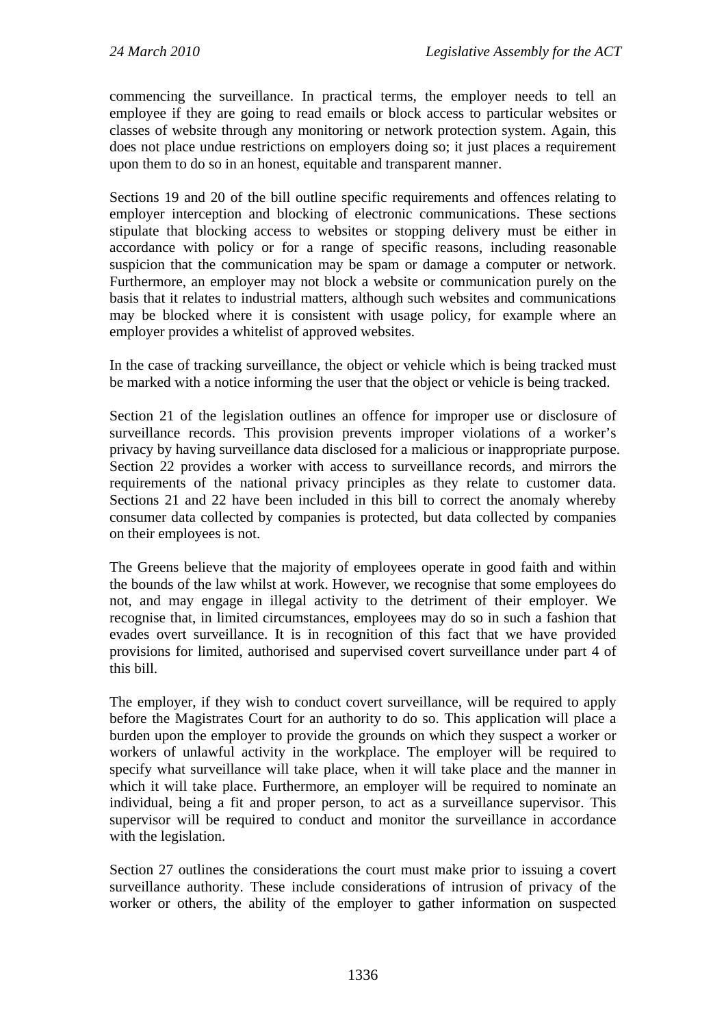commencing the surveillance. In practical terms, the employer needs to tell an employee if they are going to read emails or block access to particular websites or classes of website through any monitoring or network protection system. Again, this does not place undue restrictions on employers doing so; it just places a requirement upon them to do so in an honest, equitable and transparent manner.

Sections 19 and 20 of the bill outline specific requirements and offences relating to employer interception and blocking of electronic communications. These sections stipulate that blocking access to websites or stopping delivery must be either in accordance with policy or for a range of specific reasons, including reasonable suspicion that the communication may be spam or damage a computer or network. Furthermore, an employer may not block a website or communication purely on the basis that it relates to industrial matters, although such websites and communications may be blocked where it is consistent with usage policy, for example where an employer provides a whitelist of approved websites.

In the case of tracking surveillance, the object or vehicle which is being tracked must be marked with a notice informing the user that the object or vehicle is being tracked.

Section 21 of the legislation outlines an offence for improper use or disclosure of surveillance records. This provision prevents improper violations of a worker's privacy by having surveillance data disclosed for a malicious or inappropriate purpose. Section 22 provides a worker with access to surveillance records, and mirrors the requirements of the national privacy principles as they relate to customer data. Sections 21 and 22 have been included in this bill to correct the anomaly whereby consumer data collected by companies is protected, but data collected by companies on their employees is not.

The Greens believe that the majority of employees operate in good faith and within the bounds of the law whilst at work. However, we recognise that some employees do not, and may engage in illegal activity to the detriment of their employer. We recognise that, in limited circumstances, employees may do so in such a fashion that evades overt surveillance. It is in recognition of this fact that we have provided provisions for limited, authorised and supervised covert surveillance under part 4 of this bill.

The employer, if they wish to conduct covert surveillance, will be required to apply before the Magistrates Court for an authority to do so. This application will place a burden upon the employer to provide the grounds on which they suspect a worker or workers of unlawful activity in the workplace. The employer will be required to specify what surveillance will take place, when it will take place and the manner in which it will take place. Furthermore, an employer will be required to nominate an individual, being a fit and proper person, to act as a surveillance supervisor. This supervisor will be required to conduct and monitor the surveillance in accordance with the legislation.

Section 27 outlines the considerations the court must make prior to issuing a covert surveillance authority. These include considerations of intrusion of privacy of the worker or others, the ability of the employer to gather information on suspected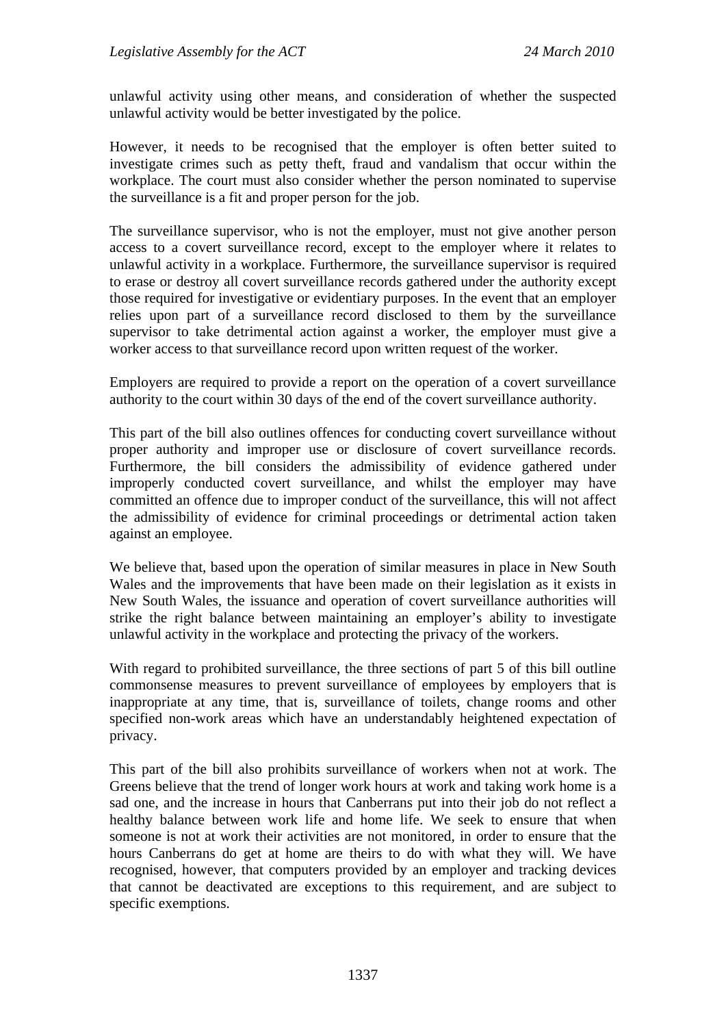unlawful activity using other means, and consideration of whether the suspected unlawful activity would be better investigated by the police.

However, it needs to be recognised that the employer is often better suited to investigate crimes such as petty theft, fraud and vandalism that occur within the workplace. The court must also consider whether the person nominated to supervise the surveillance is a fit and proper person for the job.

The surveillance supervisor, who is not the employer, must not give another person access to a covert surveillance record, except to the employer where it relates to unlawful activity in a workplace. Furthermore, the surveillance supervisor is required to erase or destroy all covert surveillance records gathered under the authority except those required for investigative or evidentiary purposes. In the event that an employer relies upon part of a surveillance record disclosed to them by the surveillance supervisor to take detrimental action against a worker, the employer must give a worker access to that surveillance record upon written request of the worker.

Employers are required to provide a report on the operation of a covert surveillance authority to the court within 30 days of the end of the covert surveillance authority.

This part of the bill also outlines offences for conducting covert surveillance without proper authority and improper use or disclosure of covert surveillance records. Furthermore, the bill considers the admissibility of evidence gathered under improperly conducted covert surveillance, and whilst the employer may have committed an offence due to improper conduct of the surveillance, this will not affect the admissibility of evidence for criminal proceedings or detrimental action taken against an employee.

We believe that, based upon the operation of similar measures in place in New South Wales and the improvements that have been made on their legislation as it exists in New South Wales, the issuance and operation of covert surveillance authorities will strike the right balance between maintaining an employer's ability to investigate unlawful activity in the workplace and protecting the privacy of the workers.

With regard to prohibited surveillance, the three sections of part 5 of this bill outline commonsense measures to prevent surveillance of employees by employers that is inappropriate at any time, that is, surveillance of toilets, change rooms and other specified non-work areas which have an understandably heightened expectation of privacy.

This part of the bill also prohibits surveillance of workers when not at work. The Greens believe that the trend of longer work hours at work and taking work home is a sad one, and the increase in hours that Canberrans put into their job do not reflect a healthy balance between work life and home life. We seek to ensure that when someone is not at work their activities are not monitored, in order to ensure that the hours Canberrans do get at home are theirs to do with what they will. We have recognised, however, that computers provided by an employer and tracking devices that cannot be deactivated are exceptions to this requirement, and are subject to specific exemptions.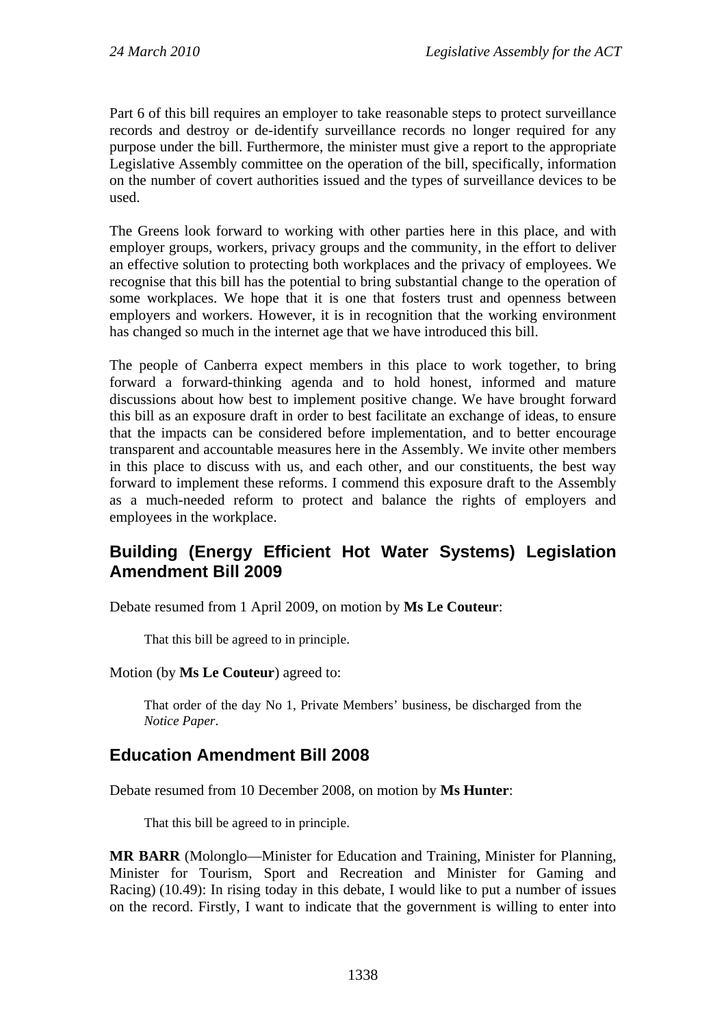Part 6 of this bill requires an employer to take reasonable steps to protect surveillance records and destroy or de-identify surveillance records no longer required for any purpose under the bill. Furthermore, the minister must give a report to the appropriate Legislative Assembly committee on the operation of the bill, specifically, information on the number of covert authorities issued and the types of surveillance devices to be used.

The Greens look forward to working with other parties here in this place, and with employer groups, workers, privacy groups and the community, in the effort to deliver an effective solution to protecting both workplaces and the privacy of employees. We recognise that this bill has the potential to bring substantial change to the operation of some workplaces. We hope that it is one that fosters trust and openness between employers and workers. However, it is in recognition that the working environment has changed so much in the internet age that we have introduced this bill.

The people of Canberra expect members in this place to work together, to bring forward a forward-thinking agenda and to hold honest, informed and mature discussions about how best to implement positive change. We have brought forward this bill as an exposure draft in order to best facilitate an exchange of ideas, to ensure that the impacts can be considered before implementation, and to better encourage transparent and accountable measures here in the Assembly. We invite other members in this place to discuss with us, and each other, and our constituents, the best way forward to implement these reforms. I commend this exposure draft to the Assembly as a much-needed reform to protect and balance the rights of employers and employees in the workplace.

## <span id="page-17-0"></span>**Building (Energy Efficient Hot Water Systems) Legislation Amendment Bill 2009**

Debate resumed from 1 April 2009, on motion by **Ms Le Couteur**:

That this bill be agreed to in principle.

#### Motion (by **Ms Le Couteur**) agreed to:

That order of the day No 1, Private Members' business, be discharged from the *Notice Paper*.

#### <span id="page-17-1"></span>**Education Amendment Bill 2008**

Debate resumed from 10 December 2008, on motion by **Ms Hunter**:

That this bill be agreed to in principle.

**MR BARR** (Molonglo—Minister for Education and Training, Minister for Planning, Minister for Tourism, Sport and Recreation and Minister for Gaming and Racing) (10.49): In rising today in this debate, I would like to put a number of issues on the record. Firstly, I want to indicate that the government is willing to enter into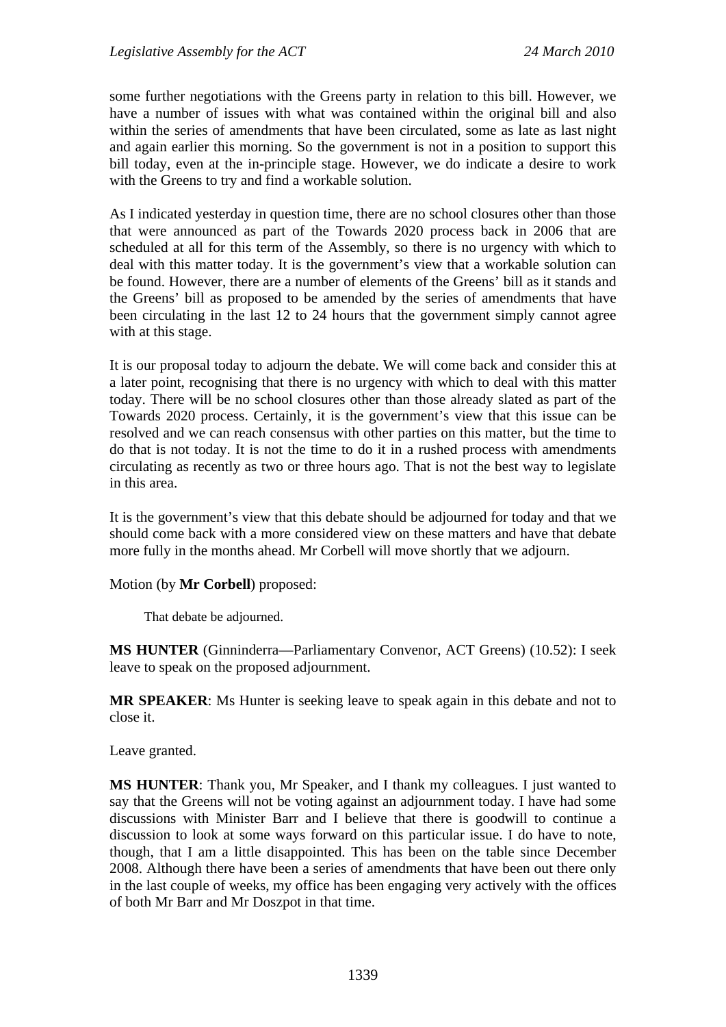some further negotiations with the Greens party in relation to this bill. However, we have a number of issues with what was contained within the original bill and also within the series of amendments that have been circulated, some as late as last night and again earlier this morning. So the government is not in a position to support this bill today, even at the in-principle stage. However, we do indicate a desire to work with the Greens to try and find a workable solution.

As I indicated yesterday in question time, there are no school closures other than those that were announced as part of the Towards 2020 process back in 2006 that are scheduled at all for this term of the Assembly, so there is no urgency with which to deal with this matter today. It is the government's view that a workable solution can be found. However, there are a number of elements of the Greens' bill as it stands and the Greens' bill as proposed to be amended by the series of amendments that have been circulating in the last 12 to 24 hours that the government simply cannot agree with at this stage.

It is our proposal today to adjourn the debate. We will come back and consider this at a later point, recognising that there is no urgency with which to deal with this matter today. There will be no school closures other than those already slated as part of the Towards 2020 process. Certainly, it is the government's view that this issue can be resolved and we can reach consensus with other parties on this matter, but the time to do that is not today. It is not the time to do it in a rushed process with amendments circulating as recently as two or three hours ago. That is not the best way to legislate in this area.

It is the government's view that this debate should be adjourned for today and that we should come back with a more considered view on these matters and have that debate more fully in the months ahead. Mr Corbell will move shortly that we adjourn.

#### Motion (by **Mr Corbell**) proposed:

That debate be adjourned.

**MS HUNTER** (Ginninderra—Parliamentary Convenor, ACT Greens) (10.52): I seek leave to speak on the proposed adjournment.

**MR SPEAKER**: Ms Hunter is seeking leave to speak again in this debate and not to close it.

Leave granted.

**MS HUNTER**: Thank you, Mr Speaker, and I thank my colleagues. I just wanted to say that the Greens will not be voting against an adjournment today. I have had some discussions with Minister Barr and I believe that there is goodwill to continue a discussion to look at some ways forward on this particular issue. I do have to note, though, that I am a little disappointed. This has been on the table since December 2008. Although there have been a series of amendments that have been out there only in the last couple of weeks, my office has been engaging very actively with the offices of both Mr Barr and Mr Doszpot in that time.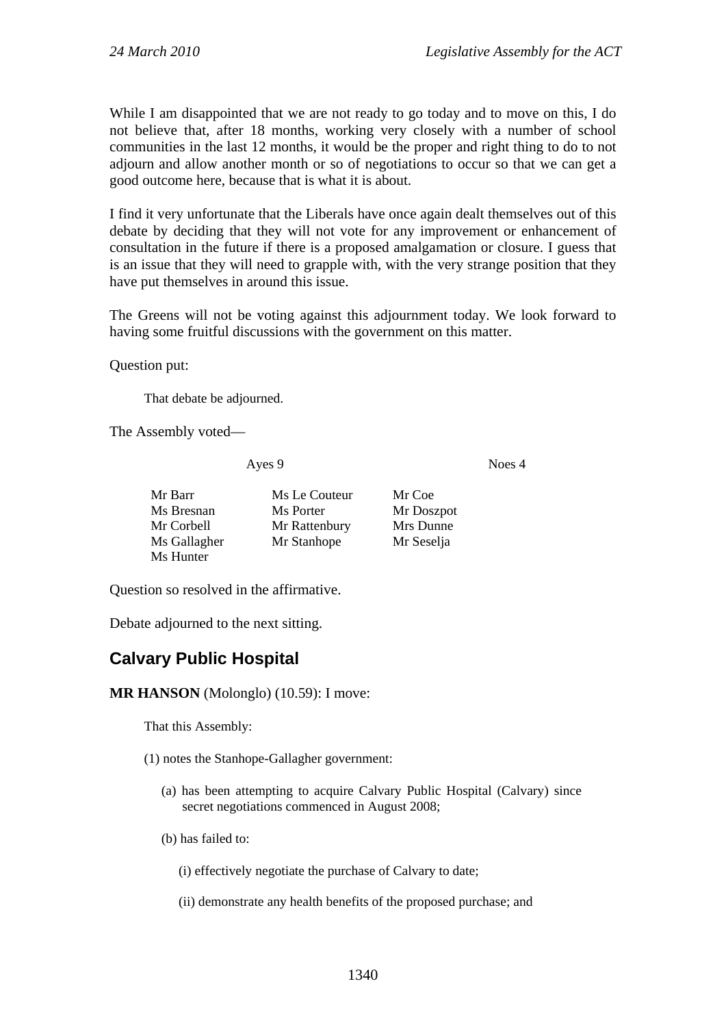While I am disappointed that we are not ready to go today and to move on this, I do not believe that, after 18 months, working very closely with a number of school communities in the last 12 months, it would be the proper and right thing to do to not adjourn and allow another month or so of negotiations to occur so that we can get a good outcome here, because that is what it is about.

I find it very unfortunate that the Liberals have once again dealt themselves out of this debate by deciding that they will not vote for any improvement or enhancement of consultation in the future if there is a proposed amalgamation or closure. I guess that is an issue that they will need to grapple with, with the very strange position that they have put themselves in around this issue.

The Greens will not be voting against this adjournment today. We look forward to having some fruitful discussions with the government on this matter.

Question put:

That debate be adjourned.

The Assembly voted—

Ayes 9 Noes 4

| Mr Barr      | Ms Le Couteur | Mr Coe     |
|--------------|---------------|------------|
| Ms Bresnan   | Ms Porter     | Mr Doszpot |
| Mr Corbell   | Mr Rattenbury | Mrs Dunne  |
| Ms Gallagher | Mr Stanhope   | Mr Seselja |
| Ms Hunter    |               |            |

Question so resolved in the affirmative.

Debate adjourned to the next sitting.

## <span id="page-19-0"></span>**Calvary Public Hospital**

**MR HANSON** (Molonglo) (10.59): I move:

That this Assembly:

- (1) notes the Stanhope-Gallagher government:
	- (a) has been attempting to acquire Calvary Public Hospital (Calvary) since secret negotiations commenced in August 2008;
	- (b) has failed to:

(i) effectively negotiate the purchase of Calvary to date;

(ii) demonstrate any health benefits of the proposed purchase; and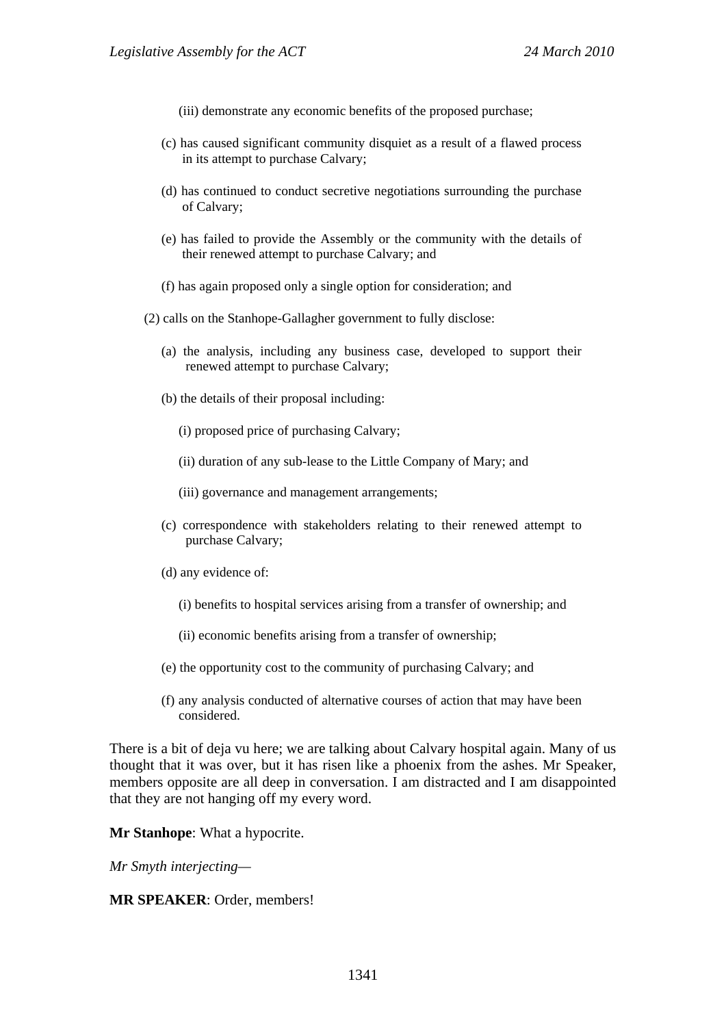- (iii) demonstrate any economic benefits of the proposed purchase;
- (c) has caused significant community disquiet as a result of a flawed process in its attempt to purchase Calvary;
- (d) has continued to conduct secretive negotiations surrounding the purchase of Calvary;
- (e) has failed to provide the Assembly or the community with the details of their renewed attempt to purchase Calvary; and
- (f) has again proposed only a single option for consideration; and

(2) calls on the Stanhope-Gallagher government to fully disclose:

- (a) the analysis, including any business case, developed to support their renewed attempt to purchase Calvary;
- (b) the details of their proposal including:
	- (i) proposed price of purchasing Calvary;
	- (ii) duration of any sub-lease to the Little Company of Mary; and

(iii) governance and management arrangements;

- (c) correspondence with stakeholders relating to their renewed attempt to purchase Calvary;
- (d) any evidence of:
	- (i) benefits to hospital services arising from a transfer of ownership; and
	- (ii) economic benefits arising from a transfer of ownership;
- (e) the opportunity cost to the community of purchasing Calvary; and
- (f) any analysis conducted of alternative courses of action that may have been considered.

There is a bit of deja vu here; we are talking about Calvary hospital again. Many of us thought that it was over, but it has risen like a phoenix from the ashes. Mr Speaker, members opposite are all deep in conversation. I am distracted and I am disappointed that they are not hanging off my every word.

**Mr Stanhope**: What a hypocrite.

*Mr Smyth interjecting—* 

**MR SPEAKER**: Order, members!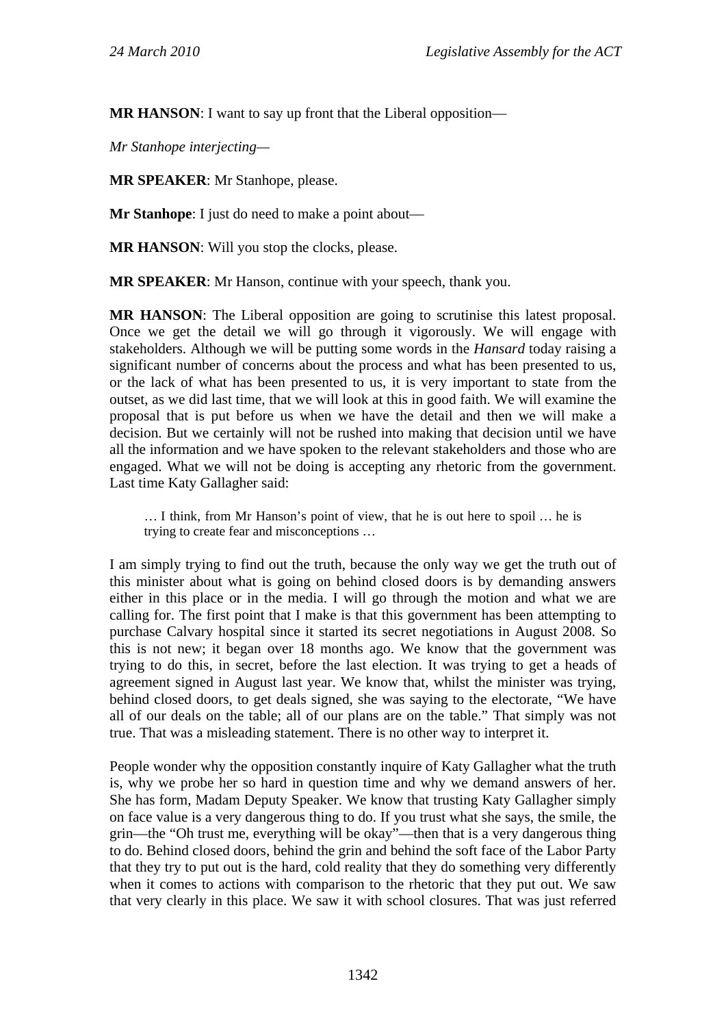**MR HANSON:** I want to say up front that the Liberal opposition—

*Mr Stanhope interjecting—* 

**MR SPEAKER**: Mr Stanhope, please.

**Mr Stanhope**: I just do need to make a point about—

**MR HANSON**: Will you stop the clocks, please.

**MR SPEAKER**: Mr Hanson, continue with your speech, thank you.

**MR HANSON**: The Liberal opposition are going to scrutinise this latest proposal. Once we get the detail we will go through it vigorously. We will engage with stakeholders. Although we will be putting some words in the *Hansard* today raising a significant number of concerns about the process and what has been presented to us, or the lack of what has been presented to us, it is very important to state from the outset, as we did last time, that we will look at this in good faith. We will examine the proposal that is put before us when we have the detail and then we will make a decision. But we certainly will not be rushed into making that decision until we have all the information and we have spoken to the relevant stakeholders and those who are engaged. What we will not be doing is accepting any rhetoric from the government. Last time Katy Gallagher said:

… I think, from Mr Hanson's point of view, that he is out here to spoil … he is trying to create fear and misconceptions …

I am simply trying to find out the truth, because the only way we get the truth out of this minister about what is going on behind closed doors is by demanding answers either in this place or in the media. I will go through the motion and what we are calling for. The first point that I make is that this government has been attempting to purchase Calvary hospital since it started its secret negotiations in August 2008. So this is not new; it began over 18 months ago. We know that the government was trying to do this, in secret, before the last election. It was trying to get a heads of agreement signed in August last year. We know that, whilst the minister was trying, behind closed doors, to get deals signed, she was saying to the electorate, "We have all of our deals on the table; all of our plans are on the table." That simply was not true. That was a misleading statement. There is no other way to interpret it.

People wonder why the opposition constantly inquire of Katy Gallagher what the truth is, why we probe her so hard in question time and why we demand answers of her. She has form, Madam Deputy Speaker. We know that trusting Katy Gallagher simply on face value is a very dangerous thing to do. If you trust what she says, the smile, the grin—the "Oh trust me, everything will be okay"—then that is a very dangerous thing to do. Behind closed doors, behind the grin and behind the soft face of the Labor Party that they try to put out is the hard, cold reality that they do something very differently when it comes to actions with comparison to the rhetoric that they put out. We saw that very clearly in this place. We saw it with school closures. That was just referred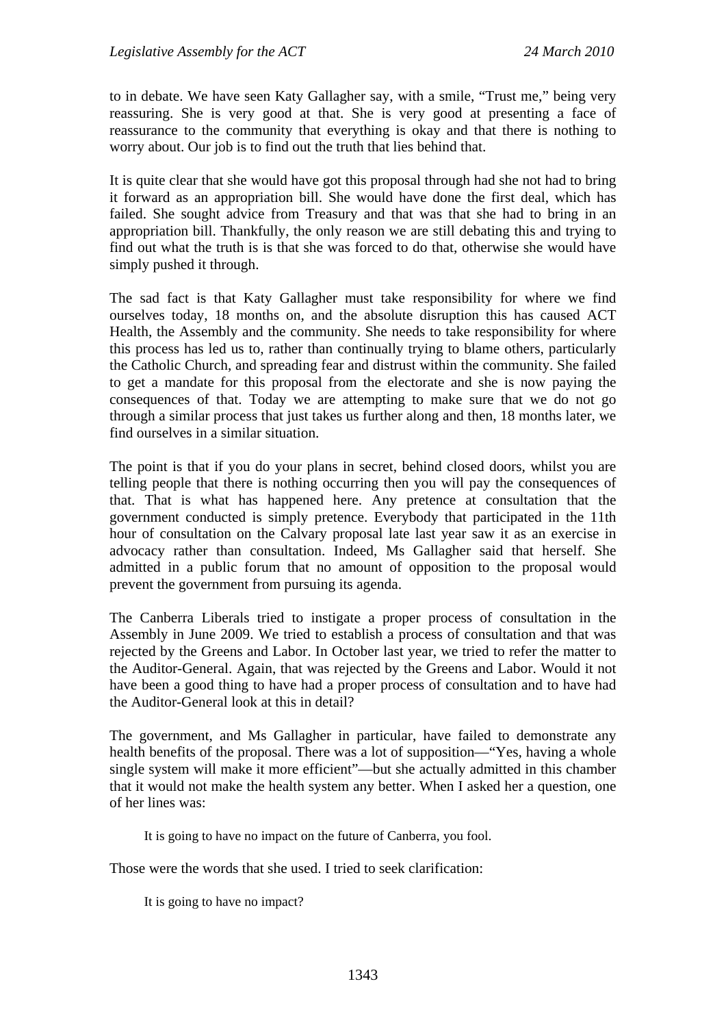to in debate. We have seen Katy Gallagher say, with a smile, "Trust me," being very reassuring. She is very good at that. She is very good at presenting a face of reassurance to the community that everything is okay and that there is nothing to worry about. Our job is to find out the truth that lies behind that.

It is quite clear that she would have got this proposal through had she not had to bring it forward as an appropriation bill. She would have done the first deal, which has failed. She sought advice from Treasury and that was that she had to bring in an appropriation bill. Thankfully, the only reason we are still debating this and trying to find out what the truth is is that she was forced to do that, otherwise she would have simply pushed it through.

The sad fact is that Katy Gallagher must take responsibility for where we find ourselves today, 18 months on, and the absolute disruption this has caused ACT Health, the Assembly and the community. She needs to take responsibility for where this process has led us to, rather than continually trying to blame others, particularly the Catholic Church, and spreading fear and distrust within the community. She failed to get a mandate for this proposal from the electorate and she is now paying the consequences of that. Today we are attempting to make sure that we do not go through a similar process that just takes us further along and then, 18 months later, we find ourselves in a similar situation.

The point is that if you do your plans in secret, behind closed doors, whilst you are telling people that there is nothing occurring then you will pay the consequences of that. That is what has happened here. Any pretence at consultation that the government conducted is simply pretence. Everybody that participated in the 11th hour of consultation on the Calvary proposal late last year saw it as an exercise in advocacy rather than consultation. Indeed, Ms Gallagher said that herself. She admitted in a public forum that no amount of opposition to the proposal would prevent the government from pursuing its agenda.

The Canberra Liberals tried to instigate a proper process of consultation in the Assembly in June 2009. We tried to establish a process of consultation and that was rejected by the Greens and Labor. In October last year, we tried to refer the matter to the Auditor-General. Again, that was rejected by the Greens and Labor. Would it not have been a good thing to have had a proper process of consultation and to have had the Auditor-General look at this in detail?

The government, and Ms Gallagher in particular, have failed to demonstrate any health benefits of the proposal. There was a lot of supposition—"Yes, having a whole single system will make it more efficient"—but she actually admitted in this chamber that it would not make the health system any better. When I asked her a question, one of her lines was:

It is going to have no impact on the future of Canberra, you fool.

Those were the words that she used. I tried to seek clarification:

It is going to have no impact?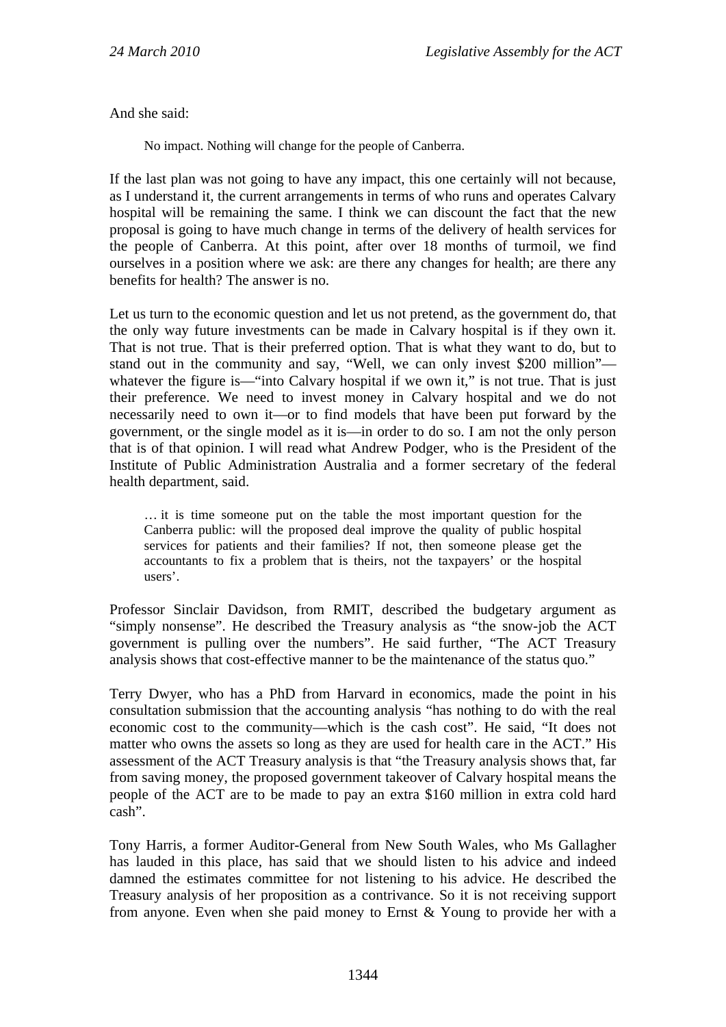And she said:

No impact. Nothing will change for the people of Canberra.

If the last plan was not going to have any impact, this one certainly will not because, as I understand it, the current arrangements in terms of who runs and operates Calvary hospital will be remaining the same. I think we can discount the fact that the new proposal is going to have much change in terms of the delivery of health services for the people of Canberra. At this point, after over 18 months of turmoil, we find ourselves in a position where we ask: are there any changes for health; are there any benefits for health? The answer is no.

Let us turn to the economic question and let us not pretend, as the government do, that the only way future investments can be made in Calvary hospital is if they own it. That is not true. That is their preferred option. That is what they want to do, but to stand out in the community and say, "Well, we can only invest \$200 million" whatever the figure is—"into Calvary hospital if we own it," is not true. That is just their preference. We need to invest money in Calvary hospital and we do not necessarily need to own it—or to find models that have been put forward by the government, or the single model as it is—in order to do so. I am not the only person that is of that opinion. I will read what Andrew Podger, who is the President of the Institute of Public Administration Australia and a former secretary of the federal health department, said.

… it is time someone put on the table the most important question for the Canberra public: will the proposed deal improve the quality of public hospital services for patients and their families? If not, then someone please get the accountants to fix a problem that is theirs, not the taxpayers' or the hospital users'.

Professor Sinclair Davidson, from RMIT, described the budgetary argument as "simply nonsense". He described the Treasury analysis as "the snow-job the ACT government is pulling over the numbers". He said further, "The ACT Treasury analysis shows that cost-effective manner to be the maintenance of the status quo."

Terry Dwyer, who has a PhD from Harvard in economics, made the point in his consultation submission that the accounting analysis "has nothing to do with the real economic cost to the community—which is the cash cost". He said, "It does not matter who owns the assets so long as they are used for health care in the ACT." His assessment of the ACT Treasury analysis is that "the Treasury analysis shows that, far from saving money, the proposed government takeover of Calvary hospital means the people of the ACT are to be made to pay an extra \$160 million in extra cold hard cash".

Tony Harris, a former Auditor-General from New South Wales, who Ms Gallagher has lauded in this place, has said that we should listen to his advice and indeed damned the estimates committee for not listening to his advice. He described the Treasury analysis of her proposition as a contrivance. So it is not receiving support from anyone. Even when she paid money to Ernst & Young to provide her with a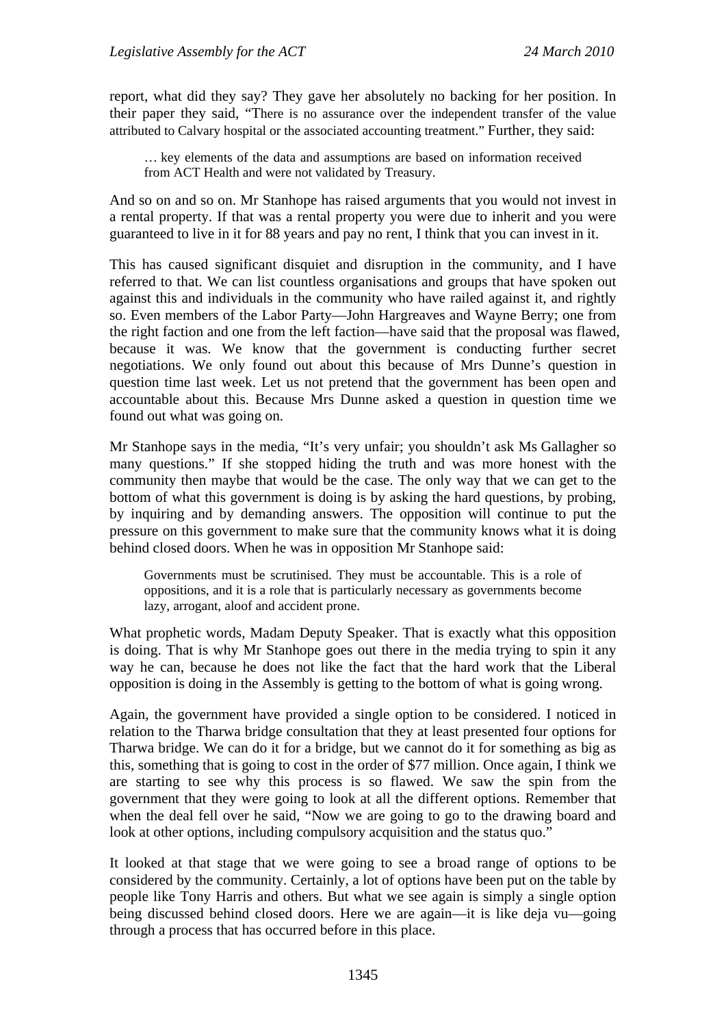report, what did they say? They gave her absolutely no backing for her position. In their paper they said, "There is no assurance over the independent transfer of the value attributed to Calvary hospital or the associated accounting treatment." Further, they said:

… key elements of the data and assumptions are based on information received from ACT Health and were not validated by Treasury.

And so on and so on. Mr Stanhope has raised arguments that you would not invest in a rental property. If that was a rental property you were due to inherit and you were guaranteed to live in it for 88 years and pay no rent, I think that you can invest in it.

This has caused significant disquiet and disruption in the community, and I have referred to that. We can list countless organisations and groups that have spoken out against this and individuals in the community who have railed against it, and rightly so. Even members of the Labor Party—John Hargreaves and Wayne Berry; one from the right faction and one from the left faction—have said that the proposal was flawed, because it was. We know that the government is conducting further secret negotiations. We only found out about this because of Mrs Dunne's question in question time last week. Let us not pretend that the government has been open and accountable about this. Because Mrs Dunne asked a question in question time we found out what was going on.

Mr Stanhope says in the media, "It's very unfair; you shouldn't ask Ms Gallagher so many questions." If she stopped hiding the truth and was more honest with the community then maybe that would be the case. The only way that we can get to the bottom of what this government is doing is by asking the hard questions, by probing, by inquiring and by demanding answers. The opposition will continue to put the pressure on this government to make sure that the community knows what it is doing behind closed doors. When he was in opposition Mr Stanhope said:

Governments must be scrutinised. They must be accountable. This is a role of oppositions, and it is a role that is particularly necessary as governments become lazy, arrogant, aloof and accident prone.

What prophetic words, Madam Deputy Speaker. That is exactly what this opposition is doing. That is why Mr Stanhope goes out there in the media trying to spin it any way he can, because he does not like the fact that the hard work that the Liberal opposition is doing in the Assembly is getting to the bottom of what is going wrong.

Again, the government have provided a single option to be considered. I noticed in relation to the Tharwa bridge consultation that they at least presented four options for Tharwa bridge. We can do it for a bridge, but we cannot do it for something as big as this, something that is going to cost in the order of \$77 million. Once again, I think we are starting to see why this process is so flawed. We saw the spin from the government that they were going to look at all the different options. Remember that when the deal fell over he said, "Now we are going to go to the drawing board and look at other options, including compulsory acquisition and the status quo."

It looked at that stage that we were going to see a broad range of options to be considered by the community. Certainly, a lot of options have been put on the table by people like Tony Harris and others. But what we see again is simply a single option being discussed behind closed doors. Here we are again—it is like deja vu—going through a process that has occurred before in this place.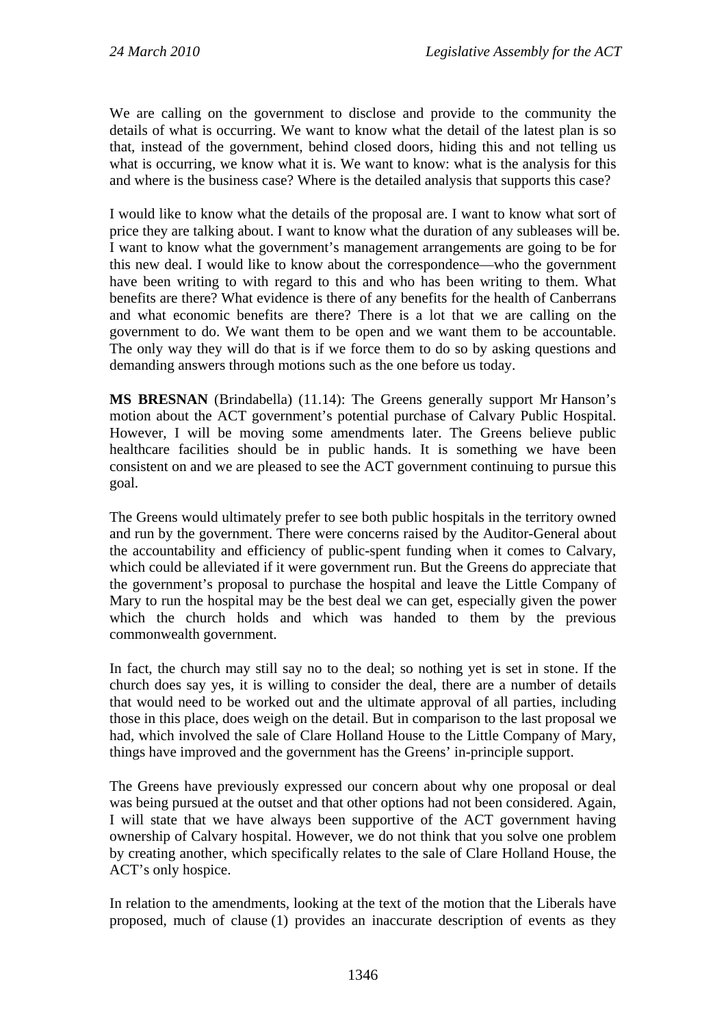We are calling on the government to disclose and provide to the community the details of what is occurring. We want to know what the detail of the latest plan is so that, instead of the government, behind closed doors, hiding this and not telling us what is occurring, we know what it is. We want to know: what is the analysis for this and where is the business case? Where is the detailed analysis that supports this case?

I would like to know what the details of the proposal are. I want to know what sort of price they are talking about. I want to know what the duration of any subleases will be. I want to know what the government's management arrangements are going to be for this new deal. I would like to know about the correspondence—who the government have been writing to with regard to this and who has been writing to them. What benefits are there? What evidence is there of any benefits for the health of Canberrans and what economic benefits are there? There is a lot that we are calling on the government to do. We want them to be open and we want them to be accountable. The only way they will do that is if we force them to do so by asking questions and demanding answers through motions such as the one before us today.

**MS BRESNAN** (Brindabella) (11.14): The Greens generally support Mr Hanson's motion about the ACT government's potential purchase of Calvary Public Hospital. However, I will be moving some amendments later. The Greens believe public healthcare facilities should be in public hands. It is something we have been consistent on and we are pleased to see the ACT government continuing to pursue this goal.

The Greens would ultimately prefer to see both public hospitals in the territory owned and run by the government. There were concerns raised by the Auditor-General about the accountability and efficiency of public-spent funding when it comes to Calvary, which could be alleviated if it were government run. But the Greens do appreciate that the government's proposal to purchase the hospital and leave the Little Company of Mary to run the hospital may be the best deal we can get, especially given the power which the church holds and which was handed to them by the previous commonwealth government.

In fact, the church may still say no to the deal; so nothing yet is set in stone. If the church does say yes, it is willing to consider the deal, there are a number of details that would need to be worked out and the ultimate approval of all parties, including those in this place, does weigh on the detail. But in comparison to the last proposal we had, which involved the sale of Clare Holland House to the Little Company of Mary, things have improved and the government has the Greens' in-principle support.

The Greens have previously expressed our concern about why one proposal or deal was being pursued at the outset and that other options had not been considered. Again, I will state that we have always been supportive of the ACT government having ownership of Calvary hospital. However, we do not think that you solve one problem by creating another, which specifically relates to the sale of Clare Holland House, the ACT's only hospice.

In relation to the amendments, looking at the text of the motion that the Liberals have proposed, much of clause (1) provides an inaccurate description of events as they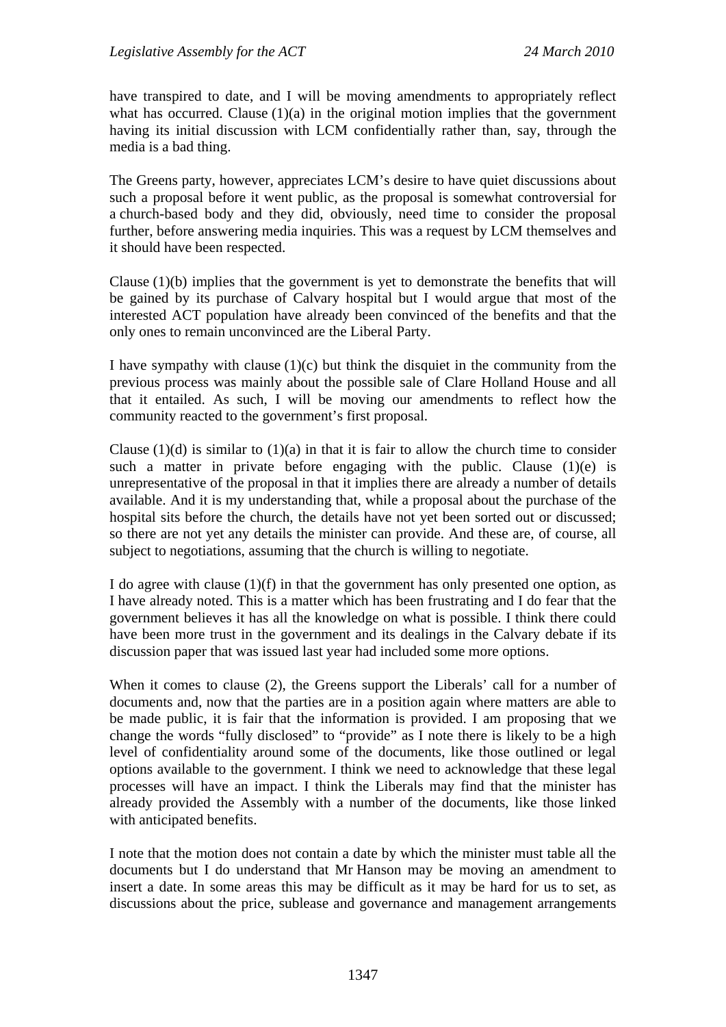have transpired to date, and I will be moving amendments to appropriately reflect what has occurred. Clause  $(1)(a)$  in the original motion implies that the government having its initial discussion with LCM confidentially rather than, say, through the media is a bad thing.

The Greens party, however, appreciates LCM's desire to have quiet discussions about such a proposal before it went public, as the proposal is somewhat controversial for a church-based body and they did, obviously, need time to consider the proposal further, before answering media inquiries. This was a request by LCM themselves and it should have been respected.

Clause (1)(b) implies that the government is yet to demonstrate the benefits that will be gained by its purchase of Calvary hospital but I would argue that most of the interested ACT population have already been convinced of the benefits and that the only ones to remain unconvinced are the Liberal Party.

I have sympathy with clause  $(1)(c)$  but think the disquiet in the community from the previous process was mainly about the possible sale of Clare Holland House and all that it entailed. As such, I will be moving our amendments to reflect how the community reacted to the government's first proposal.

Clause  $(1)(d)$  is similar to  $(1)(a)$  in that it is fair to allow the church time to consider such a matter in private before engaging with the public. Clause  $(1)(e)$  is unrepresentative of the proposal in that it implies there are already a number of details available. And it is my understanding that, while a proposal about the purchase of the hospital sits before the church, the details have not yet been sorted out or discussed; so there are not yet any details the minister can provide. And these are, of course, all subject to negotiations, assuming that the church is willing to negotiate.

I do agree with clause (1)(f) in that the government has only presented one option, as I have already noted. This is a matter which has been frustrating and I do fear that the government believes it has all the knowledge on what is possible. I think there could have been more trust in the government and its dealings in the Calvary debate if its discussion paper that was issued last year had included some more options.

When it comes to clause (2), the Greens support the Liberals' call for a number of documents and, now that the parties are in a position again where matters are able to be made public, it is fair that the information is provided. I am proposing that we change the words "fully disclosed" to "provide" as I note there is likely to be a high level of confidentiality around some of the documents, like those outlined or legal options available to the government. I think we need to acknowledge that these legal processes will have an impact. I think the Liberals may find that the minister has already provided the Assembly with a number of the documents, like those linked with anticipated benefits.

I note that the motion does not contain a date by which the minister must table all the documents but I do understand that Mr Hanson may be moving an amendment to insert a date. In some areas this may be difficult as it may be hard for us to set, as discussions about the price, sublease and governance and management arrangements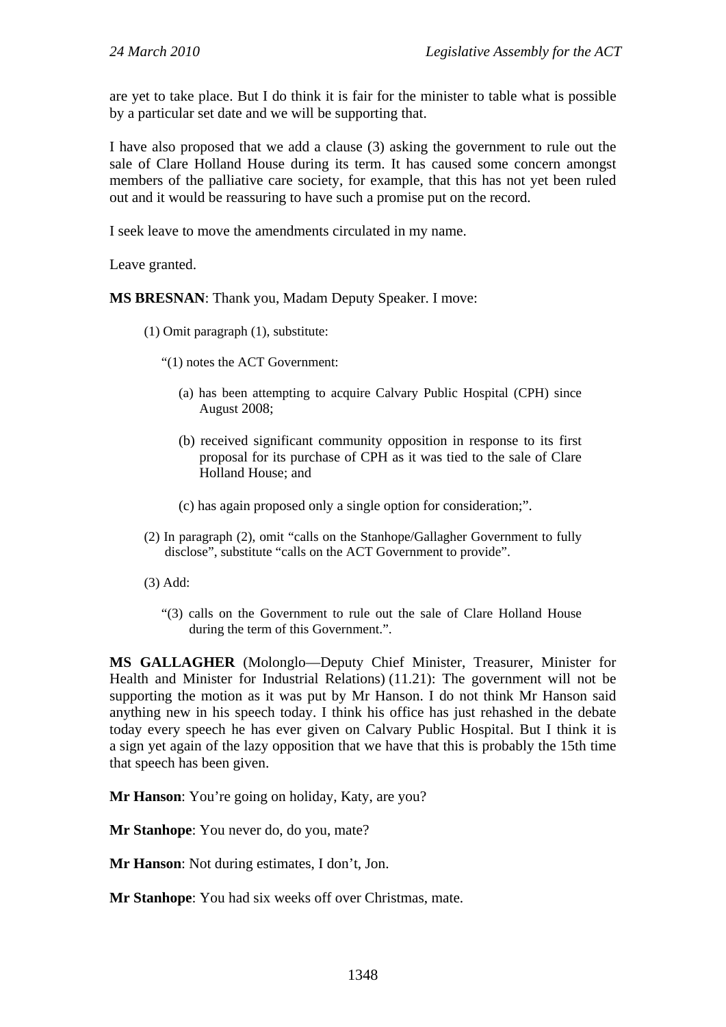are yet to take place. But I do think it is fair for the minister to table what is possible by a particular set date and we will be supporting that.

I have also proposed that we add a clause (3) asking the government to rule out the sale of Clare Holland House during its term. It has caused some concern amongst members of the palliative care society, for example, that this has not yet been ruled out and it would be reassuring to have such a promise put on the record.

I seek leave to move the amendments circulated in my name.

Leave granted.

**MS BRESNAN**: Thank you, Madam Deputy Speaker. I move:

- (1) Omit paragraph (1), substitute:
	- "(1) notes the ACT Government:
		- (a) has been attempting to acquire Calvary Public Hospital (CPH) since August 2008;
		- (b) received significant community opposition in response to its first proposal for its purchase of CPH as it was tied to the sale of Clare Holland House; and
		- (c) has again proposed only a single option for consideration;".
- (2) In paragraph (2), omit "calls on the Stanhope/Gallagher Government to fully disclose", substitute "calls on the ACT Government to provide".
- (3) Add:
	- "(3) calls on the Government to rule out the sale of Clare Holland House during the term of this Government.".

**MS GALLAGHER** (Molonglo—Deputy Chief Minister, Treasurer, Minister for Health and Minister for Industrial Relations) (11.21): The government will not be supporting the motion as it was put by Mr Hanson. I do not think Mr Hanson said anything new in his speech today. I think his office has just rehashed in the debate today every speech he has ever given on Calvary Public Hospital. But I think it is a sign yet again of the lazy opposition that we have that this is probably the 15th time that speech has been given.

**Mr Hanson**: You're going on holiday, Katy, are you?

**Mr Stanhope**: You never do, do you, mate?

**Mr Hanson**: Not during estimates, I don't, Jon.

**Mr Stanhope**: You had six weeks off over Christmas, mate.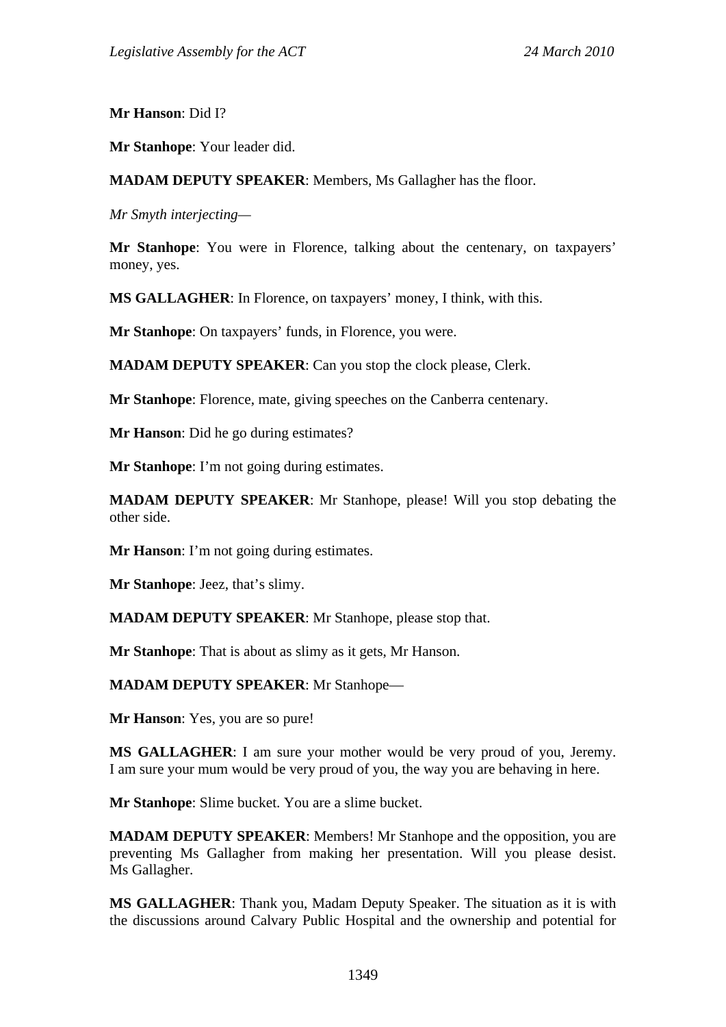**Mr Hanson**: Did I?

**Mr Stanhope**: Your leader did.

**MADAM DEPUTY SPEAKER**: Members, Ms Gallagher has the floor.

*Mr Smyth interjecting—* 

**Mr Stanhope**: You were in Florence, talking about the centenary, on taxpayers' money, yes.

**MS GALLAGHER**: In Florence, on taxpayers' money, I think, with this.

**Mr Stanhope**: On taxpayers' funds, in Florence, you were.

**MADAM DEPUTY SPEAKER**: Can you stop the clock please, Clerk.

**Mr Stanhope**: Florence, mate, giving speeches on the Canberra centenary.

**Mr Hanson**: Did he go during estimates?

**Mr Stanhope**: I'm not going during estimates.

**MADAM DEPUTY SPEAKER**: Mr Stanhope, please! Will you stop debating the other side.

**Mr Hanson**: I'm not going during estimates.

**Mr Stanhope**: Jeez, that's slimy.

**MADAM DEPUTY SPEAKER**: Mr Stanhope, please stop that.

**Mr Stanhope**: That is about as slimy as it gets, Mr Hanson.

**MADAM DEPUTY SPEAKER**: Mr Stanhope—

**Mr Hanson**: Yes, you are so pure!

**MS GALLAGHER**: I am sure your mother would be very proud of you, Jeremy. I am sure your mum would be very proud of you, the way you are behaving in here.

**Mr Stanhope**: Slime bucket. You are a slime bucket.

**MADAM DEPUTY SPEAKER**: Members! Mr Stanhope and the opposition, you are preventing Ms Gallagher from making her presentation. Will you please desist. Ms Gallagher.

**MS GALLAGHER**: Thank you, Madam Deputy Speaker. The situation as it is with the discussions around Calvary Public Hospital and the ownership and potential for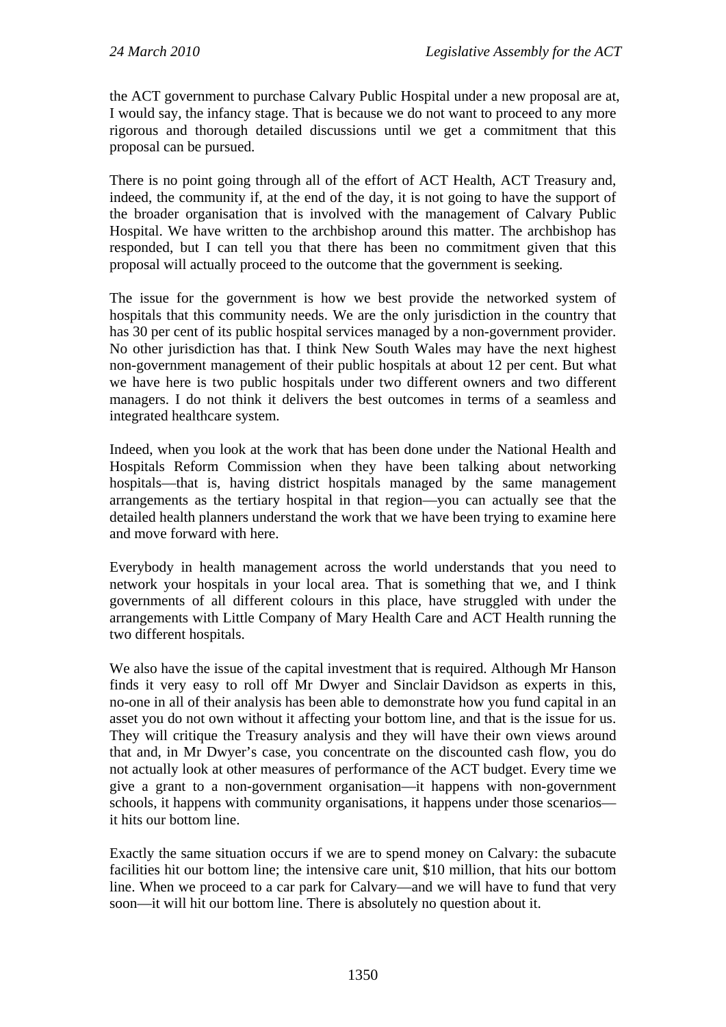the ACT government to purchase Calvary Public Hospital under a new proposal are at, I would say, the infancy stage. That is because we do not want to proceed to any more rigorous and thorough detailed discussions until we get a commitment that this proposal can be pursued.

There is no point going through all of the effort of ACT Health, ACT Treasury and, indeed, the community if, at the end of the day, it is not going to have the support of the broader organisation that is involved with the management of Calvary Public Hospital. We have written to the archbishop around this matter. The archbishop has responded, but I can tell you that there has been no commitment given that this proposal will actually proceed to the outcome that the government is seeking.

The issue for the government is how we best provide the networked system of hospitals that this community needs. We are the only jurisdiction in the country that has 30 per cent of its public hospital services managed by a non-government provider. No other jurisdiction has that. I think New South Wales may have the next highest non-government management of their public hospitals at about 12 per cent. But what we have here is two public hospitals under two different owners and two different managers. I do not think it delivers the best outcomes in terms of a seamless and integrated healthcare system.

Indeed, when you look at the work that has been done under the National Health and Hospitals Reform Commission when they have been talking about networking hospitals—that is, having district hospitals managed by the same management arrangements as the tertiary hospital in that region—you can actually see that the detailed health planners understand the work that we have been trying to examine here and move forward with here.

Everybody in health management across the world understands that you need to network your hospitals in your local area. That is something that we, and I think governments of all different colours in this place, have struggled with under the arrangements with Little Company of Mary Health Care and ACT Health running the two different hospitals.

We also have the issue of the capital investment that is required. Although Mr Hanson finds it very easy to roll off Mr Dwyer and Sinclair Davidson as experts in this, no-one in all of their analysis has been able to demonstrate how you fund capital in an asset you do not own without it affecting your bottom line, and that is the issue for us. They will critique the Treasury analysis and they will have their own views around that and, in Mr Dwyer's case, you concentrate on the discounted cash flow, you do not actually look at other measures of performance of the ACT budget. Every time we give a grant to a non-government organisation—it happens with non-government schools, it happens with community organisations, it happens under those scenarios it hits our bottom line.

Exactly the same situation occurs if we are to spend money on Calvary: the subacute facilities hit our bottom line; the intensive care unit, \$10 million, that hits our bottom line. When we proceed to a car park for Calvary—and we will have to fund that very soon—it will hit our bottom line. There is absolutely no question about it.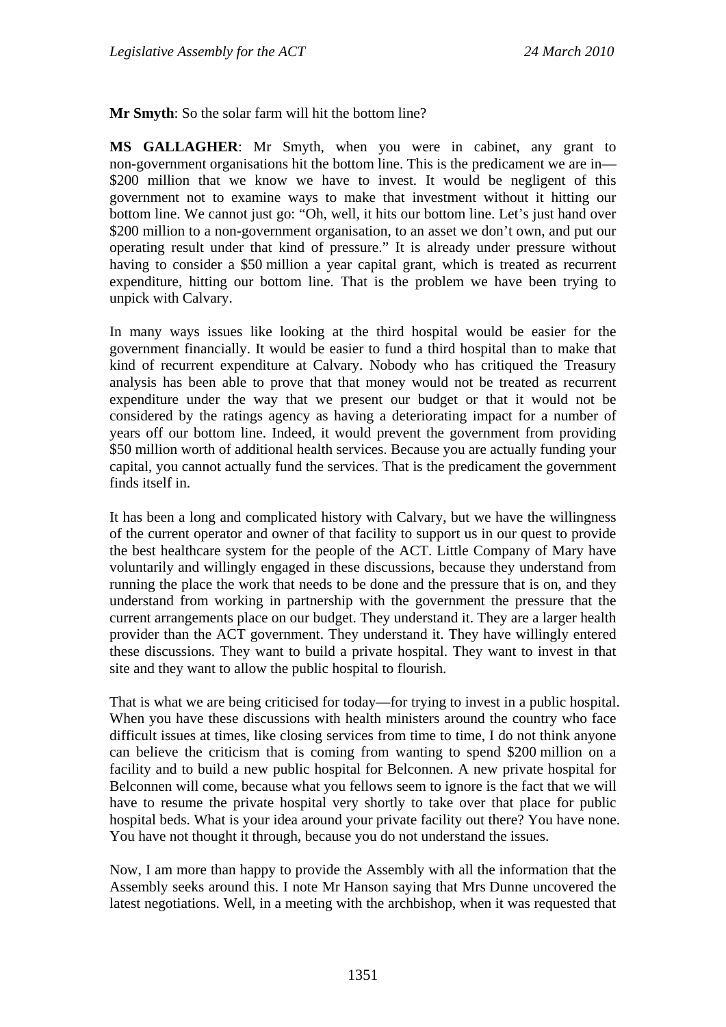**Mr Smyth**: So the solar farm will hit the bottom line?

**MS GALLAGHER**: Mr Smyth, when you were in cabinet, any grant to non-government organisations hit the bottom line. This is the predicament we are in— \$200 million that we know we have to invest. It would be negligent of this government not to examine ways to make that investment without it hitting our bottom line. We cannot just go: "Oh, well, it hits our bottom line. Let's just hand over \$200 million to a non-government organisation, to an asset we don't own, and put our operating result under that kind of pressure." It is already under pressure without having to consider a \$50 million a year capital grant, which is treated as recurrent expenditure, hitting our bottom line. That is the problem we have been trying to unpick with Calvary.

In many ways issues like looking at the third hospital would be easier for the government financially. It would be easier to fund a third hospital than to make that kind of recurrent expenditure at Calvary. Nobody who has critiqued the Treasury analysis has been able to prove that that money would not be treated as recurrent expenditure under the way that we present our budget or that it would not be considered by the ratings agency as having a deteriorating impact for a number of years off our bottom line. Indeed, it would prevent the government from providing \$50 million worth of additional health services. Because you are actually funding your capital, you cannot actually fund the services. That is the predicament the government finds itself in.

It has been a long and complicated history with Calvary, but we have the willingness of the current operator and owner of that facility to support us in our quest to provide the best healthcare system for the people of the ACT. Little Company of Mary have voluntarily and willingly engaged in these discussions, because they understand from running the place the work that needs to be done and the pressure that is on, and they understand from working in partnership with the government the pressure that the current arrangements place on our budget. They understand it. They are a larger health provider than the ACT government. They understand it. They have willingly entered these discussions. They want to build a private hospital. They want to invest in that site and they want to allow the public hospital to flourish.

That is what we are being criticised for today—for trying to invest in a public hospital. When you have these discussions with health ministers around the country who face difficult issues at times, like closing services from time to time, I do not think anyone can believe the criticism that is coming from wanting to spend \$200 million on a facility and to build a new public hospital for Belconnen. A new private hospital for Belconnen will come, because what you fellows seem to ignore is the fact that we will have to resume the private hospital very shortly to take over that place for public hospital beds. What is your idea around your private facility out there? You have none. You have not thought it through, because you do not understand the issues.

Now, I am more than happy to provide the Assembly with all the information that the Assembly seeks around this. I note Mr Hanson saying that Mrs Dunne uncovered the latest negotiations. Well, in a meeting with the archbishop, when it was requested that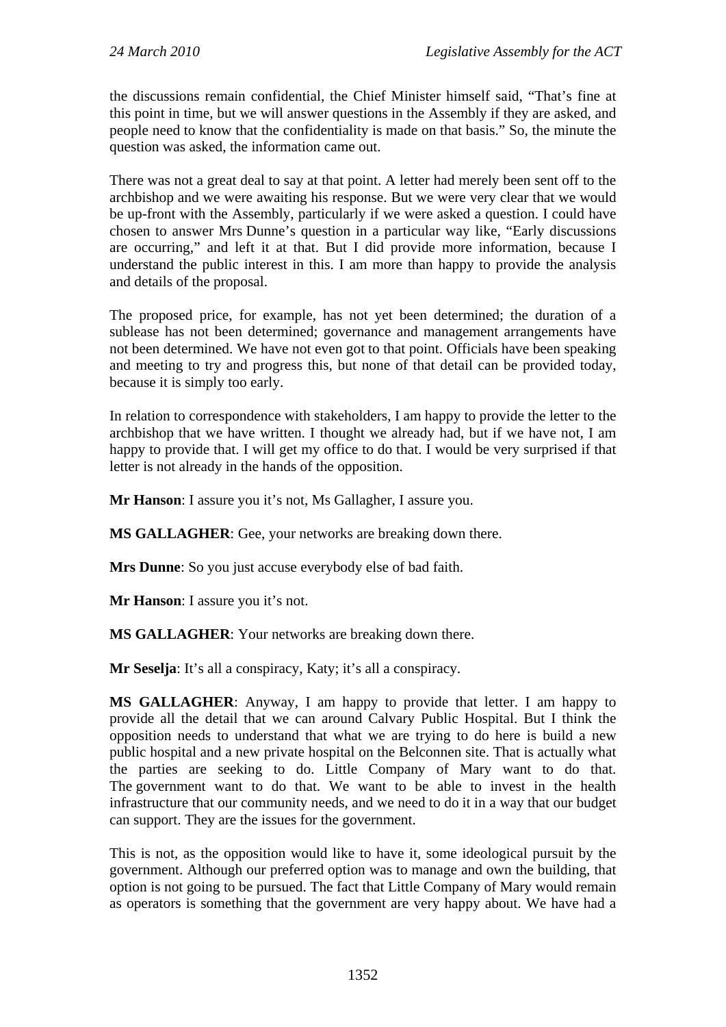the discussions remain confidential, the Chief Minister himself said, "That's fine at this point in time, but we will answer questions in the Assembly if they are asked, and people need to know that the confidentiality is made on that basis." So, the minute the question was asked, the information came out.

There was not a great deal to say at that point. A letter had merely been sent off to the archbishop and we were awaiting his response. But we were very clear that we would be up-front with the Assembly, particularly if we were asked a question. I could have chosen to answer Mrs Dunne's question in a particular way like, "Early discussions are occurring," and left it at that. But I did provide more information, because I understand the public interest in this. I am more than happy to provide the analysis and details of the proposal.

The proposed price, for example, has not yet been determined; the duration of a sublease has not been determined; governance and management arrangements have not been determined. We have not even got to that point. Officials have been speaking and meeting to try and progress this, but none of that detail can be provided today, because it is simply too early.

In relation to correspondence with stakeholders, I am happy to provide the letter to the archbishop that we have written. I thought we already had, but if we have not, I am happy to provide that. I will get my office to do that. I would be very surprised if that letter is not already in the hands of the opposition.

**Mr Hanson**: I assure you it's not, Ms Gallagher, I assure you.

**MS GALLAGHER**: Gee, your networks are breaking down there.

**Mrs Dunne**: So you just accuse everybody else of bad faith.

**Mr Hanson**: I assure you it's not.

**MS GALLAGHER**: Your networks are breaking down there.

**Mr Seselja**: It's all a conspiracy, Katy; it's all a conspiracy.

**MS GALLAGHER**: Anyway, I am happy to provide that letter. I am happy to provide all the detail that we can around Calvary Public Hospital. But I think the opposition needs to understand that what we are trying to do here is build a new public hospital and a new private hospital on the Belconnen site. That is actually what the parties are seeking to do. Little Company of Mary want to do that. The government want to do that. We want to be able to invest in the health infrastructure that our community needs, and we need to do it in a way that our budget can support. They are the issues for the government.

This is not, as the opposition would like to have it, some ideological pursuit by the government. Although our preferred option was to manage and own the building, that option is not going to be pursued. The fact that Little Company of Mary would remain as operators is something that the government are very happy about. We have had a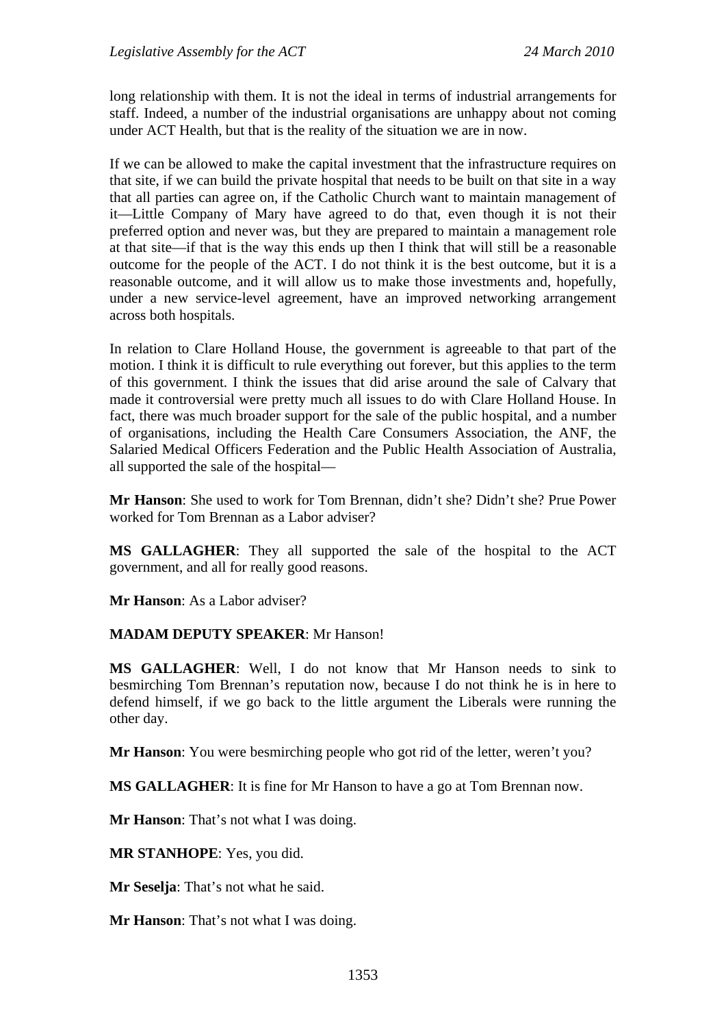long relationship with them. It is not the ideal in terms of industrial arrangements for staff. Indeed, a number of the industrial organisations are unhappy about not coming under ACT Health, but that is the reality of the situation we are in now.

If we can be allowed to make the capital investment that the infrastructure requires on that site, if we can build the private hospital that needs to be built on that site in a way that all parties can agree on, if the Catholic Church want to maintain management of it—Little Company of Mary have agreed to do that, even though it is not their preferred option and never was, but they are prepared to maintain a management role at that site—if that is the way this ends up then I think that will still be a reasonable outcome for the people of the ACT. I do not think it is the best outcome, but it is a reasonable outcome, and it will allow us to make those investments and, hopefully, under a new service-level agreement, have an improved networking arrangement across both hospitals.

In relation to Clare Holland House, the government is agreeable to that part of the motion. I think it is difficult to rule everything out forever, but this applies to the term of this government. I think the issues that did arise around the sale of Calvary that made it controversial were pretty much all issues to do with Clare Holland House. In fact, there was much broader support for the sale of the public hospital, and a number of organisations, including the Health Care Consumers Association, the ANF, the Salaried Medical Officers Federation and the Public Health Association of Australia, all supported the sale of the hospital—

**Mr Hanson**: She used to work for Tom Brennan, didn't she? Didn't she? Prue Power worked for Tom Brennan as a Labor adviser?

**MS GALLAGHER**: They all supported the sale of the hospital to the ACT government, and all for really good reasons.

**Mr Hanson**: As a Labor adviser?

#### **MADAM DEPUTY SPEAKER**: Mr Hanson!

**MS GALLAGHER**: Well, I do not know that Mr Hanson needs to sink to besmirching Tom Brennan's reputation now, because I do not think he is in here to defend himself, if we go back to the little argument the Liberals were running the other day.

**Mr Hanson**: You were besmirching people who got rid of the letter, weren't you?

**MS GALLAGHER**: It is fine for Mr Hanson to have a go at Tom Brennan now.

**Mr Hanson**: That's not what I was doing.

**MR STANHOPE**: Yes, you did.

**Mr Seselja**: That's not what he said.

**Mr Hanson**: That's not what I was doing.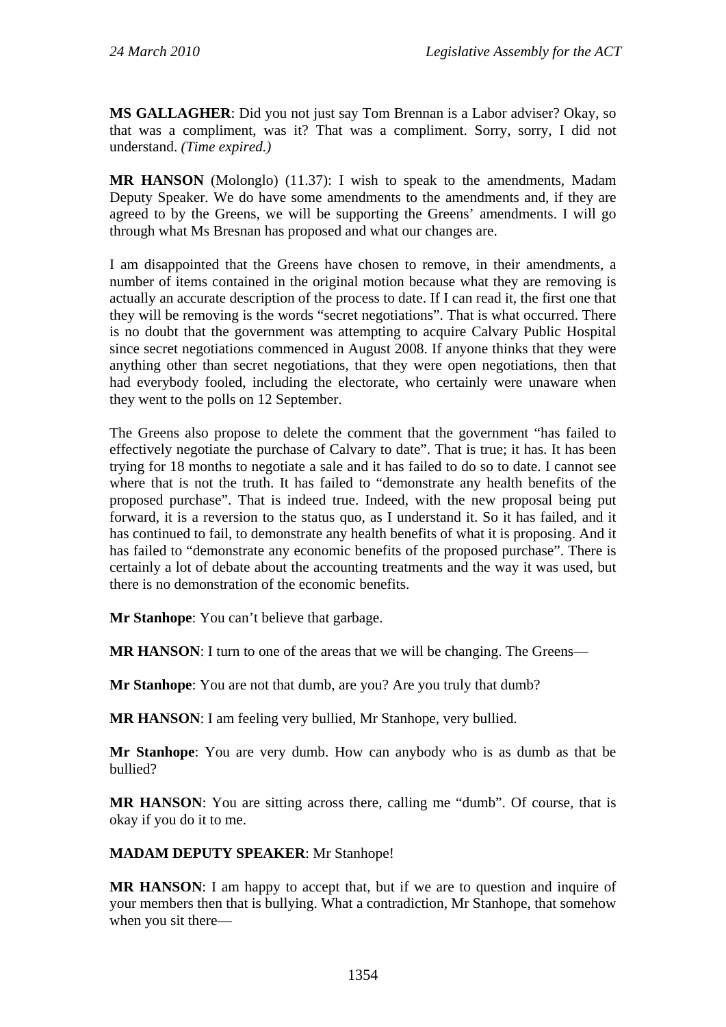**MS GALLAGHER**: Did you not just say Tom Brennan is a Labor adviser? Okay, so that was a compliment, was it? That was a compliment. Sorry, sorry, I did not understand. *(Time expired.)*

**MR HANSON** (Molonglo) (11.37): I wish to speak to the amendments, Madam Deputy Speaker. We do have some amendments to the amendments and, if they are agreed to by the Greens, we will be supporting the Greens' amendments. I will go through what Ms Bresnan has proposed and what our changes are.

I am disappointed that the Greens have chosen to remove, in their amendments, a number of items contained in the original motion because what they are removing is actually an accurate description of the process to date. If I can read it, the first one that they will be removing is the words "secret negotiations". That is what occurred. There is no doubt that the government was attempting to acquire Calvary Public Hospital since secret negotiations commenced in August 2008. If anyone thinks that they were anything other than secret negotiations, that they were open negotiations, then that had everybody fooled, including the electorate, who certainly were unaware when they went to the polls on 12 September.

The Greens also propose to delete the comment that the government "has failed to effectively negotiate the purchase of Calvary to date". That is true; it has. It has been trying for 18 months to negotiate a sale and it has failed to do so to date. I cannot see where that is not the truth. It has failed to "demonstrate any health benefits of the proposed purchase". That is indeed true. Indeed, with the new proposal being put forward, it is a reversion to the status quo, as I understand it. So it has failed, and it has continued to fail, to demonstrate any health benefits of what it is proposing. And it has failed to "demonstrate any economic benefits of the proposed purchase". There is certainly a lot of debate about the accounting treatments and the way it was used, but there is no demonstration of the economic benefits.

**Mr Stanhope**: You can't believe that garbage.

**MR HANSON:** I turn to one of the areas that we will be changing. The Greens—

**Mr Stanhope**: You are not that dumb, are you? Are you truly that dumb?

**MR HANSON**: I am feeling very bullied, Mr Stanhope, very bullied.

**Mr Stanhope**: You are very dumb. How can anybody who is as dumb as that be bullied?

**MR HANSON:** You are sitting across there, calling me "dumb". Of course, that is okay if you do it to me.

**MADAM DEPUTY SPEAKER**: Mr Stanhope!

**MR HANSON**: I am happy to accept that, but if we are to question and inquire of your members then that is bullying. What a contradiction, Mr Stanhope, that somehow when you sit there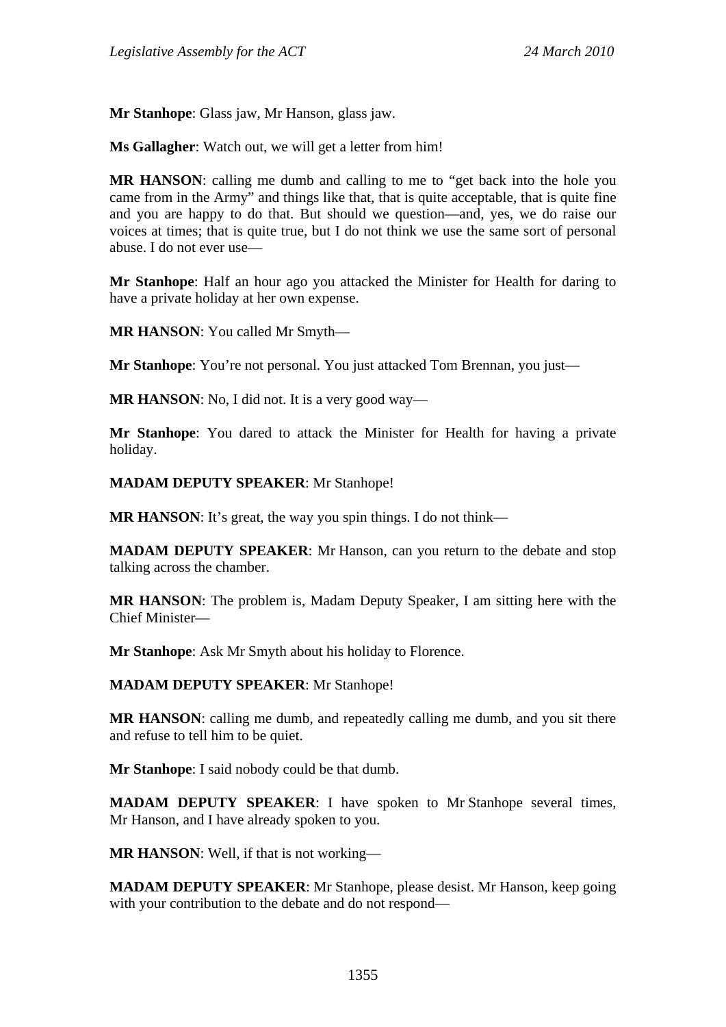**Mr Stanhope**: Glass jaw, Mr Hanson, glass jaw.

**Ms Gallagher**: Watch out, we will get a letter from him!

**MR HANSON**: calling me dumb and calling to me to "get back into the hole you came from in the Army" and things like that, that is quite acceptable, that is quite fine and you are happy to do that. But should we question—and, yes, we do raise our voices at times; that is quite true, but I do not think we use the same sort of personal abuse. I do not ever use—

**Mr Stanhope**: Half an hour ago you attacked the Minister for Health for daring to have a private holiday at her own expense.

**MR HANSON**: You called Mr Smyth—

**Mr Stanhope**: You're not personal. You just attacked Tom Brennan, you just—

**MR HANSON**: No, I did not. It is a very good way—

**Mr Stanhope**: You dared to attack the Minister for Health for having a private holiday.

**MADAM DEPUTY SPEAKER**: Mr Stanhope!

**MR HANSON:** It's great, the way you spin things. I do not think—

**MADAM DEPUTY SPEAKER**: Mr Hanson, can you return to the debate and stop talking across the chamber.

**MR HANSON**: The problem is, Madam Deputy Speaker, I am sitting here with the Chief Minister—

**Mr Stanhope**: Ask Mr Smyth about his holiday to Florence.

**MADAM DEPUTY SPEAKER**: Mr Stanhope!

**MR HANSON**: calling me dumb, and repeatedly calling me dumb, and you sit there and refuse to tell him to be quiet.

**Mr Stanhope**: I said nobody could be that dumb.

**MADAM DEPUTY SPEAKER**: I have spoken to Mr Stanhope several times, Mr Hanson, and I have already spoken to you.

**MR HANSON**: Well, if that is not working—

**MADAM DEPUTY SPEAKER**: Mr Stanhope, please desist. Mr Hanson, keep going with your contribution to the debate and do not respond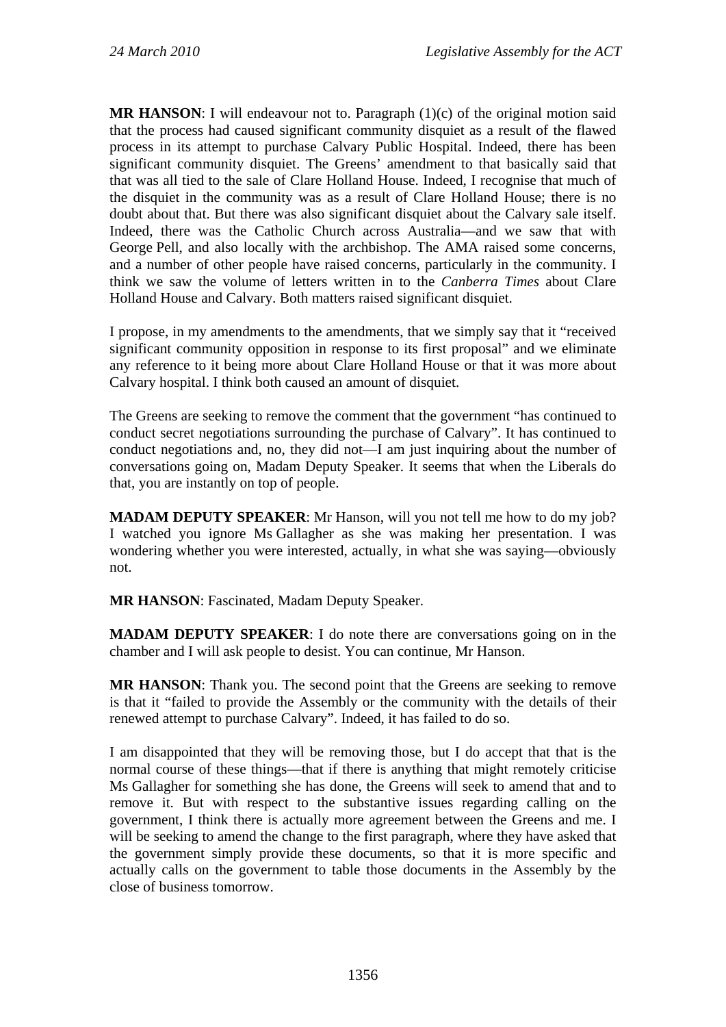**MR HANSON:** I will endeavour not to. Paragraph (1)(c) of the original motion said that the process had caused significant community disquiet as a result of the flawed process in its attempt to purchase Calvary Public Hospital. Indeed, there has been significant community disquiet. The Greens' amendment to that basically said that that was all tied to the sale of Clare Holland House. Indeed, I recognise that much of the disquiet in the community was as a result of Clare Holland House; there is no doubt about that. But there was also significant disquiet about the Calvary sale itself. Indeed, there was the Catholic Church across Australia—and we saw that with George Pell, and also locally with the archbishop. The AMA raised some concerns, and a number of other people have raised concerns, particularly in the community. I think we saw the volume of letters written in to the *Canberra Times* about Clare Holland House and Calvary. Both matters raised significant disquiet.

I propose, in my amendments to the amendments, that we simply say that it "received significant community opposition in response to its first proposal" and we eliminate any reference to it being more about Clare Holland House or that it was more about Calvary hospital. I think both caused an amount of disquiet.

The Greens are seeking to remove the comment that the government "has continued to conduct secret negotiations surrounding the purchase of Calvary". It has continued to conduct negotiations and, no, they did not—I am just inquiring about the number of conversations going on, Madam Deputy Speaker. It seems that when the Liberals do that, you are instantly on top of people.

**MADAM DEPUTY SPEAKER**: Mr Hanson, will you not tell me how to do my job? I watched you ignore Ms Gallagher as she was making her presentation. I was wondering whether you were interested, actually, in what she was saying—obviously not.

**MR HANSON**: Fascinated, Madam Deputy Speaker.

**MADAM DEPUTY SPEAKER**: I do note there are conversations going on in the chamber and I will ask people to desist. You can continue, Mr Hanson.

**MR HANSON**: Thank you. The second point that the Greens are seeking to remove is that it "failed to provide the Assembly or the community with the details of their renewed attempt to purchase Calvary". Indeed, it has failed to do so.

I am disappointed that they will be removing those, but I do accept that that is the normal course of these things—that if there is anything that might remotely criticise Ms Gallagher for something she has done, the Greens will seek to amend that and to remove it. But with respect to the substantive issues regarding calling on the government, I think there is actually more agreement between the Greens and me. I will be seeking to amend the change to the first paragraph, where they have asked that the government simply provide these documents, so that it is more specific and actually calls on the government to table those documents in the Assembly by the close of business tomorrow.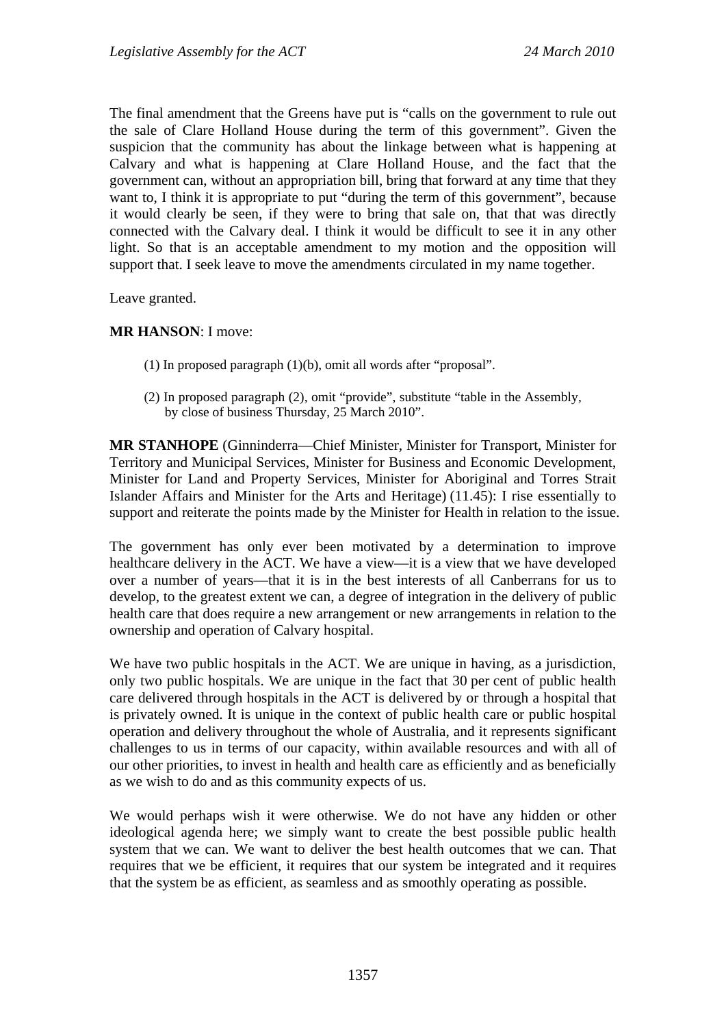The final amendment that the Greens have put is "calls on the government to rule out the sale of Clare Holland House during the term of this government". Given the suspicion that the community has about the linkage between what is happening at Calvary and what is happening at Clare Holland House, and the fact that the government can, without an appropriation bill, bring that forward at any time that they want to, I think it is appropriate to put "during the term of this government", because it would clearly be seen, if they were to bring that sale on, that that was directly connected with the Calvary deal. I think it would be difficult to see it in any other light. So that is an acceptable amendment to my motion and the opposition will support that. I seek leave to move the amendments circulated in my name together.

Leave granted.

#### **MR HANSON**: I move:

- (1) In proposed paragraph (1)(b), omit all words after "proposal".
- (2) In proposed paragraph (2), omit "provide", substitute "table in the Assembly, by close of business Thursday, 25 March 2010".

**MR STANHOPE** (Ginninderra—Chief Minister, Minister for Transport, Minister for Territory and Municipal Services, Minister for Business and Economic Development, Minister for Land and Property Services, Minister for Aboriginal and Torres Strait Islander Affairs and Minister for the Arts and Heritage) (11.45): I rise essentially to support and reiterate the points made by the Minister for Health in relation to the issue.

The government has only ever been motivated by a determination to improve healthcare delivery in the ACT. We have a view—it is a view that we have developed over a number of years—that it is in the best interests of all Canberrans for us to develop, to the greatest extent we can, a degree of integration in the delivery of public health care that does require a new arrangement or new arrangements in relation to the ownership and operation of Calvary hospital.

We have two public hospitals in the ACT. We are unique in having, as a jurisdiction, only two public hospitals. We are unique in the fact that 30 per cent of public health care delivered through hospitals in the ACT is delivered by or through a hospital that is privately owned. It is unique in the context of public health care or public hospital operation and delivery throughout the whole of Australia, and it represents significant challenges to us in terms of our capacity, within available resources and with all of our other priorities, to invest in health and health care as efficiently and as beneficially as we wish to do and as this community expects of us.

We would perhaps wish it were otherwise. We do not have any hidden or other ideological agenda here; we simply want to create the best possible public health system that we can. We want to deliver the best health outcomes that we can. That requires that we be efficient, it requires that our system be integrated and it requires that the system be as efficient, as seamless and as smoothly operating as possible.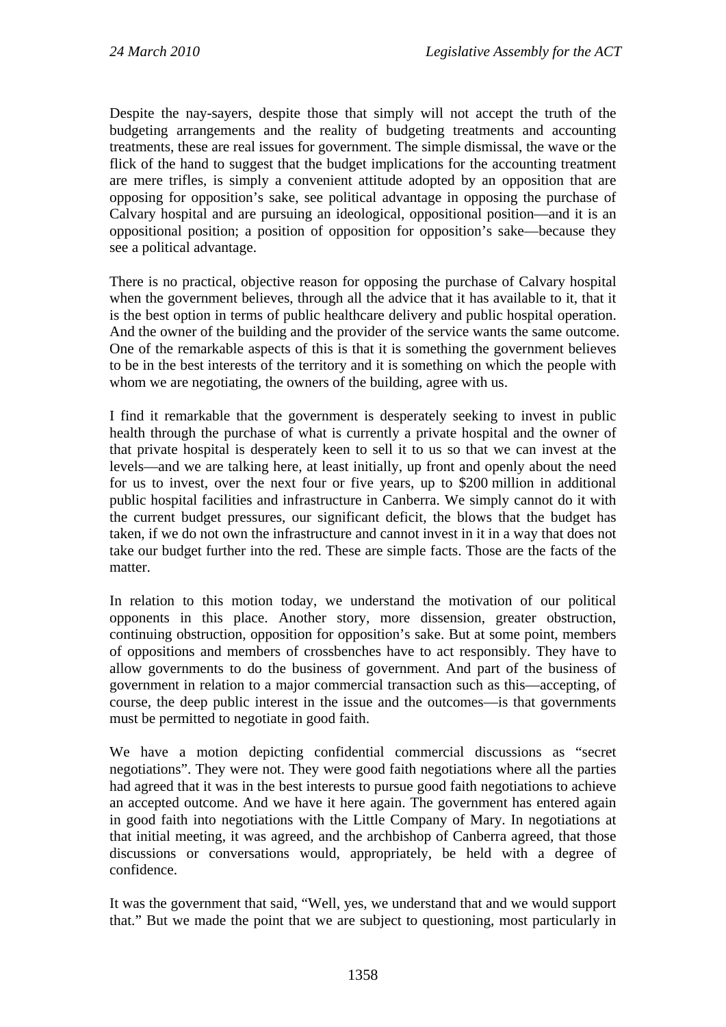Despite the nay-sayers, despite those that simply will not accept the truth of the budgeting arrangements and the reality of budgeting treatments and accounting treatments, these are real issues for government. The simple dismissal, the wave or the flick of the hand to suggest that the budget implications for the accounting treatment are mere trifles, is simply a convenient attitude adopted by an opposition that are opposing for opposition's sake, see political advantage in opposing the purchase of Calvary hospital and are pursuing an ideological, oppositional position—and it is an oppositional position; a position of opposition for opposition's sake—because they see a political advantage.

There is no practical, objective reason for opposing the purchase of Calvary hospital when the government believes, through all the advice that it has available to it, that it is the best option in terms of public healthcare delivery and public hospital operation. And the owner of the building and the provider of the service wants the same outcome. One of the remarkable aspects of this is that it is something the government believes to be in the best interests of the territory and it is something on which the people with whom we are negotiating, the owners of the building, agree with us.

I find it remarkable that the government is desperately seeking to invest in public health through the purchase of what is currently a private hospital and the owner of that private hospital is desperately keen to sell it to us so that we can invest at the levels—and we are talking here, at least initially, up front and openly about the need for us to invest, over the next four or five years, up to \$200 million in additional public hospital facilities and infrastructure in Canberra. We simply cannot do it with the current budget pressures, our significant deficit, the blows that the budget has taken, if we do not own the infrastructure and cannot invest in it in a way that does not take our budget further into the red. These are simple facts. Those are the facts of the matter.

In relation to this motion today, we understand the motivation of our political opponents in this place. Another story, more dissension, greater obstruction, continuing obstruction, opposition for opposition's sake. But at some point, members of oppositions and members of crossbenches have to act responsibly. They have to allow governments to do the business of government. And part of the business of government in relation to a major commercial transaction such as this—accepting, of course, the deep public interest in the issue and the outcomes—is that governments must be permitted to negotiate in good faith.

We have a motion depicting confidential commercial discussions as "secret negotiations". They were not. They were good faith negotiations where all the parties had agreed that it was in the best interests to pursue good faith negotiations to achieve an accepted outcome. And we have it here again. The government has entered again in good faith into negotiations with the Little Company of Mary. In negotiations at that initial meeting, it was agreed, and the archbishop of Canberra agreed, that those discussions or conversations would, appropriately, be held with a degree of confidence.

It was the government that said, "Well, yes, we understand that and we would support that." But we made the point that we are subject to questioning, most particularly in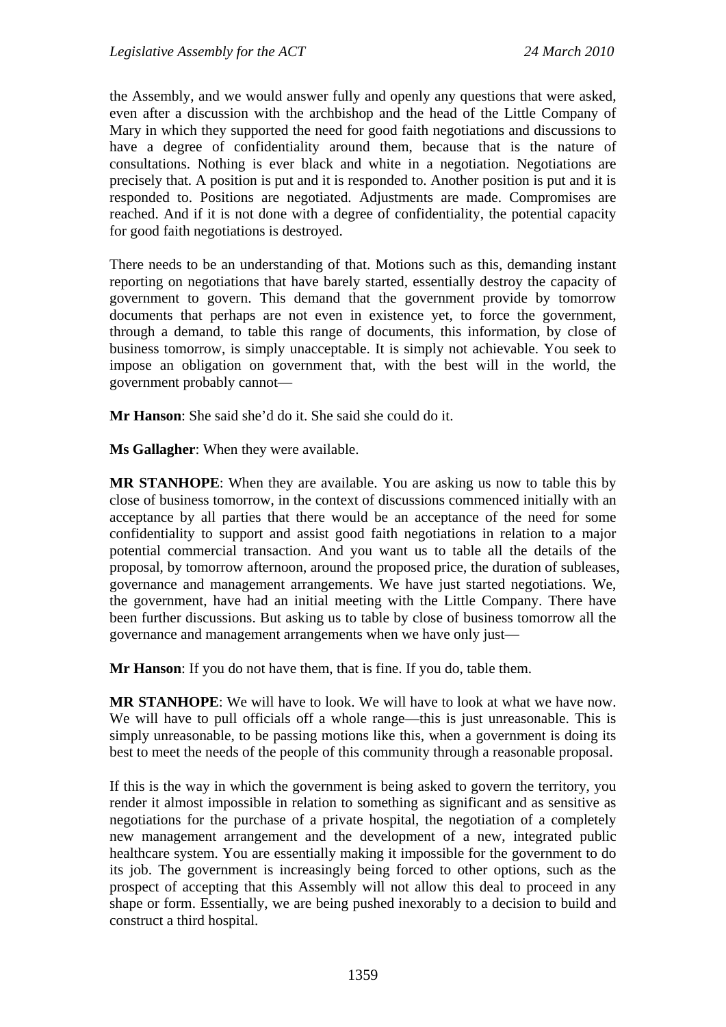the Assembly, and we would answer fully and openly any questions that were asked, even after a discussion with the archbishop and the head of the Little Company of Mary in which they supported the need for good faith negotiations and discussions to have a degree of confidentiality around them, because that is the nature of consultations. Nothing is ever black and white in a negotiation. Negotiations are precisely that. A position is put and it is responded to. Another position is put and it is responded to. Positions are negotiated. Adjustments are made. Compromises are reached. And if it is not done with a degree of confidentiality, the potential capacity for good faith negotiations is destroyed.

There needs to be an understanding of that. Motions such as this, demanding instant reporting on negotiations that have barely started, essentially destroy the capacity of government to govern. This demand that the government provide by tomorrow documents that perhaps are not even in existence yet, to force the government, through a demand, to table this range of documents, this information, by close of business tomorrow, is simply unacceptable. It is simply not achievable. You seek to impose an obligation on government that, with the best will in the world, the government probably cannot—

**Mr Hanson**: She said she'd do it. She said she could do it.

**Ms Gallagher**: When they were available.

**MR STANHOPE**: When they are available. You are asking us now to table this by close of business tomorrow, in the context of discussions commenced initially with an acceptance by all parties that there would be an acceptance of the need for some confidentiality to support and assist good faith negotiations in relation to a major potential commercial transaction. And you want us to table all the details of the proposal, by tomorrow afternoon, around the proposed price, the duration of subleases, governance and management arrangements. We have just started negotiations. We, the government, have had an initial meeting with the Little Company. There have been further discussions. But asking us to table by close of business tomorrow all the governance and management arrangements when we have only just—

**Mr Hanson**: If you do not have them, that is fine. If you do, table them.

**MR STANHOPE**: We will have to look. We will have to look at what we have now. We will have to pull officials off a whole range—this is just unreasonable. This is simply unreasonable, to be passing motions like this, when a government is doing its best to meet the needs of the people of this community through a reasonable proposal.

If this is the way in which the government is being asked to govern the territory, you render it almost impossible in relation to something as significant and as sensitive as negotiations for the purchase of a private hospital, the negotiation of a completely new management arrangement and the development of a new, integrated public healthcare system. You are essentially making it impossible for the government to do its job. The government is increasingly being forced to other options, such as the prospect of accepting that this Assembly will not allow this deal to proceed in any shape or form. Essentially, we are being pushed inexorably to a decision to build and construct a third hospital.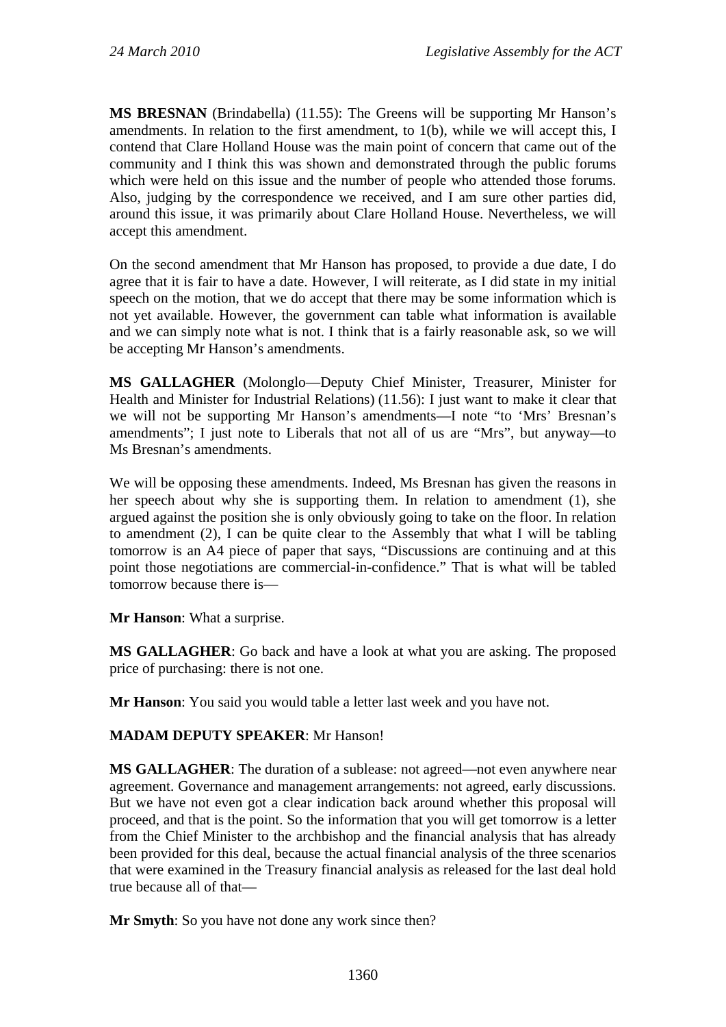**MS BRESNAN** (Brindabella) (11.55): The Greens will be supporting Mr Hanson's amendments. In relation to the first amendment, to 1(b), while we will accept this, I contend that Clare Holland House was the main point of concern that came out of the community and I think this was shown and demonstrated through the public forums which were held on this issue and the number of people who attended those forums. Also, judging by the correspondence we received, and I am sure other parties did, around this issue, it was primarily about Clare Holland House. Nevertheless, we will accept this amendment.

On the second amendment that Mr Hanson has proposed, to provide a due date, I do agree that it is fair to have a date. However, I will reiterate, as I did state in my initial speech on the motion, that we do accept that there may be some information which is not yet available. However, the government can table what information is available and we can simply note what is not. I think that is a fairly reasonable ask, so we will be accepting Mr Hanson's amendments.

**MS GALLAGHER** (Molonglo—Deputy Chief Minister, Treasurer, Minister for Health and Minister for Industrial Relations) (11.56): I just want to make it clear that we will not be supporting Mr Hanson's amendments—I note "to 'Mrs' Bresnan's amendments"; I just note to Liberals that not all of us are "Mrs", but anyway—to Ms Bresnan's amendments.

We will be opposing these amendments. Indeed, Ms Bresnan has given the reasons in her speech about why she is supporting them. In relation to amendment (1), she argued against the position she is only obviously going to take on the floor. In relation to amendment (2), I can be quite clear to the Assembly that what I will be tabling tomorrow is an A4 piece of paper that says, "Discussions are continuing and at this point those negotiations are commercial-in-confidence." That is what will be tabled tomorrow because there is—

**Mr Hanson**: What a surprise.

**MS GALLAGHER**: Go back and have a look at what you are asking. The proposed price of purchasing: there is not one.

**Mr Hanson**: You said you would table a letter last week and you have not.

## **MADAM DEPUTY SPEAKER**: Mr Hanson!

**MS GALLAGHER**: The duration of a sublease: not agreed—not even anywhere near agreement. Governance and management arrangements: not agreed, early discussions. But we have not even got a clear indication back around whether this proposal will proceed, and that is the point. So the information that you will get tomorrow is a letter from the Chief Minister to the archbishop and the financial analysis that has already been provided for this deal, because the actual financial analysis of the three scenarios that were examined in the Treasury financial analysis as released for the last deal hold true because all of that—

**Mr Smyth:** So you have not done any work since then?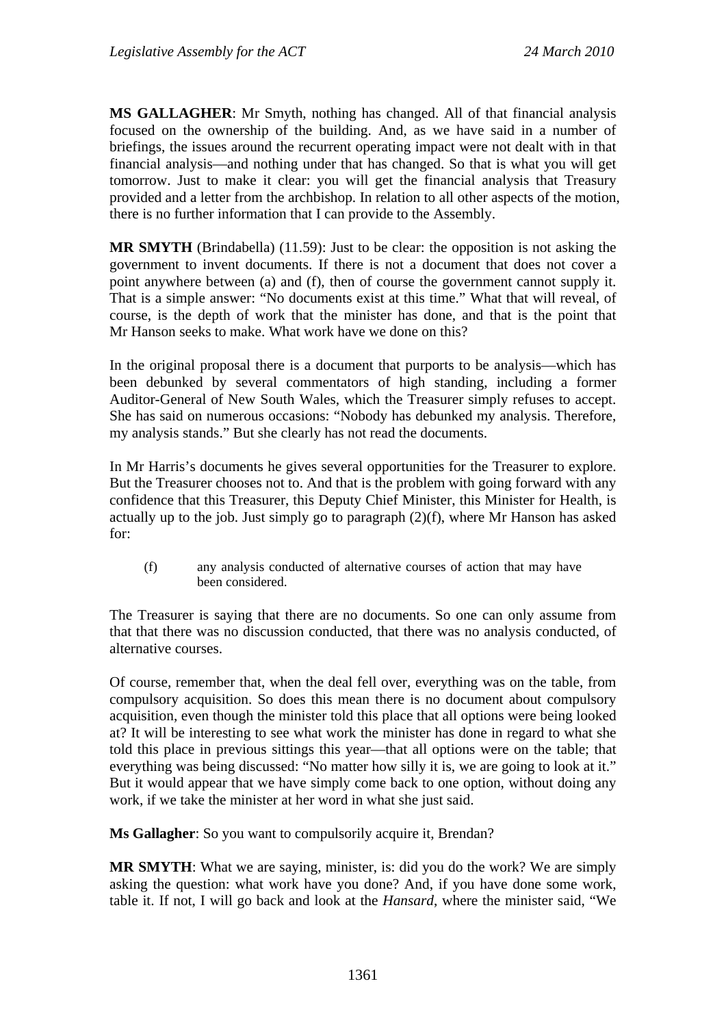**MS GALLAGHER**: Mr Smyth, nothing has changed. All of that financial analysis focused on the ownership of the building. And, as we have said in a number of briefings, the issues around the recurrent operating impact were not dealt with in that financial analysis—and nothing under that has changed. So that is what you will get tomorrow. Just to make it clear: you will get the financial analysis that Treasury provided and a letter from the archbishop. In relation to all other aspects of the motion, there is no further information that I can provide to the Assembly.

**MR SMYTH** (Brindabella) (11.59): Just to be clear: the opposition is not asking the government to invent documents. If there is not a document that does not cover a point anywhere between (a) and (f), then of course the government cannot supply it. That is a simple answer: "No documents exist at this time." What that will reveal, of course, is the depth of work that the minister has done, and that is the point that Mr Hanson seeks to make. What work have we done on this?

In the original proposal there is a document that purports to be analysis—which has been debunked by several commentators of high standing, including a former Auditor-General of New South Wales, which the Treasurer simply refuses to accept. She has said on numerous occasions: "Nobody has debunked my analysis. Therefore, my analysis stands." But she clearly has not read the documents.

In Mr Harris's documents he gives several opportunities for the Treasurer to explore. But the Treasurer chooses not to. And that is the problem with going forward with any confidence that this Treasurer, this Deputy Chief Minister, this Minister for Health, is actually up to the job. Just simply go to paragraph (2)(f), where Mr Hanson has asked for:

(f) any analysis conducted of alternative courses of action that may have been considered.

The Treasurer is saying that there are no documents. So one can only assume from that that there was no discussion conducted, that there was no analysis conducted, of alternative courses.

Of course, remember that, when the deal fell over, everything was on the table, from compulsory acquisition. So does this mean there is no document about compulsory acquisition, even though the minister told this place that all options were being looked at? It will be interesting to see what work the minister has done in regard to what she told this place in previous sittings this year—that all options were on the table; that everything was being discussed: "No matter how silly it is, we are going to look at it." But it would appear that we have simply come back to one option, without doing any work, if we take the minister at her word in what she just said.

**Ms Gallagher**: So you want to compulsorily acquire it, Brendan?

**MR SMYTH**: What we are saying, minister, is: did you do the work? We are simply asking the question: what work have you done? And, if you have done some work, table it. If not, I will go back and look at the *Hansard*, where the minister said, "We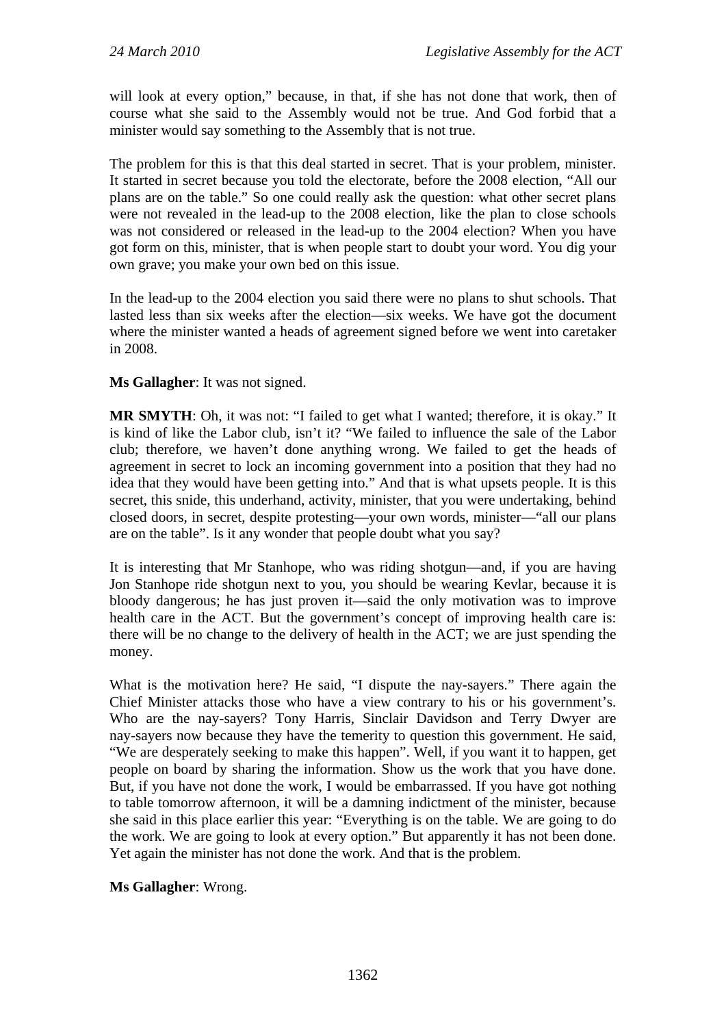will look at every option," because, in that, if she has not done that work, then of course what she said to the Assembly would not be true. And God forbid that a minister would say something to the Assembly that is not true.

The problem for this is that this deal started in secret. That is your problem, minister. It started in secret because you told the electorate, before the 2008 election, "All our plans are on the table." So one could really ask the question: what other secret plans were not revealed in the lead-up to the 2008 election, like the plan to close schools was not considered or released in the lead-up to the 2004 election? When you have got form on this, minister, that is when people start to doubt your word. You dig your own grave; you make your own bed on this issue.

In the lead-up to the 2004 election you said there were no plans to shut schools. That lasted less than six weeks after the election—six weeks. We have got the document where the minister wanted a heads of agreement signed before we went into caretaker in 2008.

### **Ms Gallagher**: It was not signed.

**MR SMYTH**: Oh, it was not: "I failed to get what I wanted; therefore, it is okay." It is kind of like the Labor club, isn't it? "We failed to influence the sale of the Labor club; therefore, we haven't done anything wrong. We failed to get the heads of agreement in secret to lock an incoming government into a position that they had no idea that they would have been getting into." And that is what upsets people. It is this secret, this snide, this underhand, activity, minister, that you were undertaking, behind closed doors, in secret, despite protesting—your own words, minister—"all our plans are on the table". Is it any wonder that people doubt what you say?

It is interesting that Mr Stanhope, who was riding shotgun—and, if you are having Jon Stanhope ride shotgun next to you, you should be wearing Kevlar, because it is bloody dangerous; he has just proven it—said the only motivation was to improve health care in the ACT. But the government's concept of improving health care is: there will be no change to the delivery of health in the ACT; we are just spending the money.

What is the motivation here? He said, "I dispute the nay-sayers." There again the Chief Minister attacks those who have a view contrary to his or his government's. Who are the nay-sayers? Tony Harris, Sinclair Davidson and Terry Dwyer are nay-sayers now because they have the temerity to question this government. He said, "We are desperately seeking to make this happen". Well, if you want it to happen, get people on board by sharing the information. Show us the work that you have done. But, if you have not done the work, I would be embarrassed. If you have got nothing to table tomorrow afternoon, it will be a damning indictment of the minister, because she said in this place earlier this year: "Everything is on the table. We are going to do the work. We are going to look at every option." But apparently it has not been done. Yet again the minister has not done the work. And that is the problem.

### **Ms Gallagher**: Wrong.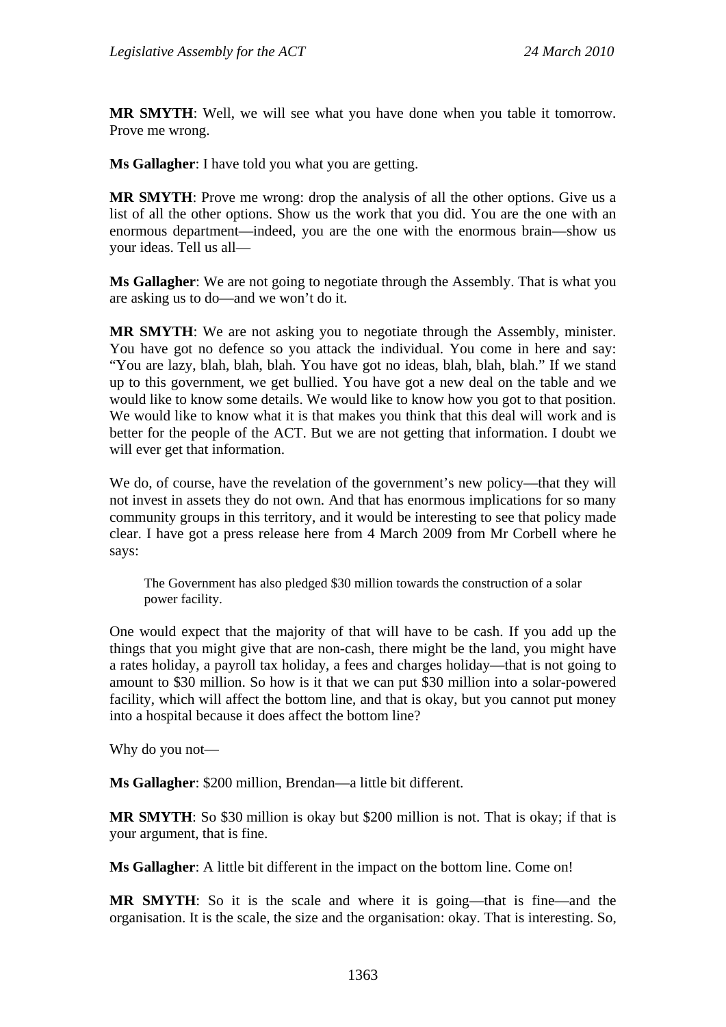**MR SMYTH**: Well, we will see what you have done when you table it tomorrow. Prove me wrong.

**Ms Gallagher**: I have told you what you are getting.

**MR SMYTH**: Prove me wrong: drop the analysis of all the other options. Give us a list of all the other options. Show us the work that you did. You are the one with an enormous department—indeed, you are the one with the enormous brain—show us your ideas. Tell us all—

**Ms Gallagher**: We are not going to negotiate through the Assembly. That is what you are asking us to do—and we won't do it.

**MR SMYTH**: We are not asking you to negotiate through the Assembly, minister. You have got no defence so you attack the individual. You come in here and say: "You are lazy, blah, blah, blah. You have got no ideas, blah, blah, blah." If we stand up to this government, we get bullied. You have got a new deal on the table and we would like to know some details. We would like to know how you got to that position. We would like to know what it is that makes you think that this deal will work and is better for the people of the ACT. But we are not getting that information. I doubt we will ever get that information.

We do, of course, have the revelation of the government's new policy—that they will not invest in assets they do not own. And that has enormous implications for so many community groups in this territory, and it would be interesting to see that policy made clear. I have got a press release here from 4 March 2009 from Mr Corbell where he says:

The Government has also pledged \$30 million towards the construction of a solar power facility.

One would expect that the majority of that will have to be cash. If you add up the things that you might give that are non-cash, there might be the land, you might have a rates holiday, a payroll tax holiday, a fees and charges holiday—that is not going to amount to \$30 million. So how is it that we can put \$30 million into a solar-powered facility, which will affect the bottom line, and that is okay, but you cannot put money into a hospital because it does affect the bottom line?

Why do you not—

**Ms Gallagher**: \$200 million, Brendan—a little bit different.

**MR SMYTH**: So \$30 million is okay but \$200 million is not. That is okay; if that is your argument, that is fine.

**Ms Gallagher**: A little bit different in the impact on the bottom line. Come on!

**MR SMYTH**: So it is the scale and where it is going—that is fine—and the organisation. It is the scale, the size and the organisation: okay. That is interesting. So,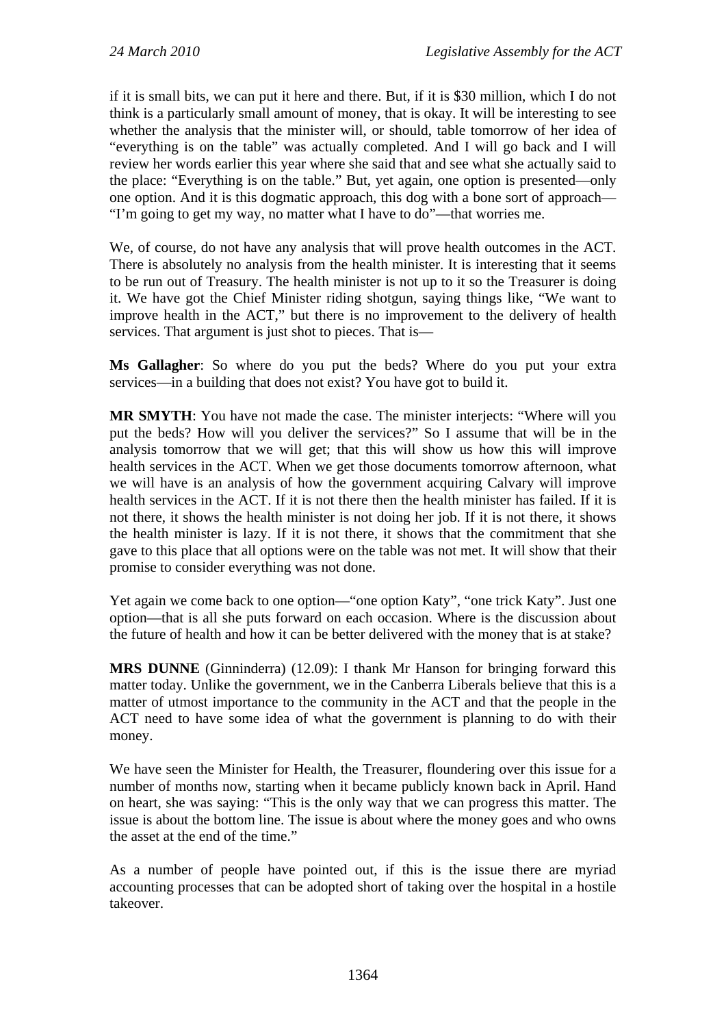if it is small bits, we can put it here and there. But, if it is \$30 million, which I do not think is a particularly small amount of money, that is okay. It will be interesting to see whether the analysis that the minister will, or should, table tomorrow of her idea of "everything is on the table" was actually completed. And I will go back and I will review her words earlier this year where she said that and see what she actually said to the place: "Everything is on the table." But, yet again, one option is presented—only one option. And it is this dogmatic approach, this dog with a bone sort of approach— "I'm going to get my way, no matter what I have to do"—that worries me.

We, of course, do not have any analysis that will prove health outcomes in the ACT. There is absolutely no analysis from the health minister. It is interesting that it seems to be run out of Treasury. The health minister is not up to it so the Treasurer is doing it. We have got the Chief Minister riding shotgun, saying things like, "We want to improve health in the ACT," but there is no improvement to the delivery of health services. That argument is just shot to pieces. That is—

**Ms Gallagher**: So where do you put the beds? Where do you put your extra services—in a building that does not exist? You have got to build it.

**MR SMYTH**: You have not made the case. The minister interjects: "Where will you put the beds? How will you deliver the services?" So I assume that will be in the analysis tomorrow that we will get; that this will show us how this will improve health services in the ACT. When we get those documents tomorrow afternoon, what we will have is an analysis of how the government acquiring Calvary will improve health services in the ACT. If it is not there then the health minister has failed. If it is not there, it shows the health minister is not doing her job. If it is not there, it shows the health minister is lazy. If it is not there, it shows that the commitment that she gave to this place that all options were on the table was not met. It will show that their promise to consider everything was not done.

Yet again we come back to one option—"one option Katy", "one trick Katy". Just one option—that is all she puts forward on each occasion. Where is the discussion about the future of health and how it can be better delivered with the money that is at stake?

**MRS DUNNE** (Ginninderra) (12.09): I thank Mr Hanson for bringing forward this matter today. Unlike the government, we in the Canberra Liberals believe that this is a matter of utmost importance to the community in the ACT and that the people in the ACT need to have some idea of what the government is planning to do with their money.

We have seen the Minister for Health, the Treasurer, floundering over this issue for a number of months now, starting when it became publicly known back in April. Hand on heart, she was saying: "This is the only way that we can progress this matter. The issue is about the bottom line. The issue is about where the money goes and who owns the asset at the end of the time."

As a number of people have pointed out, if this is the issue there are myriad accounting processes that can be adopted short of taking over the hospital in a hostile takeover.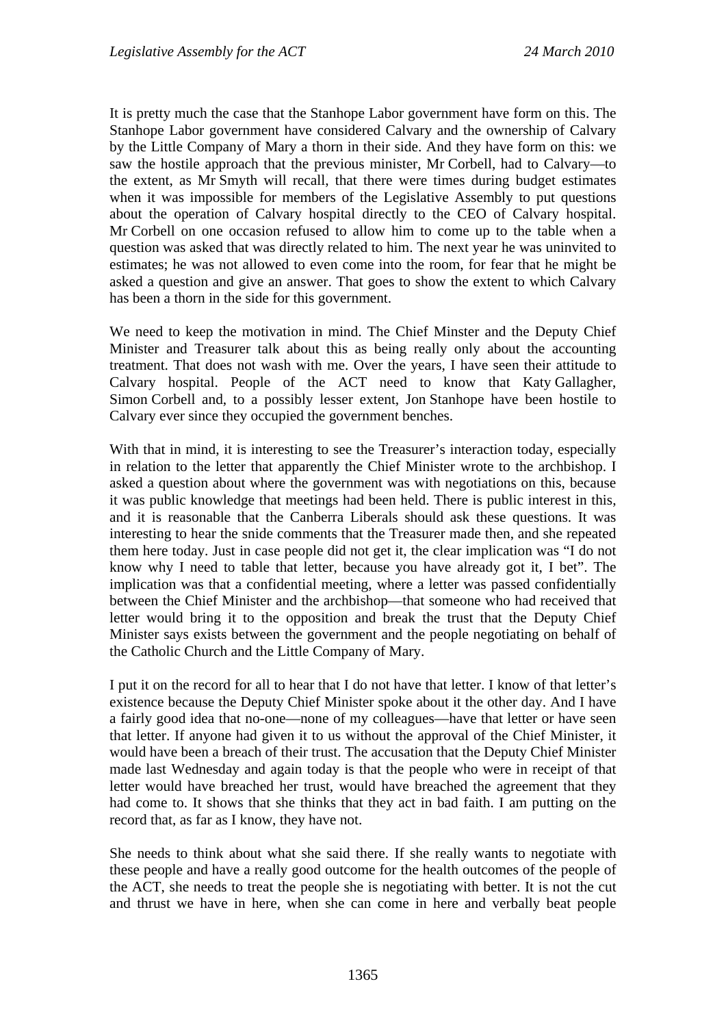It is pretty much the case that the Stanhope Labor government have form on this. The Stanhope Labor government have considered Calvary and the ownership of Calvary by the Little Company of Mary a thorn in their side. And they have form on this: we saw the hostile approach that the previous minister, Mr Corbell, had to Calvary—to the extent, as Mr Smyth will recall, that there were times during budget estimates when it was impossible for members of the Legislative Assembly to put questions about the operation of Calvary hospital directly to the CEO of Calvary hospital. Mr Corbell on one occasion refused to allow him to come up to the table when a question was asked that was directly related to him. The next year he was uninvited to estimates; he was not allowed to even come into the room, for fear that he might be asked a question and give an answer. That goes to show the extent to which Calvary has been a thorn in the side for this government.

We need to keep the motivation in mind. The Chief Minster and the Deputy Chief Minister and Treasurer talk about this as being really only about the accounting treatment. That does not wash with me. Over the years, I have seen their attitude to Calvary hospital. People of the ACT need to know that Katy Gallagher, Simon Corbell and, to a possibly lesser extent, Jon Stanhope have been hostile to Calvary ever since they occupied the government benches.

With that in mind, it is interesting to see the Treasurer's interaction today, especially in relation to the letter that apparently the Chief Minister wrote to the archbishop. I asked a question about where the government was with negotiations on this, because it was public knowledge that meetings had been held. There is public interest in this, and it is reasonable that the Canberra Liberals should ask these questions. It was interesting to hear the snide comments that the Treasurer made then, and she repeated them here today. Just in case people did not get it, the clear implication was "I do not know why I need to table that letter, because you have already got it, I bet". The implication was that a confidential meeting, where a letter was passed confidentially between the Chief Minister and the archbishop—that someone who had received that letter would bring it to the opposition and break the trust that the Deputy Chief Minister says exists between the government and the people negotiating on behalf of the Catholic Church and the Little Company of Mary.

I put it on the record for all to hear that I do not have that letter. I know of that letter's existence because the Deputy Chief Minister spoke about it the other day. And I have a fairly good idea that no-one—none of my colleagues—have that letter or have seen that letter. If anyone had given it to us without the approval of the Chief Minister, it would have been a breach of their trust. The accusation that the Deputy Chief Minister made last Wednesday and again today is that the people who were in receipt of that letter would have breached her trust, would have breached the agreement that they had come to. It shows that she thinks that they act in bad faith. I am putting on the record that, as far as I know, they have not.

She needs to think about what she said there. If she really wants to negotiate with these people and have a really good outcome for the health outcomes of the people of the ACT, she needs to treat the people she is negotiating with better. It is not the cut and thrust we have in here, when she can come in here and verbally beat people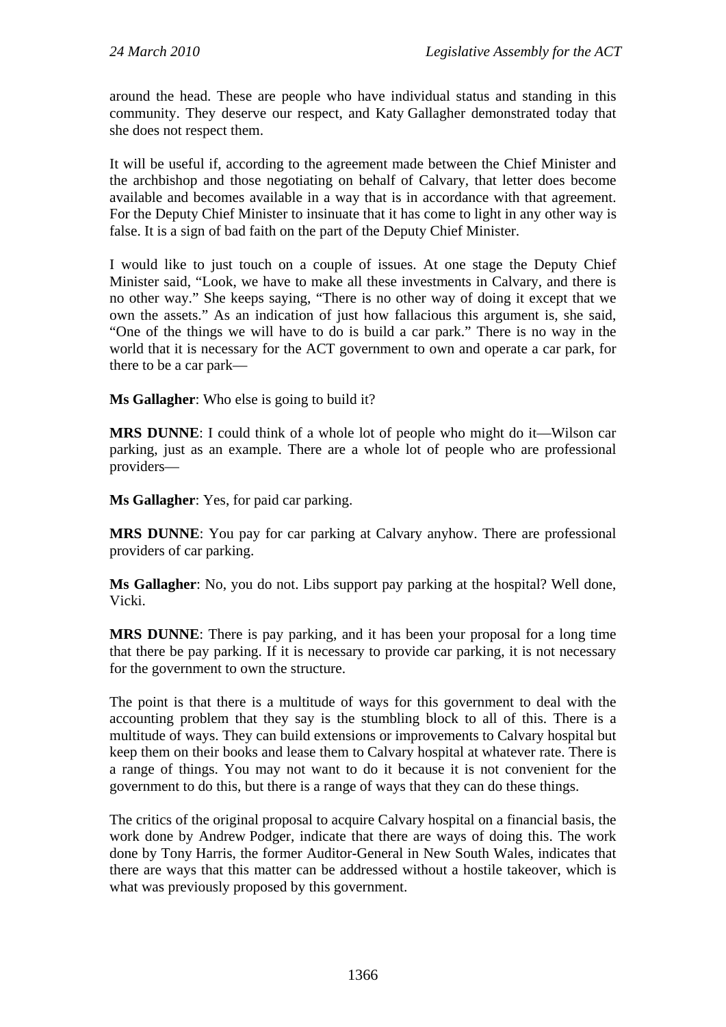around the head. These are people who have individual status and standing in this community. They deserve our respect, and Katy Gallagher demonstrated today that she does not respect them.

It will be useful if, according to the agreement made between the Chief Minister and the archbishop and those negotiating on behalf of Calvary, that letter does become available and becomes available in a way that is in accordance with that agreement. For the Deputy Chief Minister to insinuate that it has come to light in any other way is false. It is a sign of bad faith on the part of the Deputy Chief Minister.

I would like to just touch on a couple of issues. At one stage the Deputy Chief Minister said, "Look, we have to make all these investments in Calvary, and there is no other way." She keeps saying, "There is no other way of doing it except that we own the assets." As an indication of just how fallacious this argument is, she said, "One of the things we will have to do is build a car park." There is no way in the world that it is necessary for the ACT government to own and operate a car park, for there to be a car park—

**Ms Gallagher**: Who else is going to build it?

**MRS DUNNE**: I could think of a whole lot of people who might do it—Wilson car parking, just as an example. There are a whole lot of people who are professional providers—

**Ms Gallagher**: Yes, for paid car parking.

**MRS DUNNE**: You pay for car parking at Calvary anyhow. There are professional providers of car parking.

**Ms Gallagher**: No, you do not. Libs support pay parking at the hospital? Well done, Vicki.

**MRS DUNNE**: There is pay parking, and it has been your proposal for a long time that there be pay parking. If it is necessary to provide car parking, it is not necessary for the government to own the structure.

The point is that there is a multitude of ways for this government to deal with the accounting problem that they say is the stumbling block to all of this. There is a multitude of ways. They can build extensions or improvements to Calvary hospital but keep them on their books and lease them to Calvary hospital at whatever rate. There is a range of things. You may not want to do it because it is not convenient for the government to do this, but there is a range of ways that they can do these things.

The critics of the original proposal to acquire Calvary hospital on a financial basis, the work done by Andrew Podger, indicate that there are ways of doing this. The work done by Tony Harris, the former Auditor-General in New South Wales, indicates that there are ways that this matter can be addressed without a hostile takeover, which is what was previously proposed by this government.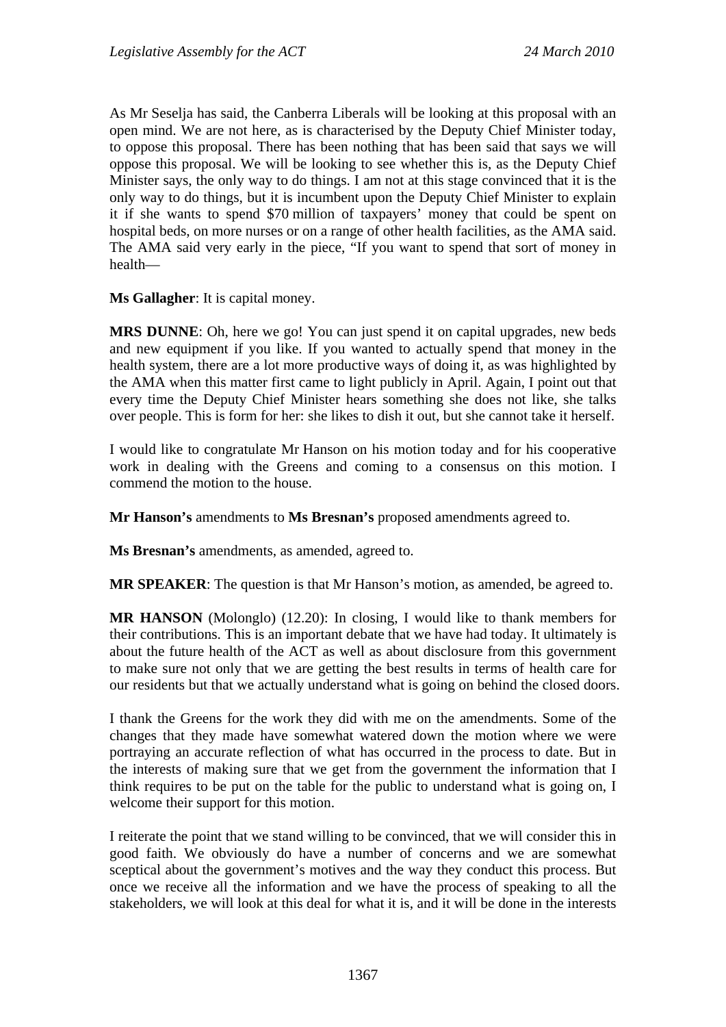As Mr Seselja has said, the Canberra Liberals will be looking at this proposal with an open mind. We are not here, as is characterised by the Deputy Chief Minister today, to oppose this proposal. There has been nothing that has been said that says we will oppose this proposal. We will be looking to see whether this is, as the Deputy Chief Minister says, the only way to do things. I am not at this stage convinced that it is the only way to do things, but it is incumbent upon the Deputy Chief Minister to explain it if she wants to spend \$70 million of taxpayers' money that could be spent on hospital beds, on more nurses or on a range of other health facilities, as the AMA said. The AMA said very early in the piece, "If you want to spend that sort of money in health—

**Ms Gallagher**: It is capital money.

**MRS DUNNE**: Oh, here we go! You can just spend it on capital upgrades, new beds and new equipment if you like. If you wanted to actually spend that money in the health system, there are a lot more productive ways of doing it, as was highlighted by the AMA when this matter first came to light publicly in April. Again, I point out that every time the Deputy Chief Minister hears something she does not like, she talks over people. This is form for her: she likes to dish it out, but she cannot take it herself.

I would like to congratulate Mr Hanson on his motion today and for his cooperative work in dealing with the Greens and coming to a consensus on this motion. I commend the motion to the house.

**Mr Hanson's** amendments to **Ms Bresnan's** proposed amendments agreed to.

**Ms Bresnan's** amendments, as amended, agreed to.

**MR SPEAKER**: The question is that Mr Hanson's motion, as amended, be agreed to.

**MR HANSON** (Molonglo) (12.20): In closing, I would like to thank members for their contributions. This is an important debate that we have had today. It ultimately is about the future health of the ACT as well as about disclosure from this government to make sure not only that we are getting the best results in terms of health care for our residents but that we actually understand what is going on behind the closed doors.

I thank the Greens for the work they did with me on the amendments. Some of the changes that they made have somewhat watered down the motion where we were portraying an accurate reflection of what has occurred in the process to date. But in the interests of making sure that we get from the government the information that I think requires to be put on the table for the public to understand what is going on, I welcome their support for this motion.

I reiterate the point that we stand willing to be convinced, that we will consider this in good faith. We obviously do have a number of concerns and we are somewhat sceptical about the government's motives and the way they conduct this process. But once we receive all the information and we have the process of speaking to all the stakeholders, we will look at this deal for what it is, and it will be done in the interests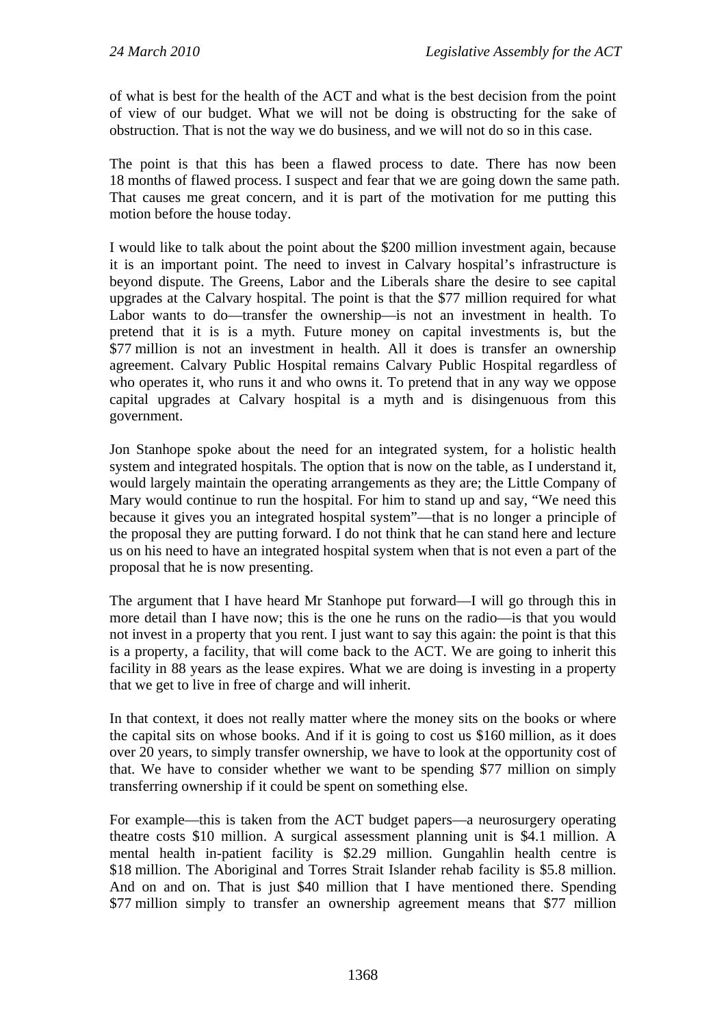of what is best for the health of the ACT and what is the best decision from the point of view of our budget. What we will not be doing is obstructing for the sake of obstruction. That is not the way we do business, and we will not do so in this case.

The point is that this has been a flawed process to date. There has now been 18 months of flawed process. I suspect and fear that we are going down the same path. That causes me great concern, and it is part of the motivation for me putting this motion before the house today.

I would like to talk about the point about the \$200 million investment again, because it is an important point. The need to invest in Calvary hospital's infrastructure is beyond dispute. The Greens, Labor and the Liberals share the desire to see capital upgrades at the Calvary hospital. The point is that the \$77 million required for what Labor wants to do—transfer the ownership—is not an investment in health. To pretend that it is is a myth. Future money on capital investments is, but the \$77 million is not an investment in health. All it does is transfer an ownership agreement. Calvary Public Hospital remains Calvary Public Hospital regardless of who operates it, who runs it and who owns it. To pretend that in any way we oppose capital upgrades at Calvary hospital is a myth and is disingenuous from this government.

Jon Stanhope spoke about the need for an integrated system, for a holistic health system and integrated hospitals. The option that is now on the table, as I understand it, would largely maintain the operating arrangements as they are; the Little Company of Mary would continue to run the hospital. For him to stand up and say, "We need this because it gives you an integrated hospital system"—that is no longer a principle of the proposal they are putting forward. I do not think that he can stand here and lecture us on his need to have an integrated hospital system when that is not even a part of the proposal that he is now presenting.

The argument that I have heard Mr Stanhope put forward—I will go through this in more detail than I have now; this is the one he runs on the radio—is that you would not invest in a property that you rent. I just want to say this again: the point is that this is a property, a facility, that will come back to the ACT. We are going to inherit this facility in 88 years as the lease expires. What we are doing is investing in a property that we get to live in free of charge and will inherit.

In that context, it does not really matter where the money sits on the books or where the capital sits on whose books. And if it is going to cost us \$160 million, as it does over 20 years, to simply transfer ownership, we have to look at the opportunity cost of that. We have to consider whether we want to be spending \$77 million on simply transferring ownership if it could be spent on something else.

For example—this is taken from the ACT budget papers—a neurosurgery operating theatre costs \$10 million. A surgical assessment planning unit is \$4.1 million. A mental health in-patient facility is \$2.29 million. Gungahlin health centre is \$18 million. The Aboriginal and Torres Strait Islander rehab facility is \$5.8 million. And on and on. That is just \$40 million that I have mentioned there. Spending \$77 million simply to transfer an ownership agreement means that \$77 million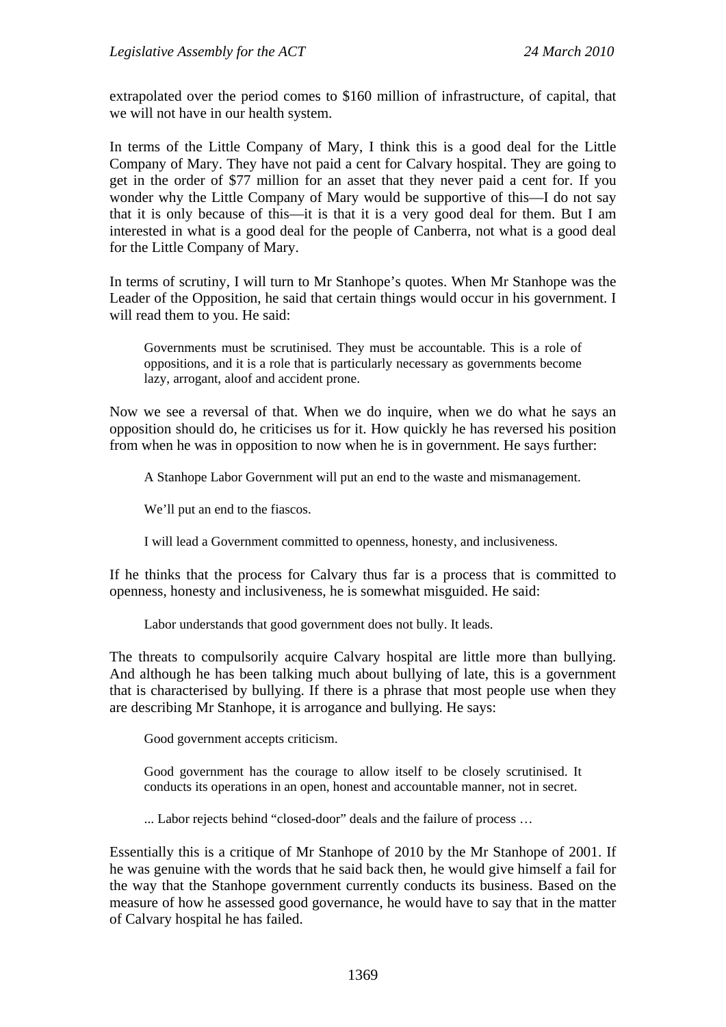extrapolated over the period comes to \$160 million of infrastructure, of capital, that we will not have in our health system.

In terms of the Little Company of Mary, I think this is a good deal for the Little Company of Mary. They have not paid a cent for Calvary hospital. They are going to get in the order of \$77 million for an asset that they never paid a cent for. If you wonder why the Little Company of Mary would be supportive of this—I do not say that it is only because of this—it is that it is a very good deal for them. But I am interested in what is a good deal for the people of Canberra, not what is a good deal for the Little Company of Mary.

In terms of scrutiny, I will turn to Mr Stanhope's quotes. When Mr Stanhope was the Leader of the Opposition, he said that certain things would occur in his government. I will read them to you. He said:

Governments must be scrutinised. They must be accountable. This is a role of oppositions, and it is a role that is particularly necessary as governments become lazy, arrogant, aloof and accident prone.

Now we see a reversal of that. When we do inquire, when we do what he says an opposition should do, he criticises us for it. How quickly he has reversed his position from when he was in opposition to now when he is in government. He says further:

A Stanhope Labor Government will put an end to the waste and mismanagement.

We'll put an end to the fiascos.

I will lead a Government committed to openness, honesty, and inclusiveness.

If he thinks that the process for Calvary thus far is a process that is committed to openness, honesty and inclusiveness, he is somewhat misguided. He said:

Labor understands that good government does not bully. It leads.

The threats to compulsorily acquire Calvary hospital are little more than bullying. And although he has been talking much about bullying of late, this is a government that is characterised by bullying. If there is a phrase that most people use when they are describing Mr Stanhope, it is arrogance and bullying. He says:

Good government accepts criticism.

Good government has the courage to allow itself to be closely scrutinised. It conducts its operations in an open, honest and accountable manner, not in secret.

... Labor rejects behind "closed-door" deals and the failure of process …

Essentially this is a critique of Mr Stanhope of 2010 by the Mr Stanhope of 2001. If he was genuine with the words that he said back then, he would give himself a fail for the way that the Stanhope government currently conducts its business. Based on the measure of how he assessed good governance, he would have to say that in the matter of Calvary hospital he has failed.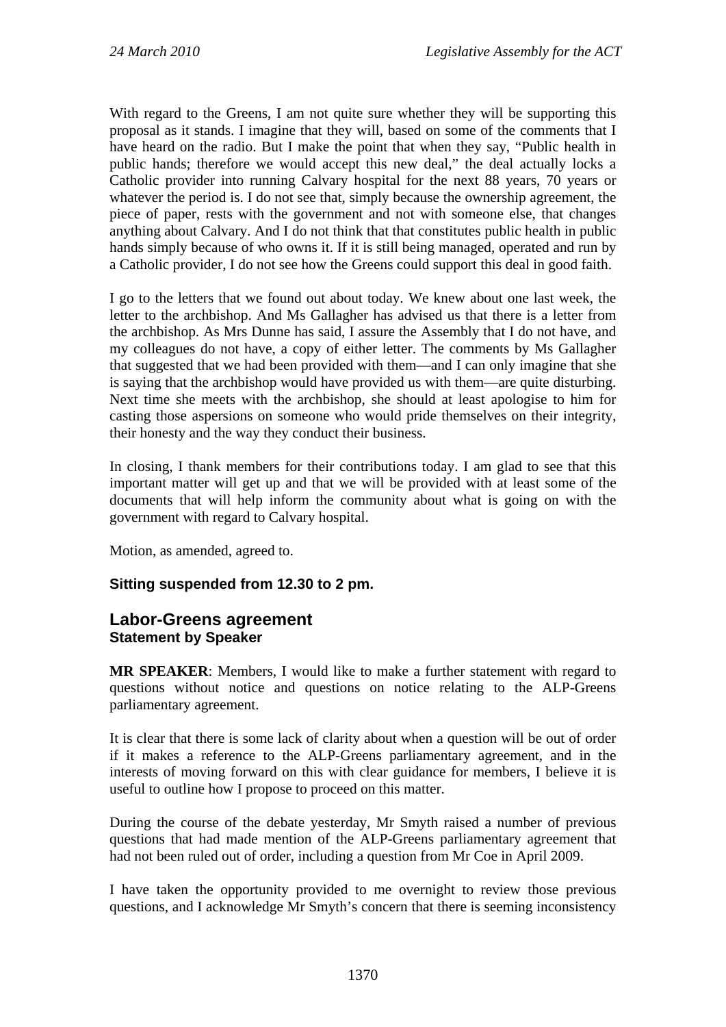With regard to the Greens, I am not quite sure whether they will be supporting this proposal as it stands. I imagine that they will, based on some of the comments that I have heard on the radio. But I make the point that when they say, "Public health in public hands; therefore we would accept this new deal," the deal actually locks a Catholic provider into running Calvary hospital for the next 88 years, 70 years or whatever the period is. I do not see that, simply because the ownership agreement, the piece of paper, rests with the government and not with someone else, that changes anything about Calvary. And I do not think that that constitutes public health in public hands simply because of who owns it. If it is still being managed, operated and run by a Catholic provider, I do not see how the Greens could support this deal in good faith.

I go to the letters that we found out about today. We knew about one last week, the letter to the archbishop. And Ms Gallagher has advised us that there is a letter from the archbishop. As Mrs Dunne has said, I assure the Assembly that I do not have, and my colleagues do not have, a copy of either letter. The comments by Ms Gallagher that suggested that we had been provided with them—and I can only imagine that she is saying that the archbishop would have provided us with them—are quite disturbing. Next time she meets with the archbishop, she should at least apologise to him for casting those aspersions on someone who would pride themselves on their integrity, their honesty and the way they conduct their business.

In closing, I thank members for their contributions today. I am glad to see that this important matter will get up and that we will be provided with at least some of the documents that will help inform the community about what is going on with the government with regard to Calvary hospital.

Motion, as amended, agreed to.

## **Sitting suspended from 12.30 to 2 pm.**

### **Labor-Greens agreement Statement by Speaker**

**MR SPEAKER**: Members, I would like to make a further statement with regard to questions without notice and questions on notice relating to the ALP-Greens parliamentary agreement.

It is clear that there is some lack of clarity about when a question will be out of order if it makes a reference to the ALP-Greens parliamentary agreement, and in the interests of moving forward on this with clear guidance for members, I believe it is useful to outline how I propose to proceed on this matter.

During the course of the debate yesterday, Mr Smyth raised a number of previous questions that had made mention of the ALP-Greens parliamentary agreement that had not been ruled out of order, including a question from Mr Coe in April 2009.

I have taken the opportunity provided to me overnight to review those previous questions, and I acknowledge Mr Smyth's concern that there is seeming inconsistency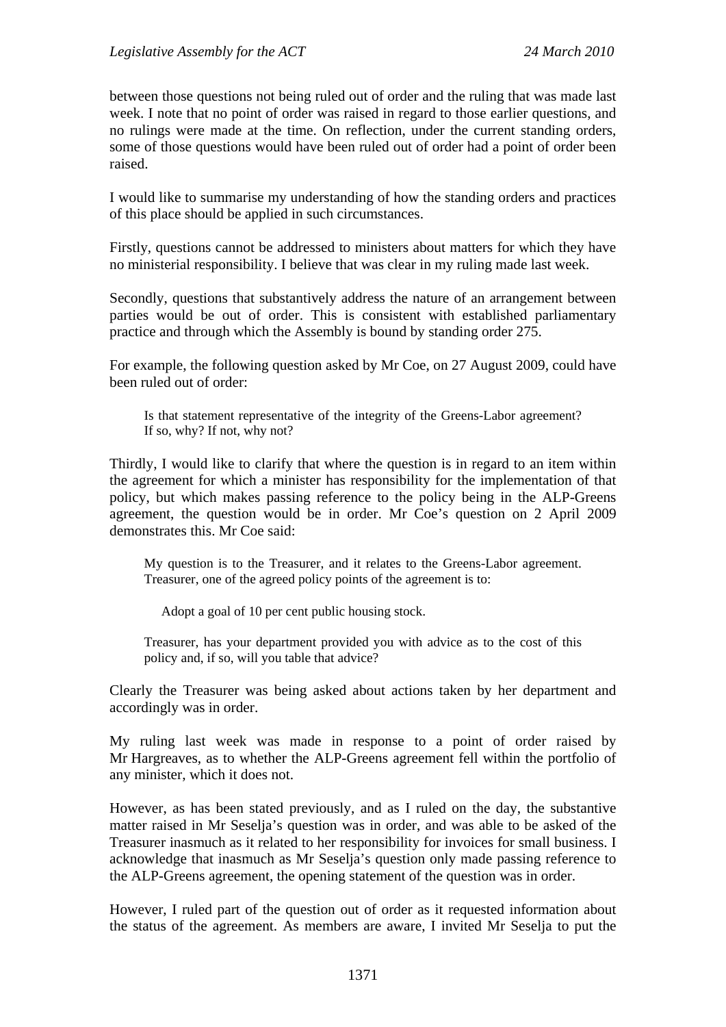between those questions not being ruled out of order and the ruling that was made last week. I note that no point of order was raised in regard to those earlier questions, and no rulings were made at the time. On reflection, under the current standing orders, some of those questions would have been ruled out of order had a point of order been raised.

I would like to summarise my understanding of how the standing orders and practices of this place should be applied in such circumstances.

Firstly, questions cannot be addressed to ministers about matters for which they have no ministerial responsibility. I believe that was clear in my ruling made last week.

Secondly, questions that substantively address the nature of an arrangement between parties would be out of order. This is consistent with established parliamentary practice and through which the Assembly is bound by standing order 275.

For example, the following question asked by Mr Coe, on 27 August 2009, could have been ruled out of order:

Is that statement representative of the integrity of the Greens-Labor agreement? If so, why? If not, why not?

Thirdly, I would like to clarify that where the question is in regard to an item within the agreement for which a minister has responsibility for the implementation of that policy, but which makes passing reference to the policy being in the ALP-Greens agreement, the question would be in order. Mr Coe's question on 2 April 2009 demonstrates this. Mr Coe said:

My question is to the Treasurer, and it relates to the Greens-Labor agreement. Treasurer, one of the agreed policy points of the agreement is to:

Adopt a goal of 10 per cent public housing stock.

Treasurer, has your department provided you with advice as to the cost of this policy and, if so, will you table that advice?

Clearly the Treasurer was being asked about actions taken by her department and accordingly was in order.

My ruling last week was made in response to a point of order raised by Mr Hargreaves, as to whether the ALP-Greens agreement fell within the portfolio of any minister, which it does not.

However, as has been stated previously, and as I ruled on the day, the substantive matter raised in Mr Seselja's question was in order, and was able to be asked of the Treasurer inasmuch as it related to her responsibility for invoices for small business. I acknowledge that inasmuch as Mr Seselja's question only made passing reference to the ALP-Greens agreement, the opening statement of the question was in order.

However, I ruled part of the question out of order as it requested information about the status of the agreement. As members are aware, I invited Mr Seselja to put the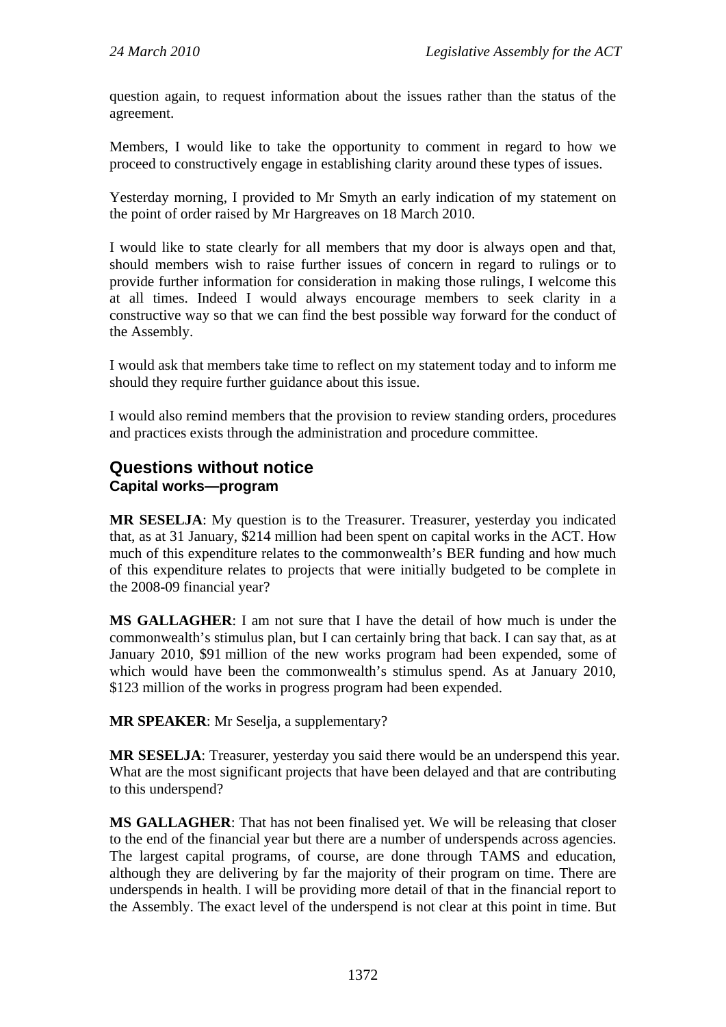question again, to request information about the issues rather than the status of the agreement.

Members, I would like to take the opportunity to comment in regard to how we proceed to constructively engage in establishing clarity around these types of issues.

Yesterday morning, I provided to Mr Smyth an early indication of my statement on the point of order raised by Mr Hargreaves on 18 March 2010.

I would like to state clearly for all members that my door is always open and that, should members wish to raise further issues of concern in regard to rulings or to provide further information for consideration in making those rulings, I welcome this at all times. Indeed I would always encourage members to seek clarity in a constructive way so that we can find the best possible way forward for the conduct of the Assembly.

I would ask that members take time to reflect on my statement today and to inform me should they require further guidance about this issue.

I would also remind members that the provision to review standing orders, procedures and practices exists through the administration and procedure committee.

# **Questions without notice Capital works—program**

**MR SESELJA**: My question is to the Treasurer. Treasurer, yesterday you indicated that, as at 31 January, \$214 million had been spent on capital works in the ACT. How much of this expenditure relates to the commonwealth's BER funding and how much of this expenditure relates to projects that were initially budgeted to be complete in the 2008-09 financial year?

**MS GALLAGHER**: I am not sure that I have the detail of how much is under the commonwealth's stimulus plan, but I can certainly bring that back. I can say that, as at January 2010, \$91 million of the new works program had been expended, some of which would have been the commonwealth's stimulus spend. As at January 2010, \$123 million of the works in progress program had been expended.

**MR SPEAKER**: Mr Seselja, a supplementary?

**MR SESELJA**: Treasurer, yesterday you said there would be an underspend this year. What are the most significant projects that have been delayed and that are contributing to this underspend?

**MS GALLAGHER**: That has not been finalised yet. We will be releasing that closer to the end of the financial year but there are a number of underspends across agencies. The largest capital programs, of course, are done through TAMS and education, although they are delivering by far the majority of their program on time. There are underspends in health. I will be providing more detail of that in the financial report to the Assembly. The exact level of the underspend is not clear at this point in time. But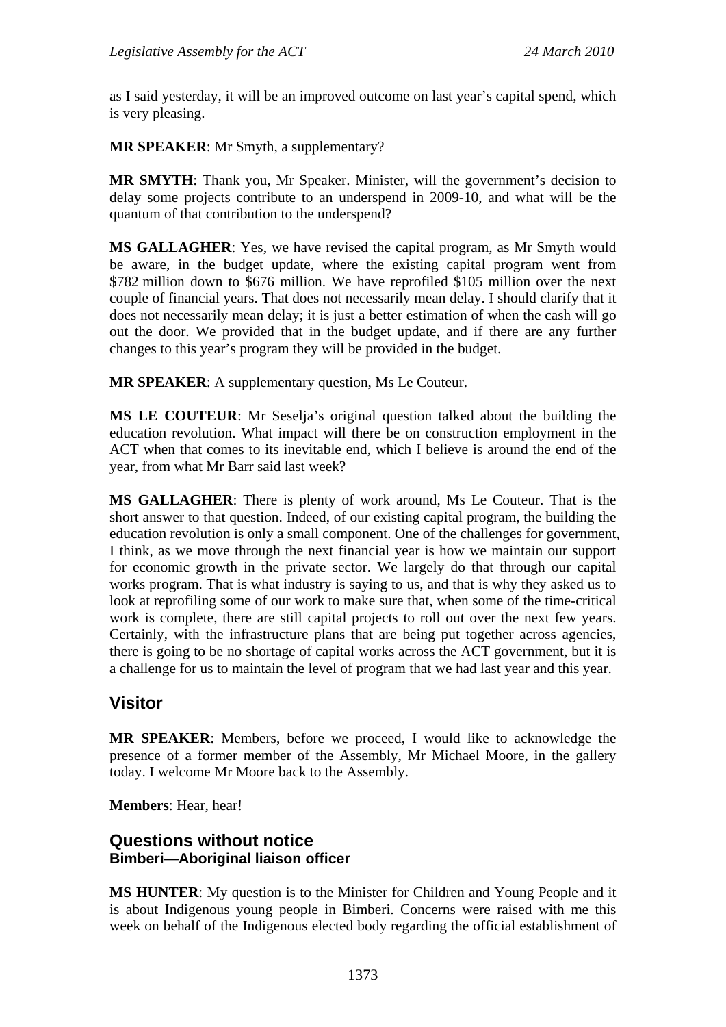as I said yesterday, it will be an improved outcome on last year's capital spend, which is very pleasing.

**MR SPEAKER**: Mr Smyth, a supplementary?

**MR SMYTH**: Thank you, Mr Speaker. Minister, will the government's decision to delay some projects contribute to an underspend in 2009-10, and what will be the quantum of that contribution to the underspend?

**MS GALLAGHER**: Yes, we have revised the capital program, as Mr Smyth would be aware, in the budget update, where the existing capital program went from \$782 million down to \$676 million. We have reprofiled \$105 million over the next couple of financial years. That does not necessarily mean delay. I should clarify that it does not necessarily mean delay; it is just a better estimation of when the cash will go out the door. We provided that in the budget update, and if there are any further changes to this year's program they will be provided in the budget.

**MR SPEAKER**: A supplementary question, Ms Le Couteur.

**MS LE COUTEUR**: Mr Seselja's original question talked about the building the education revolution. What impact will there be on construction employment in the ACT when that comes to its inevitable end, which I believe is around the end of the year, from what Mr Barr said last week?

**MS GALLAGHER**: There is plenty of work around, Ms Le Couteur. That is the short answer to that question. Indeed, of our existing capital program, the building the education revolution is only a small component. One of the challenges for government, I think, as we move through the next financial year is how we maintain our support for economic growth in the private sector. We largely do that through our capital works program. That is what industry is saying to us, and that is why they asked us to look at reprofiling some of our work to make sure that, when some of the time-critical work is complete, there are still capital projects to roll out over the next few years. Certainly, with the infrastructure plans that are being put together across agencies, there is going to be no shortage of capital works across the ACT government, but it is a challenge for us to maintain the level of program that we had last year and this year.

# **Visitor**

**MR SPEAKER**: Members, before we proceed, I would like to acknowledge the presence of a former member of the Assembly, Mr Michael Moore, in the gallery today. I welcome Mr Moore back to the Assembly.

**Members**: Hear, hear!

## **Questions without notice Bimberi—Aboriginal liaison officer**

**MS HUNTER**: My question is to the Minister for Children and Young People and it is about Indigenous young people in Bimberi. Concerns were raised with me this week on behalf of the Indigenous elected body regarding the official establishment of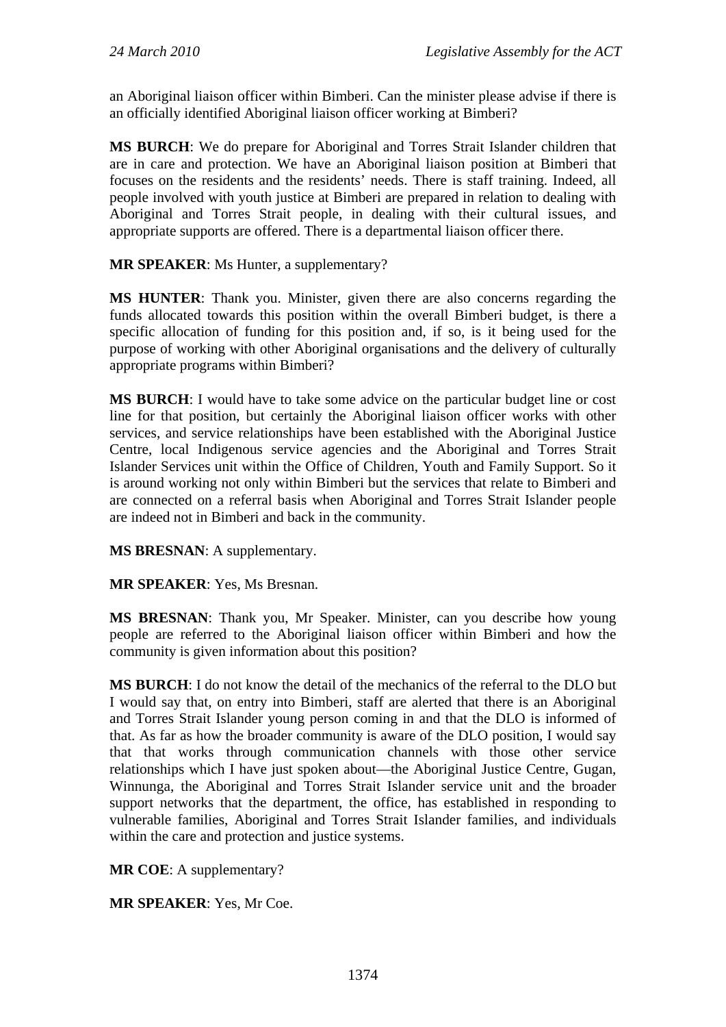an Aboriginal liaison officer within Bimberi. Can the minister please advise if there is an officially identified Aboriginal liaison officer working at Bimberi?

**MS BURCH**: We do prepare for Aboriginal and Torres Strait Islander children that are in care and protection. We have an Aboriginal liaison position at Bimberi that focuses on the residents and the residents' needs. There is staff training. Indeed, all people involved with youth justice at Bimberi are prepared in relation to dealing with Aboriginal and Torres Strait people, in dealing with their cultural issues, and appropriate supports are offered. There is a departmental liaison officer there.

### **MR SPEAKER**: Ms Hunter, a supplementary?

**MS HUNTER**: Thank you. Minister, given there are also concerns regarding the funds allocated towards this position within the overall Bimberi budget, is there a specific allocation of funding for this position and, if so, is it being used for the purpose of working with other Aboriginal organisations and the delivery of culturally appropriate programs within Bimberi?

**MS BURCH**: I would have to take some advice on the particular budget line or cost line for that position, but certainly the Aboriginal liaison officer works with other services, and service relationships have been established with the Aboriginal Justice Centre, local Indigenous service agencies and the Aboriginal and Torres Strait Islander Services unit within the Office of Children, Youth and Family Support. So it is around working not only within Bimberi but the services that relate to Bimberi and are connected on a referral basis when Aboriginal and Torres Strait Islander people are indeed not in Bimberi and back in the community.

**MS BRESNAN**: A supplementary.

**MR SPEAKER**: Yes, Ms Bresnan.

**MS BRESNAN**: Thank you, Mr Speaker. Minister, can you describe how young people are referred to the Aboriginal liaison officer within Bimberi and how the community is given information about this position?

**MS BURCH**: I do not know the detail of the mechanics of the referral to the DLO but I would say that, on entry into Bimberi, staff are alerted that there is an Aboriginal and Torres Strait Islander young person coming in and that the DLO is informed of that. As far as how the broader community is aware of the DLO position, I would say that that works through communication channels with those other service relationships which I have just spoken about—the Aboriginal Justice Centre, Gugan, Winnunga, the Aboriginal and Torres Strait Islander service unit and the broader support networks that the department, the office, has established in responding to vulnerable families, Aboriginal and Torres Strait Islander families, and individuals within the care and protection and justice systems.

**MR COE**: A supplementary?

**MR SPEAKER**: Yes, Mr Coe.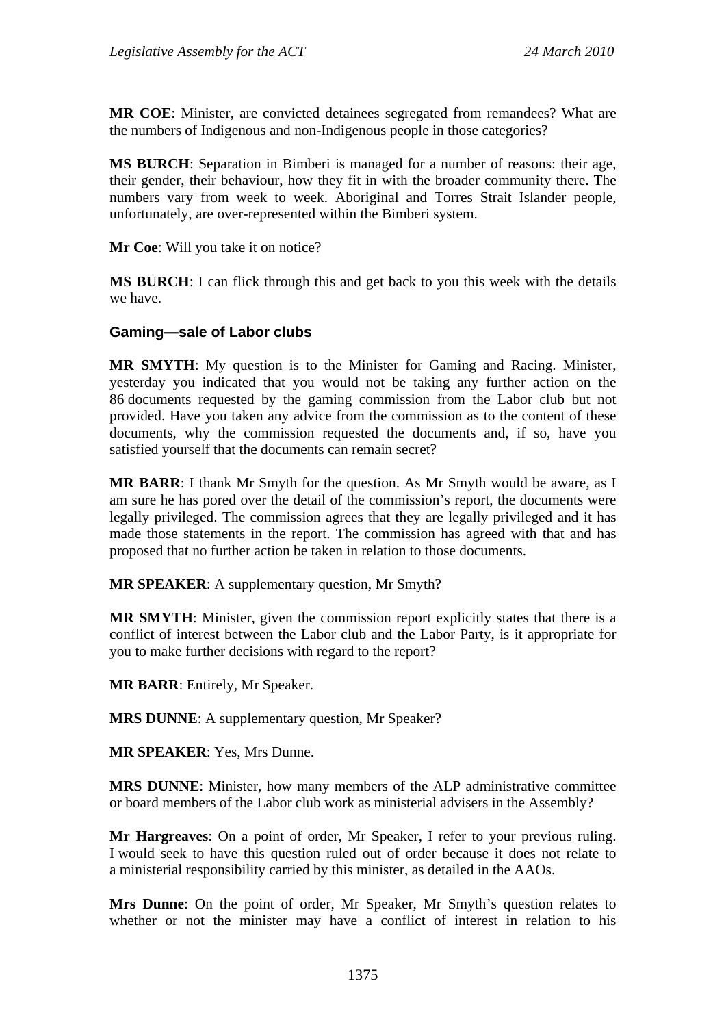**MR COE**: Minister, are convicted detainees segregated from remandees? What are the numbers of Indigenous and non-Indigenous people in those categories?

**MS BURCH**: Separation in Bimberi is managed for a number of reasons: their age, their gender, their behaviour, how they fit in with the broader community there. The numbers vary from week to week. Aboriginal and Torres Strait Islander people, unfortunately, are over-represented within the Bimberi system.

**Mr Coe**: Will you take it on notice?

**MS BURCH**: I can flick through this and get back to you this week with the details we have.

#### **Gaming—sale of Labor clubs**

**MR SMYTH**: My question is to the Minister for Gaming and Racing. Minister, yesterday you indicated that you would not be taking any further action on the 86 documents requested by the gaming commission from the Labor club but not provided. Have you taken any advice from the commission as to the content of these documents, why the commission requested the documents and, if so, have you satisfied yourself that the documents can remain secret?

**MR BARR**: I thank Mr Smyth for the question. As Mr Smyth would be aware, as I am sure he has pored over the detail of the commission's report, the documents were legally privileged. The commission agrees that they are legally privileged and it has made those statements in the report. The commission has agreed with that and has proposed that no further action be taken in relation to those documents.

**MR SPEAKER**: A supplementary question, Mr Smyth?

**MR SMYTH**: Minister, given the commission report explicitly states that there is a conflict of interest between the Labor club and the Labor Party, is it appropriate for you to make further decisions with regard to the report?

**MR BARR**: Entirely, Mr Speaker.

**MRS DUNNE**: A supplementary question, Mr Speaker?

**MR SPEAKER**: Yes, Mrs Dunne.

**MRS DUNNE**: Minister, how many members of the ALP administrative committee or board members of the Labor club work as ministerial advisers in the Assembly?

**Mr Hargreaves**: On a point of order, Mr Speaker, I refer to your previous ruling. I would seek to have this question ruled out of order because it does not relate to a ministerial responsibility carried by this minister, as detailed in the AAOs.

**Mrs Dunne**: On the point of order, Mr Speaker, Mr Smyth's question relates to whether or not the minister may have a conflict of interest in relation to his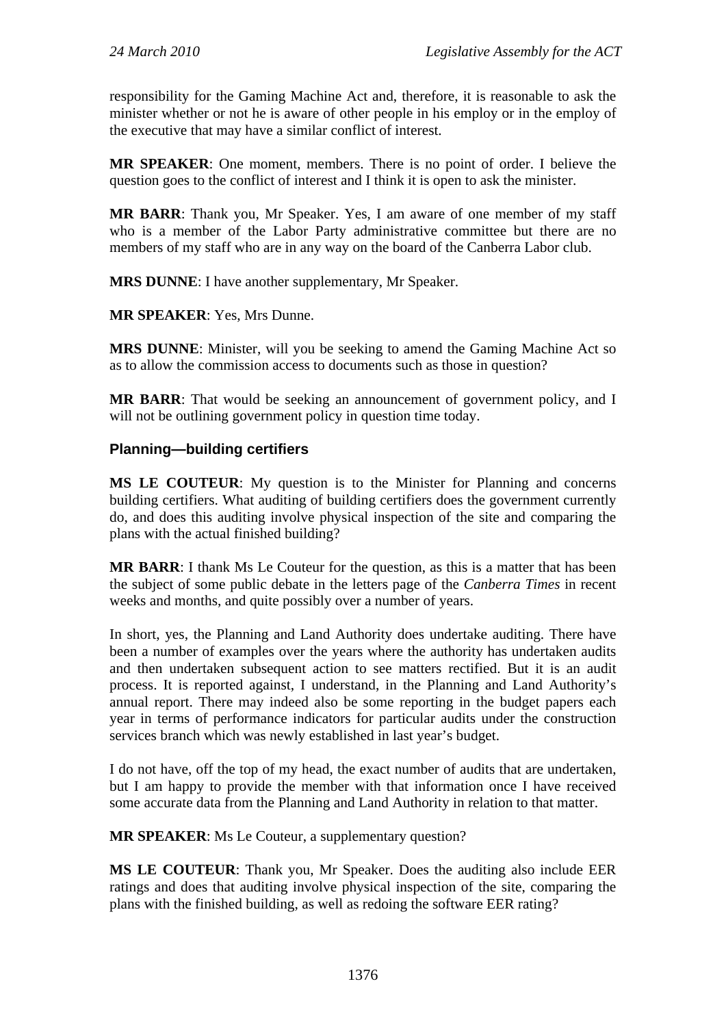responsibility for the Gaming Machine Act and, therefore, it is reasonable to ask the minister whether or not he is aware of other people in his employ or in the employ of the executive that may have a similar conflict of interest.

**MR SPEAKER**: One moment, members. There is no point of order. I believe the question goes to the conflict of interest and I think it is open to ask the minister.

**MR BARR**: Thank you, Mr Speaker. Yes, I am aware of one member of my staff who is a member of the Labor Party administrative committee but there are no members of my staff who are in any way on the board of the Canberra Labor club.

**MRS DUNNE**: I have another supplementary, Mr Speaker.

**MR SPEAKER**: Yes, Mrs Dunne.

**MRS DUNNE**: Minister, will you be seeking to amend the Gaming Machine Act so as to allow the commission access to documents such as those in question?

**MR BARR**: That would be seeking an announcement of government policy, and I will not be outlining government policy in question time today.

### **Planning—building certifiers**

**MS LE COUTEUR**: My question is to the Minister for Planning and concerns building certifiers. What auditing of building certifiers does the government currently do, and does this auditing involve physical inspection of the site and comparing the plans with the actual finished building?

**MR BARR**: I thank Ms Le Couteur for the question, as this is a matter that has been the subject of some public debate in the letters page of the *Canberra Times* in recent weeks and months, and quite possibly over a number of years.

In short, yes, the Planning and Land Authority does undertake auditing. There have been a number of examples over the years where the authority has undertaken audits and then undertaken subsequent action to see matters rectified. But it is an audit process. It is reported against, I understand, in the Planning and Land Authority's annual report. There may indeed also be some reporting in the budget papers each year in terms of performance indicators for particular audits under the construction services branch which was newly established in last year's budget.

I do not have, off the top of my head, the exact number of audits that are undertaken, but I am happy to provide the member with that information once I have received some accurate data from the Planning and Land Authority in relation to that matter.

**MR SPEAKER**: Ms Le Couteur, a supplementary question?

**MS LE COUTEUR**: Thank you, Mr Speaker. Does the auditing also include EER ratings and does that auditing involve physical inspection of the site, comparing the plans with the finished building, as well as redoing the software EER rating?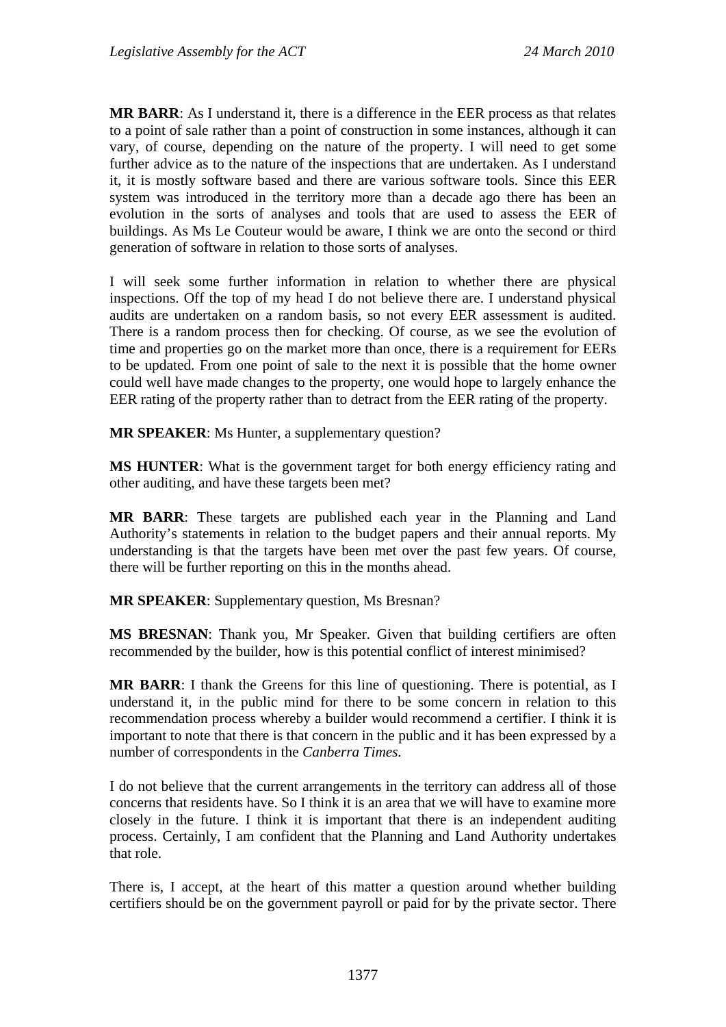**MR BARR**: As I understand it, there is a difference in the EER process as that relates to a point of sale rather than a point of construction in some instances, although it can vary, of course, depending on the nature of the property. I will need to get some further advice as to the nature of the inspections that are undertaken. As I understand it, it is mostly software based and there are various software tools. Since this EER system was introduced in the territory more than a decade ago there has been an evolution in the sorts of analyses and tools that are used to assess the EER of buildings. As Ms Le Couteur would be aware, I think we are onto the second or third generation of software in relation to those sorts of analyses.

I will seek some further information in relation to whether there are physical inspections. Off the top of my head I do not believe there are. I understand physical audits are undertaken on a random basis, so not every EER assessment is audited. There is a random process then for checking. Of course, as we see the evolution of time and properties go on the market more than once, there is a requirement for EERs to be updated. From one point of sale to the next it is possible that the home owner could well have made changes to the property, one would hope to largely enhance the EER rating of the property rather than to detract from the EER rating of the property.

**MR SPEAKER**: Ms Hunter, a supplementary question?

**MS HUNTER**: What is the government target for both energy efficiency rating and other auditing, and have these targets been met?

**MR BARR**: These targets are published each year in the Planning and Land Authority's statements in relation to the budget papers and their annual reports. My understanding is that the targets have been met over the past few years. Of course, there will be further reporting on this in the months ahead.

**MR SPEAKER**: Supplementary question, Ms Bresnan?

**MS BRESNAN**: Thank you, Mr Speaker. Given that building certifiers are often recommended by the builder, how is this potential conflict of interest minimised?

**MR BARR**: I thank the Greens for this line of questioning. There is potential, as I understand it, in the public mind for there to be some concern in relation to this recommendation process whereby a builder would recommend a certifier. I think it is important to note that there is that concern in the public and it has been expressed by a number of correspondents in the *Canberra Times.*

I do not believe that the current arrangements in the territory can address all of those concerns that residents have. So I think it is an area that we will have to examine more closely in the future. I think it is important that there is an independent auditing process. Certainly, I am confident that the Planning and Land Authority undertakes that role.

There is, I accept, at the heart of this matter a question around whether building certifiers should be on the government payroll or paid for by the private sector. There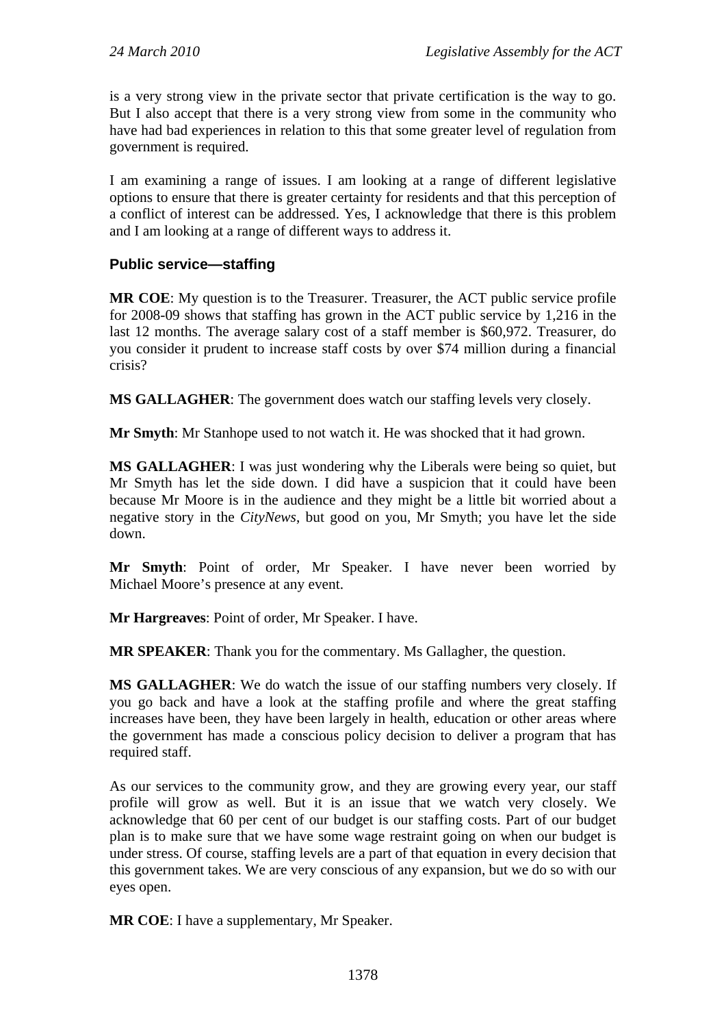is a very strong view in the private sector that private certification is the way to go. But I also accept that there is a very strong view from some in the community who have had bad experiences in relation to this that some greater level of regulation from government is required.

I am examining a range of issues. I am looking at a range of different legislative options to ensure that there is greater certainty for residents and that this perception of a conflict of interest can be addressed. Yes, I acknowledge that there is this problem and I am looking at a range of different ways to address it.

### **Public service—staffing**

**MR COE**: My question is to the Treasurer. Treasurer, the ACT public service profile for 2008-09 shows that staffing has grown in the ACT public service by 1,216 in the last 12 months. The average salary cost of a staff member is \$60,972. Treasurer, do you consider it prudent to increase staff costs by over \$74 million during a financial crisis?

**MS GALLAGHER**: The government does watch our staffing levels very closely.

**Mr Smyth**: Mr Stanhope used to not watch it. He was shocked that it had grown.

**MS GALLAGHER**: I was just wondering why the Liberals were being so quiet, but Mr Smyth has let the side down. I did have a suspicion that it could have been because Mr Moore is in the audience and they might be a little bit worried about a negative story in the *CityNews*, but good on you, Mr Smyth; you have let the side down.

**Mr Smyth**: Point of order, Mr Speaker. I have never been worried by Michael Moore's presence at any event.

**Mr Hargreaves**: Point of order, Mr Speaker. I have.

**MR SPEAKER**: Thank you for the commentary. Ms Gallagher, the question.

**MS GALLAGHER**: We do watch the issue of our staffing numbers very closely. If you go back and have a look at the staffing profile and where the great staffing increases have been, they have been largely in health, education or other areas where the government has made a conscious policy decision to deliver a program that has required staff.

As our services to the community grow, and they are growing every year, our staff profile will grow as well. But it is an issue that we watch very closely. We acknowledge that 60 per cent of our budget is our staffing costs. Part of our budget plan is to make sure that we have some wage restraint going on when our budget is under stress. Of course, staffing levels are a part of that equation in every decision that this government takes. We are very conscious of any expansion, but we do so with our eyes open.

**MR COE**: I have a supplementary, Mr Speaker.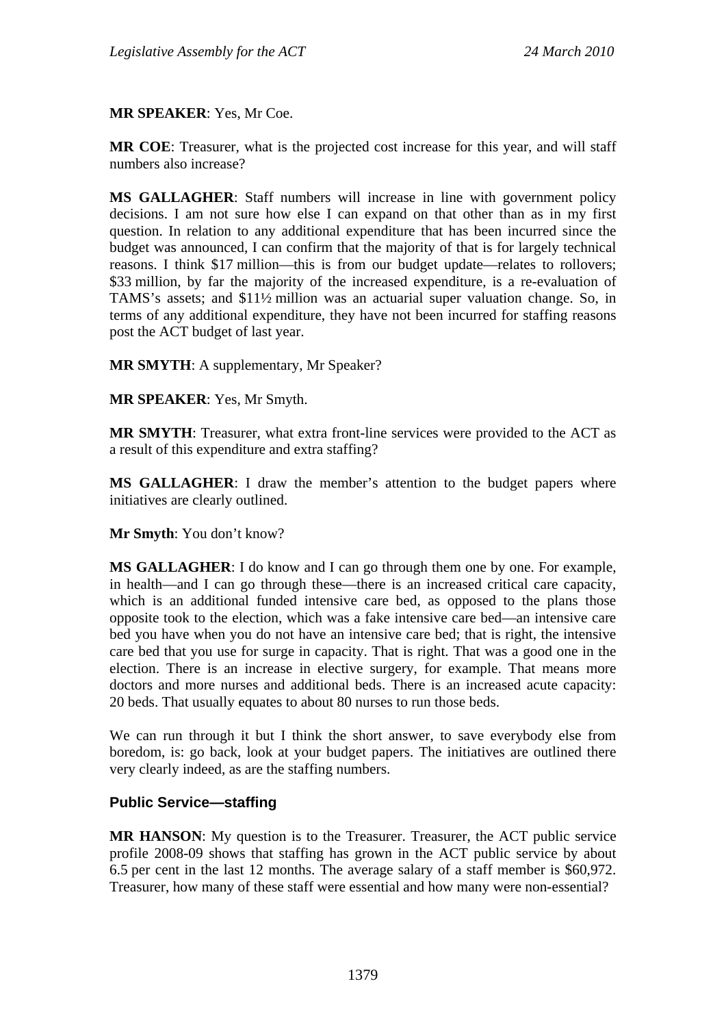**MR SPEAKER**: Yes, Mr Coe.

**MR COE**: Treasurer, what is the projected cost increase for this year, and will staff numbers also increase?

**MS GALLAGHER**: Staff numbers will increase in line with government policy decisions. I am not sure how else I can expand on that other than as in my first question. In relation to any additional expenditure that has been incurred since the budget was announced, I can confirm that the majority of that is for largely technical reasons. I think \$17 million—this is from our budget update—relates to rollovers; \$33 million, by far the majority of the increased expenditure, is a re-evaluation of TAMS's assets; and \$11½ million was an actuarial super valuation change. So, in terms of any additional expenditure, they have not been incurred for staffing reasons post the ACT budget of last year.

**MR SMYTH**: A supplementary, Mr Speaker?

**MR SPEAKER**: Yes, Mr Smyth.

**MR SMYTH**: Treasurer, what extra front-line services were provided to the ACT as a result of this expenditure and extra staffing?

**MS GALLAGHER**: I draw the member's attention to the budget papers where initiatives are clearly outlined.

**Mr Smyth**: You don't know?

**MS GALLAGHER**: I do know and I can go through them one by one. For example, in health—and I can go through these—there is an increased critical care capacity, which is an additional funded intensive care bed, as opposed to the plans those opposite took to the election, which was a fake intensive care bed—an intensive care bed you have when you do not have an intensive care bed; that is right, the intensive care bed that you use for surge in capacity. That is right. That was a good one in the election. There is an increase in elective surgery, for example. That means more doctors and more nurses and additional beds. There is an increased acute capacity: 20 beds. That usually equates to about 80 nurses to run those beds.

We can run through it but I think the short answer, to save everybody else from boredom, is: go back, look at your budget papers. The initiatives are outlined there very clearly indeed, as are the staffing numbers.

### **Public Service—staffing**

**MR HANSON**: My question is to the Treasurer. Treasurer, the ACT public service profile 2008-09 shows that staffing has grown in the ACT public service by about 6.5 per cent in the last 12 months. The average salary of a staff member is \$60,972. Treasurer, how many of these staff were essential and how many were non-essential?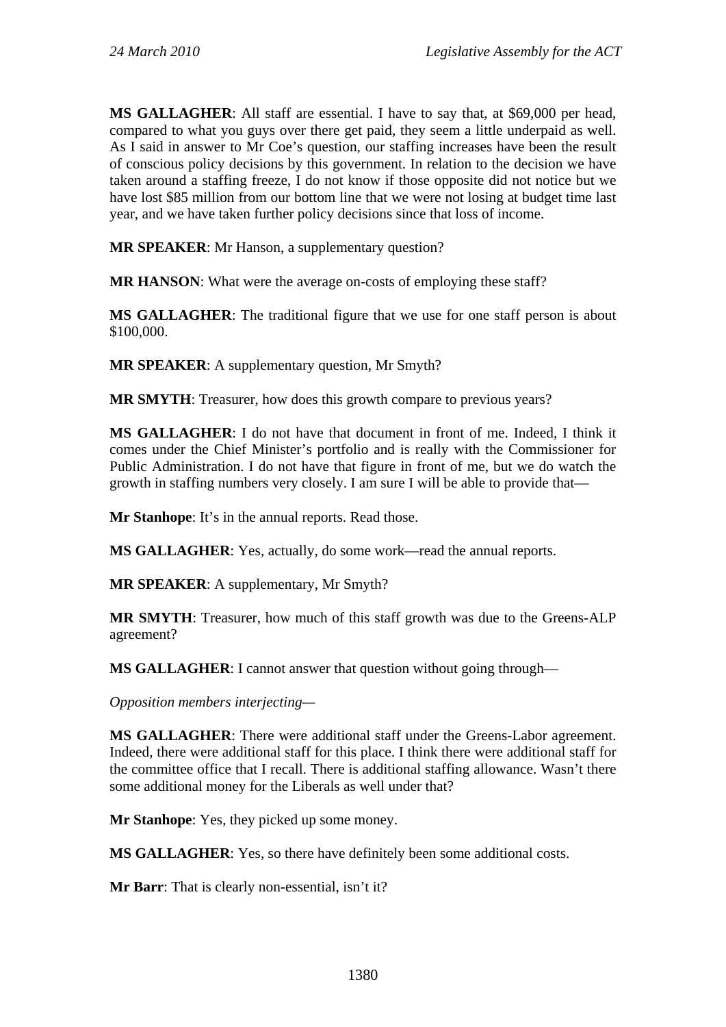**MS GALLAGHER**: All staff are essential. I have to say that, at \$69,000 per head, compared to what you guys over there get paid, they seem a little underpaid as well. As I said in answer to Mr Coe's question, our staffing increases have been the result of conscious policy decisions by this government. In relation to the decision we have taken around a staffing freeze, I do not know if those opposite did not notice but we have lost \$85 million from our bottom line that we were not losing at budget time last year, and we have taken further policy decisions since that loss of income.

**MR SPEAKER**: Mr Hanson, a supplementary question?

**MR HANSON**: What were the average on-costs of employing these staff?

**MS GALLAGHER**: The traditional figure that we use for one staff person is about \$100,000.

**MR SPEAKER**: A supplementary question, Mr Smyth?

**MR SMYTH**: Treasurer, how does this growth compare to previous years?

**MS GALLAGHER**: I do not have that document in front of me. Indeed, I think it comes under the Chief Minister's portfolio and is really with the Commissioner for Public Administration. I do not have that figure in front of me, but we do watch the growth in staffing numbers very closely. I am sure I will be able to provide that—

**Mr Stanhope:** It's in the annual reports. Read those.

**MS GALLAGHER**: Yes, actually, do some work—read the annual reports.

**MR SPEAKER**: A supplementary, Mr Smyth?

**MR SMYTH**: Treasurer, how much of this staff growth was due to the Greens-ALP agreement?

**MS GALLAGHER**: I cannot answer that question without going through—

*Opposition members interjecting—* 

**MS GALLAGHER**: There were additional staff under the Greens-Labor agreement. Indeed, there were additional staff for this place. I think there were additional staff for the committee office that I recall. There is additional staffing allowance. Wasn't there some additional money for the Liberals as well under that?

**Mr Stanhope**: Yes, they picked up some money.

**MS GALLAGHER**: Yes, so there have definitely been some additional costs.

**Mr Barr**: That is clearly non-essential, isn't it?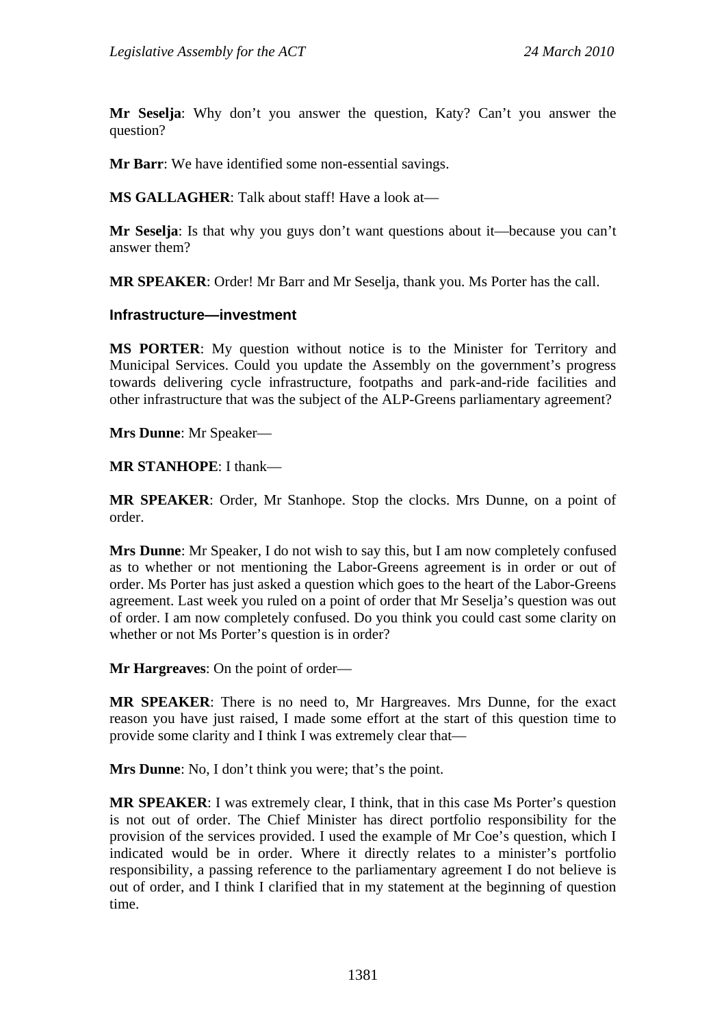**Mr Seselja**: Why don't you answer the question, Katy? Can't you answer the question?

**Mr Barr**: We have identified some non-essential savings.

**MS GALLAGHER**: Talk about staff! Have a look at—

**Mr Seselja**: Is that why you guys don't want questions about it—because you can't answer them?

**MR SPEAKER**: Order! Mr Barr and Mr Seselja, thank you. Ms Porter has the call.

#### **Infrastructure—investment**

**MS PORTER**: My question without notice is to the Minister for Territory and Municipal Services. Could you update the Assembly on the government's progress towards delivering cycle infrastructure, footpaths and park-and-ride facilities and other infrastructure that was the subject of the ALP-Greens parliamentary agreement?

**Mrs Dunne**: Mr Speaker—

**MR STANHOPE**: I thank—

**MR SPEAKER**: Order, Mr Stanhope. Stop the clocks. Mrs Dunne, on a point of order.

**Mrs Dunne**: Mr Speaker, I do not wish to say this, but I am now completely confused as to whether or not mentioning the Labor-Greens agreement is in order or out of order. Ms Porter has just asked a question which goes to the heart of the Labor-Greens agreement. Last week you ruled on a point of order that Mr Seselja's question was out of order. I am now completely confused. Do you think you could cast some clarity on whether or not Ms Porter's question is in order?

**Mr Hargreaves**: On the point of order—

**MR SPEAKER**: There is no need to, Mr Hargreaves. Mrs Dunne, for the exact reason you have just raised, I made some effort at the start of this question time to provide some clarity and I think I was extremely clear that—

**Mrs Dunne**: No, I don't think you were; that's the point.

**MR SPEAKER**: I was extremely clear, I think, that in this case Ms Porter's question is not out of order. The Chief Minister has direct portfolio responsibility for the provision of the services provided. I used the example of Mr Coe's question, which I indicated would be in order. Where it directly relates to a minister's portfolio responsibility, a passing reference to the parliamentary agreement I do not believe is out of order, and I think I clarified that in my statement at the beginning of question time.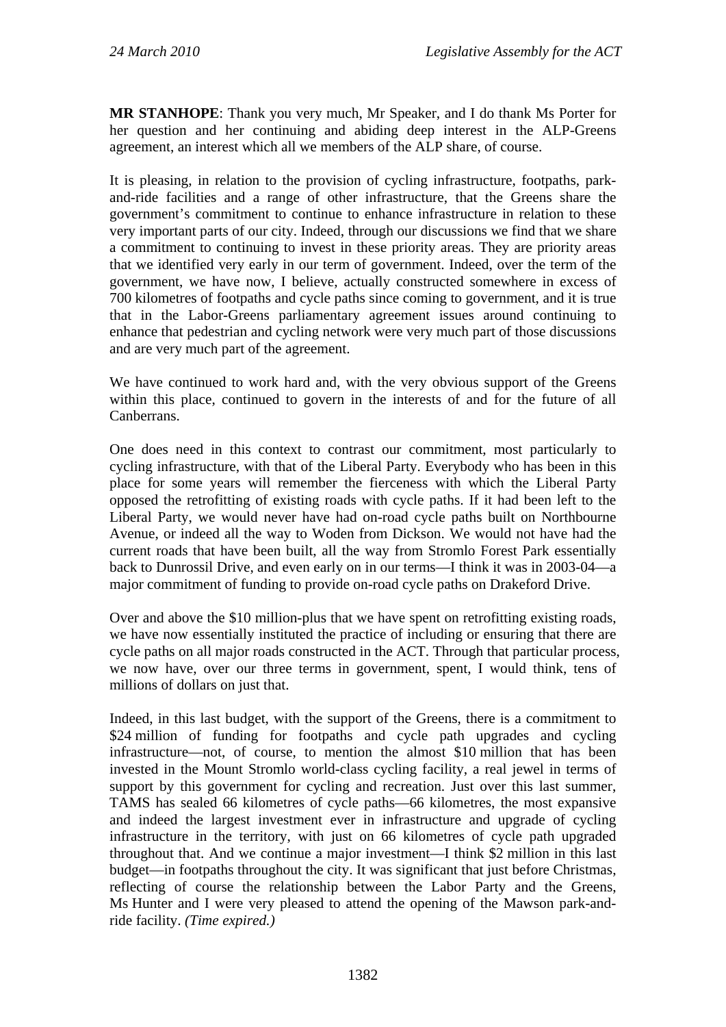**MR STANHOPE**: Thank you very much, Mr Speaker, and I do thank Ms Porter for her question and her continuing and abiding deep interest in the ALP-Greens agreement, an interest which all we members of the ALP share, of course.

It is pleasing, in relation to the provision of cycling infrastructure, footpaths, parkand-ride facilities and a range of other infrastructure, that the Greens share the government's commitment to continue to enhance infrastructure in relation to these very important parts of our city. Indeed, through our discussions we find that we share a commitment to continuing to invest in these priority areas. They are priority areas that we identified very early in our term of government. Indeed, over the term of the government, we have now, I believe, actually constructed somewhere in excess of 700 kilometres of footpaths and cycle paths since coming to government, and it is true that in the Labor-Greens parliamentary agreement issues around continuing to enhance that pedestrian and cycling network were very much part of those discussions and are very much part of the agreement.

We have continued to work hard and, with the very obvious support of the Greens within this place, continued to govern in the interests of and for the future of all Canberrans.

One does need in this context to contrast our commitment, most particularly to cycling infrastructure, with that of the Liberal Party. Everybody who has been in this place for some years will remember the fierceness with which the Liberal Party opposed the retrofitting of existing roads with cycle paths. If it had been left to the Liberal Party, we would never have had on-road cycle paths built on Northbourne Avenue, or indeed all the way to Woden from Dickson. We would not have had the current roads that have been built, all the way from Stromlo Forest Park essentially back to Dunrossil Drive, and even early on in our terms—I think it was in 2003-04—a major commitment of funding to provide on-road cycle paths on Drakeford Drive.

Over and above the \$10 million-plus that we have spent on retrofitting existing roads, we have now essentially instituted the practice of including or ensuring that there are cycle paths on all major roads constructed in the ACT. Through that particular process, we now have, over our three terms in government, spent, I would think, tens of millions of dollars on just that.

Indeed, in this last budget, with the support of the Greens, there is a commitment to \$24 million of funding for footpaths and cycle path upgrades and cycling infrastructure—not, of course, to mention the almost \$10 million that has been invested in the Mount Stromlo world-class cycling facility, a real jewel in terms of support by this government for cycling and recreation. Just over this last summer, TAMS has sealed 66 kilometres of cycle paths—66 kilometres, the most expansive and indeed the largest investment ever in infrastructure and upgrade of cycling infrastructure in the territory, with just on 66 kilometres of cycle path upgraded throughout that. And we continue a major investment—I think \$2 million in this last budget—in footpaths throughout the city. It was significant that just before Christmas, reflecting of course the relationship between the Labor Party and the Greens, Ms Hunter and I were very pleased to attend the opening of the Mawson park-andride facility. *(Time expired.)*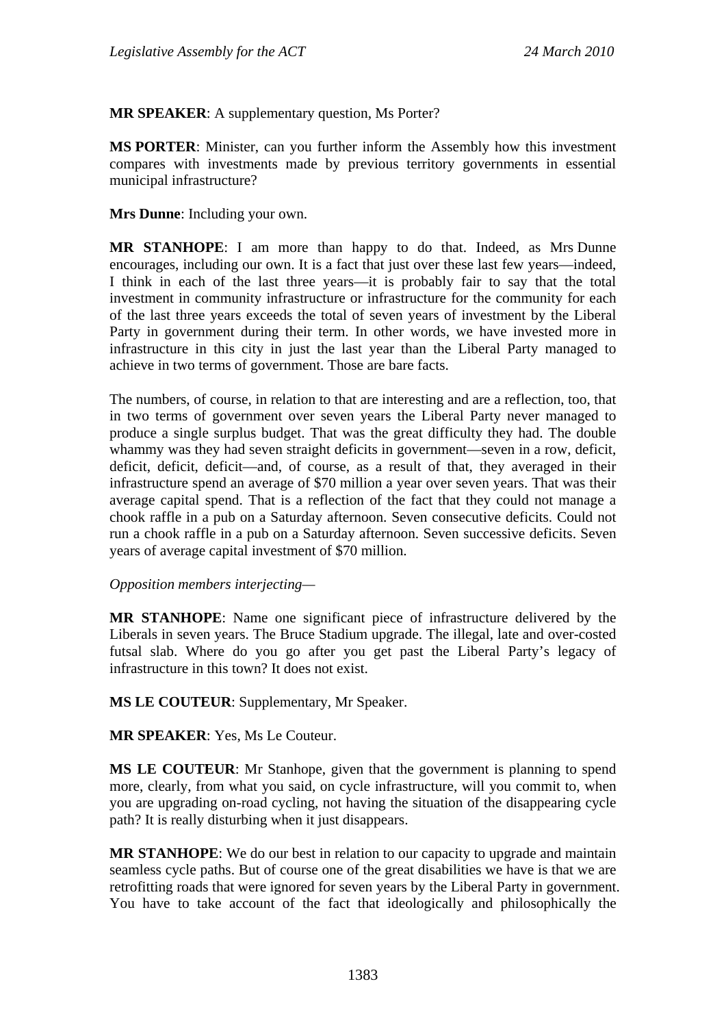**MR SPEAKER**: A supplementary question, Ms Porter?

**MS PORTER**: Minister, can you further inform the Assembly how this investment compares with investments made by previous territory governments in essential municipal infrastructure?

**Mrs Dunne**: Including your own.

**MR STANHOPE**: I am more than happy to do that. Indeed, as Mrs Dunne encourages, including our own. It is a fact that just over these last few years—indeed, I think in each of the last three years—it is probably fair to say that the total investment in community infrastructure or infrastructure for the community for each of the last three years exceeds the total of seven years of investment by the Liberal Party in government during their term. In other words, we have invested more in infrastructure in this city in just the last year than the Liberal Party managed to achieve in two terms of government. Those are bare facts.

The numbers, of course, in relation to that are interesting and are a reflection, too, that in two terms of government over seven years the Liberal Party never managed to produce a single surplus budget. That was the great difficulty they had. The double whammy was they had seven straight deficits in government—seven in a row, deficit, deficit, deficit, deficit—and, of course, as a result of that, they averaged in their infrastructure spend an average of \$70 million a year over seven years. That was their average capital spend. That is a reflection of the fact that they could not manage a chook raffle in a pub on a Saturday afternoon. Seven consecutive deficits. Could not run a chook raffle in a pub on a Saturday afternoon. Seven successive deficits. Seven years of average capital investment of \$70 million.

*Opposition members interjecting—*

**MR STANHOPE**: Name one significant piece of infrastructure delivered by the Liberals in seven years. The Bruce Stadium upgrade. The illegal, late and over-costed futsal slab. Where do you go after you get past the Liberal Party's legacy of infrastructure in this town? It does not exist.

**MS LE COUTEUR**: Supplementary, Mr Speaker.

**MR SPEAKER**: Yes, Ms Le Couteur.

**MS LE COUTEUR**: Mr Stanhope, given that the government is planning to spend more, clearly, from what you said, on cycle infrastructure, will you commit to, when you are upgrading on-road cycling, not having the situation of the disappearing cycle path? It is really disturbing when it just disappears.

**MR STANHOPE**: We do our best in relation to our capacity to upgrade and maintain seamless cycle paths. But of course one of the great disabilities we have is that we are retrofitting roads that were ignored for seven years by the Liberal Party in government. You have to take account of the fact that ideologically and philosophically the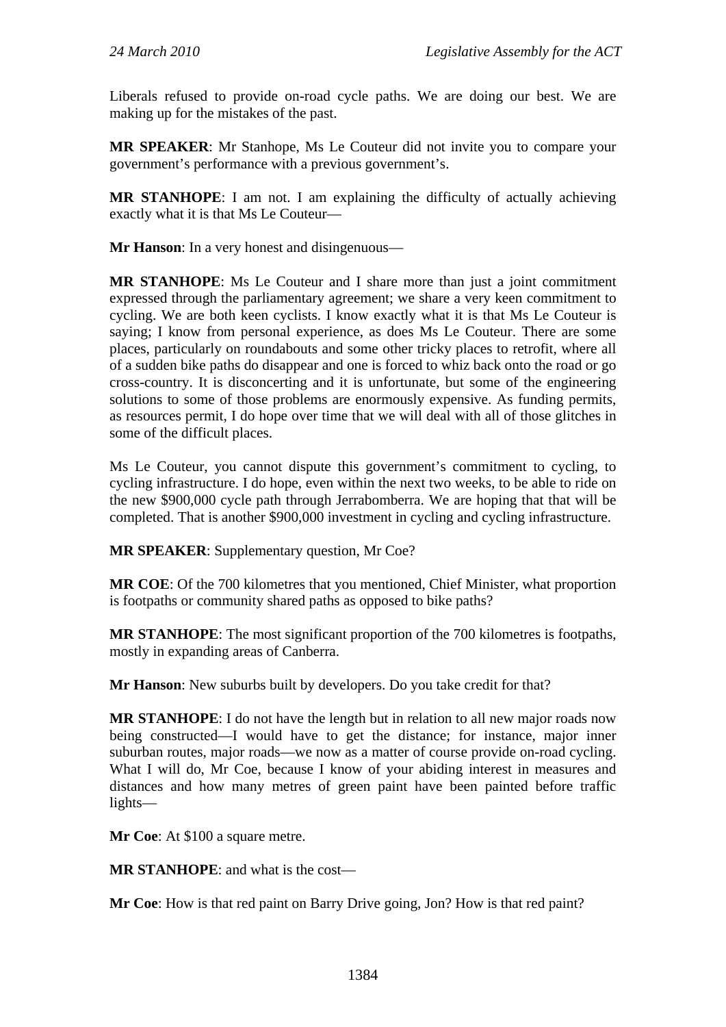Liberals refused to provide on-road cycle paths. We are doing our best. We are making up for the mistakes of the past.

**MR SPEAKER**: Mr Stanhope, Ms Le Couteur did not invite you to compare your government's performance with a previous government's.

**MR STANHOPE**: I am not. I am explaining the difficulty of actually achieving exactly what it is that Ms Le Couteur—

**Mr Hanson**: In a very honest and disingenuous—

**MR STANHOPE**: Ms Le Couteur and I share more than just a joint commitment expressed through the parliamentary agreement; we share a very keen commitment to cycling. We are both keen cyclists. I know exactly what it is that Ms Le Couteur is saying; I know from personal experience, as does Ms Le Couteur. There are some places, particularly on roundabouts and some other tricky places to retrofit, where all of a sudden bike paths do disappear and one is forced to whiz back onto the road or go cross-country. It is disconcerting and it is unfortunate, but some of the engineering solutions to some of those problems are enormously expensive. As funding permits, as resources permit, I do hope over time that we will deal with all of those glitches in some of the difficult places.

Ms Le Couteur, you cannot dispute this government's commitment to cycling, to cycling infrastructure. I do hope, even within the next two weeks, to be able to ride on the new \$900,000 cycle path through Jerrabomberra. We are hoping that that will be completed. That is another \$900,000 investment in cycling and cycling infrastructure.

**MR SPEAKER**: Supplementary question, Mr Coe?

**MR COE**: Of the 700 kilometres that you mentioned, Chief Minister, what proportion is footpaths or community shared paths as opposed to bike paths?

**MR STANHOPE**: The most significant proportion of the 700 kilometres is footpaths, mostly in expanding areas of Canberra.

**Mr Hanson**: New suburbs built by developers. Do you take credit for that?

**MR STANHOPE**: I do not have the length but in relation to all new major roads now being constructed—I would have to get the distance; for instance, major inner suburban routes, major roads—we now as a matter of course provide on-road cycling. What I will do, Mr Coe, because I know of your abiding interest in measures and distances and how many metres of green paint have been painted before traffic lights—

**Mr Coe**: At \$100 a square metre.

**MR STANHOPE**: and what is the cost—

**Mr Coe**: How is that red paint on Barry Drive going, Jon? How is that red paint?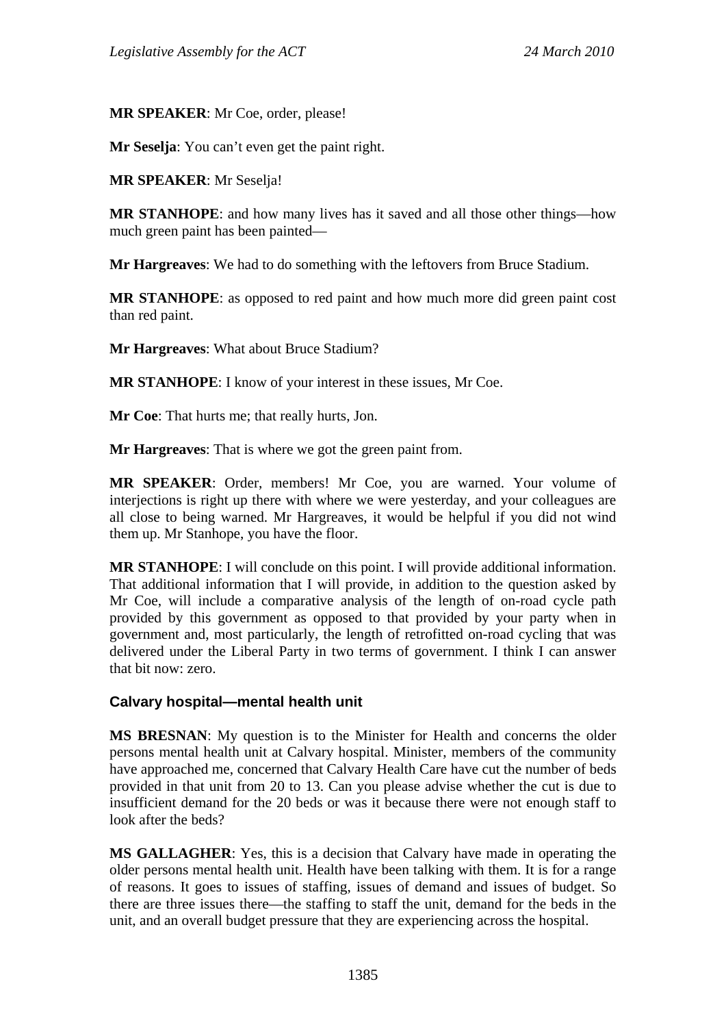**MR SPEAKER**: Mr Coe, order, please!

**Mr Seselja**: You can't even get the paint right.

**MR SPEAKER**: Mr Seselja!

**MR STANHOPE**: and how many lives has it saved and all those other things—how much green paint has been painted—

**Mr Hargreaves**: We had to do something with the leftovers from Bruce Stadium.

**MR STANHOPE**: as opposed to red paint and how much more did green paint cost than red paint.

**Mr Hargreaves**: What about Bruce Stadium?

**MR STANHOPE**: I know of your interest in these issues, Mr Coe.

**Mr Coe**: That hurts me; that really hurts, Jon.

**Mr Hargreaves**: That is where we got the green paint from.

**MR SPEAKER**: Order, members! Mr Coe, you are warned. Your volume of interjections is right up there with where we were yesterday, and your colleagues are all close to being warned. Mr Hargreaves, it would be helpful if you did not wind them up. Mr Stanhope, you have the floor.

**MR STANHOPE**: I will conclude on this point. I will provide additional information. That additional information that I will provide, in addition to the question asked by Mr Coe, will include a comparative analysis of the length of on-road cycle path provided by this government as opposed to that provided by your party when in government and, most particularly, the length of retrofitted on-road cycling that was delivered under the Liberal Party in two terms of government. I think I can answer that bit now: zero.

### **Calvary hospital—mental health unit**

**MS BRESNAN**: My question is to the Minister for Health and concerns the older persons mental health unit at Calvary hospital. Minister, members of the community have approached me, concerned that Calvary Health Care have cut the number of beds provided in that unit from 20 to 13. Can you please advise whether the cut is due to insufficient demand for the 20 beds or was it because there were not enough staff to look after the beds?

**MS GALLAGHER**: Yes, this is a decision that Calvary have made in operating the older persons mental health unit. Health have been talking with them. It is for a range of reasons. It goes to issues of staffing, issues of demand and issues of budget. So there are three issues there—the staffing to staff the unit, demand for the beds in the unit, and an overall budget pressure that they are experiencing across the hospital.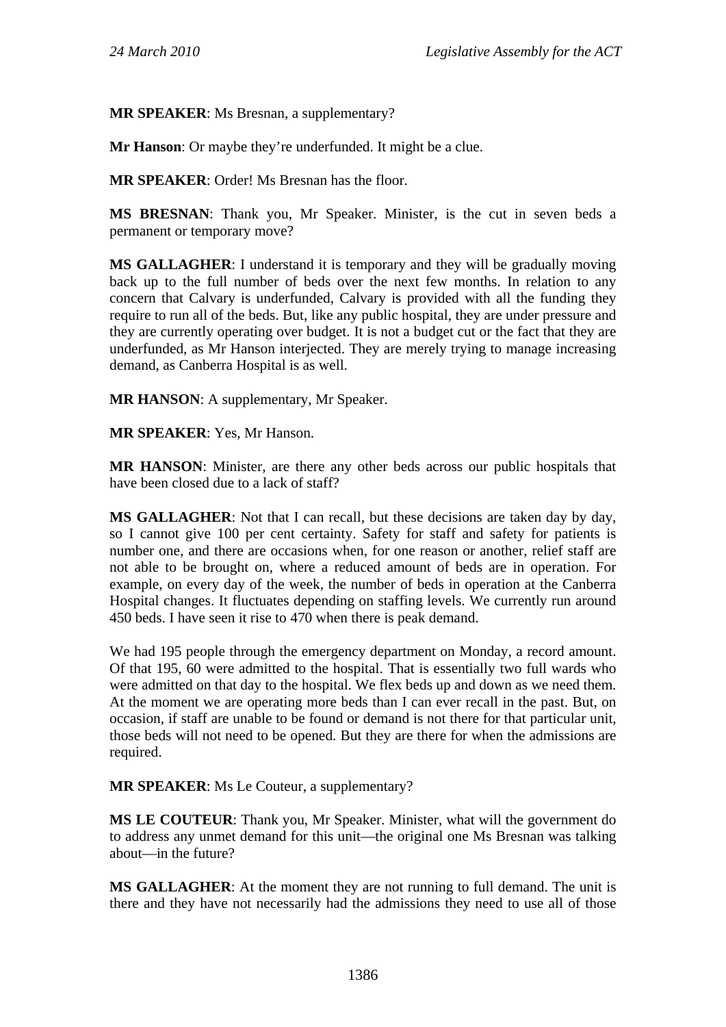**MR SPEAKER**: Ms Bresnan, a supplementary?

**Mr Hanson**: Or maybe they're underfunded. It might be a clue.

**MR SPEAKER**: Order! Ms Bresnan has the floor.

**MS BRESNAN**: Thank you, Mr Speaker. Minister, is the cut in seven beds a permanent or temporary move?

**MS GALLAGHER**: I understand it is temporary and they will be gradually moving back up to the full number of beds over the next few months. In relation to any concern that Calvary is underfunded, Calvary is provided with all the funding they require to run all of the beds. But, like any public hospital, they are under pressure and they are currently operating over budget. It is not a budget cut or the fact that they are underfunded, as Mr Hanson interjected. They are merely trying to manage increasing demand, as Canberra Hospital is as well.

**MR HANSON**: A supplementary, Mr Speaker.

**MR SPEAKER**: Yes, Mr Hanson.

**MR HANSON**: Minister, are there any other beds across our public hospitals that have been closed due to a lack of staff?

**MS GALLAGHER**: Not that I can recall, but these decisions are taken day by day, so I cannot give 100 per cent certainty. Safety for staff and safety for patients is number one, and there are occasions when, for one reason or another, relief staff are not able to be brought on, where a reduced amount of beds are in operation. For example, on every day of the week, the number of beds in operation at the Canberra Hospital changes. It fluctuates depending on staffing levels. We currently run around 450 beds. I have seen it rise to 470 when there is peak demand.

We had 195 people through the emergency department on Monday, a record amount. Of that 195, 60 were admitted to the hospital. That is essentially two full wards who were admitted on that day to the hospital. We flex beds up and down as we need them. At the moment we are operating more beds than I can ever recall in the past. But, on occasion, if staff are unable to be found or demand is not there for that particular unit, those beds will not need to be opened. But they are there for when the admissions are required.

**MR SPEAKER**: Ms Le Couteur, a supplementary?

**MS LE COUTEUR**: Thank you, Mr Speaker. Minister, what will the government do to address any unmet demand for this unit—the original one Ms Bresnan was talking about—in the future?

**MS GALLAGHER**: At the moment they are not running to full demand. The unit is there and they have not necessarily had the admissions they need to use all of those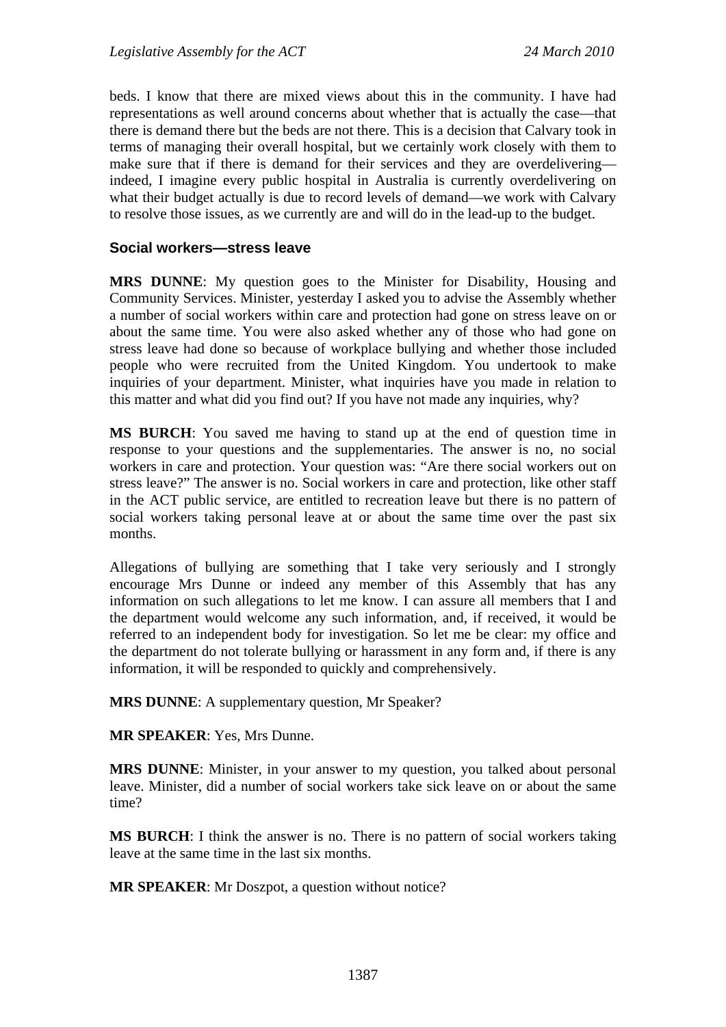beds. I know that there are mixed views about this in the community. I have had representations as well around concerns about whether that is actually the case—that there is demand there but the beds are not there. This is a decision that Calvary took in terms of managing their overall hospital, but we certainly work closely with them to make sure that if there is demand for their services and they are overdelivering indeed, I imagine every public hospital in Australia is currently overdelivering on what their budget actually is due to record levels of demand—we work with Calvary to resolve those issues, as we currently are and will do in the lead-up to the budget.

#### **Social workers—stress leave**

**MRS DUNNE**: My question goes to the Minister for Disability, Housing and Community Services. Minister, yesterday I asked you to advise the Assembly whether a number of social workers within care and protection had gone on stress leave on or about the same time. You were also asked whether any of those who had gone on stress leave had done so because of workplace bullying and whether those included people who were recruited from the United Kingdom. You undertook to make inquiries of your department. Minister, what inquiries have you made in relation to this matter and what did you find out? If you have not made any inquiries, why?

**MS BURCH**: You saved me having to stand up at the end of question time in response to your questions and the supplementaries. The answer is no, no social workers in care and protection. Your question was: "Are there social workers out on stress leave?" The answer is no. Social workers in care and protection, like other staff in the ACT public service, are entitled to recreation leave but there is no pattern of social workers taking personal leave at or about the same time over the past six months.

Allegations of bullying are something that I take very seriously and I strongly encourage Mrs Dunne or indeed any member of this Assembly that has any information on such allegations to let me know. I can assure all members that I and the department would welcome any such information, and, if received, it would be referred to an independent body for investigation. So let me be clear: my office and the department do not tolerate bullying or harassment in any form and, if there is any information, it will be responded to quickly and comprehensively.

**MRS DUNNE**: A supplementary question, Mr Speaker?

**MR SPEAKER**: Yes, Mrs Dunne.

**MRS DUNNE**: Minister, in your answer to my question, you talked about personal leave. Minister, did a number of social workers take sick leave on or about the same time?

**MS BURCH**: I think the answer is no. There is no pattern of social workers taking leave at the same time in the last six months.

**MR SPEAKER**: Mr Doszpot, a question without notice?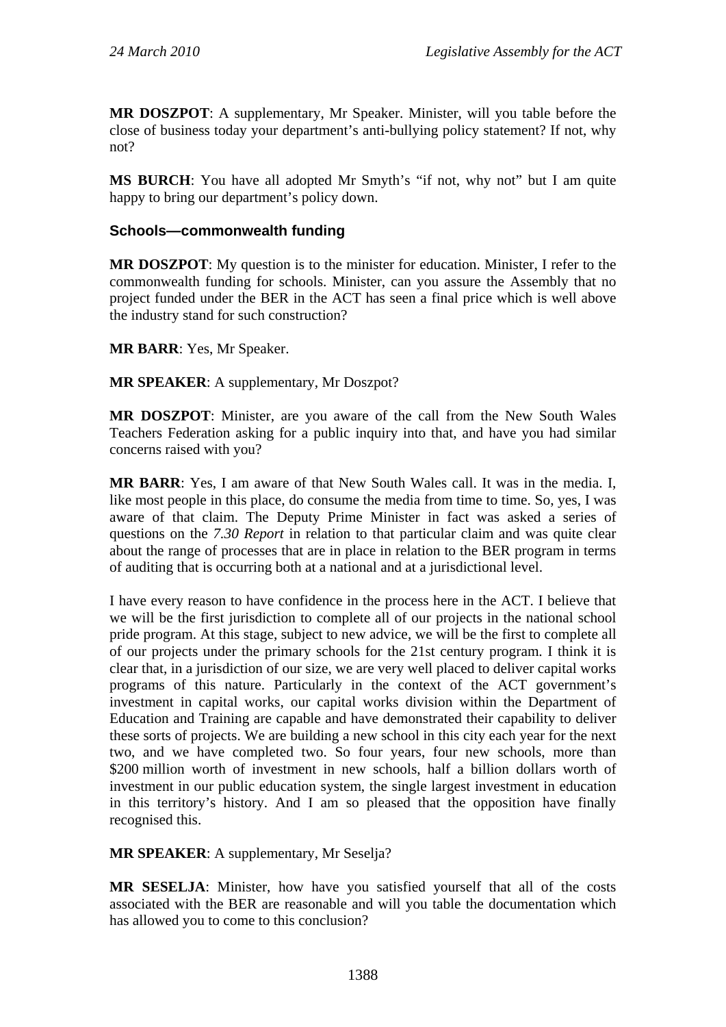**MR DOSZPOT**: A supplementary, Mr Speaker. Minister, will you table before the close of business today your department's anti-bullying policy statement? If not, why not?

**MS BURCH**: You have all adopted Mr Smyth's "if not, why not" but I am quite happy to bring our department's policy down.

### **Schools—commonwealth funding**

**MR DOSZPOT**: My question is to the minister for education. Minister, I refer to the commonwealth funding for schools. Minister, can you assure the Assembly that no project funded under the BER in the ACT has seen a final price which is well above the industry stand for such construction?

**MR BARR**: Yes, Mr Speaker.

**MR SPEAKER**: A supplementary, Mr Doszpot?

**MR DOSZPOT**: Minister, are you aware of the call from the New South Wales Teachers Federation asking for a public inquiry into that, and have you had similar concerns raised with you?

**MR BARR**: Yes, I am aware of that New South Wales call. It was in the media. I, like most people in this place, do consume the media from time to time. So, yes, I was aware of that claim. The Deputy Prime Minister in fact was asked a series of questions on the *7.30 Report* in relation to that particular claim and was quite clear about the range of processes that are in place in relation to the BER program in terms of auditing that is occurring both at a national and at a jurisdictional level.

I have every reason to have confidence in the process here in the ACT. I believe that we will be the first jurisdiction to complete all of our projects in the national school pride program. At this stage, subject to new advice, we will be the first to complete all of our projects under the primary schools for the 21st century program. I think it is clear that, in a jurisdiction of our size, we are very well placed to deliver capital works programs of this nature. Particularly in the context of the ACT government's investment in capital works, our capital works division within the Department of Education and Training are capable and have demonstrated their capability to deliver these sorts of projects. We are building a new school in this city each year for the next two, and we have completed two. So four years, four new schools, more than \$200 million worth of investment in new schools, half a billion dollars worth of investment in our public education system, the single largest investment in education in this territory's history. And I am so pleased that the opposition have finally recognised this.

**MR SPEAKER**: A supplementary, Mr Seselja?

**MR SESELJA**: Minister, how have you satisfied yourself that all of the costs associated with the BER are reasonable and will you table the documentation which has allowed you to come to this conclusion?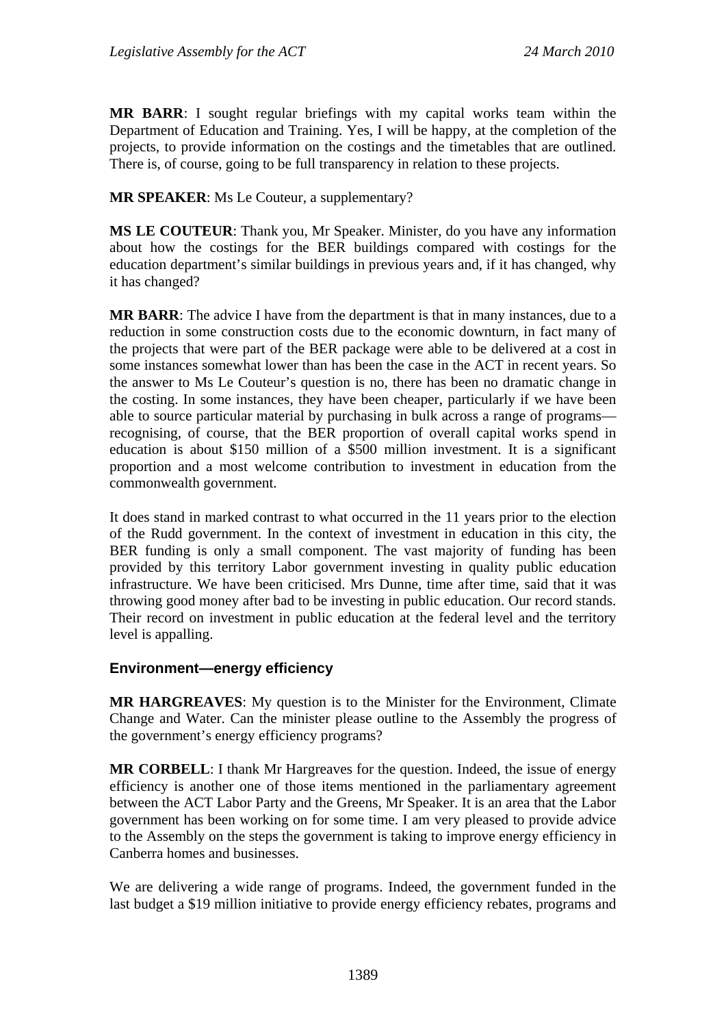**MR BARR**: I sought regular briefings with my capital works team within the Department of Education and Training. Yes, I will be happy, at the completion of the projects, to provide information on the costings and the timetables that are outlined. There is, of course, going to be full transparency in relation to these projects.

**MR SPEAKER**: Ms Le Couteur, a supplementary?

**MS LE COUTEUR**: Thank you, Mr Speaker. Minister, do you have any information about how the costings for the BER buildings compared with costings for the education department's similar buildings in previous years and, if it has changed, why it has changed?

**MR BARR**: The advice I have from the department is that in many instances, due to a reduction in some construction costs due to the economic downturn, in fact many of the projects that were part of the BER package were able to be delivered at a cost in some instances somewhat lower than has been the case in the ACT in recent years. So the answer to Ms Le Couteur's question is no, there has been no dramatic change in the costing. In some instances, they have been cheaper, particularly if we have been able to source particular material by purchasing in bulk across a range of programs recognising, of course, that the BER proportion of overall capital works spend in education is about \$150 million of a \$500 million investment. It is a significant proportion and a most welcome contribution to investment in education from the commonwealth government.

It does stand in marked contrast to what occurred in the 11 years prior to the election of the Rudd government. In the context of investment in education in this city, the BER funding is only a small component. The vast majority of funding has been provided by this territory Labor government investing in quality public education infrastructure. We have been criticised. Mrs Dunne, time after time, said that it was throwing good money after bad to be investing in public education. Our record stands. Their record on investment in public education at the federal level and the territory level is appalling.

### **Environment—energy efficiency**

**MR HARGREAVES**: My question is to the Minister for the Environment, Climate Change and Water. Can the minister please outline to the Assembly the progress of the government's energy efficiency programs?

**MR CORBELL**: I thank Mr Hargreaves for the question. Indeed, the issue of energy efficiency is another one of those items mentioned in the parliamentary agreement between the ACT Labor Party and the Greens, Mr Speaker. It is an area that the Labor government has been working on for some time. I am very pleased to provide advice to the Assembly on the steps the government is taking to improve energy efficiency in Canberra homes and businesses.

We are delivering a wide range of programs. Indeed, the government funded in the last budget a \$19 million initiative to provide energy efficiency rebates, programs and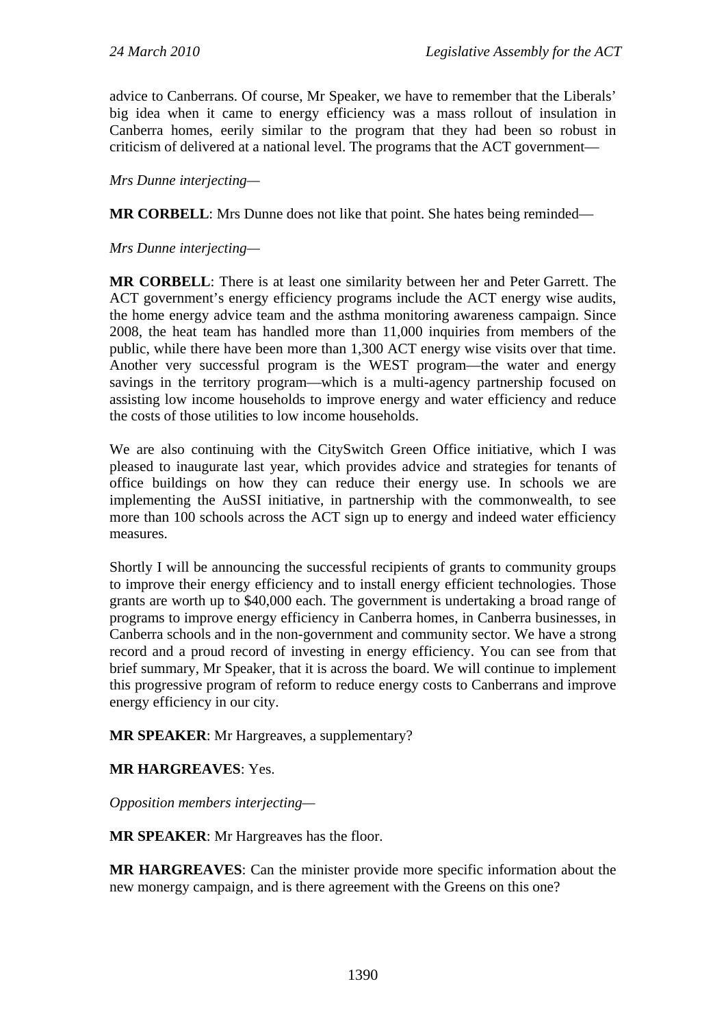advice to Canberrans. Of course, Mr Speaker, we have to remember that the Liberals' big idea when it came to energy efficiency was a mass rollout of insulation in Canberra homes, eerily similar to the program that they had been so robust in criticism of delivered at a national level. The programs that the ACT government—

*Mrs Dunne interjecting—* 

**MR CORBELL:** Mrs Dunne does not like that point. She hates being reminded—

*Mrs Dunne interjecting—* 

**MR CORBELL**: There is at least one similarity between her and Peter Garrett. The ACT government's energy efficiency programs include the ACT energy wise audits, the home energy advice team and the asthma monitoring awareness campaign. Since 2008, the heat team has handled more than 11,000 inquiries from members of the public, while there have been more than 1,300 ACT energy wise visits over that time. Another very successful program is the WEST program—the water and energy savings in the territory program—which is a multi-agency partnership focused on assisting low income households to improve energy and water efficiency and reduce the costs of those utilities to low income households.

We are also continuing with the CitySwitch Green Office initiative, which I was pleased to inaugurate last year, which provides advice and strategies for tenants of office buildings on how they can reduce their energy use. In schools we are implementing the AuSSI initiative, in partnership with the commonwealth, to see more than 100 schools across the ACT sign up to energy and indeed water efficiency measures.

Shortly I will be announcing the successful recipients of grants to community groups to improve their energy efficiency and to install energy efficient technologies. Those grants are worth up to \$40,000 each. The government is undertaking a broad range of programs to improve energy efficiency in Canberra homes, in Canberra businesses, in Canberra schools and in the non-government and community sector. We have a strong record and a proud record of investing in energy efficiency. You can see from that brief summary, Mr Speaker, that it is across the board. We will continue to implement this progressive program of reform to reduce energy costs to Canberrans and improve energy efficiency in our city.

**MR SPEAKER**: Mr Hargreaves, a supplementary?

**MR HARGREAVES**: Yes.

*Opposition members interjecting—* 

**MR SPEAKER**: Mr Hargreaves has the floor.

**MR HARGREAVES**: Can the minister provide more specific information about the new monergy campaign, and is there agreement with the Greens on this one?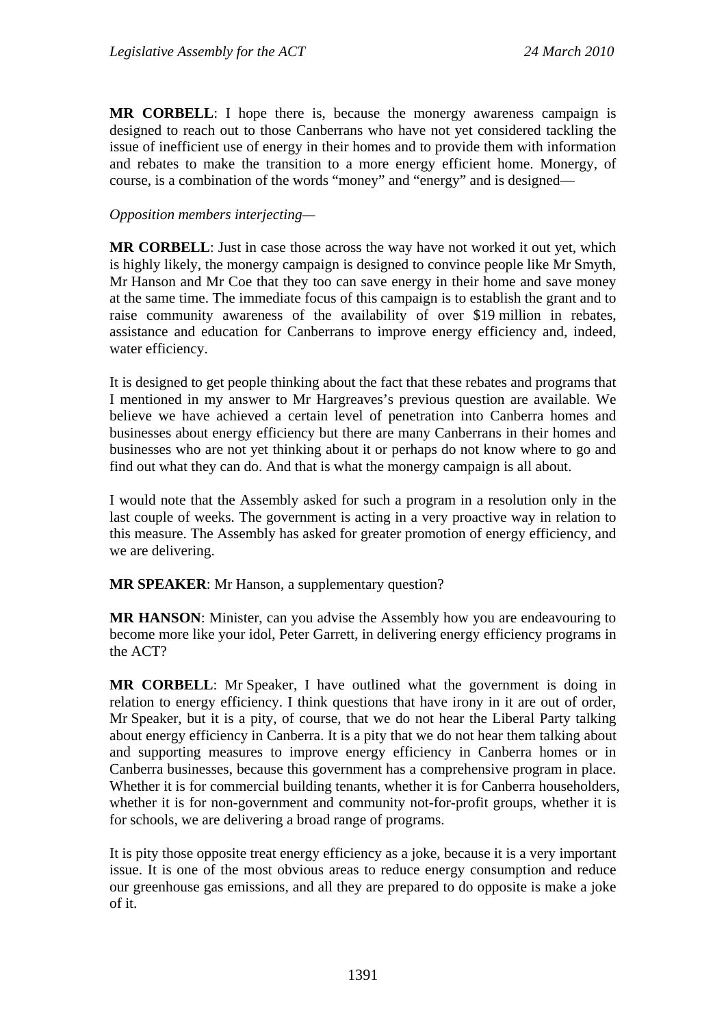**MR CORBELL**: I hope there is, because the monergy awareness campaign is designed to reach out to those Canberrans who have not yet considered tackling the issue of inefficient use of energy in their homes and to provide them with information and rebates to make the transition to a more energy efficient home. Monergy, of course, is a combination of the words "money" and "energy" and is designed—

#### *Opposition members interjecting—*

**MR CORBELL:** Just in case those across the way have not worked it out yet, which is highly likely, the monergy campaign is designed to convince people like Mr Smyth, Mr Hanson and Mr Coe that they too can save energy in their home and save money at the same time. The immediate focus of this campaign is to establish the grant and to raise community awareness of the availability of over \$19 million in rebates, assistance and education for Canberrans to improve energy efficiency and, indeed, water efficiency.

It is designed to get people thinking about the fact that these rebates and programs that I mentioned in my answer to Mr Hargreaves's previous question are available. We believe we have achieved a certain level of penetration into Canberra homes and businesses about energy efficiency but there are many Canberrans in their homes and businesses who are not yet thinking about it or perhaps do not know where to go and find out what they can do. And that is what the monergy campaign is all about.

I would note that the Assembly asked for such a program in a resolution only in the last couple of weeks. The government is acting in a very proactive way in relation to this measure. The Assembly has asked for greater promotion of energy efficiency, and we are delivering.

**MR SPEAKER**: Mr Hanson, a supplementary question?

**MR HANSON**: Minister, can you advise the Assembly how you are endeavouring to become more like your idol, Peter Garrett, in delivering energy efficiency programs in the ACT?

**MR CORBELL**: Mr Speaker, I have outlined what the government is doing in relation to energy efficiency. I think questions that have irony in it are out of order, Mr Speaker, but it is a pity, of course, that we do not hear the Liberal Party talking about energy efficiency in Canberra. It is a pity that we do not hear them talking about and supporting measures to improve energy efficiency in Canberra homes or in Canberra businesses, because this government has a comprehensive program in place. Whether it is for commercial building tenants, whether it is for Canberra householders, whether it is for non-government and community not-for-profit groups, whether it is for schools, we are delivering a broad range of programs.

It is pity those opposite treat energy efficiency as a joke, because it is a very important issue. It is one of the most obvious areas to reduce energy consumption and reduce our greenhouse gas emissions, and all they are prepared to do opposite is make a joke of it.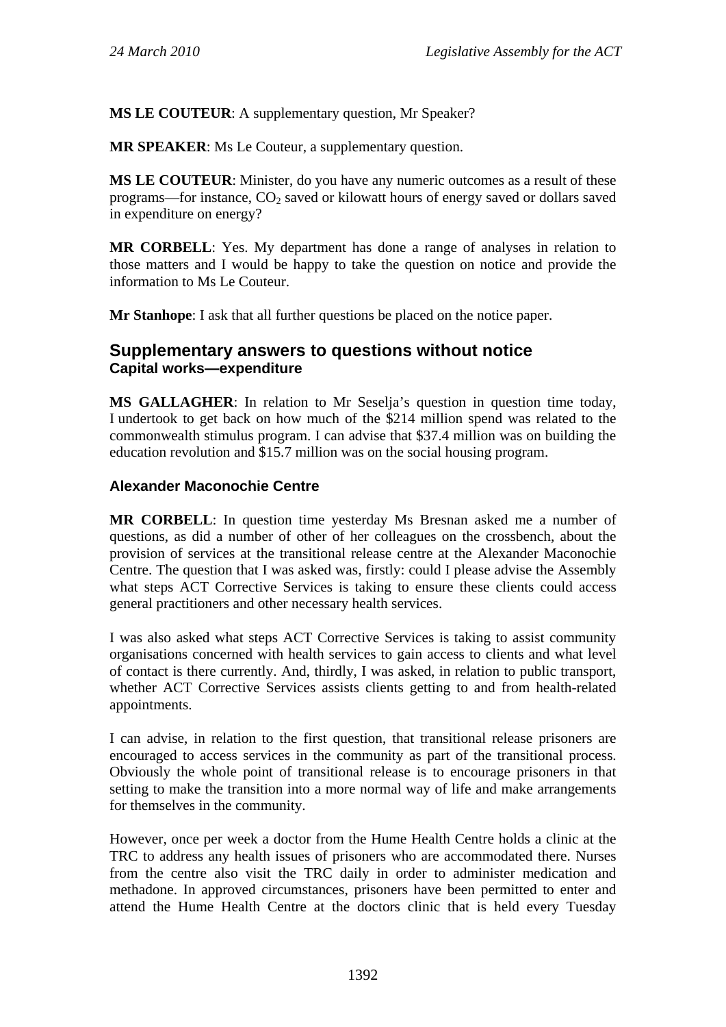**MS LE COUTEUR**: A supplementary question, Mr Speaker?

**MR SPEAKER**: Ms Le Couteur, a supplementary question.

**MS LE COUTEUR**: Minister, do you have any numeric outcomes as a result of these programs—for instance,  $CO<sub>2</sub>$  saved or kilowatt hours of energy saved or dollars saved in expenditure on energy?

**MR CORBELL**: Yes. My department has done a range of analyses in relation to those matters and I would be happy to take the question on notice and provide the information to Ms Le Couteur.

**Mr Stanhope**: I ask that all further questions be placed on the notice paper.

# **Supplementary answers to questions without notice Capital works—expenditure**

**MS GALLAGHER**: In relation to Mr Seselja's question in question time today, I undertook to get back on how much of the \$214 million spend was related to the commonwealth stimulus program. I can advise that \$37.4 million was on building the education revolution and \$15.7 million was on the social housing program.

### **Alexander Maconochie Centre**

**MR CORBELL**: In question time yesterday Ms Bresnan asked me a number of questions, as did a number of other of her colleagues on the crossbench, about the provision of services at the transitional release centre at the Alexander Maconochie Centre. The question that I was asked was, firstly: could I please advise the Assembly what steps ACT Corrective Services is taking to ensure these clients could access general practitioners and other necessary health services.

I was also asked what steps ACT Corrective Services is taking to assist community organisations concerned with health services to gain access to clients and what level of contact is there currently. And, thirdly, I was asked, in relation to public transport, whether ACT Corrective Services assists clients getting to and from health-related appointments.

I can advise, in relation to the first question, that transitional release prisoners are encouraged to access services in the community as part of the transitional process. Obviously the whole point of transitional release is to encourage prisoners in that setting to make the transition into a more normal way of life and make arrangements for themselves in the community.

However, once per week a doctor from the Hume Health Centre holds a clinic at the TRC to address any health issues of prisoners who are accommodated there. Nurses from the centre also visit the TRC daily in order to administer medication and methadone. In approved circumstances, prisoners have been permitted to enter and attend the Hume Health Centre at the doctors clinic that is held every Tuesday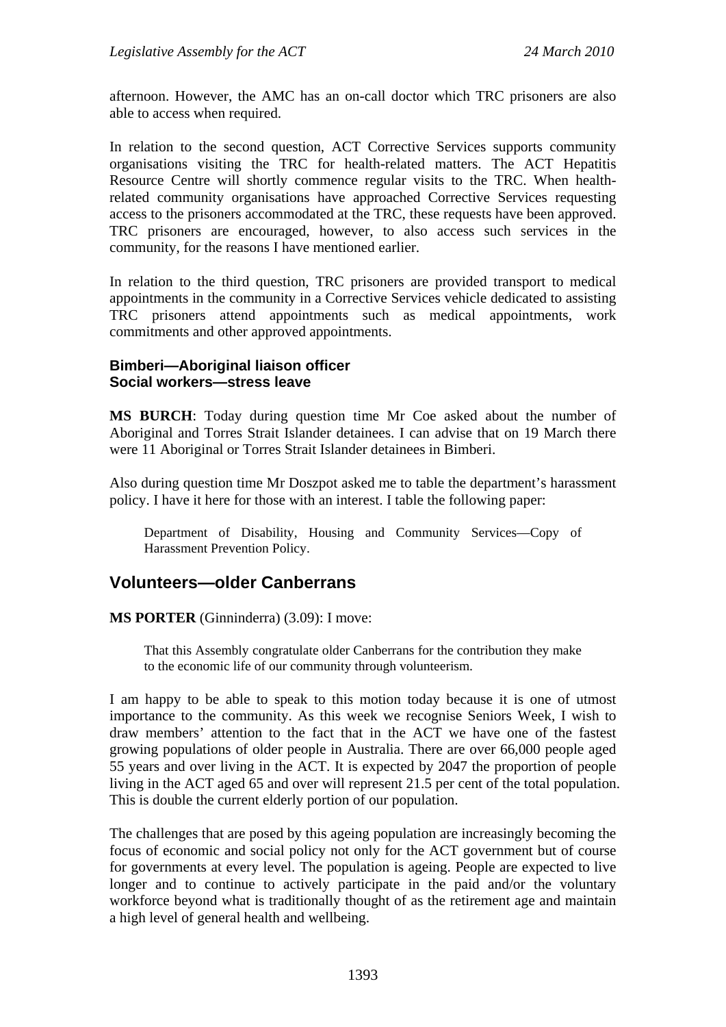afternoon. However, the AMC has an on-call doctor which TRC prisoners are also able to access when required.

In relation to the second question, ACT Corrective Services supports community organisations visiting the TRC for health-related matters. The ACT Hepatitis Resource Centre will shortly commence regular visits to the TRC. When healthrelated community organisations have approached Corrective Services requesting access to the prisoners accommodated at the TRC, these requests have been approved. TRC prisoners are encouraged, however, to also access such services in the community, for the reasons I have mentioned earlier.

In relation to the third question, TRC prisoners are provided transport to medical appointments in the community in a Corrective Services vehicle dedicated to assisting TRC prisoners attend appointments such as medical appointments, work commitments and other approved appointments.

## **Bimberi—Aboriginal liaison officer Social workers—stress leave**

**MS BURCH**: Today during question time Mr Coe asked about the number of Aboriginal and Torres Strait Islander detainees. I can advise that on 19 March there were 11 Aboriginal or Torres Strait Islander detainees in Bimberi.

Also during question time Mr Doszpot asked me to table the department's harassment policy. I have it here for those with an interest. I table the following paper:

Department of Disability, Housing and Community Services—Copy of Harassment Prevention Policy.

## **Volunteers—older Canberrans**

**MS PORTER** (Ginninderra) (3.09): I move:

That this Assembly congratulate older Canberrans for the contribution they make to the economic life of our community through volunteerism.

I am happy to be able to speak to this motion today because it is one of utmost importance to the community. As this week we recognise Seniors Week, I wish to draw members' attention to the fact that in the ACT we have one of the fastest growing populations of older people in Australia. There are over 66,000 people aged 55 years and over living in the ACT. It is expected by 2047 the proportion of people living in the ACT aged 65 and over will represent 21.5 per cent of the total population. This is double the current elderly portion of our population.

The challenges that are posed by this ageing population are increasingly becoming the focus of economic and social policy not only for the ACT government but of course for governments at every level. The population is ageing. People are expected to live longer and to continue to actively participate in the paid and/or the voluntary workforce beyond what is traditionally thought of as the retirement age and maintain a high level of general health and wellbeing.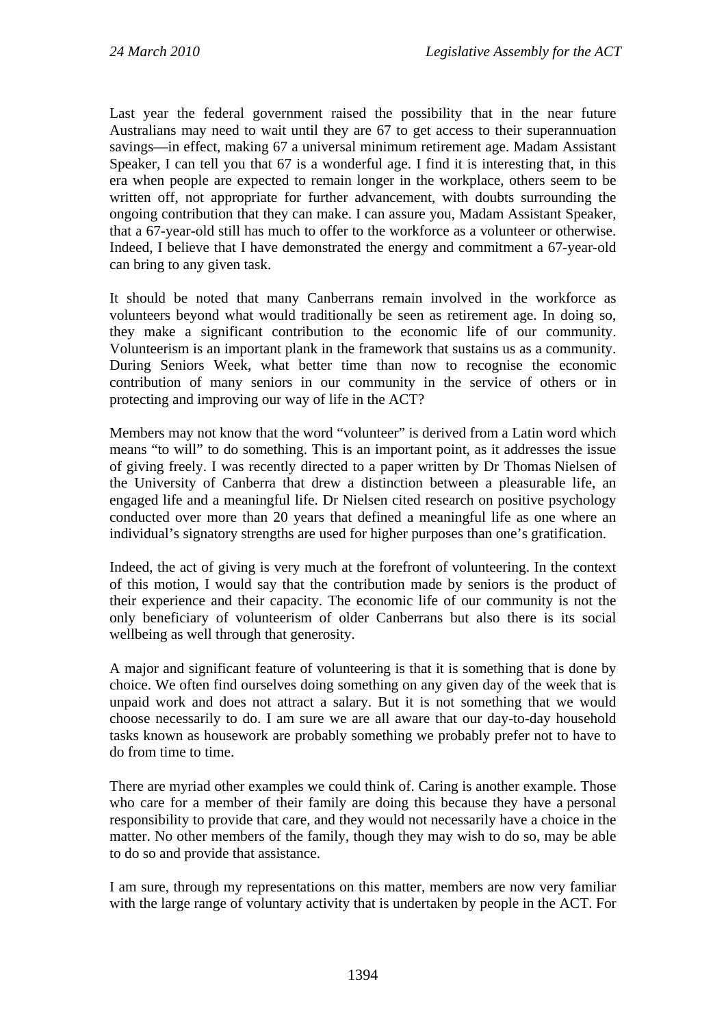Last year the federal government raised the possibility that in the near future Australians may need to wait until they are 67 to get access to their superannuation savings—in effect, making 67 a universal minimum retirement age. Madam Assistant Speaker, I can tell you that 67 is a wonderful age. I find it is interesting that, in this era when people are expected to remain longer in the workplace, others seem to be written off, not appropriate for further advancement, with doubts surrounding the ongoing contribution that they can make. I can assure you, Madam Assistant Speaker, that a 67-year-old still has much to offer to the workforce as a volunteer or otherwise. Indeed, I believe that I have demonstrated the energy and commitment a 67-year-old can bring to any given task.

It should be noted that many Canberrans remain involved in the workforce as volunteers beyond what would traditionally be seen as retirement age. In doing so, they make a significant contribution to the economic life of our community. Volunteerism is an important plank in the framework that sustains us as a community. During Seniors Week, what better time than now to recognise the economic contribution of many seniors in our community in the service of others or in protecting and improving our way of life in the ACT?

Members may not know that the word "volunteer" is derived from a Latin word which means "to will" to do something. This is an important point, as it addresses the issue of giving freely. I was recently directed to a paper written by Dr Thomas Nielsen of the University of Canberra that drew a distinction between a pleasurable life, an engaged life and a meaningful life. Dr Nielsen cited research on positive psychology conducted over more than 20 years that defined a meaningful life as one where an individual's signatory strengths are used for higher purposes than one's gratification.

Indeed, the act of giving is very much at the forefront of volunteering. In the context of this motion, I would say that the contribution made by seniors is the product of their experience and their capacity. The economic life of our community is not the only beneficiary of volunteerism of older Canberrans but also there is its social wellbeing as well through that generosity.

A major and significant feature of volunteering is that it is something that is done by choice. We often find ourselves doing something on any given day of the week that is unpaid work and does not attract a salary. But it is not something that we would choose necessarily to do. I am sure we are all aware that our day-to-day household tasks known as housework are probably something we probably prefer not to have to do from time to time.

There are myriad other examples we could think of. Caring is another example. Those who care for a member of their family are doing this because they have a personal responsibility to provide that care, and they would not necessarily have a choice in the matter. No other members of the family, though they may wish to do so, may be able to do so and provide that assistance.

I am sure, through my representations on this matter, members are now very familiar with the large range of voluntary activity that is undertaken by people in the ACT. For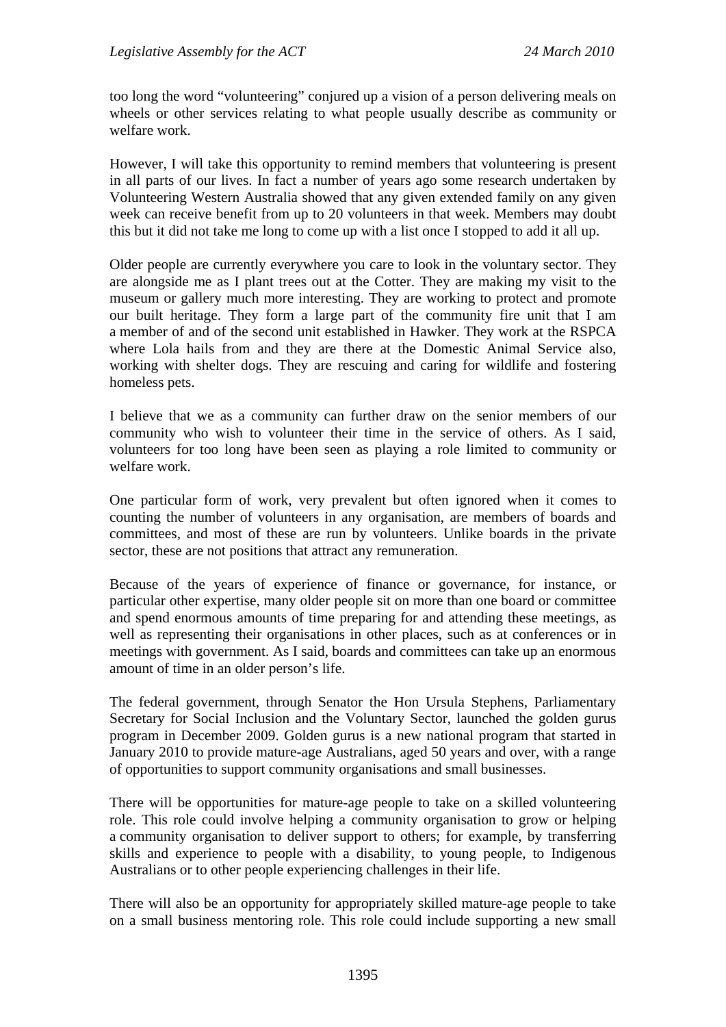too long the word "volunteering" conjured up a vision of a person delivering meals on wheels or other services relating to what people usually describe as community or welfare work.

However, I will take this opportunity to remind members that volunteering is present in all parts of our lives. In fact a number of years ago some research undertaken by Volunteering Western Australia showed that any given extended family on any given week can receive benefit from up to 20 volunteers in that week. Members may doubt this but it did not take me long to come up with a list once I stopped to add it all up.

Older people are currently everywhere you care to look in the voluntary sector. They are alongside me as I plant trees out at the Cotter. They are making my visit to the museum or gallery much more interesting. They are working to protect and promote our built heritage. They form a large part of the community fire unit that I am a member of and of the second unit established in Hawker. They work at the RSPCA where Lola hails from and they are there at the Domestic Animal Service also, working with shelter dogs. They are rescuing and caring for wildlife and fostering homeless pets.

I believe that we as a community can further draw on the senior members of our community who wish to volunteer their time in the service of others. As I said, volunteers for too long have been seen as playing a role limited to community or welfare work.

One particular form of work, very prevalent but often ignored when it comes to counting the number of volunteers in any organisation, are members of boards and committees, and most of these are run by volunteers. Unlike boards in the private sector, these are not positions that attract any remuneration.

Because of the years of experience of finance or governance, for instance, or particular other expertise, many older people sit on more than one board or committee and spend enormous amounts of time preparing for and attending these meetings, as well as representing their organisations in other places, such as at conferences or in meetings with government. As I said, boards and committees can take up an enormous amount of time in an older person's life.

The federal government, through Senator the Hon Ursula Stephens, Parliamentary Secretary for Social Inclusion and the Voluntary Sector, launched the golden gurus program in December 2009. Golden gurus is a new national program that started in January 2010 to provide mature-age Australians, aged 50 years and over, with a range of opportunities to support community organisations and small businesses.

There will be opportunities for mature-age people to take on a skilled volunteering role. This role could involve helping a community organisation to grow or helping a community organisation to deliver support to others; for example, by transferring skills and experience to people with a disability, to young people, to Indigenous Australians or to other people experiencing challenges in their life.

There will also be an opportunity for appropriately skilled mature-age people to take on a small business mentoring role. This role could include supporting a new small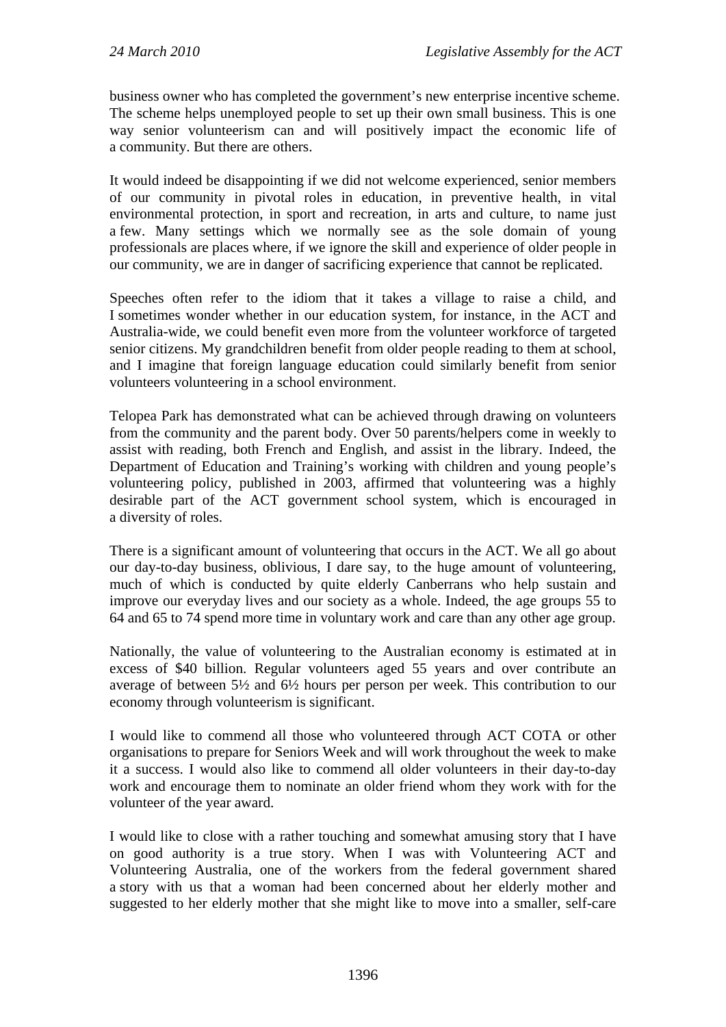business owner who has completed the government's new enterprise incentive scheme. The scheme helps unemployed people to set up their own small business. This is one way senior volunteerism can and will positively impact the economic life of a community. But there are others.

It would indeed be disappointing if we did not welcome experienced, senior members of our community in pivotal roles in education, in preventive health, in vital environmental protection, in sport and recreation, in arts and culture, to name just a few. Many settings which we normally see as the sole domain of young professionals are places where, if we ignore the skill and experience of older people in our community, we are in danger of sacrificing experience that cannot be replicated.

Speeches often refer to the idiom that it takes a village to raise a child, and I sometimes wonder whether in our education system, for instance, in the ACT and Australia-wide, we could benefit even more from the volunteer workforce of targeted senior citizens. My grandchildren benefit from older people reading to them at school, and I imagine that foreign language education could similarly benefit from senior volunteers volunteering in a school environment.

Telopea Park has demonstrated what can be achieved through drawing on volunteers from the community and the parent body. Over 50 parents/helpers come in weekly to assist with reading, both French and English, and assist in the library. Indeed, the Department of Education and Training's working with children and young people's volunteering policy, published in 2003, affirmed that volunteering was a highly desirable part of the ACT government school system, which is encouraged in a diversity of roles.

There is a significant amount of volunteering that occurs in the ACT. We all go about our day-to-day business, oblivious, I dare say, to the huge amount of volunteering, much of which is conducted by quite elderly Canberrans who help sustain and improve our everyday lives and our society as a whole. Indeed, the age groups 55 to 64 and 65 to 74 spend more time in voluntary work and care than any other age group.

Nationally, the value of volunteering to the Australian economy is estimated at in excess of \$40 billion. Regular volunteers aged 55 years and over contribute an average of between 5½ and 6½ hours per person per week. This contribution to our economy through volunteerism is significant.

I would like to commend all those who volunteered through ACT COTA or other organisations to prepare for Seniors Week and will work throughout the week to make it a success. I would also like to commend all older volunteers in their day-to-day work and encourage them to nominate an older friend whom they work with for the volunteer of the year award.

I would like to close with a rather touching and somewhat amusing story that I have on good authority is a true story. When I was with Volunteering ACT and Volunteering Australia, one of the workers from the federal government shared a story with us that a woman had been concerned about her elderly mother and suggested to her elderly mother that she might like to move into a smaller, self-care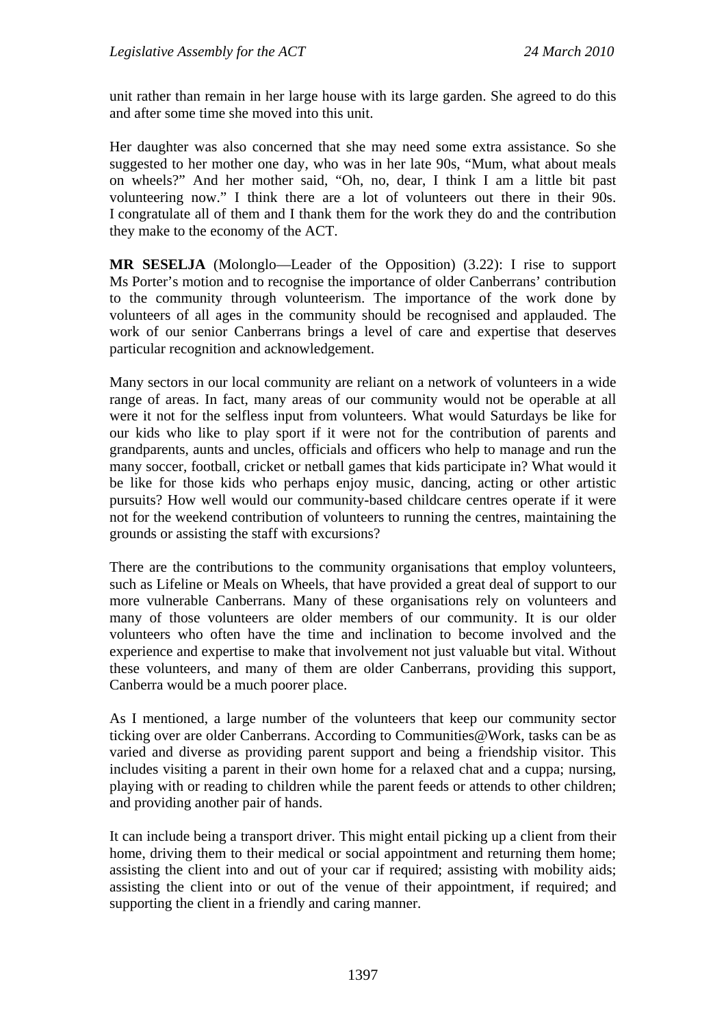unit rather than remain in her large house with its large garden. She agreed to do this and after some time she moved into this unit.

Her daughter was also concerned that she may need some extra assistance. So she suggested to her mother one day, who was in her late 90s, "Mum, what about meals on wheels?" And her mother said, "Oh, no, dear, I think I am a little bit past volunteering now." I think there are a lot of volunteers out there in their 90s. I congratulate all of them and I thank them for the work they do and the contribution they make to the economy of the ACT.

**MR SESELJA** (Molonglo—Leader of the Opposition) (3.22): I rise to support Ms Porter's motion and to recognise the importance of older Canberrans' contribution to the community through volunteerism. The importance of the work done by volunteers of all ages in the community should be recognised and applauded. The work of our senior Canberrans brings a level of care and expertise that deserves particular recognition and acknowledgement.

Many sectors in our local community are reliant on a network of volunteers in a wide range of areas. In fact, many areas of our community would not be operable at all were it not for the selfless input from volunteers. What would Saturdays be like for our kids who like to play sport if it were not for the contribution of parents and grandparents, aunts and uncles, officials and officers who help to manage and run the many soccer, football, cricket or netball games that kids participate in? What would it be like for those kids who perhaps enjoy music, dancing, acting or other artistic pursuits? How well would our community-based childcare centres operate if it were not for the weekend contribution of volunteers to running the centres, maintaining the grounds or assisting the staff with excursions?

There are the contributions to the community organisations that employ volunteers, such as Lifeline or Meals on Wheels, that have provided a great deal of support to our more vulnerable Canberrans. Many of these organisations rely on volunteers and many of those volunteers are older members of our community. It is our older volunteers who often have the time and inclination to become involved and the experience and expertise to make that involvement not just valuable but vital. Without these volunteers, and many of them are older Canberrans, providing this support, Canberra would be a much poorer place.

As I mentioned, a large number of the volunteers that keep our community sector ticking over are older Canberrans. According to Communities@Work, tasks can be as varied and diverse as providing parent support and being a friendship visitor. This includes visiting a parent in their own home for a relaxed chat and a cuppa; nursing, playing with or reading to children while the parent feeds or attends to other children; and providing another pair of hands.

It can include being a transport driver. This might entail picking up a client from their home, driving them to their medical or social appointment and returning them home; assisting the client into and out of your car if required; assisting with mobility aids; assisting the client into or out of the venue of their appointment, if required; and supporting the client in a friendly and caring manner.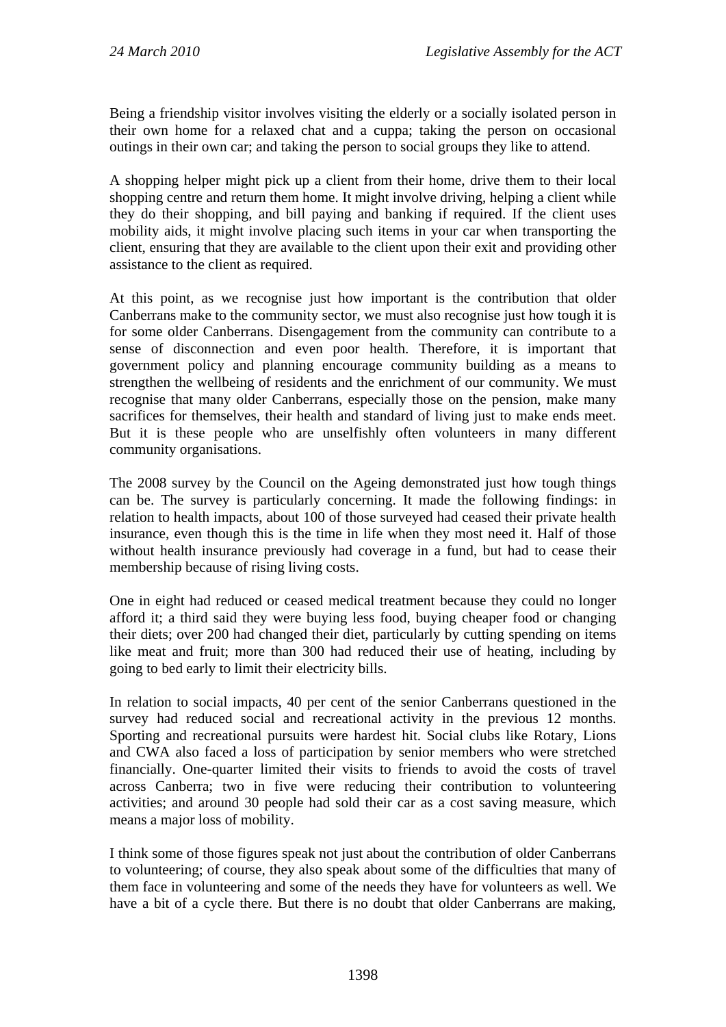Being a friendship visitor involves visiting the elderly or a socially isolated person in their own home for a relaxed chat and a cuppa; taking the person on occasional outings in their own car; and taking the person to social groups they like to attend.

A shopping helper might pick up a client from their home, drive them to their local shopping centre and return them home. It might involve driving, helping a client while they do their shopping, and bill paying and banking if required. If the client uses mobility aids, it might involve placing such items in your car when transporting the client, ensuring that they are available to the client upon their exit and providing other assistance to the client as required.

At this point, as we recognise just how important is the contribution that older Canberrans make to the community sector, we must also recognise just how tough it is for some older Canberrans. Disengagement from the community can contribute to a sense of disconnection and even poor health. Therefore, it is important that government policy and planning encourage community building as a means to strengthen the wellbeing of residents and the enrichment of our community. We must recognise that many older Canberrans, especially those on the pension, make many sacrifices for themselves, their health and standard of living just to make ends meet. But it is these people who are unselfishly often volunteers in many different community organisations.

The 2008 survey by the Council on the Ageing demonstrated just how tough things can be. The survey is particularly concerning. It made the following findings: in relation to health impacts, about 100 of those surveyed had ceased their private health insurance, even though this is the time in life when they most need it. Half of those without health insurance previously had coverage in a fund, but had to cease their membership because of rising living costs.

One in eight had reduced or ceased medical treatment because they could no longer afford it; a third said they were buying less food, buying cheaper food or changing their diets; over 200 had changed their diet, particularly by cutting spending on items like meat and fruit; more than 300 had reduced their use of heating, including by going to bed early to limit their electricity bills.

In relation to social impacts, 40 per cent of the senior Canberrans questioned in the survey had reduced social and recreational activity in the previous 12 months. Sporting and recreational pursuits were hardest hit. Social clubs like Rotary, Lions and CWA also faced a loss of participation by senior members who were stretched financially. One-quarter limited their visits to friends to avoid the costs of travel across Canberra; two in five were reducing their contribution to volunteering activities; and around 30 people had sold their car as a cost saving measure, which means a major loss of mobility.

I think some of those figures speak not just about the contribution of older Canberrans to volunteering; of course, they also speak about some of the difficulties that many of them face in volunteering and some of the needs they have for volunteers as well. We have a bit of a cycle there. But there is no doubt that older Canberrans are making,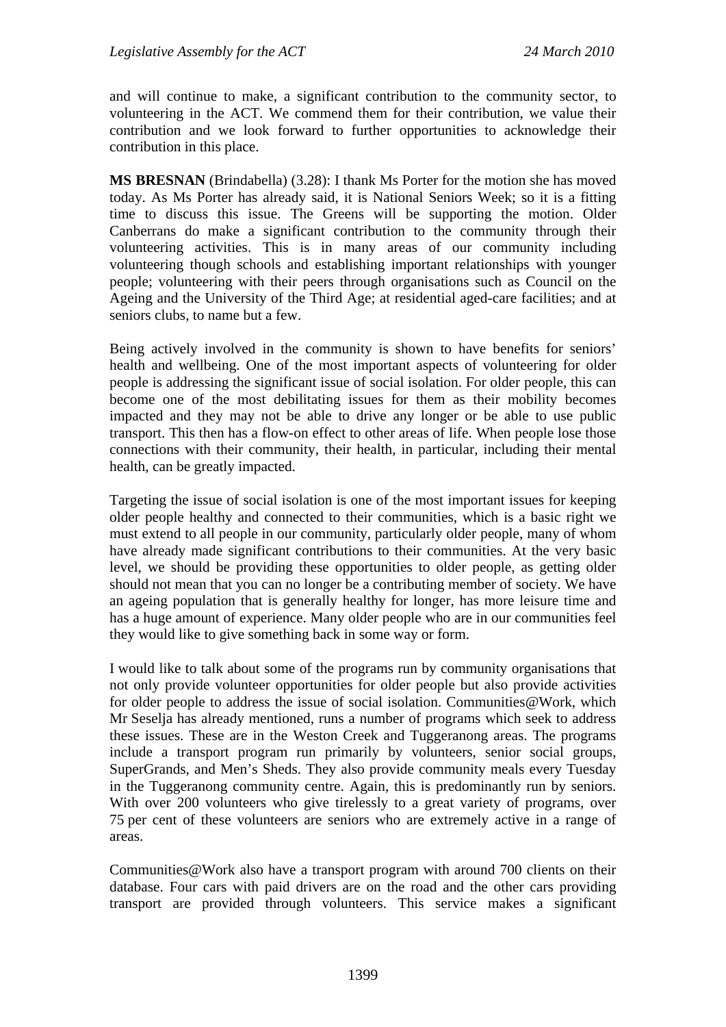and will continue to make, a significant contribution to the community sector, to volunteering in the ACT. We commend them for their contribution, we value their contribution and we look forward to further opportunities to acknowledge their contribution in this place.

**MS BRESNAN** (Brindabella) (3.28): I thank Ms Porter for the motion she has moved today. As Ms Porter has already said, it is National Seniors Week; so it is a fitting time to discuss this issue. The Greens will be supporting the motion. Older Canberrans do make a significant contribution to the community through their volunteering activities. This is in many areas of our community including volunteering though schools and establishing important relationships with younger people; volunteering with their peers through organisations such as Council on the Ageing and the University of the Third Age; at residential aged-care facilities; and at seniors clubs, to name but a few.

Being actively involved in the community is shown to have benefits for seniors' health and wellbeing. One of the most important aspects of volunteering for older people is addressing the significant issue of social isolation. For older people, this can become one of the most debilitating issues for them as their mobility becomes impacted and they may not be able to drive any longer or be able to use public transport. This then has a flow-on effect to other areas of life. When people lose those connections with their community, their health, in particular, including their mental health, can be greatly impacted.

Targeting the issue of social isolation is one of the most important issues for keeping older people healthy and connected to their communities, which is a basic right we must extend to all people in our community, particularly older people, many of whom have already made significant contributions to their communities. At the very basic level, we should be providing these opportunities to older people, as getting older should not mean that you can no longer be a contributing member of society. We have an ageing population that is generally healthy for longer, has more leisure time and has a huge amount of experience. Many older people who are in our communities feel they would like to give something back in some way or form.

I would like to talk about some of the programs run by community organisations that not only provide volunteer opportunities for older people but also provide activities for older people to address the issue of social isolation. Communities @Work, which Mr Seselja has already mentioned, runs a number of programs which seek to address these issues. These are in the Weston Creek and Tuggeranong areas. The programs include a transport program run primarily by volunteers, senior social groups, SuperGrands, and Men's Sheds. They also provide community meals every Tuesday in the Tuggeranong community centre. Again, this is predominantly run by seniors. With over 200 volunteers who give tirelessly to a great variety of programs, over 75 per cent of these volunteers are seniors who are extremely active in a range of areas.

Communities@Work also have a transport program with around 700 clients on their database. Four cars with paid drivers are on the road and the other cars providing transport are provided through volunteers. This service makes a significant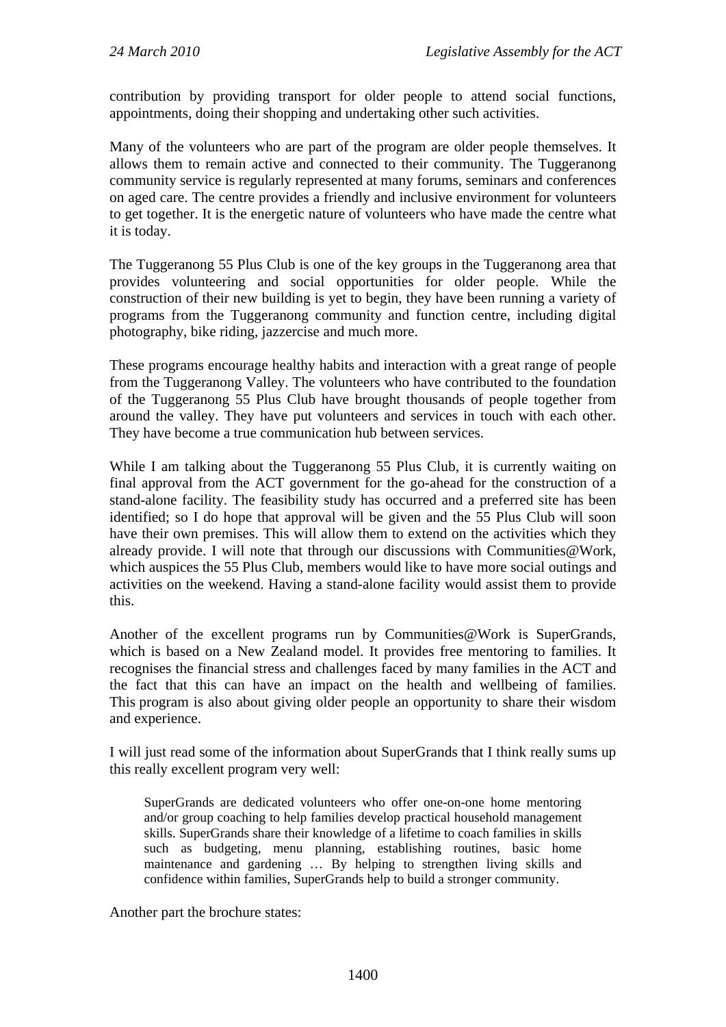contribution by providing transport for older people to attend social functions, appointments, doing their shopping and undertaking other such activities.

Many of the volunteers who are part of the program are older people themselves. It allows them to remain active and connected to their community. The Tuggeranong community service is regularly represented at many forums, seminars and conferences on aged care. The centre provides a friendly and inclusive environment for volunteers to get together. It is the energetic nature of volunteers who have made the centre what it is today.

The Tuggeranong 55 Plus Club is one of the key groups in the Tuggeranong area that provides volunteering and social opportunities for older people. While the construction of their new building is yet to begin, they have been running a variety of programs from the Tuggeranong community and function centre, including digital photography, bike riding, jazzercise and much more.

These programs encourage healthy habits and interaction with a great range of people from the Tuggeranong Valley. The volunteers who have contributed to the foundation of the Tuggeranong 55 Plus Club have brought thousands of people together from around the valley. They have put volunteers and services in touch with each other. They have become a true communication hub between services.

While I am talking about the Tuggeranong 55 Plus Club, it is currently waiting on final approval from the ACT government for the go-ahead for the construction of a stand-alone facility. The feasibility study has occurred and a preferred site has been identified; so I do hope that approval will be given and the 55 Plus Club will soon have their own premises. This will allow them to extend on the activities which they already provide. I will note that through our discussions with Communities@Work, which auspices the 55 Plus Club, members would like to have more social outings and activities on the weekend. Having a stand-alone facility would assist them to provide this.

Another of the excellent programs run by Communities@Work is SuperGrands, which is based on a New Zealand model. It provides free mentoring to families. It recognises the financial stress and challenges faced by many families in the ACT and the fact that this can have an impact on the health and wellbeing of families. This program is also about giving older people an opportunity to share their wisdom and experience.

I will just read some of the information about SuperGrands that I think really sums up this really excellent program very well:

SuperGrands are dedicated volunteers who offer one-on-one home mentoring and/or group coaching to help families develop practical household management skills. SuperGrands share their knowledge of a lifetime to coach families in skills such as budgeting, menu planning, establishing routines, basic home maintenance and gardening … By helping to strengthen living skills and confidence within families, SuperGrands help to build a stronger community.

Another part the brochure states: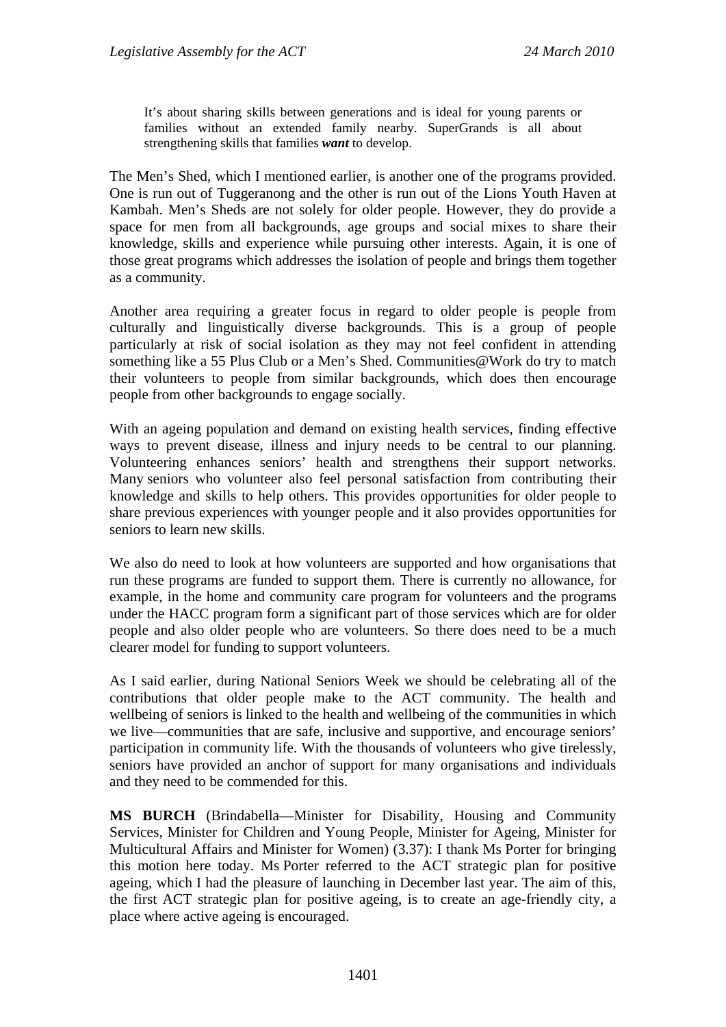It's about sharing skills between generations and is ideal for young parents or families without an extended family nearby. SuperGrands is all about strengthening skills that families *want* to develop.

The Men's Shed, which I mentioned earlier, is another one of the programs provided. One is run out of Tuggeranong and the other is run out of the Lions Youth Haven at Kambah. Men's Sheds are not solely for older people. However, they do provide a space for men from all backgrounds, age groups and social mixes to share their knowledge, skills and experience while pursuing other interests. Again, it is one of those great programs which addresses the isolation of people and brings them together as a community.

Another area requiring a greater focus in regard to older people is people from culturally and linguistically diverse backgrounds. This is a group of people particularly at risk of social isolation as they may not feel confident in attending something like a 55 Plus Club or a Men's Shed. Communities@Work do try to match their volunteers to people from similar backgrounds, which does then encourage people from other backgrounds to engage socially.

With an ageing population and demand on existing health services, finding effective ways to prevent disease, illness and injury needs to be central to our planning. Volunteering enhances seniors' health and strengthens their support networks. Many seniors who volunteer also feel personal satisfaction from contributing their knowledge and skills to help others. This provides opportunities for older people to share previous experiences with younger people and it also provides opportunities for seniors to learn new skills.

We also do need to look at how volunteers are supported and how organisations that run these programs are funded to support them. There is currently no allowance, for example, in the home and community care program for volunteers and the programs under the HACC program form a significant part of those services which are for older people and also older people who are volunteers. So there does need to be a much clearer model for funding to support volunteers.

As I said earlier, during National Seniors Week we should be celebrating all of the contributions that older people make to the ACT community. The health and wellbeing of seniors is linked to the health and wellbeing of the communities in which we live—communities that are safe, inclusive and supportive, and encourage seniors' participation in community life. With the thousands of volunteers who give tirelessly, seniors have provided an anchor of support for many organisations and individuals and they need to be commended for this.

**MS BURCH** (Brindabella—Minister for Disability, Housing and Community Services, Minister for Children and Young People, Minister for Ageing, Minister for Multicultural Affairs and Minister for Women) (3.37): I thank Ms Porter for bringing this motion here today. Ms Porter referred to the ACT strategic plan for positive ageing, which I had the pleasure of launching in December last year. The aim of this, the first ACT strategic plan for positive ageing, is to create an age-friendly city, a place where active ageing is encouraged.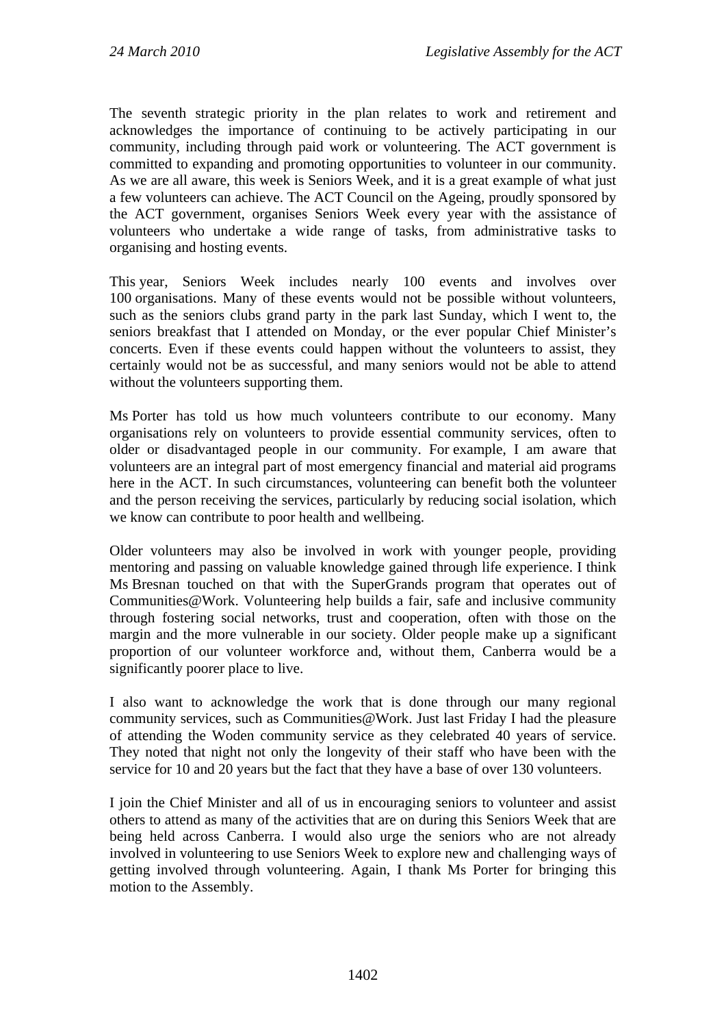The seventh strategic priority in the plan relates to work and retirement and acknowledges the importance of continuing to be actively participating in our community, including through paid work or volunteering. The ACT government is committed to expanding and promoting opportunities to volunteer in our community. As we are all aware, this week is Seniors Week, and it is a great example of what just a few volunteers can achieve. The ACT Council on the Ageing, proudly sponsored by the ACT government, organises Seniors Week every year with the assistance of volunteers who undertake a wide range of tasks, from administrative tasks to organising and hosting events.

This year, Seniors Week includes nearly 100 events and involves over 100 organisations. Many of these events would not be possible without volunteers, such as the seniors clubs grand party in the park last Sunday, which I went to, the seniors breakfast that I attended on Monday, or the ever popular Chief Minister's concerts. Even if these events could happen without the volunteers to assist, they certainly would not be as successful, and many seniors would not be able to attend without the volunteers supporting them.

Ms Porter has told us how much volunteers contribute to our economy. Many organisations rely on volunteers to provide essential community services, often to older or disadvantaged people in our community. For example, I am aware that volunteers are an integral part of most emergency financial and material aid programs here in the ACT. In such circumstances, volunteering can benefit both the volunteer and the person receiving the services, particularly by reducing social isolation, which we know can contribute to poor health and wellbeing.

Older volunteers may also be involved in work with younger people, providing mentoring and passing on valuable knowledge gained through life experience. I think Ms Bresnan touched on that with the SuperGrands program that operates out of Communities@Work. Volunteering help builds a fair, safe and inclusive community through fostering social networks, trust and cooperation, often with those on the margin and the more vulnerable in our society. Older people make up a significant proportion of our volunteer workforce and, without them, Canberra would be a significantly poorer place to live.

I also want to acknowledge the work that is done through our many regional community services, such as Communities@Work. Just last Friday I had the pleasure of attending the Woden community service as they celebrated 40 years of service. They noted that night not only the longevity of their staff who have been with the service for 10 and 20 years but the fact that they have a base of over 130 volunteers.

I join the Chief Minister and all of us in encouraging seniors to volunteer and assist others to attend as many of the activities that are on during this Seniors Week that are being held across Canberra. I would also urge the seniors who are not already involved in volunteering to use Seniors Week to explore new and challenging ways of getting involved through volunteering. Again, I thank Ms Porter for bringing this motion to the Assembly.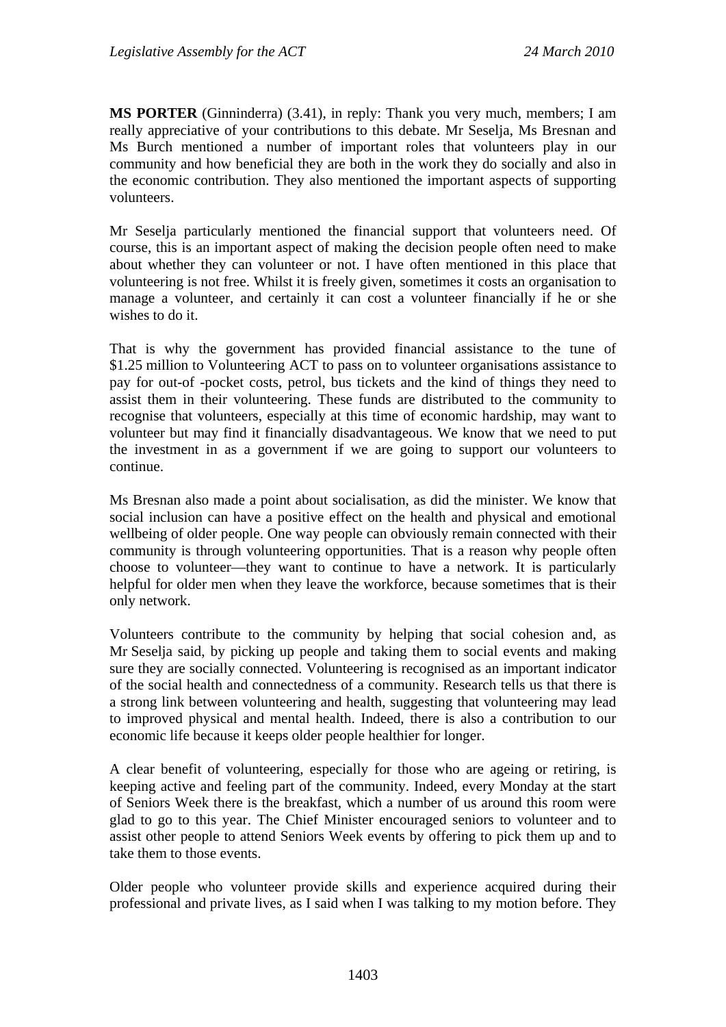**MS PORTER** (Ginninderra) (3.41), in reply: Thank you very much, members; I am really appreciative of your contributions to this debate. Mr Seselja, Ms Bresnan and Ms Burch mentioned a number of important roles that volunteers play in our community and how beneficial they are both in the work they do socially and also in the economic contribution. They also mentioned the important aspects of supporting volunteers.

Mr Seselja particularly mentioned the financial support that volunteers need. Of course, this is an important aspect of making the decision people often need to make about whether they can volunteer or not. I have often mentioned in this place that volunteering is not free. Whilst it is freely given, sometimes it costs an organisation to manage a volunteer, and certainly it can cost a volunteer financially if he or she wishes to do it.

That is why the government has provided financial assistance to the tune of \$1.25 million to Volunteering ACT to pass on to volunteer organisations assistance to pay for out-of -pocket costs, petrol, bus tickets and the kind of things they need to assist them in their volunteering. These funds are distributed to the community to recognise that volunteers, especially at this time of economic hardship, may want to volunteer but may find it financially disadvantageous. We know that we need to put the investment in as a government if we are going to support our volunteers to continue.

Ms Bresnan also made a point about socialisation, as did the minister. We know that social inclusion can have a positive effect on the health and physical and emotional wellbeing of older people. One way people can obviously remain connected with their community is through volunteering opportunities. That is a reason why people often choose to volunteer—they want to continue to have a network. It is particularly helpful for older men when they leave the workforce, because sometimes that is their only network.

Volunteers contribute to the community by helping that social cohesion and, as Mr Seselja said, by picking up people and taking them to social events and making sure they are socially connected. Volunteering is recognised as an important indicator of the social health and connectedness of a community. Research tells us that there is a strong link between volunteering and health, suggesting that volunteering may lead to improved physical and mental health. Indeed, there is also a contribution to our economic life because it keeps older people healthier for longer.

A clear benefit of volunteering, especially for those who are ageing or retiring, is keeping active and feeling part of the community. Indeed, every Monday at the start of Seniors Week there is the breakfast, which a number of us around this room were glad to go to this year. The Chief Minister encouraged seniors to volunteer and to assist other people to attend Seniors Week events by offering to pick them up and to take them to those events.

Older people who volunteer provide skills and experience acquired during their professional and private lives, as I said when I was talking to my motion before. They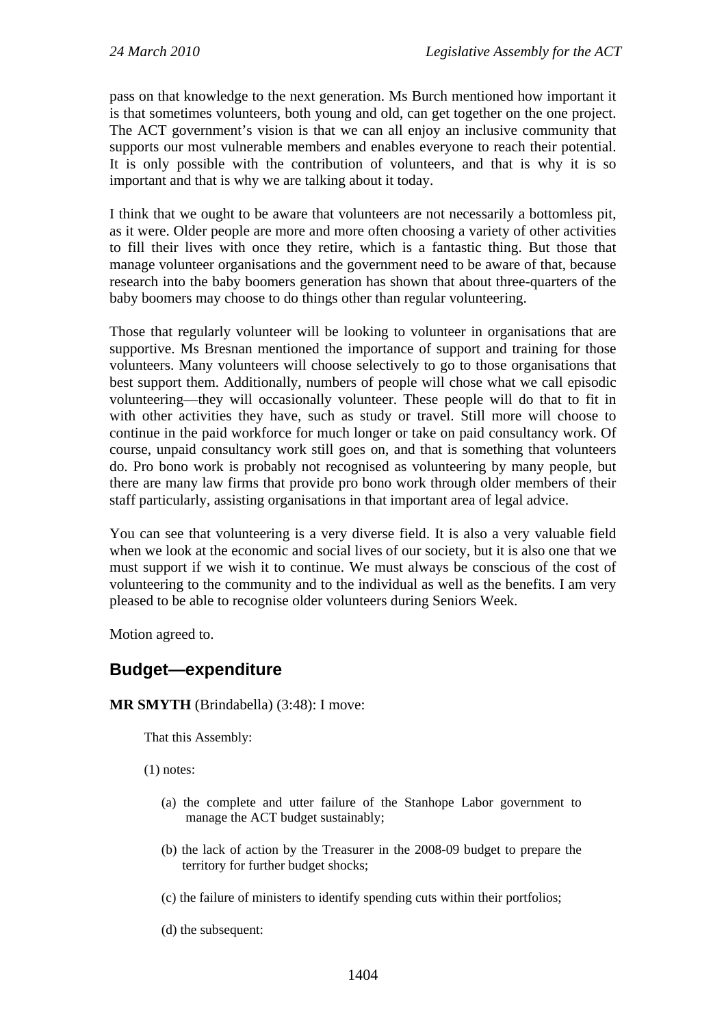pass on that knowledge to the next generation. Ms Burch mentioned how important it is that sometimes volunteers, both young and old, can get together on the one project. The ACT government's vision is that we can all enjoy an inclusive community that supports our most vulnerable members and enables everyone to reach their potential. It is only possible with the contribution of volunteers, and that is why it is so important and that is why we are talking about it today.

I think that we ought to be aware that volunteers are not necessarily a bottomless pit, as it were. Older people are more and more often choosing a variety of other activities to fill their lives with once they retire, which is a fantastic thing. But those that manage volunteer organisations and the government need to be aware of that, because research into the baby boomers generation has shown that about three-quarters of the baby boomers may choose to do things other than regular volunteering.

Those that regularly volunteer will be looking to volunteer in organisations that are supportive. Ms Bresnan mentioned the importance of support and training for those volunteers. Many volunteers will choose selectively to go to those organisations that best support them. Additionally, numbers of people will chose what we call episodic volunteering—they will occasionally volunteer. These people will do that to fit in with other activities they have, such as study or travel. Still more will choose to continue in the paid workforce for much longer or take on paid consultancy work. Of course, unpaid consultancy work still goes on, and that is something that volunteers do. Pro bono work is probably not recognised as volunteering by many people, but there are many law firms that provide pro bono work through older members of their staff particularly, assisting organisations in that important area of legal advice.

You can see that volunteering is a very diverse field. It is also a very valuable field when we look at the economic and social lives of our society, but it is also one that we must support if we wish it to continue. We must always be conscious of the cost of volunteering to the community and to the individual as well as the benefits. I am very pleased to be able to recognise older volunteers during Seniors Week.

Motion agreed to.

## **Budget—expenditure**

## **MR SMYTH** (Brindabella) (3:48): I move:

That this Assembly:

(1) notes:

- (a) the complete and utter failure of the Stanhope Labor government to manage the ACT budget sustainably;
- (b) the lack of action by the Treasurer in the 2008-09 budget to prepare the territory for further budget shocks;
- (c) the failure of ministers to identify spending cuts within their portfolios;
- (d) the subsequent: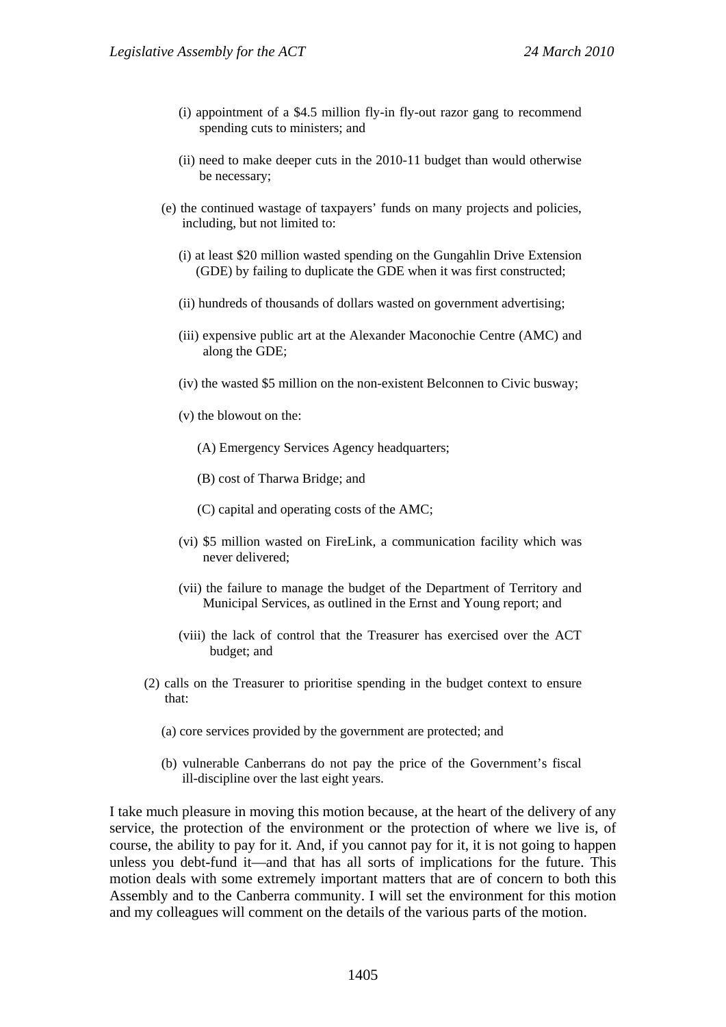- (i) appointment of a \$4.5 million fly-in fly-out razor gang to recommend spending cuts to ministers; and
- (ii) need to make deeper cuts in the 2010-11 budget than would otherwise be necessary;
- (e) the continued wastage of taxpayers' funds on many projects and policies, including, but not limited to:
	- (i) at least \$20 million wasted spending on the Gungahlin Drive Extension (GDE) by failing to duplicate the GDE when it was first constructed;
	- (ii) hundreds of thousands of dollars wasted on government advertising;
	- (iii) expensive public art at the Alexander Maconochie Centre (AMC) and along the GDE;
	- (iv) the wasted \$5 million on the non-existent Belconnen to Civic busway;
	- (v) the blowout on the:
		- (A) Emergency Services Agency headquarters;
		- (B) cost of Tharwa Bridge; and
		- (C) capital and operating costs of the AMC;
	- (vi) \$5 million wasted on FireLink, a communication facility which was never delivered;
	- (vii) the failure to manage the budget of the Department of Territory and Municipal Services, as outlined in the Ernst and Young report; and
	- (viii) the lack of control that the Treasurer has exercised over the ACT budget; and
- (2) calls on the Treasurer to prioritise spending in the budget context to ensure that:
	- (a) core services provided by the government are protected; and
	- (b) vulnerable Canberrans do not pay the price of the Government's fiscal ill-discipline over the last eight years.

I take much pleasure in moving this motion because, at the heart of the delivery of any service, the protection of the environment or the protection of where we live is, of course, the ability to pay for it. And, if you cannot pay for it, it is not going to happen unless you debt-fund it—and that has all sorts of implications for the future. This motion deals with some extremely important matters that are of concern to both this Assembly and to the Canberra community. I will set the environment for this motion and my colleagues will comment on the details of the various parts of the motion.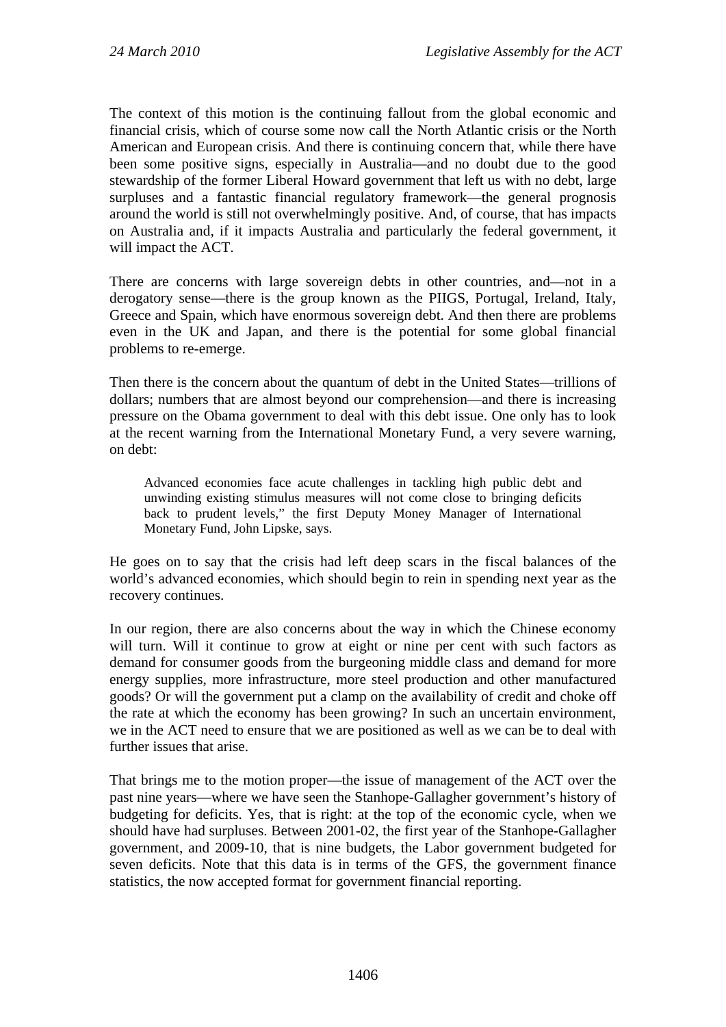The context of this motion is the continuing fallout from the global economic and financial crisis, which of course some now call the North Atlantic crisis or the North American and European crisis. And there is continuing concern that, while there have been some positive signs, especially in Australia—and no doubt due to the good stewardship of the former Liberal Howard government that left us with no debt, large surpluses and a fantastic financial regulatory framework—the general prognosis around the world is still not overwhelmingly positive. And, of course, that has impacts on Australia and, if it impacts Australia and particularly the federal government, it will impact the ACT.

There are concerns with large sovereign debts in other countries, and—not in a derogatory sense—there is the group known as the PIIGS, Portugal, Ireland, Italy, Greece and Spain, which have enormous sovereign debt. And then there are problems even in the UK and Japan, and there is the potential for some global financial problems to re-emerge.

Then there is the concern about the quantum of debt in the United States—trillions of dollars; numbers that are almost beyond our comprehension—and there is increasing pressure on the Obama government to deal with this debt issue. One only has to look at the recent warning from the International Monetary Fund, a very severe warning, on debt:

Advanced economies face acute challenges in tackling high public debt and unwinding existing stimulus measures will not come close to bringing deficits back to prudent levels," the first Deputy Money Manager of International Monetary Fund, John Lipske, says.

He goes on to say that the crisis had left deep scars in the fiscal balances of the world's advanced economies, which should begin to rein in spending next year as the recovery continues.

In our region, there are also concerns about the way in which the Chinese economy will turn. Will it continue to grow at eight or nine per cent with such factors as demand for consumer goods from the burgeoning middle class and demand for more energy supplies, more infrastructure, more steel production and other manufactured goods? Or will the government put a clamp on the availability of credit and choke off the rate at which the economy has been growing? In such an uncertain environment, we in the ACT need to ensure that we are positioned as well as we can be to deal with further issues that arise.

That brings me to the motion proper—the issue of management of the ACT over the past nine years—where we have seen the Stanhope-Gallagher government's history of budgeting for deficits. Yes, that is right: at the top of the economic cycle, when we should have had surpluses. Between 2001-02, the first year of the Stanhope-Gallagher government, and 2009-10, that is nine budgets, the Labor government budgeted for seven deficits. Note that this data is in terms of the GFS, the government finance statistics, the now accepted format for government financial reporting.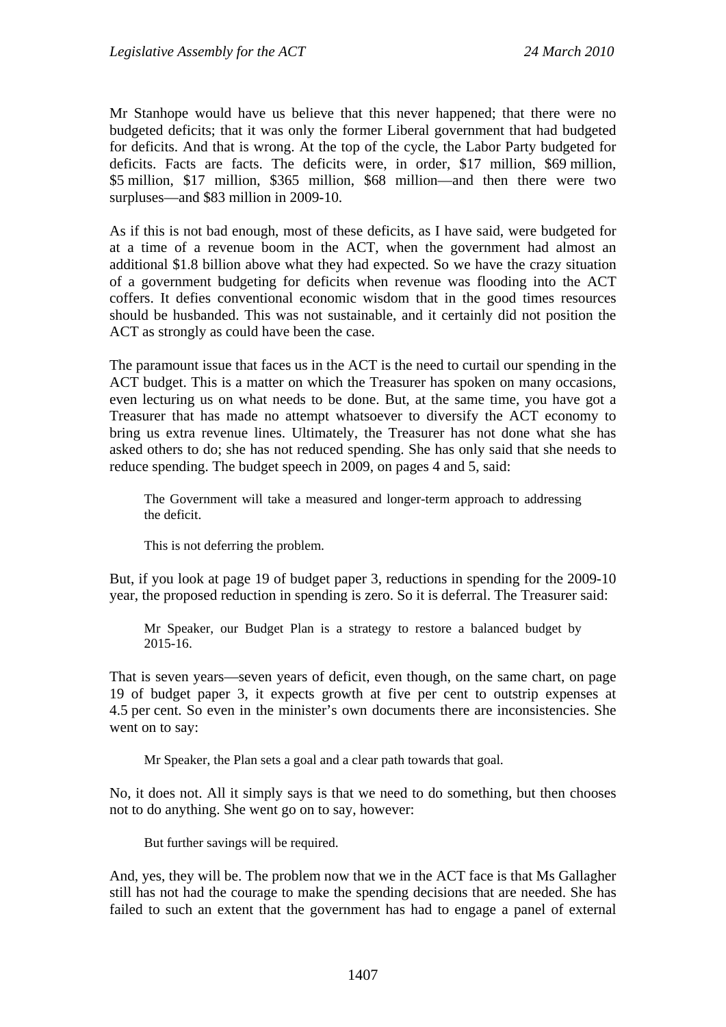Mr Stanhope would have us believe that this never happened; that there were no budgeted deficits; that it was only the former Liberal government that had budgeted for deficits. And that is wrong. At the top of the cycle, the Labor Party budgeted for deficits. Facts are facts. The deficits were, in order, \$17 million, \$69 million, \$5 million, \$17 million, \$365 million, \$68 million—and then there were two surpluses—and \$83 million in 2009-10.

As if this is not bad enough, most of these deficits, as I have said, were budgeted for at a time of a revenue boom in the ACT, when the government had almost an additional \$1.8 billion above what they had expected. So we have the crazy situation of a government budgeting for deficits when revenue was flooding into the ACT coffers. It defies conventional economic wisdom that in the good times resources should be husbanded. This was not sustainable, and it certainly did not position the ACT as strongly as could have been the case.

The paramount issue that faces us in the ACT is the need to curtail our spending in the ACT budget. This is a matter on which the Treasurer has spoken on many occasions, even lecturing us on what needs to be done. But, at the same time, you have got a Treasurer that has made no attempt whatsoever to diversify the ACT economy to bring us extra revenue lines. Ultimately, the Treasurer has not done what she has asked others to do; she has not reduced spending. She has only said that she needs to reduce spending. The budget speech in 2009, on pages 4 and 5, said:

The Government will take a measured and longer-term approach to addressing the deficit.

This is not deferring the problem.

But, if you look at page 19 of budget paper 3, reductions in spending for the 2009-10 year, the proposed reduction in spending is zero. So it is deferral. The Treasurer said:

Mr Speaker, our Budget Plan is a strategy to restore a balanced budget by 2015-16.

That is seven years—seven years of deficit, even though, on the same chart, on page 19 of budget paper 3, it expects growth at five per cent to outstrip expenses at 4.5 per cent. So even in the minister's own documents there are inconsistencies. She went on to say:

Mr Speaker, the Plan sets a goal and a clear path towards that goal.

No, it does not. All it simply says is that we need to do something, but then chooses not to do anything. She went go on to say, however:

But further savings will be required.

And, yes, they will be. The problem now that we in the ACT face is that Ms Gallagher still has not had the courage to make the spending decisions that are needed. She has failed to such an extent that the government has had to engage a panel of external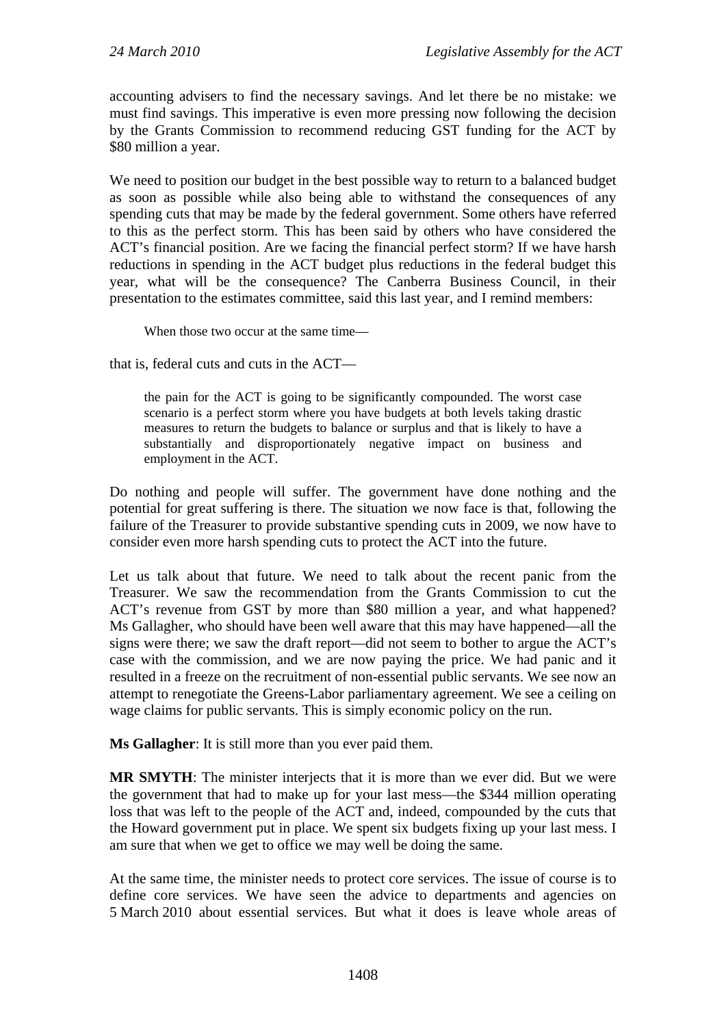accounting advisers to find the necessary savings. And let there be no mistake: we must find savings. This imperative is even more pressing now following the decision by the Grants Commission to recommend reducing GST funding for the ACT by \$80 million a year.

We need to position our budget in the best possible way to return to a balanced budget as soon as possible while also being able to withstand the consequences of any spending cuts that may be made by the federal government. Some others have referred to this as the perfect storm. This has been said by others who have considered the ACT's financial position. Are we facing the financial perfect storm? If we have harsh reductions in spending in the ACT budget plus reductions in the federal budget this year, what will be the consequence? The Canberra Business Council, in their presentation to the estimates committee, said this last year, and I remind members:

When those two occur at the same time—

that is, federal cuts and cuts in the ACT—

the pain for the ACT is going to be significantly compounded. The worst case scenario is a perfect storm where you have budgets at both levels taking drastic measures to return the budgets to balance or surplus and that is likely to have a substantially and disproportionately negative impact on business and employment in the ACT.

Do nothing and people will suffer. The government have done nothing and the potential for great suffering is there. The situation we now face is that, following the failure of the Treasurer to provide substantive spending cuts in 2009, we now have to consider even more harsh spending cuts to protect the ACT into the future.

Let us talk about that future. We need to talk about the recent panic from the Treasurer. We saw the recommendation from the Grants Commission to cut the ACT's revenue from GST by more than \$80 million a year, and what happened? Ms Gallagher, who should have been well aware that this may have happened—all the signs were there; we saw the draft report—did not seem to bother to argue the ACT's case with the commission, and we are now paying the price. We had panic and it resulted in a freeze on the recruitment of non-essential public servants. We see now an attempt to renegotiate the Greens-Labor parliamentary agreement. We see a ceiling on wage claims for public servants. This is simply economic policy on the run.

**Ms Gallagher**: It is still more than you ever paid them.

**MR SMYTH**: The minister interjects that it is more than we ever did. But we were the government that had to make up for your last mess—the \$344 million operating loss that was left to the people of the ACT and, indeed, compounded by the cuts that the Howard government put in place. We spent six budgets fixing up your last mess. I am sure that when we get to office we may well be doing the same.

At the same time, the minister needs to protect core services. The issue of course is to define core services. We have seen the advice to departments and agencies on 5 March 2010 about essential services. But what it does is leave whole areas of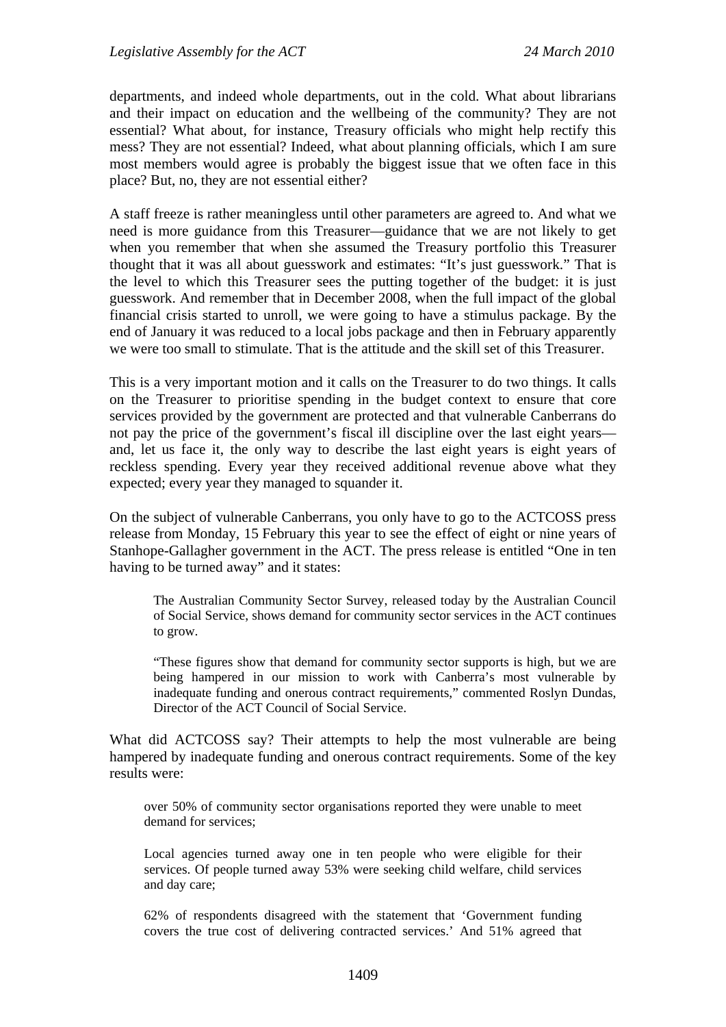departments, and indeed whole departments, out in the cold. What about librarians and their impact on education and the wellbeing of the community? They are not essential? What about, for instance, Treasury officials who might help rectify this mess? They are not essential? Indeed, what about planning officials, which I am sure most members would agree is probably the biggest issue that we often face in this place? But, no, they are not essential either?

A staff freeze is rather meaningless until other parameters are agreed to. And what we need is more guidance from this Treasurer—guidance that we are not likely to get when you remember that when she assumed the Treasury portfolio this Treasurer thought that it was all about guesswork and estimates: "It's just guesswork." That is the level to which this Treasurer sees the putting together of the budget: it is just guesswork. And remember that in December 2008, when the full impact of the global financial crisis started to unroll, we were going to have a stimulus package. By the end of January it was reduced to a local jobs package and then in February apparently we were too small to stimulate. That is the attitude and the skill set of this Treasurer.

This is a very important motion and it calls on the Treasurer to do two things. It calls on the Treasurer to prioritise spending in the budget context to ensure that core services provided by the government are protected and that vulnerable Canberrans do not pay the price of the government's fiscal ill discipline over the last eight years and, let us face it, the only way to describe the last eight years is eight years of reckless spending. Every year they received additional revenue above what they expected; every year they managed to squander it.

On the subject of vulnerable Canberrans, you only have to go to the ACTCOSS press release from Monday, 15 February this year to see the effect of eight or nine years of Stanhope-Gallagher government in the ACT. The press release is entitled "One in ten having to be turned away" and it states:

The Australian Community Sector Survey, released today by the Australian Council of Social Service, shows demand for community sector services in the ACT continues to grow.

"These figures show that demand for community sector supports is high, but we are being hampered in our mission to work with Canberra's most vulnerable by inadequate funding and onerous contract requirements," commented Roslyn Dundas, Director of the ACT Council of Social Service.

What did ACTCOSS say? Their attempts to help the most vulnerable are being hampered by inadequate funding and onerous contract requirements. Some of the key results were:

over 50% of community sector organisations reported they were unable to meet demand for services;

Local agencies turned away one in ten people who were eligible for their services. Of people turned away 53% were seeking child welfare, child services and day care;

62% of respondents disagreed with the statement that 'Government funding covers the true cost of delivering contracted services.' And 51% agreed that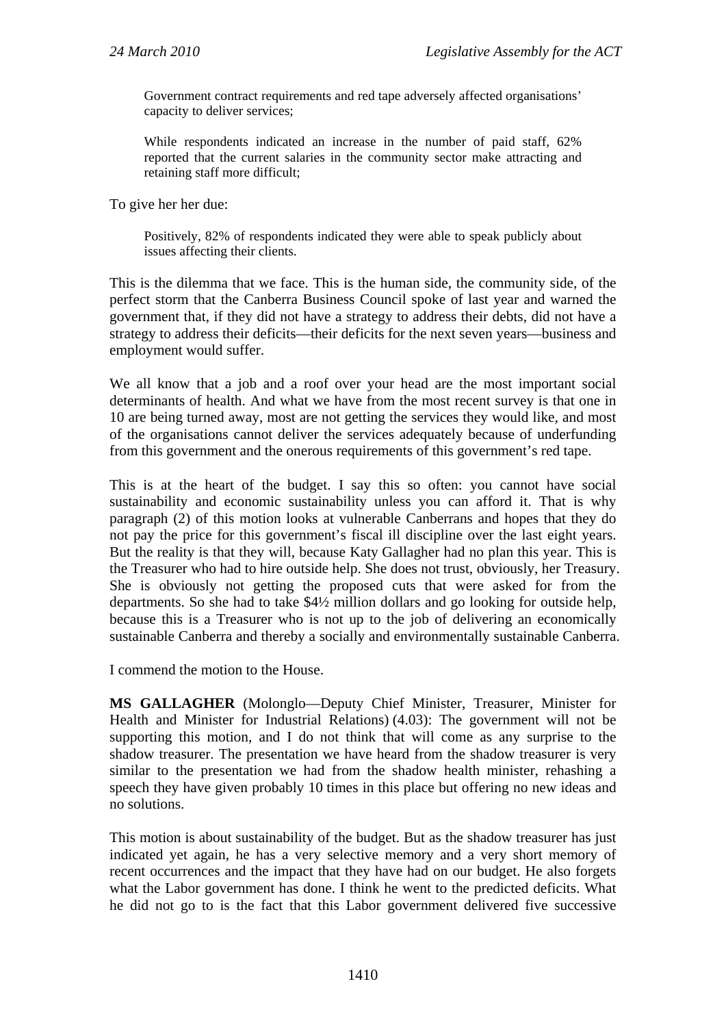Government contract requirements and red tape adversely affected organisations' capacity to deliver services;

While respondents indicated an increase in the number of paid staff, 62% reported that the current salaries in the community sector make attracting and retaining staff more difficult;

To give her her due:

Positively, 82% of respondents indicated they were able to speak publicly about issues affecting their clients.

This is the dilemma that we face. This is the human side, the community side, of the perfect storm that the Canberra Business Council spoke of last year and warned the government that, if they did not have a strategy to address their debts, did not have a strategy to address their deficits—their deficits for the next seven years—business and employment would suffer.

We all know that a job and a roof over your head are the most important social determinants of health. And what we have from the most recent survey is that one in 10 are being turned away, most are not getting the services they would like, and most of the organisations cannot deliver the services adequately because of underfunding from this government and the onerous requirements of this government's red tape.

This is at the heart of the budget. I say this so often: you cannot have social sustainability and economic sustainability unless you can afford it. That is why paragraph (2) of this motion looks at vulnerable Canberrans and hopes that they do not pay the price for this government's fiscal ill discipline over the last eight years. But the reality is that they will, because Katy Gallagher had no plan this year. This is the Treasurer who had to hire outside help. She does not trust, obviously, her Treasury. She is obviously not getting the proposed cuts that were asked for from the departments. So she had to take \$4½ million dollars and go looking for outside help, because this is a Treasurer who is not up to the job of delivering an economically sustainable Canberra and thereby a socially and environmentally sustainable Canberra.

I commend the motion to the House.

**MS GALLAGHER** (Molonglo—Deputy Chief Minister, Treasurer, Minister for Health and Minister for Industrial Relations) (4.03): The government will not be supporting this motion, and I do not think that will come as any surprise to the shadow treasurer. The presentation we have heard from the shadow treasurer is very similar to the presentation we had from the shadow health minister, rehashing a speech they have given probably 10 times in this place but offering no new ideas and no solutions.

This motion is about sustainability of the budget. But as the shadow treasurer has just indicated yet again, he has a very selective memory and a very short memory of recent occurrences and the impact that they have had on our budget. He also forgets what the Labor government has done. I think he went to the predicted deficits. What he did not go to is the fact that this Labor government delivered five successive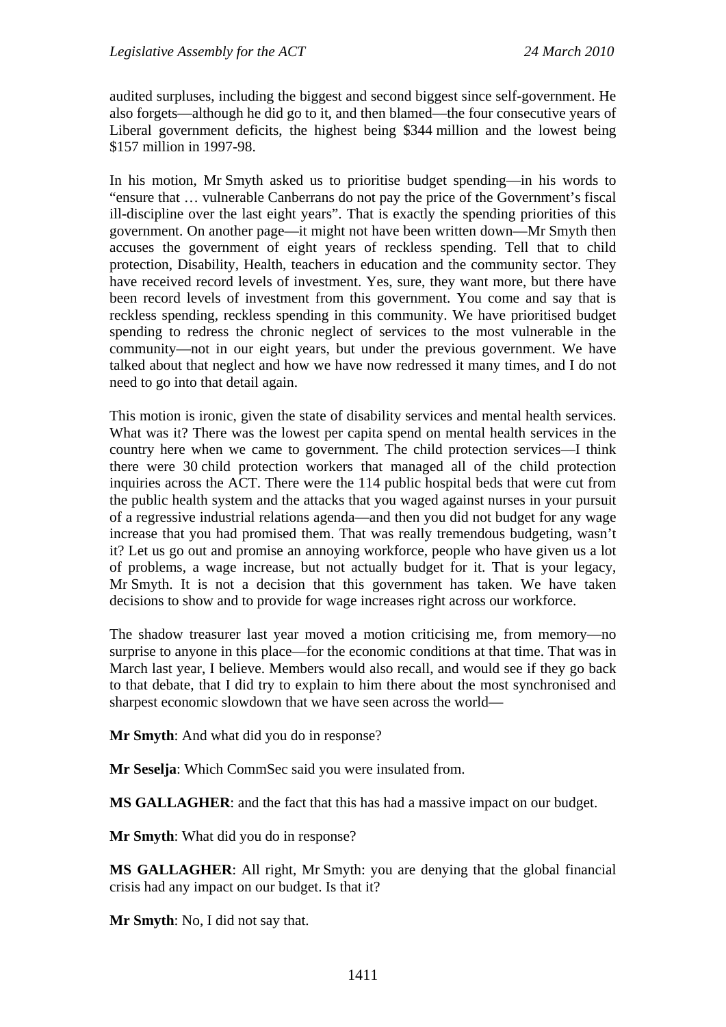audited surpluses, including the biggest and second biggest since self-government. He also forgets—although he did go to it, and then blamed—the four consecutive years of Liberal government deficits, the highest being \$344 million and the lowest being \$157 million in 1997-98.

In his motion, Mr Smyth asked us to prioritise budget spending—in his words to "ensure that … vulnerable Canberrans do not pay the price of the Government's fiscal ill-discipline over the last eight years". That is exactly the spending priorities of this government. On another page—it might not have been written down—Mr Smyth then accuses the government of eight years of reckless spending. Tell that to child protection, Disability, Health, teachers in education and the community sector. They have received record levels of investment. Yes, sure, they want more, but there have been record levels of investment from this government. You come and say that is reckless spending, reckless spending in this community. We have prioritised budget spending to redress the chronic neglect of services to the most vulnerable in the community—not in our eight years, but under the previous government. We have talked about that neglect and how we have now redressed it many times, and I do not need to go into that detail again.

This motion is ironic, given the state of disability services and mental health services. What was it? There was the lowest per capita spend on mental health services in the country here when we came to government. The child protection services—I think there were 30 child protection workers that managed all of the child protection inquiries across the ACT. There were the 114 public hospital beds that were cut from the public health system and the attacks that you waged against nurses in your pursuit of a regressive industrial relations agenda—and then you did not budget for any wage increase that you had promised them. That was really tremendous budgeting, wasn't it? Let us go out and promise an annoying workforce, people who have given us a lot of problems, a wage increase, but not actually budget for it. That is your legacy, Mr Smyth. It is not a decision that this government has taken. We have taken decisions to show and to provide for wage increases right across our workforce.

The shadow treasurer last year moved a motion criticising me, from memory—no surprise to anyone in this place—for the economic conditions at that time. That was in March last year, I believe. Members would also recall, and would see if they go back to that debate, that I did try to explain to him there about the most synchronised and sharpest economic slowdown that we have seen across the world—

**Mr Smyth**: And what did you do in response?

**Mr Seselja**: Which CommSec said you were insulated from.

**MS GALLAGHER**: and the fact that this has had a massive impact on our budget.

**Mr Smyth**: What did you do in response?

**MS GALLAGHER**: All right, Mr Smyth: you are denying that the global financial crisis had any impact on our budget. Is that it?

**Mr Smyth**: No, I did not say that.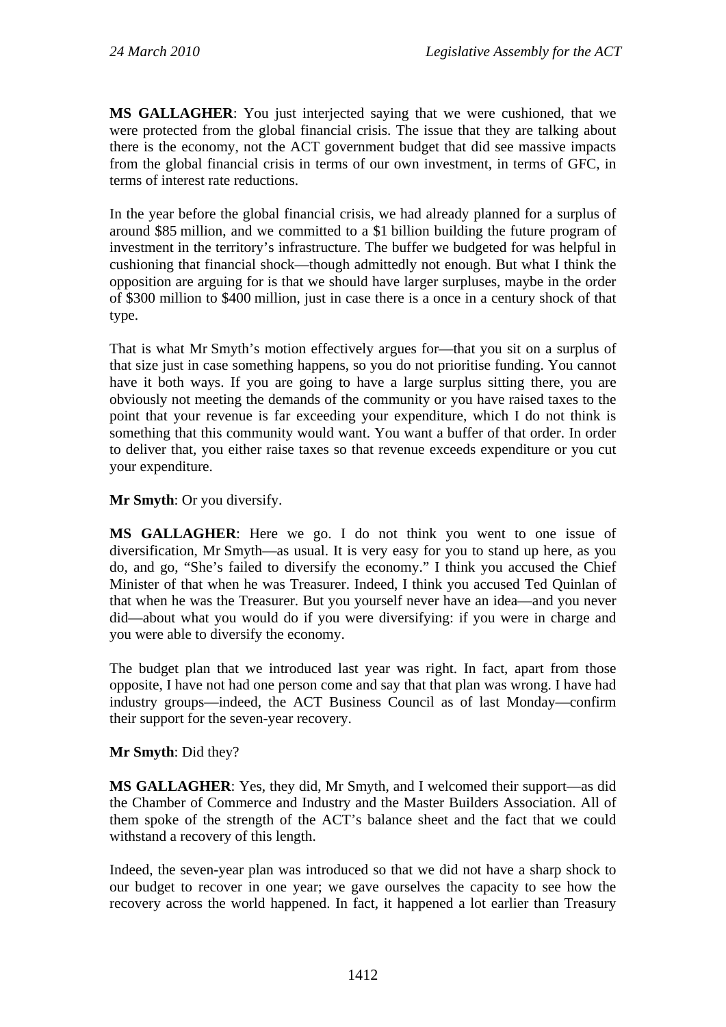**MS GALLAGHER**: You just interjected saying that we were cushioned, that we were protected from the global financial crisis. The issue that they are talking about there is the economy, not the ACT government budget that did see massive impacts from the global financial crisis in terms of our own investment, in terms of GFC, in terms of interest rate reductions.

In the year before the global financial crisis, we had already planned for a surplus of around \$85 million, and we committed to a \$1 billion building the future program of investment in the territory's infrastructure. The buffer we budgeted for was helpful in cushioning that financial shock—though admittedly not enough. But what I think the opposition are arguing for is that we should have larger surpluses, maybe in the order of \$300 million to \$400 million, just in case there is a once in a century shock of that type.

That is what Mr Smyth's motion effectively argues for—that you sit on a surplus of that size just in case something happens, so you do not prioritise funding. You cannot have it both ways. If you are going to have a large surplus sitting there, you are obviously not meeting the demands of the community or you have raised taxes to the point that your revenue is far exceeding your expenditure, which I do not think is something that this community would want. You want a buffer of that order. In order to deliver that, you either raise taxes so that revenue exceeds expenditure or you cut your expenditure.

**Mr Smyth**: Or you diversify.

**MS GALLAGHER**: Here we go. I do not think you went to one issue of diversification, Mr Smyth—as usual. It is very easy for you to stand up here, as you do, and go, "She's failed to diversify the economy." I think you accused the Chief Minister of that when he was Treasurer. Indeed, I think you accused Ted Quinlan of that when he was the Treasurer. But you yourself never have an idea—and you never did—about what you would do if you were diversifying: if you were in charge and you were able to diversify the economy.

The budget plan that we introduced last year was right. In fact, apart from those opposite, I have not had one person come and say that that plan was wrong. I have had industry groups—indeed, the ACT Business Council as of last Monday—confirm their support for the seven-year recovery.

**Mr Smyth**: Did they?

**MS GALLAGHER**: Yes, they did, Mr Smyth, and I welcomed their support—as did the Chamber of Commerce and Industry and the Master Builders Association. All of them spoke of the strength of the ACT's balance sheet and the fact that we could withstand a recovery of this length.

Indeed, the seven-year plan was introduced so that we did not have a sharp shock to our budget to recover in one year; we gave ourselves the capacity to see how the recovery across the world happened. In fact, it happened a lot earlier than Treasury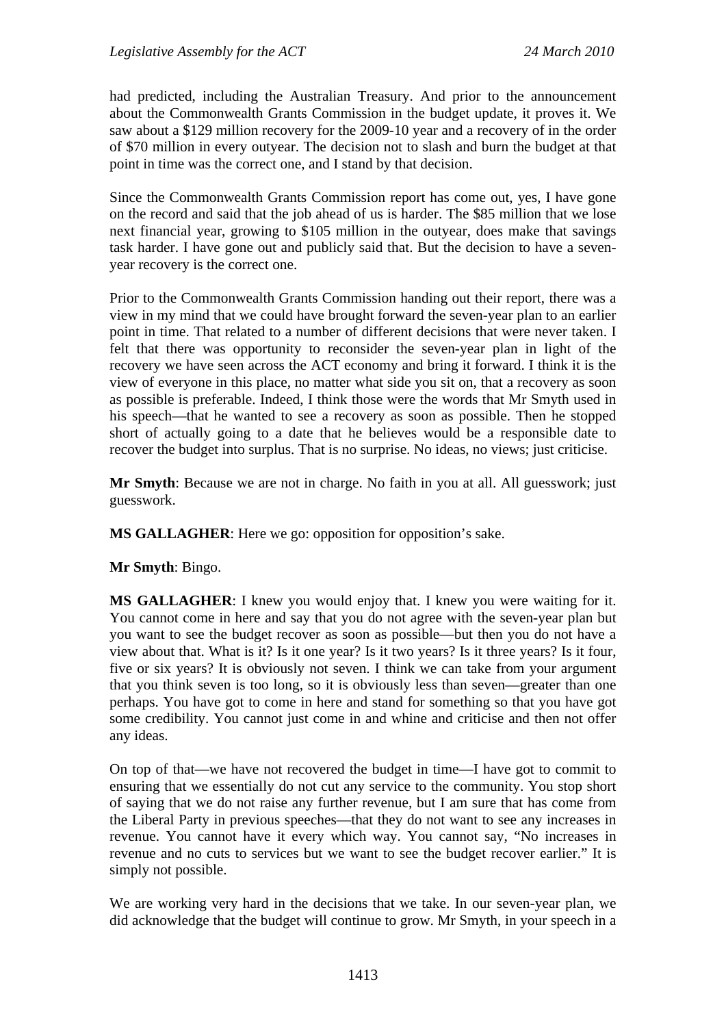had predicted, including the Australian Treasury. And prior to the announcement about the Commonwealth Grants Commission in the budget update, it proves it. We saw about a \$129 million recovery for the 2009-10 year and a recovery of in the order of \$70 million in every outyear. The decision not to slash and burn the budget at that point in time was the correct one, and I stand by that decision.

Since the Commonwealth Grants Commission report has come out, yes, I have gone on the record and said that the job ahead of us is harder. The \$85 million that we lose next financial year, growing to \$105 million in the outyear, does make that savings task harder. I have gone out and publicly said that. But the decision to have a sevenyear recovery is the correct one.

Prior to the Commonwealth Grants Commission handing out their report, there was a view in my mind that we could have brought forward the seven-year plan to an earlier point in time. That related to a number of different decisions that were never taken. I felt that there was opportunity to reconsider the seven-year plan in light of the recovery we have seen across the ACT economy and bring it forward. I think it is the view of everyone in this place, no matter what side you sit on, that a recovery as soon as possible is preferable. Indeed, I think those were the words that Mr Smyth used in his speech—that he wanted to see a recovery as soon as possible. Then he stopped short of actually going to a date that he believes would be a responsible date to recover the budget into surplus. That is no surprise. No ideas, no views; just criticise.

**Mr Smyth**: Because we are not in charge. No faith in you at all. All guesswork; just guesswork.

**MS GALLAGHER**: Here we go: opposition for opposition's sake.

**Mr Smyth**: Bingo.

**MS GALLAGHER**: I knew you would enjoy that. I knew you were waiting for it. You cannot come in here and say that you do not agree with the seven-year plan but you want to see the budget recover as soon as possible—but then you do not have a view about that. What is it? Is it one year? Is it two years? Is it three years? Is it four, five or six years? It is obviously not seven. I think we can take from your argument that you think seven is too long, so it is obviously less than seven—greater than one perhaps. You have got to come in here and stand for something so that you have got some credibility. You cannot just come in and whine and criticise and then not offer any ideas.

On top of that—we have not recovered the budget in time—I have got to commit to ensuring that we essentially do not cut any service to the community. You stop short of saying that we do not raise any further revenue, but I am sure that has come from the Liberal Party in previous speeches—that they do not want to see any increases in revenue. You cannot have it every which way. You cannot say, "No increases in revenue and no cuts to services but we want to see the budget recover earlier." It is simply not possible.

We are working very hard in the decisions that we take. In our seven-year plan, we did acknowledge that the budget will continue to grow. Mr Smyth, in your speech in a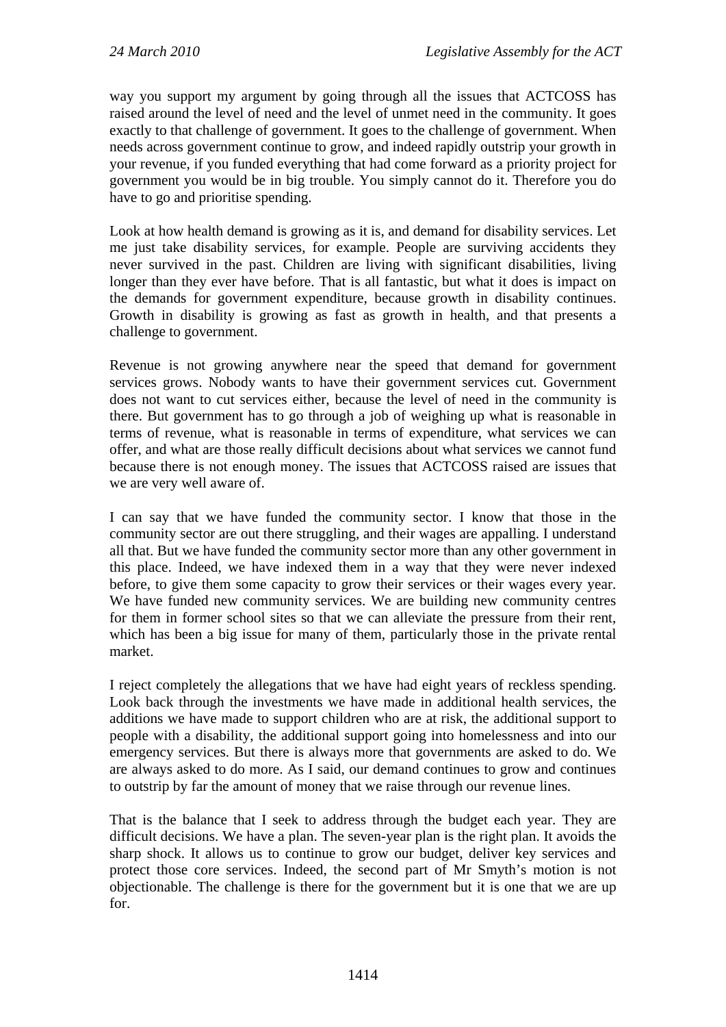way you support my argument by going through all the issues that ACTCOSS has raised around the level of need and the level of unmet need in the community. It goes exactly to that challenge of government. It goes to the challenge of government. When needs across government continue to grow, and indeed rapidly outstrip your growth in your revenue, if you funded everything that had come forward as a priority project for government you would be in big trouble. You simply cannot do it. Therefore you do have to go and prioritise spending.

Look at how health demand is growing as it is, and demand for disability services. Let me just take disability services, for example. People are surviving accidents they never survived in the past. Children are living with significant disabilities, living longer than they ever have before. That is all fantastic, but what it does is impact on the demands for government expenditure, because growth in disability continues. Growth in disability is growing as fast as growth in health, and that presents a challenge to government.

Revenue is not growing anywhere near the speed that demand for government services grows. Nobody wants to have their government services cut. Government does not want to cut services either, because the level of need in the community is there. But government has to go through a job of weighing up what is reasonable in terms of revenue, what is reasonable in terms of expenditure, what services we can offer, and what are those really difficult decisions about what services we cannot fund because there is not enough money. The issues that ACTCOSS raised are issues that we are very well aware of.

I can say that we have funded the community sector. I know that those in the community sector are out there struggling, and their wages are appalling. I understand all that. But we have funded the community sector more than any other government in this place. Indeed, we have indexed them in a way that they were never indexed before, to give them some capacity to grow their services or their wages every year. We have funded new community services. We are building new community centres for them in former school sites so that we can alleviate the pressure from their rent, which has been a big issue for many of them, particularly those in the private rental market.

I reject completely the allegations that we have had eight years of reckless spending. Look back through the investments we have made in additional health services, the additions we have made to support children who are at risk, the additional support to people with a disability, the additional support going into homelessness and into our emergency services. But there is always more that governments are asked to do. We are always asked to do more. As I said, our demand continues to grow and continues to outstrip by far the amount of money that we raise through our revenue lines.

That is the balance that I seek to address through the budget each year. They are difficult decisions. We have a plan. The seven-year plan is the right plan. It avoids the sharp shock. It allows us to continue to grow our budget, deliver key services and protect those core services. Indeed, the second part of Mr Smyth's motion is not objectionable. The challenge is there for the government but it is one that we are up for.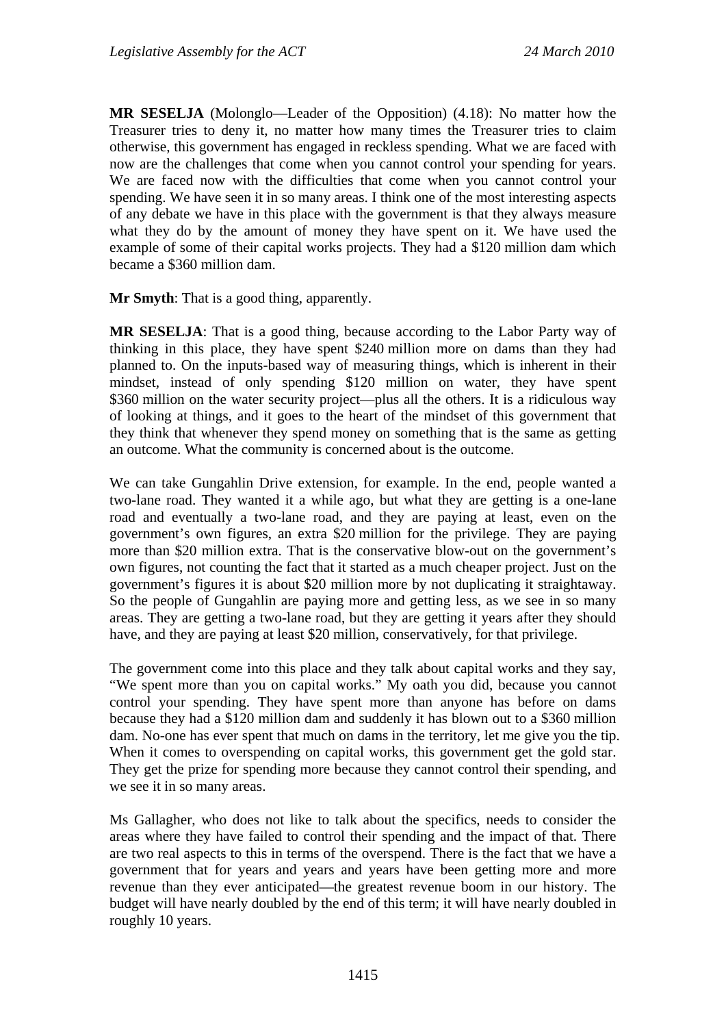**MR SESELJA** (Molonglo—Leader of the Opposition) (4.18): No matter how the Treasurer tries to deny it, no matter how many times the Treasurer tries to claim otherwise, this government has engaged in reckless spending. What we are faced with now are the challenges that come when you cannot control your spending for years. We are faced now with the difficulties that come when you cannot control your spending. We have seen it in so many areas. I think one of the most interesting aspects of any debate we have in this place with the government is that they always measure what they do by the amount of money they have spent on it. We have used the example of some of their capital works projects. They had a \$120 million dam which became a \$360 million dam.

**Mr Smyth**: That is a good thing, apparently.

**MR SESELJA**: That is a good thing, because according to the Labor Party way of thinking in this place, they have spent \$240 million more on dams than they had planned to. On the inputs-based way of measuring things, which is inherent in their mindset, instead of only spending \$120 million on water, they have spent \$360 million on the water security project—plus all the others. It is a ridiculous way of looking at things, and it goes to the heart of the mindset of this government that they think that whenever they spend money on something that is the same as getting an outcome. What the community is concerned about is the outcome.

We can take Gungahlin Drive extension, for example. In the end, people wanted a two-lane road. They wanted it a while ago, but what they are getting is a one-lane road and eventually a two-lane road, and they are paying at least, even on the government's own figures, an extra \$20 million for the privilege. They are paying more than \$20 million extra. That is the conservative blow-out on the government's own figures, not counting the fact that it started as a much cheaper project. Just on the government's figures it is about \$20 million more by not duplicating it straightaway. So the people of Gungahlin are paying more and getting less, as we see in so many areas. They are getting a two-lane road, but they are getting it years after they should have, and they are paying at least \$20 million, conservatively, for that privilege.

The government come into this place and they talk about capital works and they say, "We spent more than you on capital works." My oath you did, because you cannot control your spending. They have spent more than anyone has before on dams because they had a \$120 million dam and suddenly it has blown out to a \$360 million dam. No-one has ever spent that much on dams in the territory, let me give you the tip. When it comes to overspending on capital works, this government get the gold star. They get the prize for spending more because they cannot control their spending, and we see it in so many areas.

Ms Gallagher, who does not like to talk about the specifics, needs to consider the areas where they have failed to control their spending and the impact of that. There are two real aspects to this in terms of the overspend. There is the fact that we have a government that for years and years and years have been getting more and more revenue than they ever anticipated—the greatest revenue boom in our history. The budget will have nearly doubled by the end of this term; it will have nearly doubled in roughly 10 years.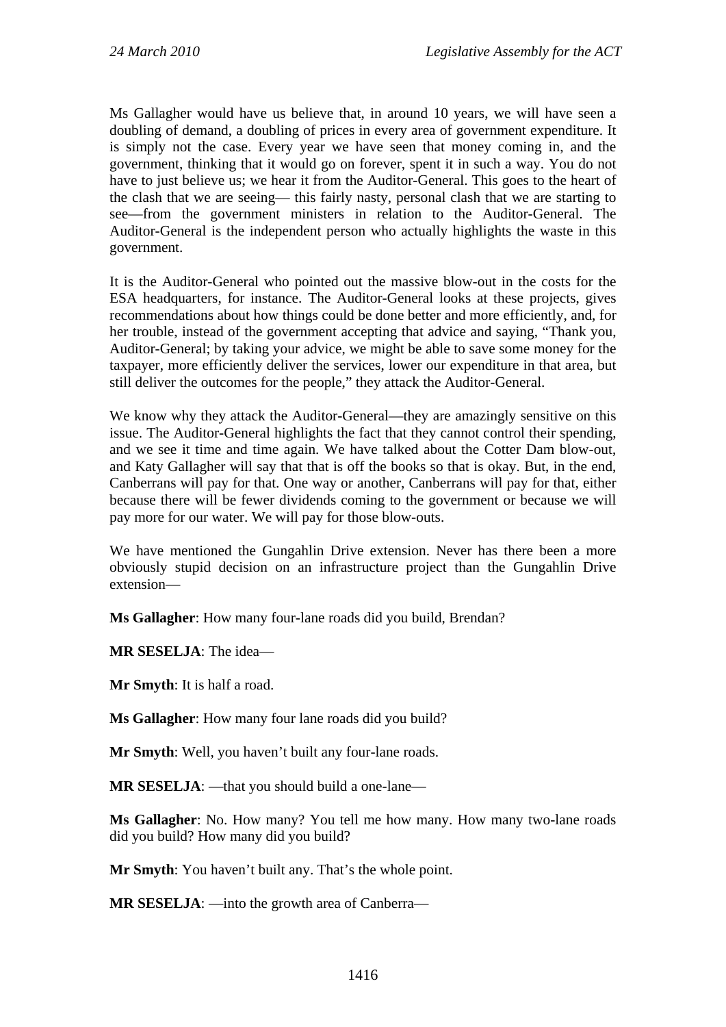Ms Gallagher would have us believe that, in around 10 years, we will have seen a doubling of demand, a doubling of prices in every area of government expenditure. It is simply not the case. Every year we have seen that money coming in, and the government, thinking that it would go on forever, spent it in such a way. You do not have to just believe us; we hear it from the Auditor-General. This goes to the heart of the clash that we are seeing— this fairly nasty, personal clash that we are starting to see—from the government ministers in relation to the Auditor-General. The Auditor-General is the independent person who actually highlights the waste in this government.

It is the Auditor-General who pointed out the massive blow-out in the costs for the ESA headquarters, for instance. The Auditor-General looks at these projects, gives recommendations about how things could be done better and more efficiently, and, for her trouble, instead of the government accepting that advice and saying, "Thank you, Auditor-General; by taking your advice, we might be able to save some money for the taxpayer, more efficiently deliver the services, lower our expenditure in that area, but still deliver the outcomes for the people," they attack the Auditor-General.

We know why they attack the Auditor-General—they are amazingly sensitive on this issue. The Auditor-General highlights the fact that they cannot control their spending, and we see it time and time again. We have talked about the Cotter Dam blow-out, and Katy Gallagher will say that that is off the books so that is okay. But, in the end, Canberrans will pay for that. One way or another, Canberrans will pay for that, either because there will be fewer dividends coming to the government or because we will pay more for our water. We will pay for those blow-outs.

We have mentioned the Gungahlin Drive extension. Never has there been a more obviously stupid decision on an infrastructure project than the Gungahlin Drive extension—

**Ms Gallagher**: How many four-lane roads did you build, Brendan?

**MR SESELJA**: The idea—

**Mr Smyth**: It is half a road.

**Ms Gallagher**: How many four lane roads did you build?

**Mr Smyth**: Well, you haven't built any four-lane roads.

**MR SESELJA**: —that you should build a one-lane—

**Ms Gallagher**: No. How many? You tell me how many. How many two-lane roads did you build? How many did you build?

**Mr Smyth**: You haven't built any. That's the whole point.

**MR SESELJA**: —into the growth area of Canberra—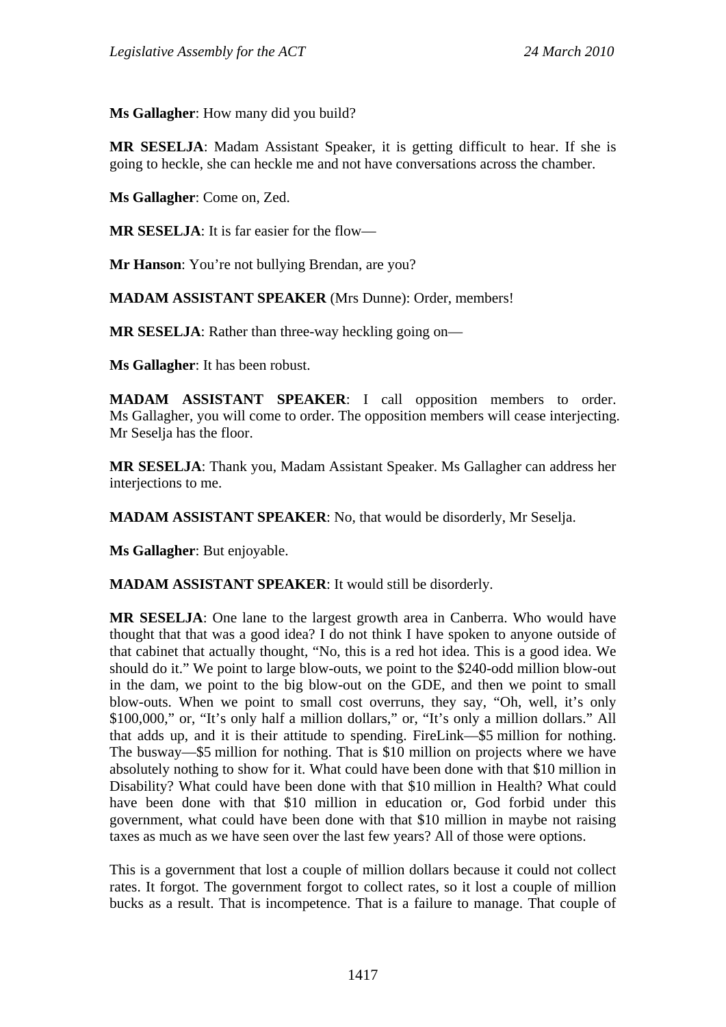**Ms Gallagher**: How many did you build?

**MR SESELJA**: Madam Assistant Speaker, it is getting difficult to hear. If she is going to heckle, she can heckle me and not have conversations across the chamber.

**Ms Gallagher**: Come on, Zed.

**MR SESELJA**: It is far easier for the flow—

**Mr Hanson**: You're not bullying Brendan, are you?

**MADAM ASSISTANT SPEAKER** (Mrs Dunne): Order, members!

**MR SESELJA:** Rather than three-way heckling going on—

**Ms Gallagher**: It has been robust.

**MADAM ASSISTANT SPEAKER**: I call opposition members to order. Ms Gallagher, you will come to order. The opposition members will cease interjecting. Mr Seselja has the floor.

**MR SESELJA**: Thank you, Madam Assistant Speaker. Ms Gallagher can address her interjections to me.

**MADAM ASSISTANT SPEAKER**: No, that would be disorderly, Mr Seselja.

**Ms Gallagher**: But enjoyable.

**MADAM ASSISTANT SPEAKER**: It would still be disorderly.

**MR SESELJA**: One lane to the largest growth area in Canberra. Who would have thought that that was a good idea? I do not think I have spoken to anyone outside of that cabinet that actually thought, "No, this is a red hot idea. This is a good idea. We should do it." We point to large blow-outs, we point to the \$240-odd million blow-out in the dam, we point to the big blow-out on the GDE, and then we point to small blow-outs. When we point to small cost overruns, they say, "Oh, well, it's only \$100,000," or, "It's only half a million dollars," or, "It's only a million dollars." All that adds up, and it is their attitude to spending. FireLink—\$5 million for nothing. The busway—\$5 million for nothing. That is \$10 million on projects where we have absolutely nothing to show for it. What could have been done with that \$10 million in Disability? What could have been done with that \$10 million in Health? What could have been done with that \$10 million in education or, God forbid under this government, what could have been done with that \$10 million in maybe not raising taxes as much as we have seen over the last few years? All of those were options.

This is a government that lost a couple of million dollars because it could not collect rates. It forgot. The government forgot to collect rates, so it lost a couple of million bucks as a result. That is incompetence. That is a failure to manage. That couple of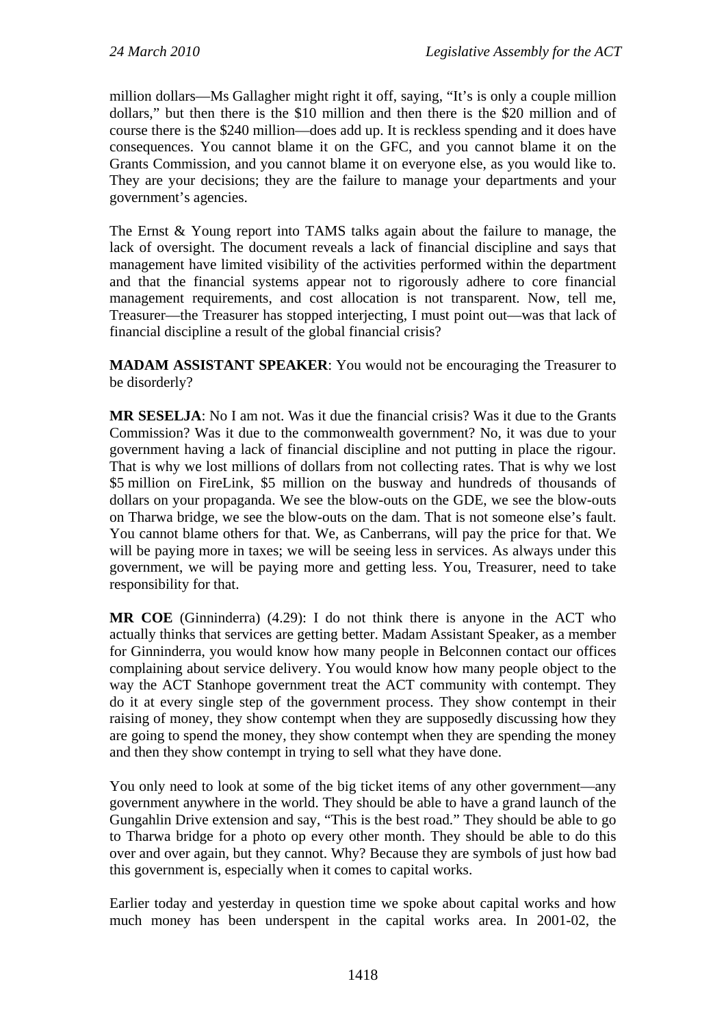million dollars—Ms Gallagher might right it off, saying, "It's is only a couple million dollars," but then there is the \$10 million and then there is the \$20 million and of course there is the \$240 million—does add up. It is reckless spending and it does have consequences. You cannot blame it on the GFC, and you cannot blame it on the Grants Commission, and you cannot blame it on everyone else, as you would like to. They are your decisions; they are the failure to manage your departments and your government's agencies.

The Ernst & Young report into TAMS talks again about the failure to manage, the lack of oversight. The document reveals a lack of financial discipline and says that management have limited visibility of the activities performed within the department and that the financial systems appear not to rigorously adhere to core financial management requirements, and cost allocation is not transparent. Now, tell me, Treasurer—the Treasurer has stopped interjecting, I must point out—was that lack of financial discipline a result of the global financial crisis?

**MADAM ASSISTANT SPEAKER**: You would not be encouraging the Treasurer to be disorderly?

**MR SESELJA**: No I am not. Was it due the financial crisis? Was it due to the Grants Commission? Was it due to the commonwealth government? No, it was due to your government having a lack of financial discipline and not putting in place the rigour. That is why we lost millions of dollars from not collecting rates. That is why we lost \$5 million on FireLink, \$5 million on the busway and hundreds of thousands of dollars on your propaganda. We see the blow-outs on the GDE, we see the blow-outs on Tharwa bridge, we see the blow-outs on the dam. That is not someone else's fault. You cannot blame others for that. We, as Canberrans, will pay the price for that. We will be paying more in taxes; we will be seeing less in services. As always under this government, we will be paying more and getting less. You, Treasurer, need to take responsibility for that.

**MR COE** (Ginninderra) (4.29): I do not think there is anyone in the ACT who actually thinks that services are getting better. Madam Assistant Speaker, as a member for Ginninderra, you would know how many people in Belconnen contact our offices complaining about service delivery. You would know how many people object to the way the ACT Stanhope government treat the ACT community with contempt. They do it at every single step of the government process. They show contempt in their raising of money, they show contempt when they are supposedly discussing how they are going to spend the money, they show contempt when they are spending the money and then they show contempt in trying to sell what they have done.

You only need to look at some of the big ticket items of any other government—any government anywhere in the world. They should be able to have a grand launch of the Gungahlin Drive extension and say, "This is the best road." They should be able to go to Tharwa bridge for a photo op every other month. They should be able to do this over and over again, but they cannot. Why? Because they are symbols of just how bad this government is, especially when it comes to capital works.

Earlier today and yesterday in question time we spoke about capital works and how much money has been underspent in the capital works area. In 2001-02, the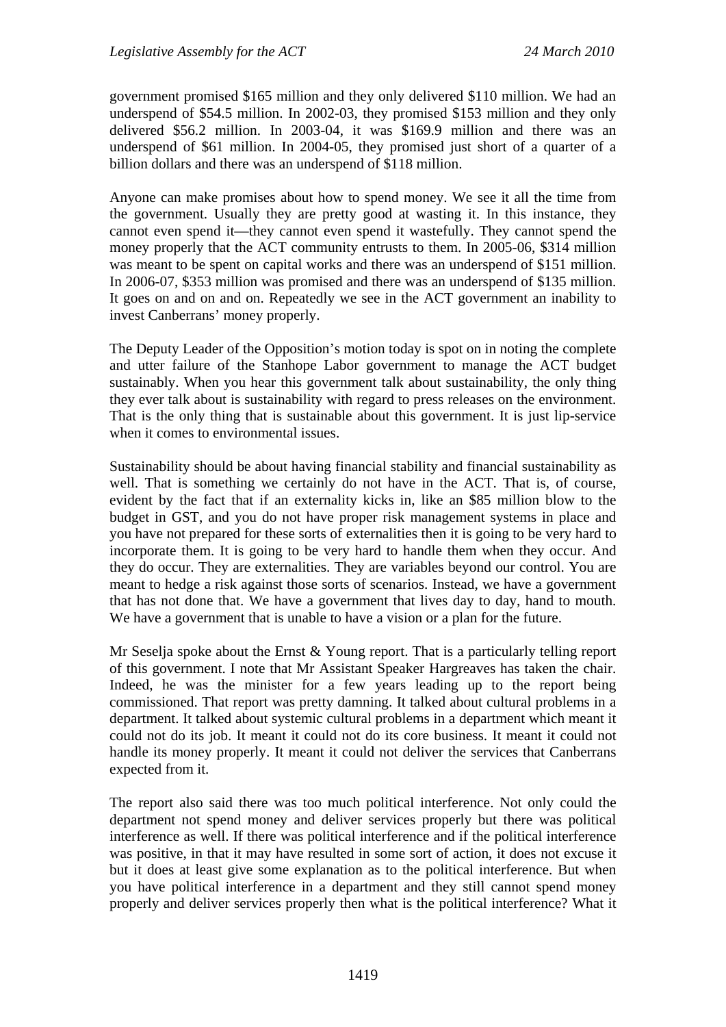government promised \$165 million and they only delivered \$110 million. We had an underspend of \$54.5 million. In 2002-03, they promised \$153 million and they only delivered \$56.2 million. In 2003-04, it was \$169.9 million and there was an underspend of \$61 million. In 2004-05, they promised just short of a quarter of a billion dollars and there was an underspend of \$118 million.

Anyone can make promises about how to spend money. We see it all the time from the government. Usually they are pretty good at wasting it. In this instance, they cannot even spend it—they cannot even spend it wastefully. They cannot spend the money properly that the ACT community entrusts to them. In 2005-06, \$314 million was meant to be spent on capital works and there was an underspend of \$151 million. In 2006-07, \$353 million was promised and there was an underspend of \$135 million. It goes on and on and on. Repeatedly we see in the ACT government an inability to invest Canberrans' money properly.

The Deputy Leader of the Opposition's motion today is spot on in noting the complete and utter failure of the Stanhope Labor government to manage the ACT budget sustainably. When you hear this government talk about sustainability, the only thing they ever talk about is sustainability with regard to press releases on the environment. That is the only thing that is sustainable about this government. It is just lip-service when it comes to environmental issues.

Sustainability should be about having financial stability and financial sustainability as well. That is something we certainly do not have in the ACT. That is, of course, evident by the fact that if an externality kicks in, like an \$85 million blow to the budget in GST, and you do not have proper risk management systems in place and you have not prepared for these sorts of externalities then it is going to be very hard to incorporate them. It is going to be very hard to handle them when they occur. And they do occur. They are externalities. They are variables beyond our control. You are meant to hedge a risk against those sorts of scenarios. Instead, we have a government that has not done that. We have a government that lives day to day, hand to mouth. We have a government that is unable to have a vision or a plan for the future.

Mr Seselja spoke about the Ernst & Young report. That is a particularly telling report of this government. I note that Mr Assistant Speaker Hargreaves has taken the chair. Indeed, he was the minister for a few years leading up to the report being commissioned. That report was pretty damning. It talked about cultural problems in a department. It talked about systemic cultural problems in a department which meant it could not do its job. It meant it could not do its core business. It meant it could not handle its money properly. It meant it could not deliver the services that Canberrans expected from it.

The report also said there was too much political interference. Not only could the department not spend money and deliver services properly but there was political interference as well. If there was political interference and if the political interference was positive, in that it may have resulted in some sort of action, it does not excuse it but it does at least give some explanation as to the political interference. But when you have political interference in a department and they still cannot spend money properly and deliver services properly then what is the political interference? What it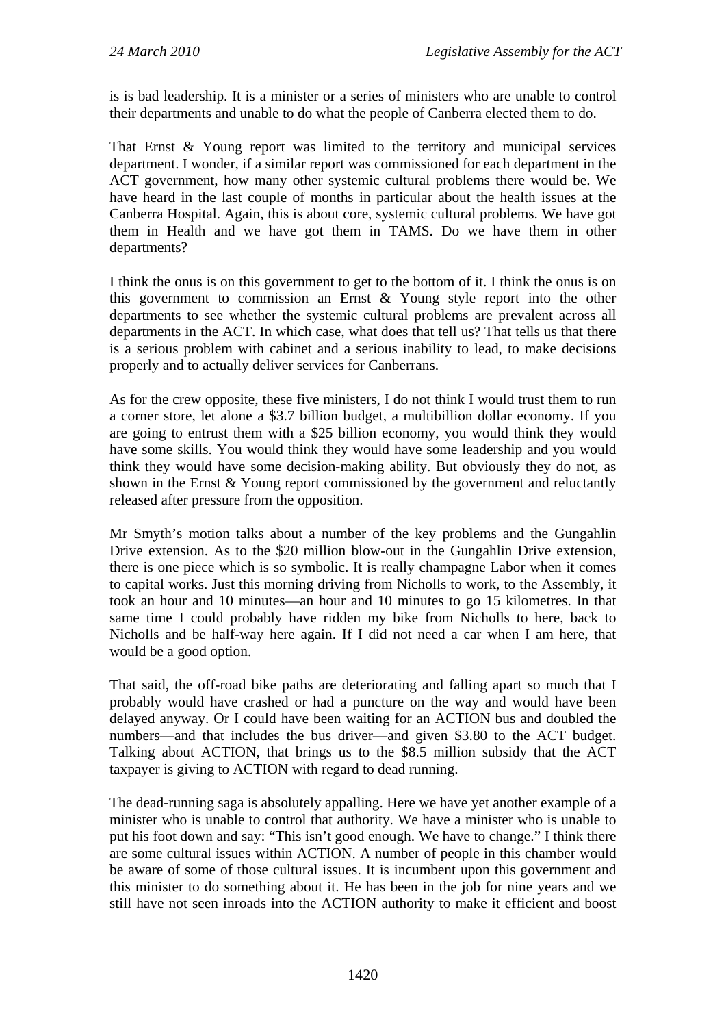is is bad leadership. It is a minister or a series of ministers who are unable to control their departments and unable to do what the people of Canberra elected them to do.

That Ernst & Young report was limited to the territory and municipal services department. I wonder, if a similar report was commissioned for each department in the ACT government, how many other systemic cultural problems there would be. We have heard in the last couple of months in particular about the health issues at the Canberra Hospital. Again, this is about core, systemic cultural problems. We have got them in Health and we have got them in TAMS. Do we have them in other departments?

I think the onus is on this government to get to the bottom of it. I think the onus is on this government to commission an Ernst & Young style report into the other departments to see whether the systemic cultural problems are prevalent across all departments in the ACT. In which case, what does that tell us? That tells us that there is a serious problem with cabinet and a serious inability to lead, to make decisions properly and to actually deliver services for Canberrans.

As for the crew opposite, these five ministers, I do not think I would trust them to run a corner store, let alone a \$3.7 billion budget, a multibillion dollar economy. If you are going to entrust them with a \$25 billion economy, you would think they would have some skills. You would think they would have some leadership and you would think they would have some decision-making ability. But obviously they do not, as shown in the Ernst & Young report commissioned by the government and reluctantly released after pressure from the opposition.

Mr Smyth's motion talks about a number of the key problems and the Gungahlin Drive extension. As to the \$20 million blow-out in the Gungahlin Drive extension, there is one piece which is so symbolic. It is really champagne Labor when it comes to capital works. Just this morning driving from Nicholls to work, to the Assembly, it took an hour and 10 minutes—an hour and 10 minutes to go 15 kilometres. In that same time I could probably have ridden my bike from Nicholls to here, back to Nicholls and be half-way here again. If I did not need a car when I am here, that would be a good option.

That said, the off-road bike paths are deteriorating and falling apart so much that I probably would have crashed or had a puncture on the way and would have been delayed anyway. Or I could have been waiting for an ACTION bus and doubled the numbers—and that includes the bus driver—and given \$3.80 to the ACT budget. Talking about ACTION, that brings us to the \$8.5 million subsidy that the ACT taxpayer is giving to ACTION with regard to dead running.

The dead-running saga is absolutely appalling. Here we have yet another example of a minister who is unable to control that authority. We have a minister who is unable to put his foot down and say: "This isn't good enough. We have to change." I think there are some cultural issues within ACTION. A number of people in this chamber would be aware of some of those cultural issues. It is incumbent upon this government and this minister to do something about it. He has been in the job for nine years and we still have not seen inroads into the ACTION authority to make it efficient and boost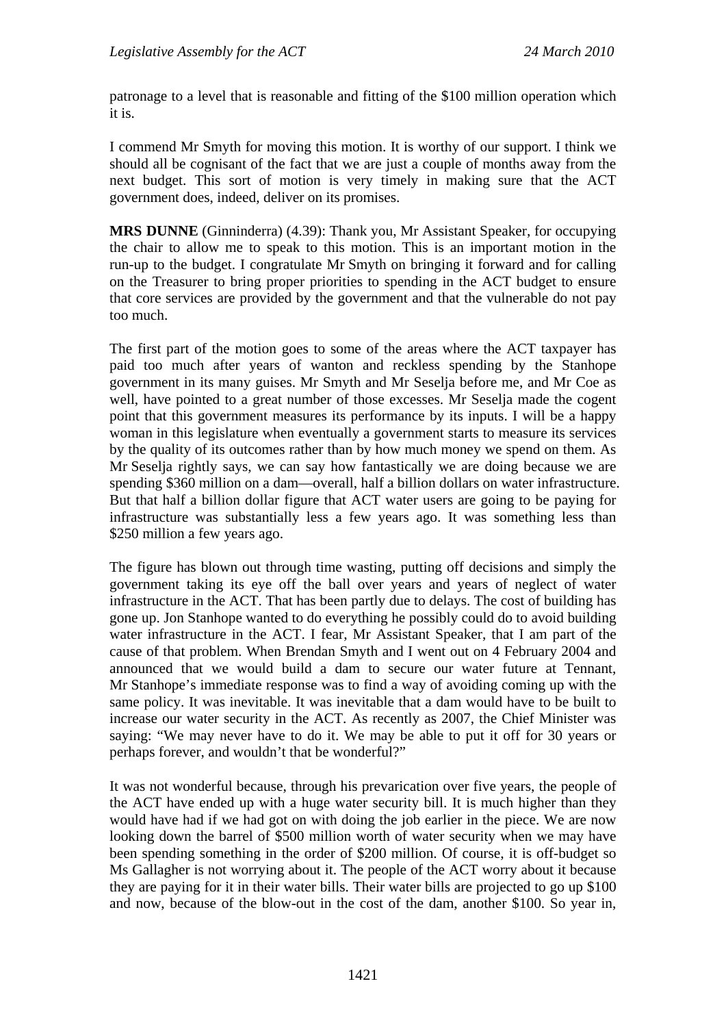patronage to a level that is reasonable and fitting of the \$100 million operation which it is.

I commend Mr Smyth for moving this motion. It is worthy of our support. I think we should all be cognisant of the fact that we are just a couple of months away from the next budget. This sort of motion is very timely in making sure that the ACT government does, indeed, deliver on its promises.

**MRS DUNNE** (Ginninderra) (4.39): Thank you, Mr Assistant Speaker, for occupying the chair to allow me to speak to this motion. This is an important motion in the run-up to the budget. I congratulate Mr Smyth on bringing it forward and for calling on the Treasurer to bring proper priorities to spending in the ACT budget to ensure that core services are provided by the government and that the vulnerable do not pay too much.

The first part of the motion goes to some of the areas where the ACT taxpayer has paid too much after years of wanton and reckless spending by the Stanhope government in its many guises. Mr Smyth and Mr Seselja before me, and Mr Coe as well, have pointed to a great number of those excesses. Mr Seselja made the cogent point that this government measures its performance by its inputs. I will be a happy woman in this legislature when eventually a government starts to measure its services by the quality of its outcomes rather than by how much money we spend on them. As Mr Seselja rightly says, we can say how fantastically we are doing because we are spending \$360 million on a dam—overall, half a billion dollars on water infrastructure. But that half a billion dollar figure that ACT water users are going to be paying for infrastructure was substantially less a few years ago. It was something less than \$250 million a few years ago.

The figure has blown out through time wasting, putting off decisions and simply the government taking its eye off the ball over years and years of neglect of water infrastructure in the ACT. That has been partly due to delays. The cost of building has gone up. Jon Stanhope wanted to do everything he possibly could do to avoid building water infrastructure in the ACT. I fear, Mr Assistant Speaker, that I am part of the cause of that problem. When Brendan Smyth and I went out on 4 February 2004 and announced that we would build a dam to secure our water future at Tennant, Mr Stanhope's immediate response was to find a way of avoiding coming up with the same policy. It was inevitable. It was inevitable that a dam would have to be built to increase our water security in the ACT. As recently as 2007, the Chief Minister was saying: "We may never have to do it. We may be able to put it off for 30 years or perhaps forever, and wouldn't that be wonderful?"

It was not wonderful because, through his prevarication over five years, the people of the ACT have ended up with a huge water security bill. It is much higher than they would have had if we had got on with doing the job earlier in the piece. We are now looking down the barrel of \$500 million worth of water security when we may have been spending something in the order of \$200 million. Of course, it is off-budget so Ms Gallagher is not worrying about it. The people of the ACT worry about it because they are paying for it in their water bills. Their water bills are projected to go up \$100 and now, because of the blow-out in the cost of the dam, another \$100. So year in,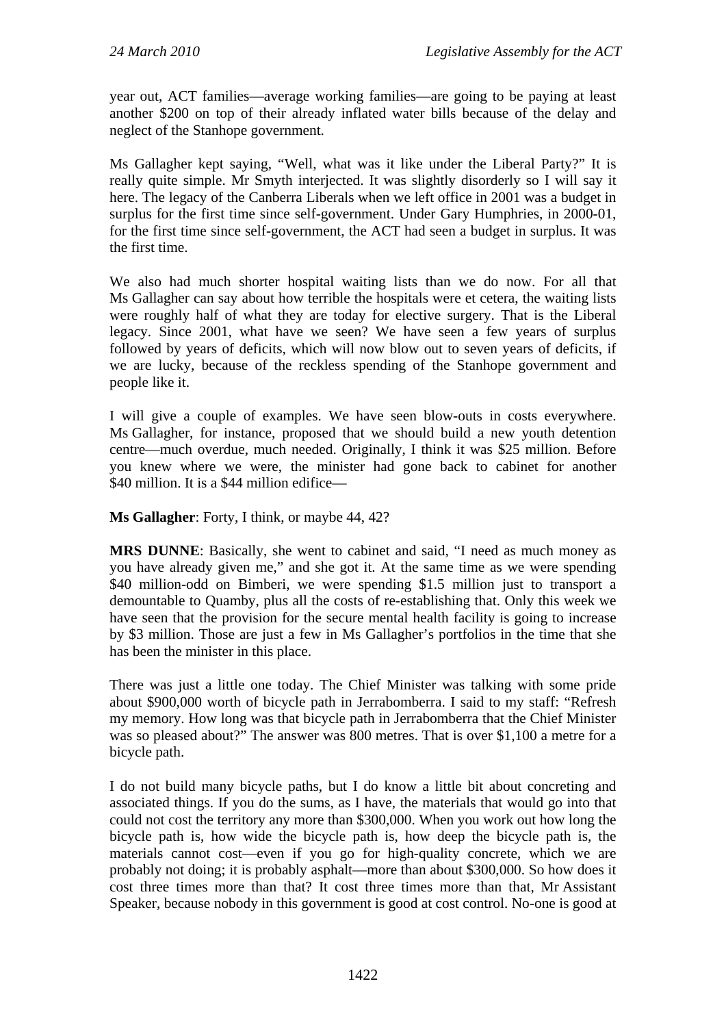year out, ACT families—average working families—are going to be paying at least another \$200 on top of their already inflated water bills because of the delay and neglect of the Stanhope government.

Ms Gallagher kept saying, "Well, what was it like under the Liberal Party?" It is really quite simple. Mr Smyth interjected. It was slightly disorderly so I will say it here. The legacy of the Canberra Liberals when we left office in 2001 was a budget in surplus for the first time since self-government. Under Gary Humphries, in 2000-01, for the first time since self-government, the ACT had seen a budget in surplus. It was the first time.

We also had much shorter hospital waiting lists than we do now. For all that Ms Gallagher can say about how terrible the hospitals were et cetera, the waiting lists were roughly half of what they are today for elective surgery. That is the Liberal legacy. Since 2001, what have we seen? We have seen a few years of surplus followed by years of deficits, which will now blow out to seven years of deficits, if we are lucky, because of the reckless spending of the Stanhope government and people like it.

I will give a couple of examples. We have seen blow-outs in costs everywhere. Ms Gallagher, for instance, proposed that we should build a new youth detention centre—much overdue, much needed. Originally, I think it was \$25 million. Before you knew where we were, the minister had gone back to cabinet for another \$40 million. It is a \$44 million edifice—

**Ms Gallagher**: Forty, I think, or maybe 44, 42?

**MRS DUNNE**: Basically, she went to cabinet and said, "I need as much money as you have already given me," and she got it. At the same time as we were spending \$40 million-odd on Bimberi, we were spending \$1.5 million just to transport a demountable to Quamby, plus all the costs of re-establishing that. Only this week we have seen that the provision for the secure mental health facility is going to increase by \$3 million. Those are just a few in Ms Gallagher's portfolios in the time that she has been the minister in this place.

There was just a little one today. The Chief Minister was talking with some pride about \$900,000 worth of bicycle path in Jerrabomberra. I said to my staff: "Refresh my memory. How long was that bicycle path in Jerrabomberra that the Chief Minister was so pleased about?" The answer was 800 metres. That is over \$1,100 a metre for a bicycle path.

I do not build many bicycle paths, but I do know a little bit about concreting and associated things. If you do the sums, as I have, the materials that would go into that could not cost the territory any more than \$300,000. When you work out how long the bicycle path is, how wide the bicycle path is, how deep the bicycle path is, the materials cannot cost—even if you go for high-quality concrete, which we are probably not doing; it is probably asphalt—more than about \$300,000. So how does it cost three times more than that? It cost three times more than that, Mr Assistant Speaker, because nobody in this government is good at cost control. No-one is good at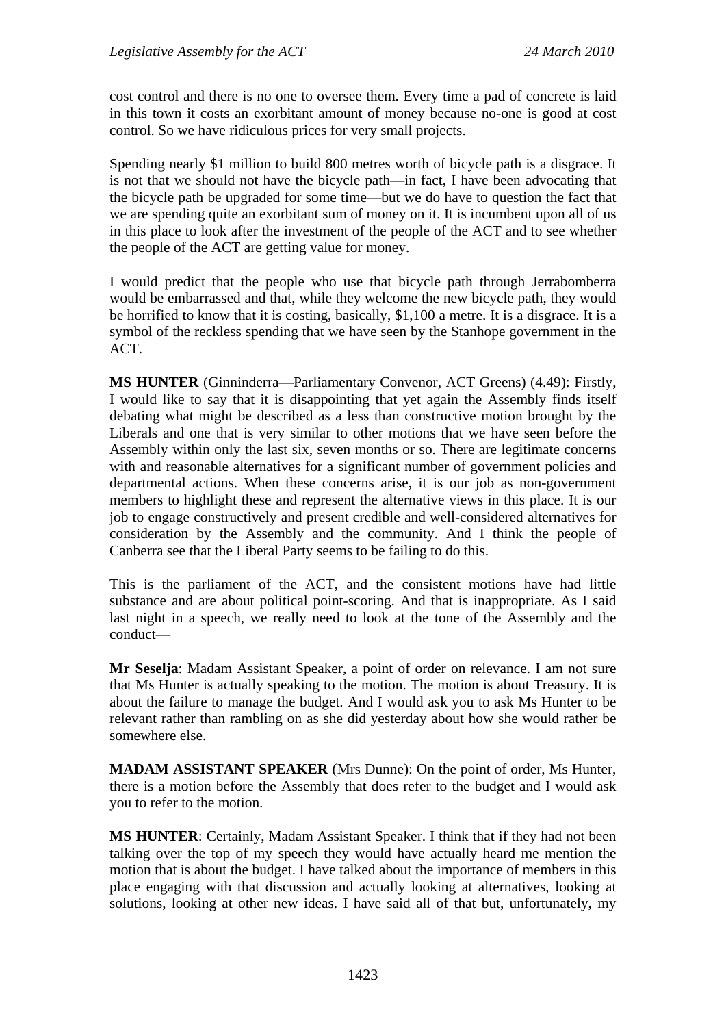cost control and there is no one to oversee them. Every time a pad of concrete is laid in this town it costs an exorbitant amount of money because no-one is good at cost control. So we have ridiculous prices for very small projects.

Spending nearly \$1 million to build 800 metres worth of bicycle path is a disgrace. It is not that we should not have the bicycle path—in fact, I have been advocating that the bicycle path be upgraded for some time—but we do have to question the fact that we are spending quite an exorbitant sum of money on it. It is incumbent upon all of us in this place to look after the investment of the people of the ACT and to see whether the people of the ACT are getting value for money.

I would predict that the people who use that bicycle path through Jerrabomberra would be embarrassed and that, while they welcome the new bicycle path, they would be horrified to know that it is costing, basically, \$1,100 a metre. It is a disgrace. It is a symbol of the reckless spending that we have seen by the Stanhope government in the ACT.

**MS HUNTER** (Ginninderra—Parliamentary Convenor, ACT Greens) (4.49): Firstly, I would like to say that it is disappointing that yet again the Assembly finds itself debating what might be described as a less than constructive motion brought by the Liberals and one that is very similar to other motions that we have seen before the Assembly within only the last six, seven months or so. There are legitimate concerns with and reasonable alternatives for a significant number of government policies and departmental actions. When these concerns arise, it is our job as non-government members to highlight these and represent the alternative views in this place. It is our job to engage constructively and present credible and well-considered alternatives for consideration by the Assembly and the community. And I think the people of Canberra see that the Liberal Party seems to be failing to do this.

This is the parliament of the ACT, and the consistent motions have had little substance and are about political point-scoring. And that is inappropriate. As I said last night in a speech, we really need to look at the tone of the Assembly and the conduct—

**Mr Seselja**: Madam Assistant Speaker, a point of order on relevance. I am not sure that Ms Hunter is actually speaking to the motion. The motion is about Treasury. It is about the failure to manage the budget. And I would ask you to ask Ms Hunter to be relevant rather than rambling on as she did yesterday about how she would rather be somewhere else.

**MADAM ASSISTANT SPEAKER** (Mrs Dunne): On the point of order, Ms Hunter, there is a motion before the Assembly that does refer to the budget and I would ask you to refer to the motion.

**MS HUNTER**: Certainly, Madam Assistant Speaker. I think that if they had not been talking over the top of my speech they would have actually heard me mention the motion that is about the budget. I have talked about the importance of members in this place engaging with that discussion and actually looking at alternatives, looking at solutions, looking at other new ideas. I have said all of that but, unfortunately, my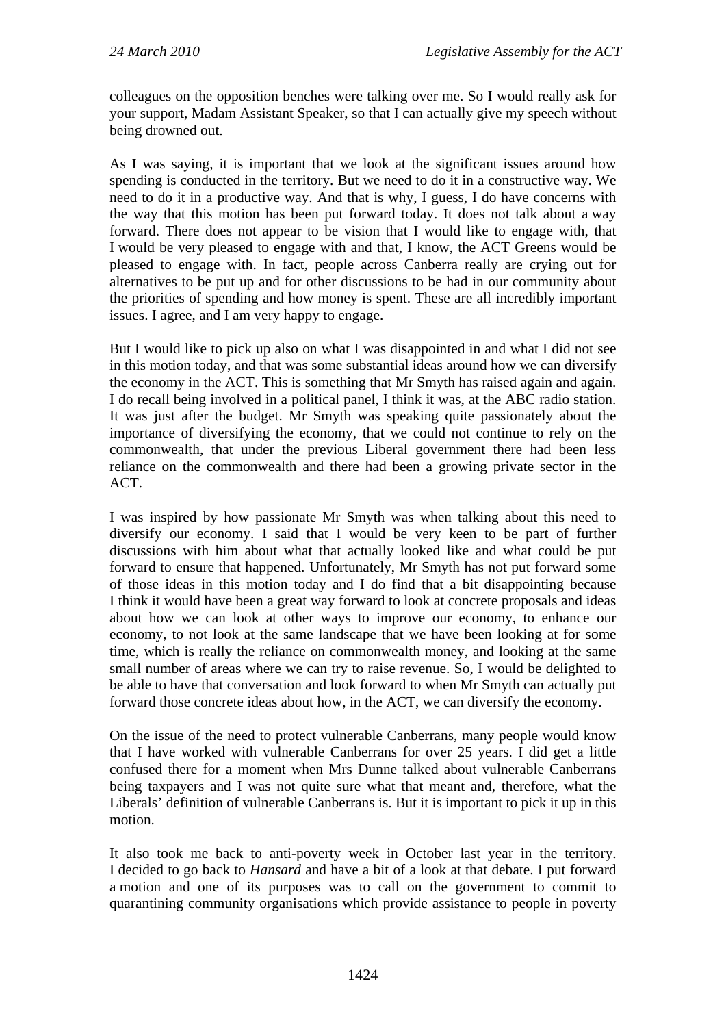colleagues on the opposition benches were talking over me. So I would really ask for your support, Madam Assistant Speaker, so that I can actually give my speech without being drowned out.

As I was saying, it is important that we look at the significant issues around how spending is conducted in the territory. But we need to do it in a constructive way. We need to do it in a productive way. And that is why, I guess, I do have concerns with the way that this motion has been put forward today. It does not talk about a way forward. There does not appear to be vision that I would like to engage with, that I would be very pleased to engage with and that, I know, the ACT Greens would be pleased to engage with. In fact, people across Canberra really are crying out for alternatives to be put up and for other discussions to be had in our community about the priorities of spending and how money is spent. These are all incredibly important issues. I agree, and I am very happy to engage.

But I would like to pick up also on what I was disappointed in and what I did not see in this motion today, and that was some substantial ideas around how we can diversify the economy in the ACT. This is something that Mr Smyth has raised again and again. I do recall being involved in a political panel, I think it was, at the ABC radio station. It was just after the budget. Mr Smyth was speaking quite passionately about the importance of diversifying the economy, that we could not continue to rely on the commonwealth, that under the previous Liberal government there had been less reliance on the commonwealth and there had been a growing private sector in the ACT.

I was inspired by how passionate Mr Smyth was when talking about this need to diversify our economy. I said that I would be very keen to be part of further discussions with him about what that actually looked like and what could be put forward to ensure that happened. Unfortunately, Mr Smyth has not put forward some of those ideas in this motion today and I do find that a bit disappointing because I think it would have been a great way forward to look at concrete proposals and ideas about how we can look at other ways to improve our economy, to enhance our economy, to not look at the same landscape that we have been looking at for some time, which is really the reliance on commonwealth money, and looking at the same small number of areas where we can try to raise revenue. So, I would be delighted to be able to have that conversation and look forward to when Mr Smyth can actually put forward those concrete ideas about how, in the ACT, we can diversify the economy.

On the issue of the need to protect vulnerable Canberrans, many people would know that I have worked with vulnerable Canberrans for over 25 years. I did get a little confused there for a moment when Mrs Dunne talked about vulnerable Canberrans being taxpayers and I was not quite sure what that meant and, therefore, what the Liberals' definition of vulnerable Canberrans is. But it is important to pick it up in this motion.

It also took me back to anti-poverty week in October last year in the territory. I decided to go back to *Hansard* and have a bit of a look at that debate. I put forward a motion and one of its purposes was to call on the government to commit to quarantining community organisations which provide assistance to people in poverty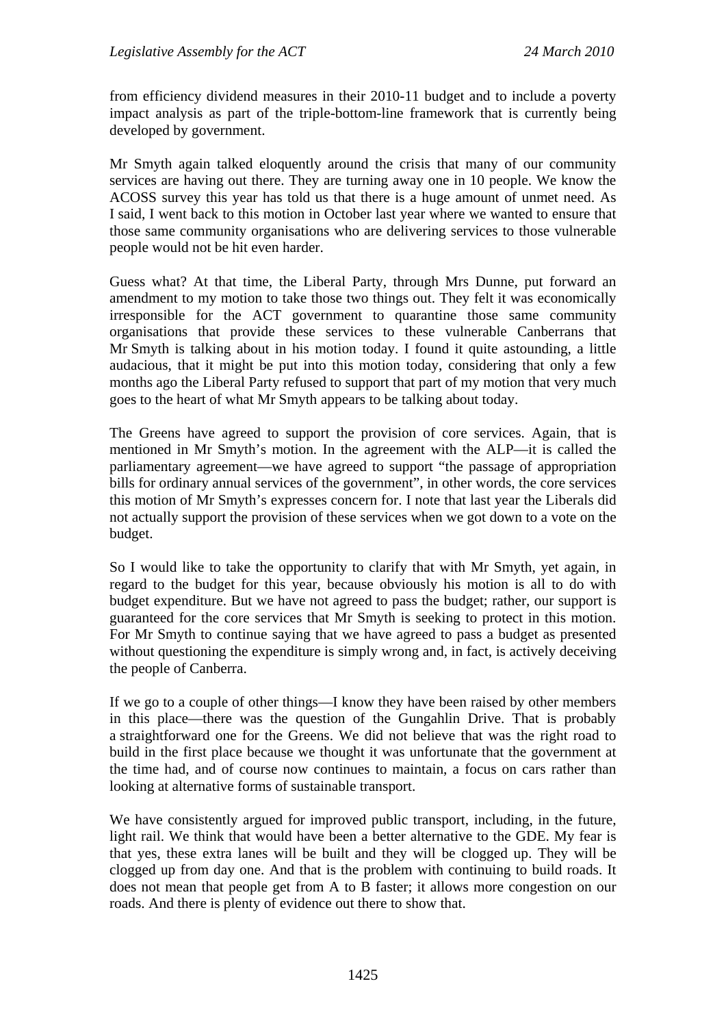from efficiency dividend measures in their 2010-11 budget and to include a poverty impact analysis as part of the triple-bottom-line framework that is currently being developed by government.

Mr Smyth again talked eloquently around the crisis that many of our community services are having out there. They are turning away one in 10 people. We know the ACOSS survey this year has told us that there is a huge amount of unmet need. As I said, I went back to this motion in October last year where we wanted to ensure that those same community organisations who are delivering services to those vulnerable people would not be hit even harder.

Guess what? At that time, the Liberal Party, through Mrs Dunne, put forward an amendment to my motion to take those two things out. They felt it was economically irresponsible for the ACT government to quarantine those same community organisations that provide these services to these vulnerable Canberrans that Mr Smyth is talking about in his motion today. I found it quite astounding, a little audacious, that it might be put into this motion today, considering that only a few months ago the Liberal Party refused to support that part of my motion that very much goes to the heart of what Mr Smyth appears to be talking about today.

The Greens have agreed to support the provision of core services. Again, that is mentioned in Mr Smyth's motion. In the agreement with the ALP—it is called the parliamentary agreement—we have agreed to support "the passage of appropriation bills for ordinary annual services of the government", in other words, the core services this motion of Mr Smyth's expresses concern for. I note that last year the Liberals did not actually support the provision of these services when we got down to a vote on the budget.

So I would like to take the opportunity to clarify that with Mr Smyth, yet again, in regard to the budget for this year, because obviously his motion is all to do with budget expenditure. But we have not agreed to pass the budget; rather, our support is guaranteed for the core services that Mr Smyth is seeking to protect in this motion. For Mr Smyth to continue saying that we have agreed to pass a budget as presented without questioning the expenditure is simply wrong and, in fact, is actively deceiving the people of Canberra.

If we go to a couple of other things—I know they have been raised by other members in this place—there was the question of the Gungahlin Drive. That is probably a straightforward one for the Greens. We did not believe that was the right road to build in the first place because we thought it was unfortunate that the government at the time had, and of course now continues to maintain, a focus on cars rather than looking at alternative forms of sustainable transport.

We have consistently argued for improved public transport, including, in the future, light rail. We think that would have been a better alternative to the GDE. My fear is that yes, these extra lanes will be built and they will be clogged up. They will be clogged up from day one. And that is the problem with continuing to build roads. It does not mean that people get from A to B faster; it allows more congestion on our roads. And there is plenty of evidence out there to show that.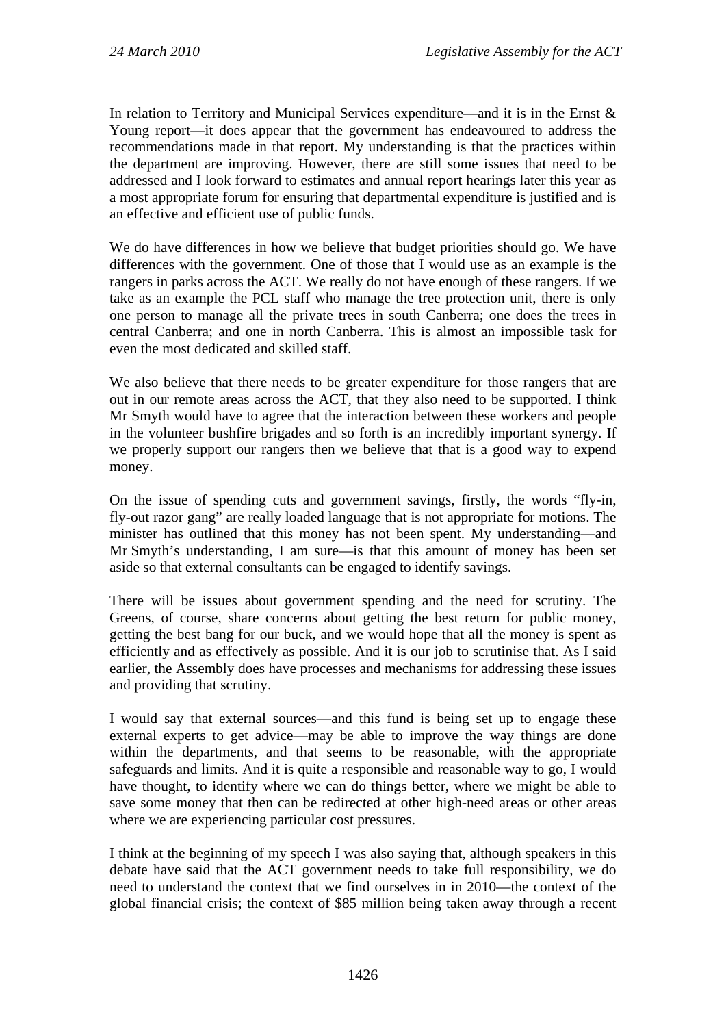In relation to Territory and Municipal Services expenditure—and it is in the Ernst & Young report—it does appear that the government has endeavoured to address the recommendations made in that report. My understanding is that the practices within the department are improving. However, there are still some issues that need to be addressed and I look forward to estimates and annual report hearings later this year as a most appropriate forum for ensuring that departmental expenditure is justified and is an effective and efficient use of public funds.

We do have differences in how we believe that budget priorities should go. We have differences with the government. One of those that I would use as an example is the rangers in parks across the ACT. We really do not have enough of these rangers. If we take as an example the PCL staff who manage the tree protection unit, there is only one person to manage all the private trees in south Canberra; one does the trees in central Canberra; and one in north Canberra. This is almost an impossible task for even the most dedicated and skilled staff.

We also believe that there needs to be greater expenditure for those rangers that are out in our remote areas across the ACT, that they also need to be supported. I think Mr Smyth would have to agree that the interaction between these workers and people in the volunteer bushfire brigades and so forth is an incredibly important synergy. If we properly support our rangers then we believe that that is a good way to expend money.

On the issue of spending cuts and government savings, firstly, the words "fly-in, fly-out razor gang" are really loaded language that is not appropriate for motions. The minister has outlined that this money has not been spent. My understanding—and Mr Smyth's understanding, I am sure—is that this amount of money has been set aside so that external consultants can be engaged to identify savings.

There will be issues about government spending and the need for scrutiny. The Greens, of course, share concerns about getting the best return for public money, getting the best bang for our buck, and we would hope that all the money is spent as efficiently and as effectively as possible. And it is our job to scrutinise that. As I said earlier, the Assembly does have processes and mechanisms for addressing these issues and providing that scrutiny.

I would say that external sources—and this fund is being set up to engage these external experts to get advice—may be able to improve the way things are done within the departments, and that seems to be reasonable, with the appropriate safeguards and limits. And it is quite a responsible and reasonable way to go, I would have thought, to identify where we can do things better, where we might be able to save some money that then can be redirected at other high-need areas or other areas where we are experiencing particular cost pressures.

I think at the beginning of my speech I was also saying that, although speakers in this debate have said that the ACT government needs to take full responsibility, we do need to understand the context that we find ourselves in in 2010—the context of the global financial crisis; the context of \$85 million being taken away through a recent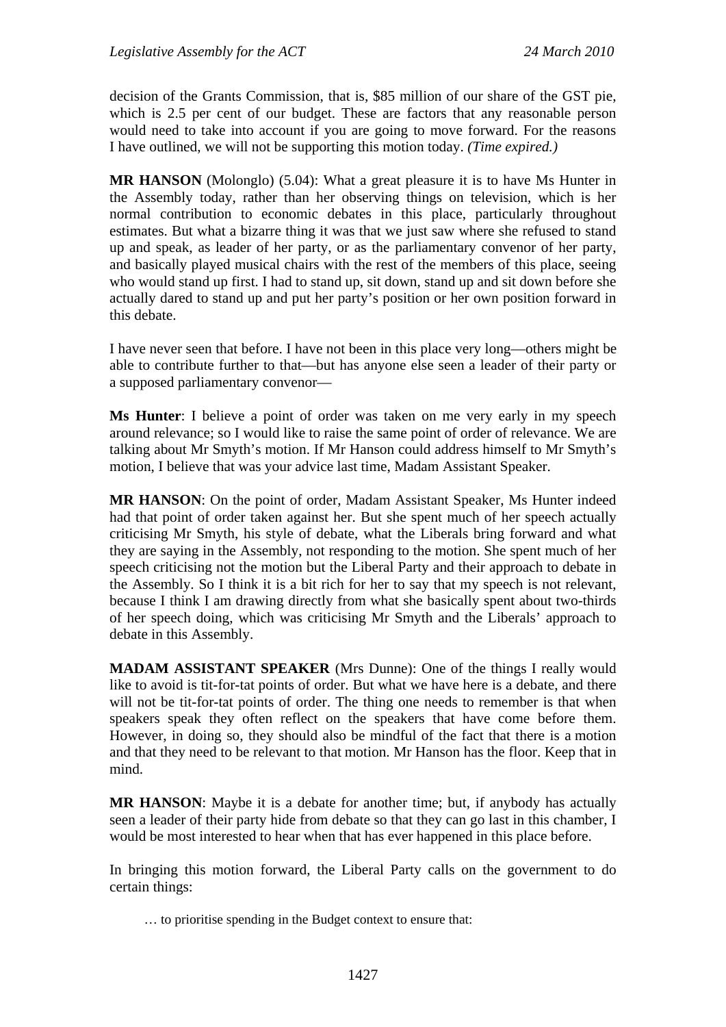decision of the Grants Commission, that is, \$85 million of our share of the GST pie, which is 2.5 per cent of our budget. These are factors that any reasonable person would need to take into account if you are going to move forward. For the reasons I have outlined, we will not be supporting this motion today. *(Time expired.)*

**MR HANSON** (Molonglo) (5.04): What a great pleasure it is to have Ms Hunter in the Assembly today, rather than her observing things on television, which is her normal contribution to economic debates in this place, particularly throughout estimates. But what a bizarre thing it was that we just saw where she refused to stand up and speak, as leader of her party, or as the parliamentary convenor of her party, and basically played musical chairs with the rest of the members of this place, seeing who would stand up first. I had to stand up, sit down, stand up and sit down before she actually dared to stand up and put her party's position or her own position forward in this debate.

I have never seen that before. I have not been in this place very long—others might be able to contribute further to that—but has anyone else seen a leader of their party or a supposed parliamentary convenor—

**Ms Hunter**: I believe a point of order was taken on me very early in my speech around relevance; so I would like to raise the same point of order of relevance. We are talking about Mr Smyth's motion. If Mr Hanson could address himself to Mr Smyth's motion, I believe that was your advice last time, Madam Assistant Speaker.

**MR HANSON**: On the point of order, Madam Assistant Speaker, Ms Hunter indeed had that point of order taken against her. But she spent much of her speech actually criticising Mr Smyth, his style of debate, what the Liberals bring forward and what they are saying in the Assembly, not responding to the motion. She spent much of her speech criticising not the motion but the Liberal Party and their approach to debate in the Assembly. So I think it is a bit rich for her to say that my speech is not relevant, because I think I am drawing directly from what she basically spent about two-thirds of her speech doing, which was criticising Mr Smyth and the Liberals' approach to debate in this Assembly.

**MADAM ASSISTANT SPEAKER** (Mrs Dunne): One of the things I really would like to avoid is tit-for-tat points of order. But what we have here is a debate, and there will not be tit-for-tat points of order. The thing one needs to remember is that when speakers speak they often reflect on the speakers that have come before them. However, in doing so, they should also be mindful of the fact that there is a motion and that they need to be relevant to that motion. Mr Hanson has the floor. Keep that in mind.

**MR HANSON**: Maybe it is a debate for another time; but, if anybody has actually seen a leader of their party hide from debate so that they can go last in this chamber, I would be most interested to hear when that has ever happened in this place before.

In bringing this motion forward, the Liberal Party calls on the government to do certain things:

… to prioritise spending in the Budget context to ensure that: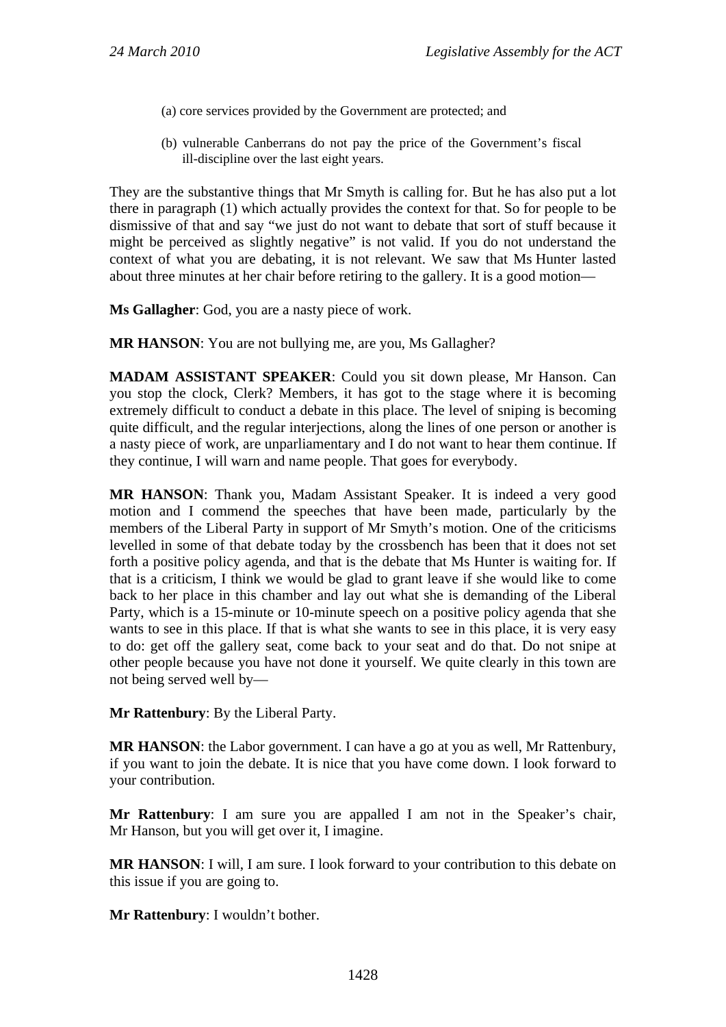- (a) core services provided by the Government are protected; and
- (b) vulnerable Canberrans do not pay the price of the Government's fiscal ill-discipline over the last eight years.

They are the substantive things that Mr Smyth is calling for. But he has also put a lot there in paragraph (1) which actually provides the context for that. So for people to be dismissive of that and say "we just do not want to debate that sort of stuff because it might be perceived as slightly negative" is not valid. If you do not understand the context of what you are debating, it is not relevant. We saw that Ms Hunter lasted about three minutes at her chair before retiring to the gallery. It is a good motion—

**Ms Gallagher**: God, you are a nasty piece of work.

**MR HANSON**: You are not bullying me, are you, Ms Gallagher?

**MADAM ASSISTANT SPEAKER**: Could you sit down please, Mr Hanson. Can you stop the clock, Clerk? Members, it has got to the stage where it is becoming extremely difficult to conduct a debate in this place. The level of sniping is becoming quite difficult, and the regular interjections, along the lines of one person or another is a nasty piece of work, are unparliamentary and I do not want to hear them continue. If they continue, I will warn and name people. That goes for everybody.

**MR HANSON**: Thank you, Madam Assistant Speaker. It is indeed a very good motion and I commend the speeches that have been made, particularly by the members of the Liberal Party in support of Mr Smyth's motion. One of the criticisms levelled in some of that debate today by the crossbench has been that it does not set forth a positive policy agenda, and that is the debate that Ms Hunter is waiting for. If that is a criticism, I think we would be glad to grant leave if she would like to come back to her place in this chamber and lay out what she is demanding of the Liberal Party, which is a 15-minute or 10-minute speech on a positive policy agenda that she wants to see in this place. If that is what she wants to see in this place, it is very easy to do: get off the gallery seat, come back to your seat and do that. Do not snipe at other people because you have not done it yourself. We quite clearly in this town are not being served well by—

**Mr Rattenbury**: By the Liberal Party.

**MR HANSON**: the Labor government. I can have a go at you as well, Mr Rattenbury, if you want to join the debate. It is nice that you have come down. I look forward to your contribution.

**Mr Rattenbury**: I am sure you are appalled I am not in the Speaker's chair, Mr Hanson, but you will get over it, I imagine.

**MR HANSON**: I will, I am sure. I look forward to your contribution to this debate on this issue if you are going to.

**Mr Rattenbury**: I wouldn't bother.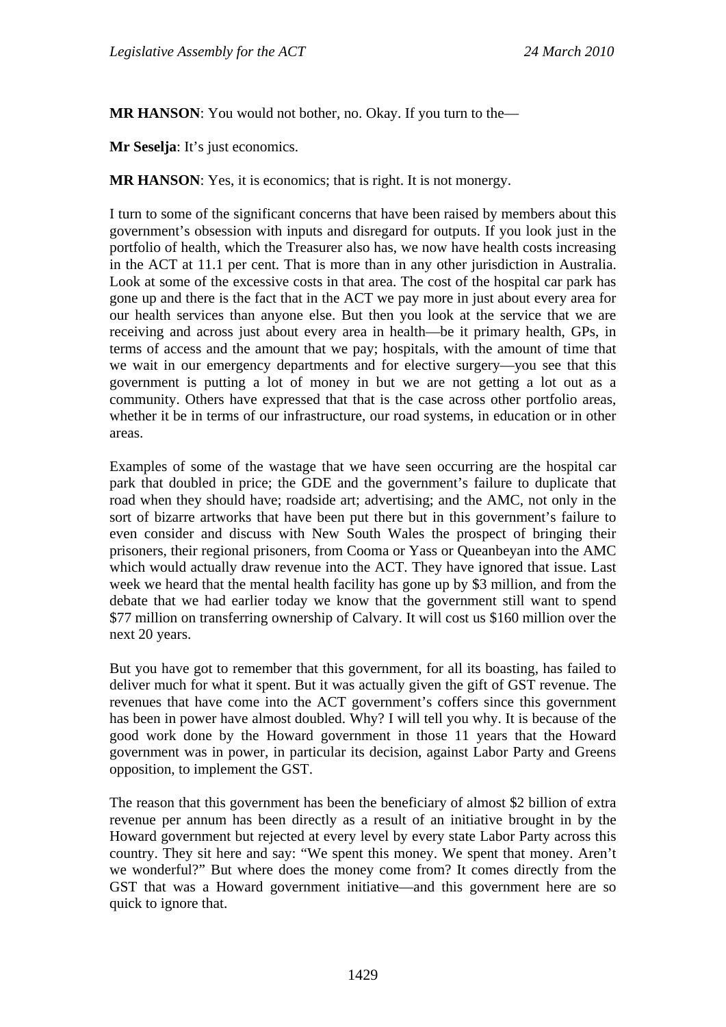**MR HANSON**: You would not bother, no. Okay. If you turn to the—

**Mr Seselja**: It's just economics.

**MR HANSON**: Yes, it is economics; that is right. It is not monergy.

I turn to some of the significant concerns that have been raised by members about this government's obsession with inputs and disregard for outputs. If you look just in the portfolio of health, which the Treasurer also has, we now have health costs increasing in the ACT at 11.1 per cent. That is more than in any other jurisdiction in Australia. Look at some of the excessive costs in that area. The cost of the hospital car park has gone up and there is the fact that in the ACT we pay more in just about every area for our health services than anyone else. But then you look at the service that we are receiving and across just about every area in health—be it primary health, GPs, in terms of access and the amount that we pay; hospitals, with the amount of time that we wait in our emergency departments and for elective surgery—you see that this government is putting a lot of money in but we are not getting a lot out as a community. Others have expressed that that is the case across other portfolio areas, whether it be in terms of our infrastructure, our road systems, in education or in other areas.

Examples of some of the wastage that we have seen occurring are the hospital car park that doubled in price; the GDE and the government's failure to duplicate that road when they should have; roadside art; advertising; and the AMC, not only in the sort of bizarre artworks that have been put there but in this government's failure to even consider and discuss with New South Wales the prospect of bringing their prisoners, their regional prisoners, from Cooma or Yass or Queanbeyan into the AMC which would actually draw revenue into the ACT. They have ignored that issue. Last week we heard that the mental health facility has gone up by \$3 million, and from the debate that we had earlier today we know that the government still want to spend \$77 million on transferring ownership of Calvary. It will cost us \$160 million over the next 20 years.

But you have got to remember that this government, for all its boasting, has failed to deliver much for what it spent. But it was actually given the gift of GST revenue. The revenues that have come into the ACT government's coffers since this government has been in power have almost doubled. Why? I will tell you why. It is because of the good work done by the Howard government in those 11 years that the Howard government was in power, in particular its decision, against Labor Party and Greens opposition, to implement the GST.

The reason that this government has been the beneficiary of almost \$2 billion of extra revenue per annum has been directly as a result of an initiative brought in by the Howard government but rejected at every level by every state Labor Party across this country. They sit here and say: "We spent this money. We spent that money. Aren't we wonderful?" But where does the money come from? It comes directly from the GST that was a Howard government initiative—and this government here are so quick to ignore that.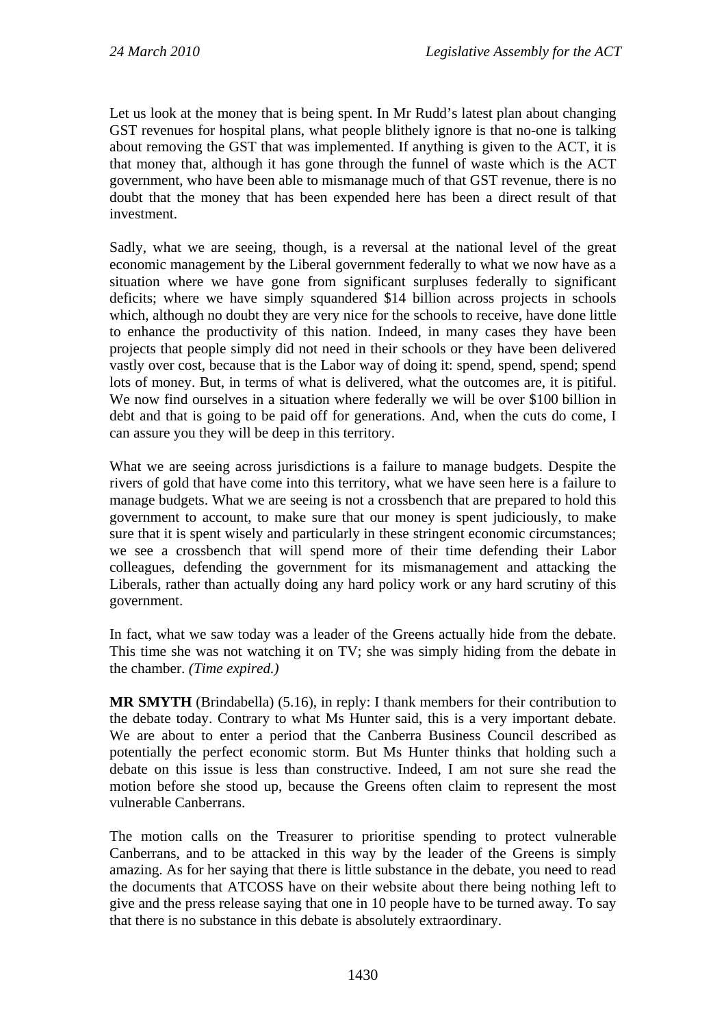Let us look at the money that is being spent. In Mr Rudd's latest plan about changing GST revenues for hospital plans, what people blithely ignore is that no-one is talking about removing the GST that was implemented. If anything is given to the ACT, it is that money that, although it has gone through the funnel of waste which is the ACT government, who have been able to mismanage much of that GST revenue, there is no doubt that the money that has been expended here has been a direct result of that investment.

Sadly, what we are seeing, though, is a reversal at the national level of the great economic management by the Liberal government federally to what we now have as a situation where we have gone from significant surpluses federally to significant deficits; where we have simply squandered \$14 billion across projects in schools which, although no doubt they are very nice for the schools to receive, have done little to enhance the productivity of this nation. Indeed, in many cases they have been projects that people simply did not need in their schools or they have been delivered vastly over cost, because that is the Labor way of doing it: spend, spend, spend; spend lots of money. But, in terms of what is delivered, what the outcomes are, it is pitiful. We now find ourselves in a situation where federally we will be over \$100 billion in debt and that is going to be paid off for generations. And, when the cuts do come, I can assure you they will be deep in this territory.

What we are seeing across jurisdictions is a failure to manage budgets. Despite the rivers of gold that have come into this territory, what we have seen here is a failure to manage budgets. What we are seeing is not a crossbench that are prepared to hold this government to account, to make sure that our money is spent judiciously, to make sure that it is spent wisely and particularly in these stringent economic circumstances; we see a crossbench that will spend more of their time defending their Labor colleagues, defending the government for its mismanagement and attacking the Liberals, rather than actually doing any hard policy work or any hard scrutiny of this government.

In fact, what we saw today was a leader of the Greens actually hide from the debate. This time she was not watching it on TV; she was simply hiding from the debate in the chamber. *(Time expired.)*

**MR SMYTH** (Brindabella) (5.16), in reply: I thank members for their contribution to the debate today. Contrary to what Ms Hunter said, this is a very important debate. We are about to enter a period that the Canberra Business Council described as potentially the perfect economic storm. But Ms Hunter thinks that holding such a debate on this issue is less than constructive. Indeed, I am not sure she read the motion before she stood up, because the Greens often claim to represent the most vulnerable Canberrans.

The motion calls on the Treasurer to prioritise spending to protect vulnerable Canberrans, and to be attacked in this way by the leader of the Greens is simply amazing. As for her saying that there is little substance in the debate, you need to read the documents that ATCOSS have on their website about there being nothing left to give and the press release saying that one in 10 people have to be turned away. To say that there is no substance in this debate is absolutely extraordinary.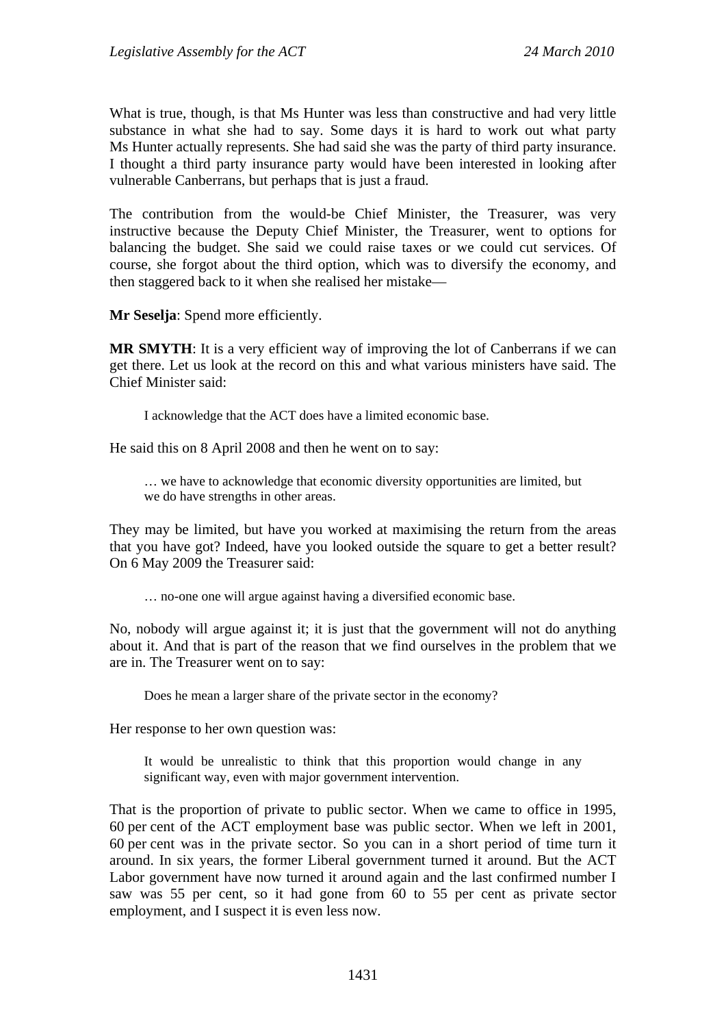What is true, though, is that Ms Hunter was less than constructive and had very little substance in what she had to say. Some days it is hard to work out what party Ms Hunter actually represents. She had said she was the party of third party insurance. I thought a third party insurance party would have been interested in looking after vulnerable Canberrans, but perhaps that is just a fraud.

The contribution from the would-be Chief Minister, the Treasurer, was very instructive because the Deputy Chief Minister, the Treasurer, went to options for balancing the budget. She said we could raise taxes or we could cut services. Of course, she forgot about the third option, which was to diversify the economy, and then staggered back to it when she realised her mistake—

**Mr Seselja**: Spend more efficiently.

**MR SMYTH:** It is a very efficient way of improving the lot of Canberrans if we can get there. Let us look at the record on this and what various ministers have said. The Chief Minister said:

I acknowledge that the ACT does have a limited economic base.

He said this on 8 April 2008 and then he went on to say:

… we have to acknowledge that economic diversity opportunities are limited, but we do have strengths in other areas.

They may be limited, but have you worked at maximising the return from the areas that you have got? Indeed, have you looked outside the square to get a better result? On 6 May 2009 the Treasurer said:

… no-one one will argue against having a diversified economic base.

No, nobody will argue against it; it is just that the government will not do anything about it. And that is part of the reason that we find ourselves in the problem that we are in. The Treasurer went on to say:

Does he mean a larger share of the private sector in the economy?

Her response to her own question was:

It would be unrealistic to think that this proportion would change in any significant way, even with major government intervention.

That is the proportion of private to public sector. When we came to office in 1995, 60 per cent of the ACT employment base was public sector. When we left in 2001, 60 per cent was in the private sector. So you can in a short period of time turn it around. In six years, the former Liberal government turned it around. But the ACT Labor government have now turned it around again and the last confirmed number I saw was 55 per cent, so it had gone from 60 to 55 per cent as private sector employment, and I suspect it is even less now.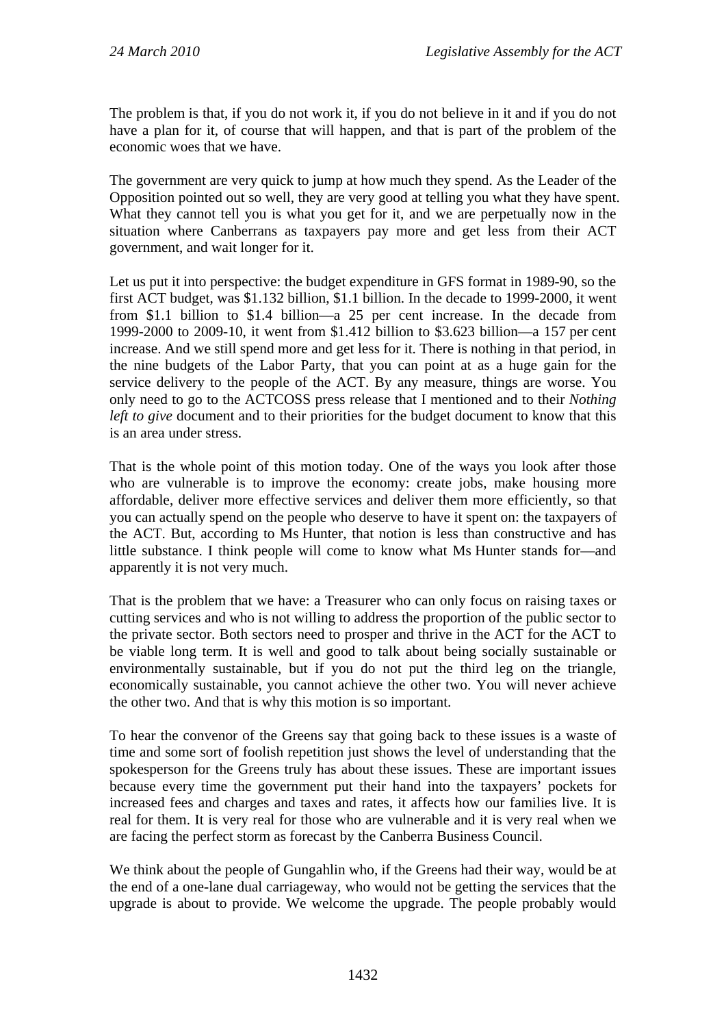The problem is that, if you do not work it, if you do not believe in it and if you do not have a plan for it, of course that will happen, and that is part of the problem of the economic woes that we have.

The government are very quick to jump at how much they spend. As the Leader of the Opposition pointed out so well, they are very good at telling you what they have spent. What they cannot tell you is what you get for it, and we are perpetually now in the situation where Canberrans as taxpayers pay more and get less from their ACT government, and wait longer for it.

Let us put it into perspective: the budget expenditure in GFS format in 1989-90, so the first ACT budget, was \$1.132 billion, \$1.1 billion. In the decade to 1999-2000, it went from \$1.1 billion to \$1.4 billion—a 25 per cent increase. In the decade from 1999-2000 to 2009-10, it went from \$1.412 billion to \$3.623 billion—a 157 per cent increase. And we still spend more and get less for it. There is nothing in that period, in the nine budgets of the Labor Party, that you can point at as a huge gain for the service delivery to the people of the ACT. By any measure, things are worse. You only need to go to the ACTCOSS press release that I mentioned and to their *Nothing left to give* document and to their priorities for the budget document to know that this is an area under stress.

That is the whole point of this motion today. One of the ways you look after those who are vulnerable is to improve the economy: create jobs, make housing more affordable, deliver more effective services and deliver them more efficiently, so that you can actually spend on the people who deserve to have it spent on: the taxpayers of the ACT. But, according to Ms Hunter, that notion is less than constructive and has little substance. I think people will come to know what Ms Hunter stands for—and apparently it is not very much.

That is the problem that we have: a Treasurer who can only focus on raising taxes or cutting services and who is not willing to address the proportion of the public sector to the private sector. Both sectors need to prosper and thrive in the ACT for the ACT to be viable long term. It is well and good to talk about being socially sustainable or environmentally sustainable, but if you do not put the third leg on the triangle, economically sustainable, you cannot achieve the other two. You will never achieve the other two. And that is why this motion is so important.

To hear the convenor of the Greens say that going back to these issues is a waste of time and some sort of foolish repetition just shows the level of understanding that the spokesperson for the Greens truly has about these issues. These are important issues because every time the government put their hand into the taxpayers' pockets for increased fees and charges and taxes and rates, it affects how our families live. It is real for them. It is very real for those who are vulnerable and it is very real when we are facing the perfect storm as forecast by the Canberra Business Council.

We think about the people of Gungahlin who, if the Greens had their way, would be at the end of a one-lane dual carriageway, who would not be getting the services that the upgrade is about to provide. We welcome the upgrade. The people probably would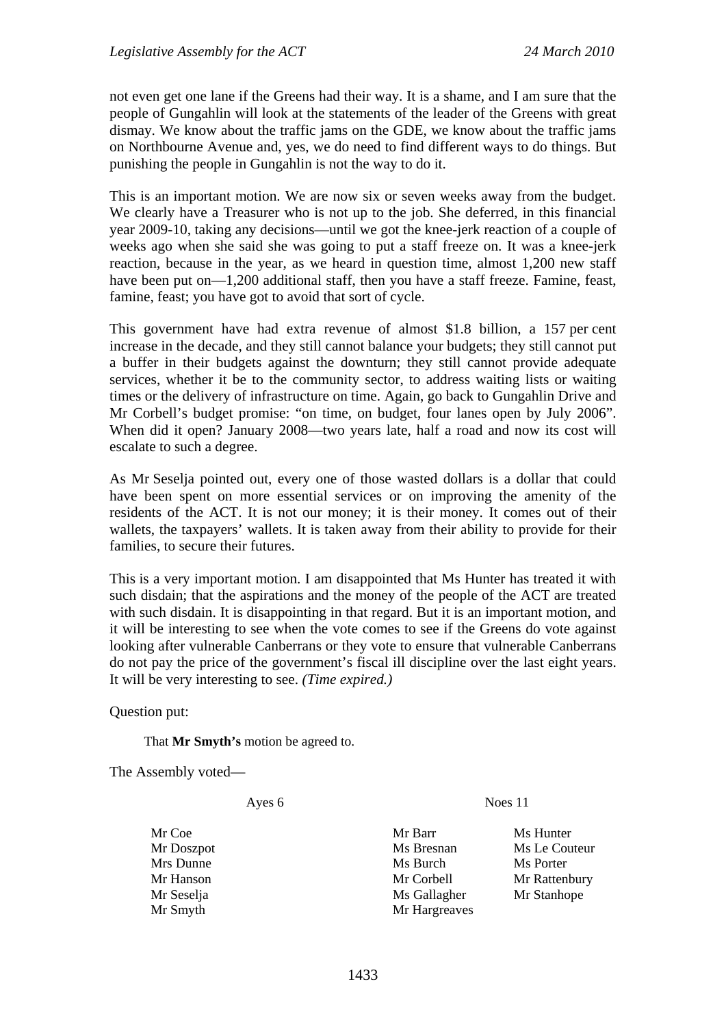not even get one lane if the Greens had their way. It is a shame, and I am sure that the people of Gungahlin will look at the statements of the leader of the Greens with great dismay. We know about the traffic jams on the GDE, we know about the traffic jams on Northbourne Avenue and, yes, we do need to find different ways to do things. But punishing the people in Gungahlin is not the way to do it.

This is an important motion. We are now six or seven weeks away from the budget. We clearly have a Treasurer who is not up to the job. She deferred, in this financial year 2009-10, taking any decisions—until we got the knee-jerk reaction of a couple of weeks ago when she said she was going to put a staff freeze on. It was a knee-jerk reaction, because in the year, as we heard in question time, almost 1,200 new staff have been put on—1,200 additional staff, then you have a staff freeze. Famine, feast, famine, feast; you have got to avoid that sort of cycle.

This government have had extra revenue of almost \$1.8 billion, a 157 per cent increase in the decade, and they still cannot balance your budgets; they still cannot put a buffer in their budgets against the downturn; they still cannot provide adequate services, whether it be to the community sector, to address waiting lists or waiting times or the delivery of infrastructure on time. Again, go back to Gungahlin Drive and Mr Corbell's budget promise: "on time, on budget, four lanes open by July 2006". When did it open? January 2008—two years late, half a road and now its cost will escalate to such a degree.

As Mr Seselja pointed out, every one of those wasted dollars is a dollar that could have been spent on more essential services or on improving the amenity of the residents of the ACT. It is not our money; it is their money. It comes out of their wallets, the taxpayers' wallets. It is taken away from their ability to provide for their families, to secure their futures.

This is a very important motion. I am disappointed that Ms Hunter has treated it with such disdain; that the aspirations and the money of the people of the ACT are treated with such disdain. It is disappointing in that regard. But it is an important motion, and it will be interesting to see when the vote comes to see if the Greens do vote against looking after vulnerable Canberrans or they vote to ensure that vulnerable Canberrans do not pay the price of the government's fiscal ill discipline over the last eight years. It will be very interesting to see. *(Time expired.)*

Question put:

That **Mr Smyth's** motion be agreed to.

The Assembly voted—

Ayes 6 Noes 11

Mr Coe Mr Barr Ms Hunter Mr Doszpot **Ms Bresnan** Ms Le Couteur Mrs Dunne Ms Burch Ms Burch Ms Porter Mr Hanson Mr Corbell Mr Rattenbury Mr Seselja Ms Gallagher Mr Stanhope Mr Smyth Mr Hargreaves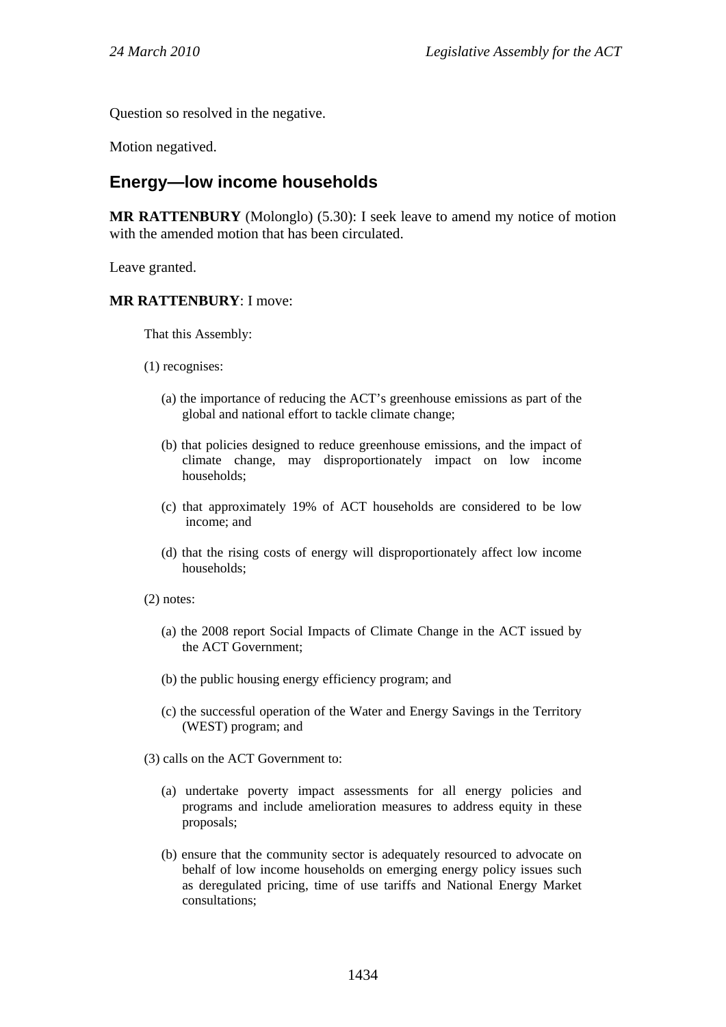Question so resolved in the negative.

Motion negatived.

# **Energy—low income households**

**MR RATTENBURY** (Molonglo) (5.30): I seek leave to amend my notice of motion with the amended motion that has been circulated.

Leave granted.

#### **MR RATTENBURY**: I move:

That this Assembly:

- (1) recognises:
	- (a) the importance of reducing the ACT's greenhouse emissions as part of the global and national effort to tackle climate change;
	- (b) that policies designed to reduce greenhouse emissions, and the impact of climate change, may disproportionately impact on low income households;
	- (c) that approximately 19% of ACT households are considered to be low income; and
	- (d) that the rising costs of energy will disproportionately affect low income households;
- (2) notes:
	- (a) the 2008 report Social Impacts of Climate Change in the ACT issued by the ACT Government;
	- (b) the public housing energy efficiency program; and
	- (c) the successful operation of the Water and Energy Savings in the Territory (WEST) program; and
- (3) calls on the ACT Government to:
	- (a) undertake poverty impact assessments for all energy policies and programs and include amelioration measures to address equity in these proposals;
	- (b) ensure that the community sector is adequately resourced to advocate on behalf of low income households on emerging energy policy issues such as deregulated pricing, time of use tariffs and National Energy Market consultations;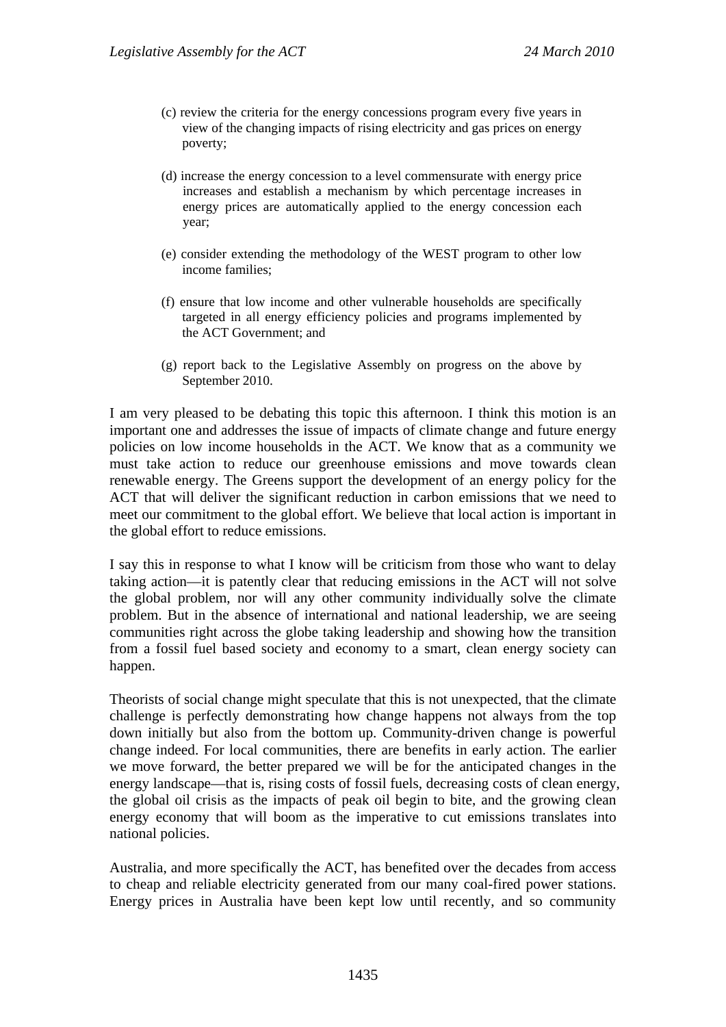- (c) review the criteria for the energy concessions program every five years in view of the changing impacts of rising electricity and gas prices on energy poverty;
- (d) increase the energy concession to a level commensurate with energy price increases and establish a mechanism by which percentage increases in energy prices are automatically applied to the energy concession each year;
- (e) consider extending the methodology of the WEST program to other low income families;
- (f) ensure that low income and other vulnerable households are specifically targeted in all energy efficiency policies and programs implemented by the ACT Government; and
- (g) report back to the Legislative Assembly on progress on the above by September 2010.

I am very pleased to be debating this topic this afternoon. I think this motion is an important one and addresses the issue of impacts of climate change and future energy policies on low income households in the ACT. We know that as a community we must take action to reduce our greenhouse emissions and move towards clean renewable energy. The Greens support the development of an energy policy for the ACT that will deliver the significant reduction in carbon emissions that we need to meet our commitment to the global effort. We believe that local action is important in the global effort to reduce emissions.

I say this in response to what I know will be criticism from those who want to delay taking action—it is patently clear that reducing emissions in the ACT will not solve the global problem, nor will any other community individually solve the climate problem. But in the absence of international and national leadership, we are seeing communities right across the globe taking leadership and showing how the transition from a fossil fuel based society and economy to a smart, clean energy society can happen.

Theorists of social change might speculate that this is not unexpected, that the climate challenge is perfectly demonstrating how change happens not always from the top down initially but also from the bottom up. Community-driven change is powerful change indeed. For local communities, there are benefits in early action. The earlier we move forward, the better prepared we will be for the anticipated changes in the energy landscape—that is, rising costs of fossil fuels, decreasing costs of clean energy, the global oil crisis as the impacts of peak oil begin to bite, and the growing clean energy economy that will boom as the imperative to cut emissions translates into national policies.

Australia, and more specifically the ACT, has benefited over the decades from access to cheap and reliable electricity generated from our many coal-fired power stations. Energy prices in Australia have been kept low until recently, and so community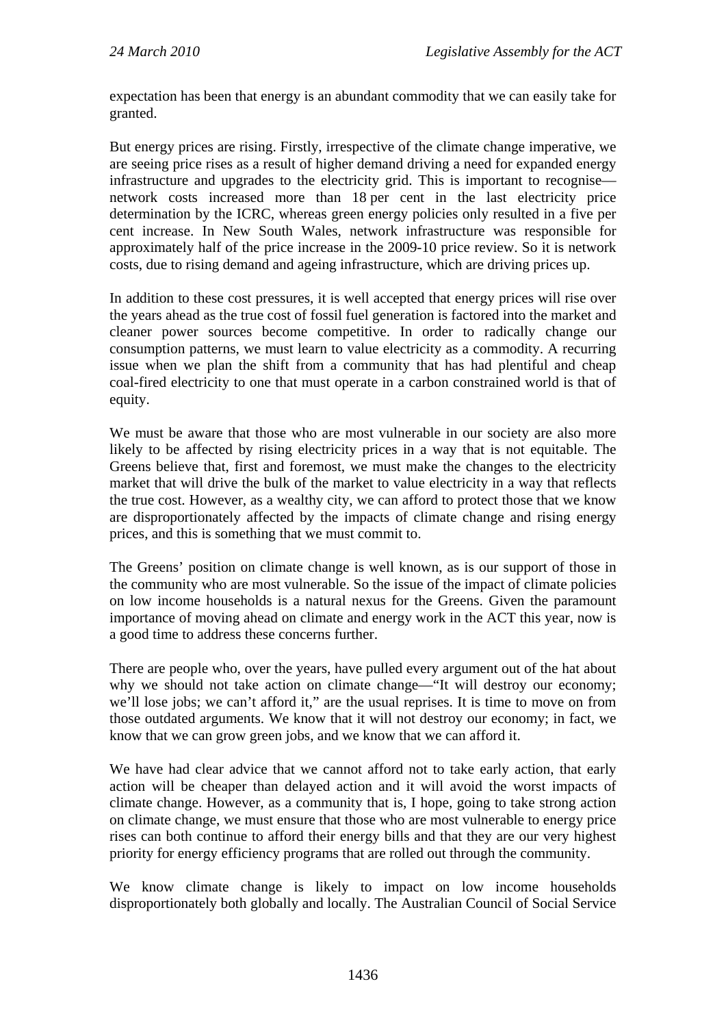expectation has been that energy is an abundant commodity that we can easily take for granted.

But energy prices are rising. Firstly, irrespective of the climate change imperative, we are seeing price rises as a result of higher demand driving a need for expanded energy infrastructure and upgrades to the electricity grid. This is important to recognise network costs increased more than 18 per cent in the last electricity price determination by the ICRC, whereas green energy policies only resulted in a five per cent increase. In New South Wales, network infrastructure was responsible for approximately half of the price increase in the 2009-10 price review. So it is network costs, due to rising demand and ageing infrastructure, which are driving prices up.

In addition to these cost pressures, it is well accepted that energy prices will rise over the years ahead as the true cost of fossil fuel generation is factored into the market and cleaner power sources become competitive. In order to radically change our consumption patterns, we must learn to value electricity as a commodity. A recurring issue when we plan the shift from a community that has had plentiful and cheap coal-fired electricity to one that must operate in a carbon constrained world is that of equity.

We must be aware that those who are most vulnerable in our society are also more likely to be affected by rising electricity prices in a way that is not equitable. The Greens believe that, first and foremost, we must make the changes to the electricity market that will drive the bulk of the market to value electricity in a way that reflects the true cost. However, as a wealthy city, we can afford to protect those that we know are disproportionately affected by the impacts of climate change and rising energy prices, and this is something that we must commit to.

The Greens' position on climate change is well known, as is our support of those in the community who are most vulnerable. So the issue of the impact of climate policies on low income households is a natural nexus for the Greens. Given the paramount importance of moving ahead on climate and energy work in the ACT this year, now is a good time to address these concerns further.

There are people who, over the years, have pulled every argument out of the hat about why we should not take action on climate change—"It will destroy our economy; we'll lose jobs; we can't afford it," are the usual reprises. It is time to move on from those outdated arguments. We know that it will not destroy our economy; in fact, we know that we can grow green jobs, and we know that we can afford it.

We have had clear advice that we cannot afford not to take early action, that early action will be cheaper than delayed action and it will avoid the worst impacts of climate change. However, as a community that is, I hope, going to take strong action on climate change, we must ensure that those who are most vulnerable to energy price rises can both continue to afford their energy bills and that they are our very highest priority for energy efficiency programs that are rolled out through the community.

We know climate change is likely to impact on low income households disproportionately both globally and locally. The Australian Council of Social Service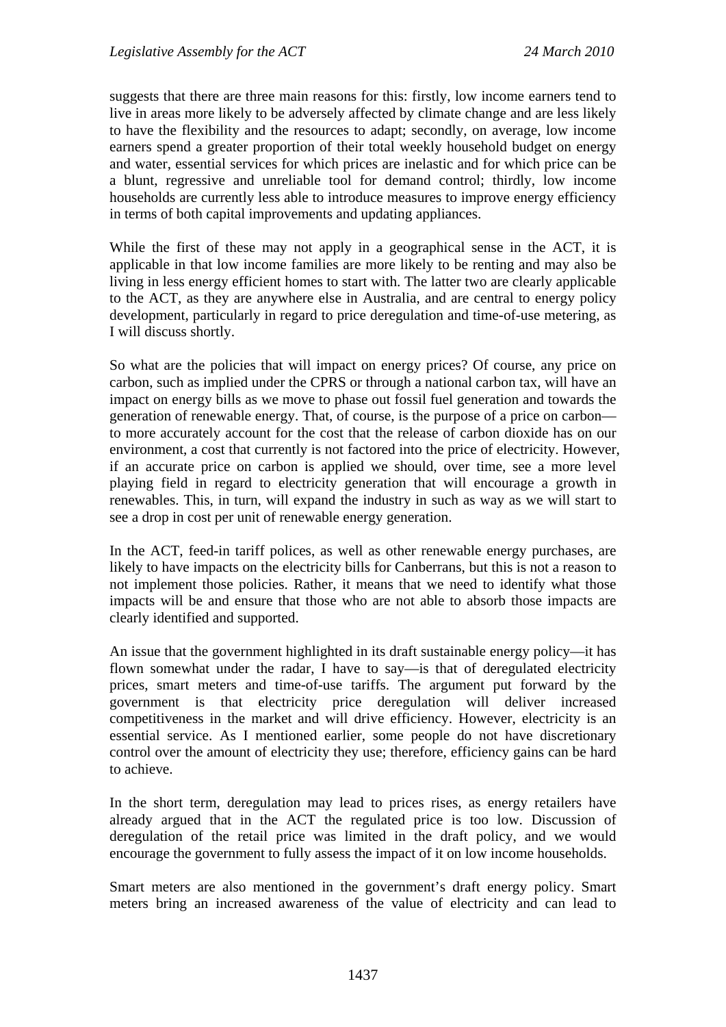suggests that there are three main reasons for this: firstly, low income earners tend to live in areas more likely to be adversely affected by climate change and are less likely to have the flexibility and the resources to adapt; secondly, on average, low income earners spend a greater proportion of their total weekly household budget on energy and water, essential services for which prices are inelastic and for which price can be a blunt, regressive and unreliable tool for demand control; thirdly, low income households are currently less able to introduce measures to improve energy efficiency in terms of both capital improvements and updating appliances.

While the first of these may not apply in a geographical sense in the ACT, it is applicable in that low income families are more likely to be renting and may also be living in less energy efficient homes to start with. The latter two are clearly applicable to the ACT, as they are anywhere else in Australia, and are central to energy policy development, particularly in regard to price deregulation and time-of-use metering, as I will discuss shortly.

So what are the policies that will impact on energy prices? Of course, any price on carbon, such as implied under the CPRS or through a national carbon tax, will have an impact on energy bills as we move to phase out fossil fuel generation and towards the generation of renewable energy. That, of course, is the purpose of a price on carbon to more accurately account for the cost that the release of carbon dioxide has on our environment, a cost that currently is not factored into the price of electricity. However, if an accurate price on carbon is applied we should, over time, see a more level playing field in regard to electricity generation that will encourage a growth in renewables. This, in turn, will expand the industry in such as way as we will start to see a drop in cost per unit of renewable energy generation.

In the ACT, feed-in tariff polices, as well as other renewable energy purchases, are likely to have impacts on the electricity bills for Canberrans, but this is not a reason to not implement those policies. Rather, it means that we need to identify what those impacts will be and ensure that those who are not able to absorb those impacts are clearly identified and supported.

An issue that the government highlighted in its draft sustainable energy policy—it has flown somewhat under the radar, I have to say—is that of deregulated electricity prices, smart meters and time-of-use tariffs. The argument put forward by the government is that electricity price deregulation will deliver increased competitiveness in the market and will drive efficiency. However, electricity is an essential service. As I mentioned earlier, some people do not have discretionary control over the amount of electricity they use; therefore, efficiency gains can be hard to achieve.

In the short term, deregulation may lead to prices rises, as energy retailers have already argued that in the ACT the regulated price is too low. Discussion of deregulation of the retail price was limited in the draft policy, and we would encourage the government to fully assess the impact of it on low income households.

Smart meters are also mentioned in the government's draft energy policy. Smart meters bring an increased awareness of the value of electricity and can lead to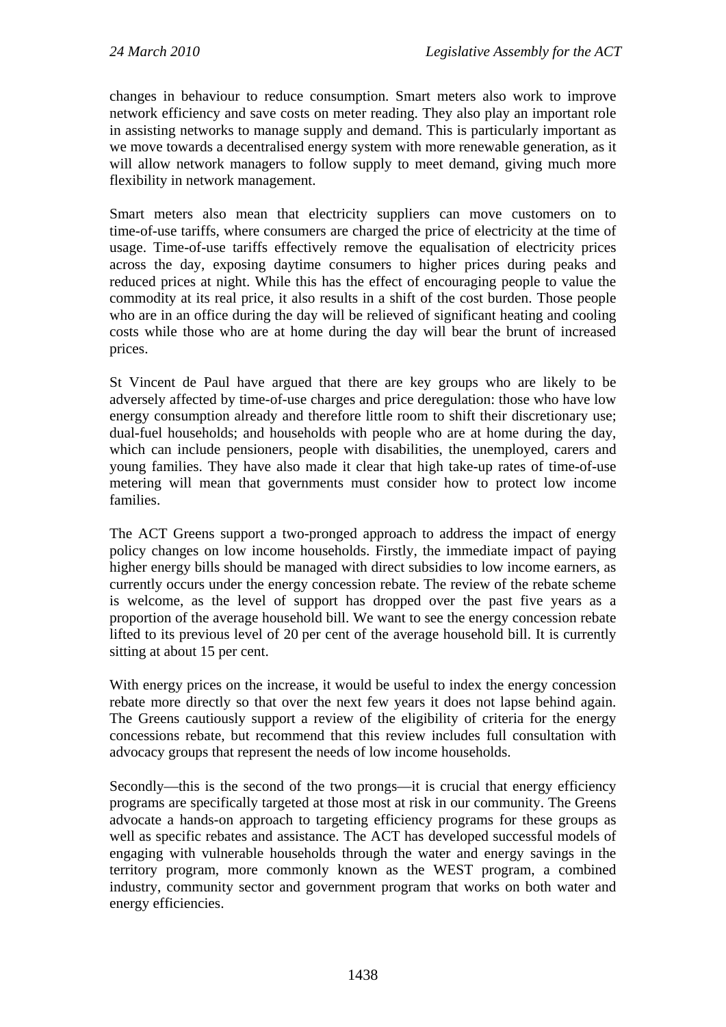changes in behaviour to reduce consumption. Smart meters also work to improve network efficiency and save costs on meter reading. They also play an important role in assisting networks to manage supply and demand. This is particularly important as we move towards a decentralised energy system with more renewable generation, as it will allow network managers to follow supply to meet demand, giving much more flexibility in network management.

Smart meters also mean that electricity suppliers can move customers on to time-of-use tariffs, where consumers are charged the price of electricity at the time of usage. Time-of-use tariffs effectively remove the equalisation of electricity prices across the day, exposing daytime consumers to higher prices during peaks and reduced prices at night. While this has the effect of encouraging people to value the commodity at its real price, it also results in a shift of the cost burden. Those people who are in an office during the day will be relieved of significant heating and cooling costs while those who are at home during the day will bear the brunt of increased prices.

St Vincent de Paul have argued that there are key groups who are likely to be adversely affected by time-of-use charges and price deregulation: those who have low energy consumption already and therefore little room to shift their discretionary use; dual-fuel households; and households with people who are at home during the day, which can include pensioners, people with disabilities, the unemployed, carers and young families. They have also made it clear that high take-up rates of time-of-use metering will mean that governments must consider how to protect low income families.

The ACT Greens support a two-pronged approach to address the impact of energy policy changes on low income households. Firstly, the immediate impact of paying higher energy bills should be managed with direct subsidies to low income earners, as currently occurs under the energy concession rebate. The review of the rebate scheme is welcome, as the level of support has dropped over the past five years as a proportion of the average household bill. We want to see the energy concession rebate lifted to its previous level of 20 per cent of the average household bill. It is currently sitting at about 15 per cent.

With energy prices on the increase, it would be useful to index the energy concession rebate more directly so that over the next few years it does not lapse behind again. The Greens cautiously support a review of the eligibility of criteria for the energy concessions rebate, but recommend that this review includes full consultation with advocacy groups that represent the needs of low income households.

Secondly—this is the second of the two prongs—it is crucial that energy efficiency programs are specifically targeted at those most at risk in our community. The Greens advocate a hands-on approach to targeting efficiency programs for these groups as well as specific rebates and assistance. The ACT has developed successful models of engaging with vulnerable households through the water and energy savings in the territory program, more commonly known as the WEST program, a combined industry, community sector and government program that works on both water and energy efficiencies.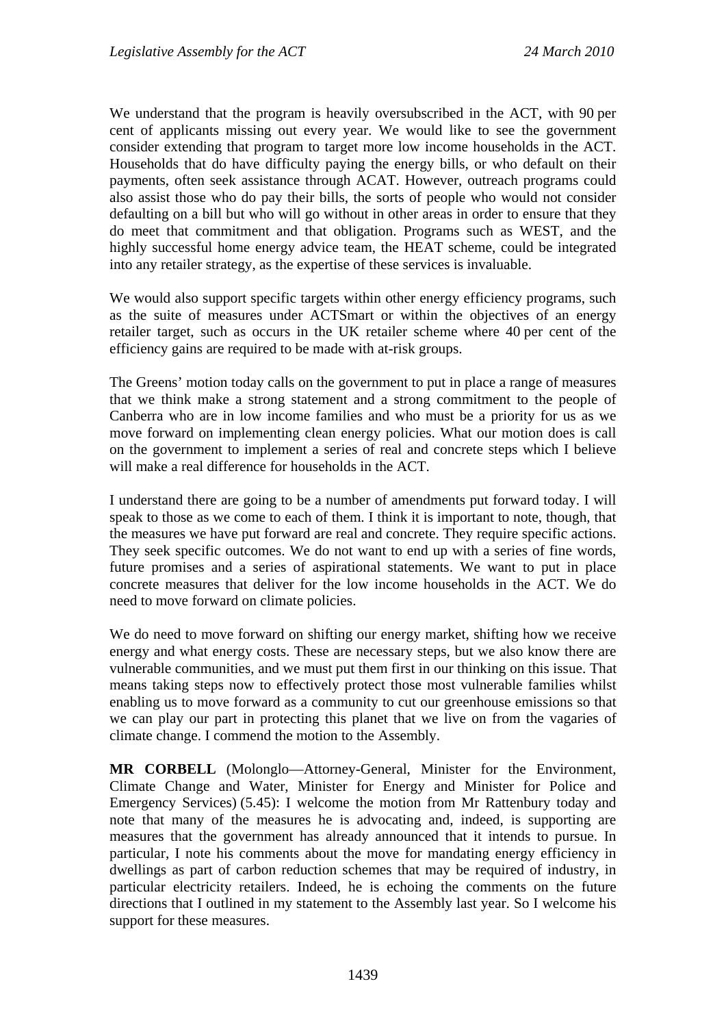We understand that the program is heavily oversubscribed in the ACT, with 90 per cent of applicants missing out every year. We would like to see the government consider extending that program to target more low income households in the ACT. Households that do have difficulty paying the energy bills, or who default on their payments, often seek assistance through ACAT. However, outreach programs could also assist those who do pay their bills, the sorts of people who would not consider defaulting on a bill but who will go without in other areas in order to ensure that they do meet that commitment and that obligation. Programs such as WEST, and the highly successful home energy advice team, the HEAT scheme, could be integrated into any retailer strategy, as the expertise of these services is invaluable.

We would also support specific targets within other energy efficiency programs, such as the suite of measures under ACTSmart or within the objectives of an energy retailer target, such as occurs in the UK retailer scheme where 40 per cent of the efficiency gains are required to be made with at-risk groups.

The Greens' motion today calls on the government to put in place a range of measures that we think make a strong statement and a strong commitment to the people of Canberra who are in low income families and who must be a priority for us as we move forward on implementing clean energy policies. What our motion does is call on the government to implement a series of real and concrete steps which I believe will make a real difference for households in the ACT.

I understand there are going to be a number of amendments put forward today. I will speak to those as we come to each of them. I think it is important to note, though, that the measures we have put forward are real and concrete. They require specific actions. They seek specific outcomes. We do not want to end up with a series of fine words, future promises and a series of aspirational statements. We want to put in place concrete measures that deliver for the low income households in the ACT. We do need to move forward on climate policies.

We do need to move forward on shifting our energy market, shifting how we receive energy and what energy costs. These are necessary steps, but we also know there are vulnerable communities, and we must put them first in our thinking on this issue. That means taking steps now to effectively protect those most vulnerable families whilst enabling us to move forward as a community to cut our greenhouse emissions so that we can play our part in protecting this planet that we live on from the vagaries of climate change. I commend the motion to the Assembly.

**MR CORBELL** (Molonglo—Attorney-General, Minister for the Environment, Climate Change and Water, Minister for Energy and Minister for Police and Emergency Services) (5.45): I welcome the motion from Mr Rattenbury today and note that many of the measures he is advocating and, indeed, is supporting are measures that the government has already announced that it intends to pursue. In particular, I note his comments about the move for mandating energy efficiency in dwellings as part of carbon reduction schemes that may be required of industry, in particular electricity retailers. Indeed, he is echoing the comments on the future directions that I outlined in my statement to the Assembly last year. So I welcome his support for these measures.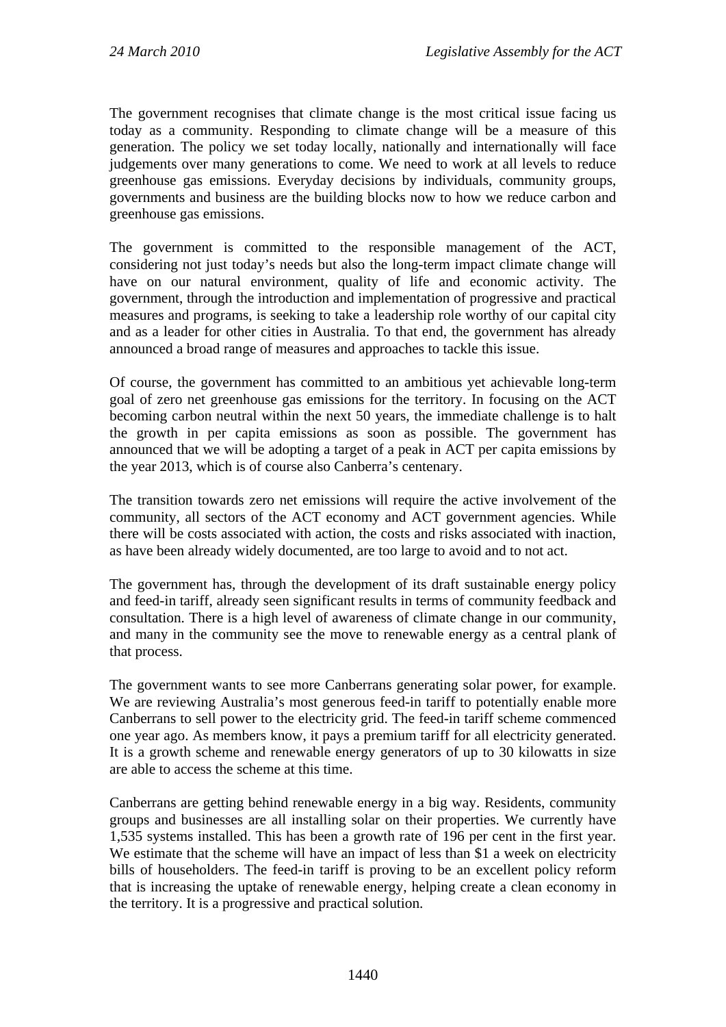The government recognises that climate change is the most critical issue facing us today as a community. Responding to climate change will be a measure of this generation. The policy we set today locally, nationally and internationally will face judgements over many generations to come. We need to work at all levels to reduce greenhouse gas emissions. Everyday decisions by individuals, community groups, governments and business are the building blocks now to how we reduce carbon and greenhouse gas emissions.

The government is committed to the responsible management of the ACT, considering not just today's needs but also the long-term impact climate change will have on our natural environment, quality of life and economic activity. The government, through the introduction and implementation of progressive and practical measures and programs, is seeking to take a leadership role worthy of our capital city and as a leader for other cities in Australia. To that end, the government has already announced a broad range of measures and approaches to tackle this issue.

Of course, the government has committed to an ambitious yet achievable long-term goal of zero net greenhouse gas emissions for the territory. In focusing on the ACT becoming carbon neutral within the next 50 years, the immediate challenge is to halt the growth in per capita emissions as soon as possible. The government has announced that we will be adopting a target of a peak in ACT per capita emissions by the year 2013, which is of course also Canberra's centenary.

The transition towards zero net emissions will require the active involvement of the community, all sectors of the ACT economy and ACT government agencies. While there will be costs associated with action, the costs and risks associated with inaction, as have been already widely documented, are too large to avoid and to not act.

The government has, through the development of its draft sustainable energy policy and feed-in tariff, already seen significant results in terms of community feedback and consultation. There is a high level of awareness of climate change in our community, and many in the community see the move to renewable energy as a central plank of that process.

The government wants to see more Canberrans generating solar power, for example. We are reviewing Australia's most generous feed-in tariff to potentially enable more Canberrans to sell power to the electricity grid. The feed-in tariff scheme commenced one year ago. As members know, it pays a premium tariff for all electricity generated. It is a growth scheme and renewable energy generators of up to 30 kilowatts in size are able to access the scheme at this time.

Canberrans are getting behind renewable energy in a big way. Residents, community groups and businesses are all installing solar on their properties. We currently have 1,535 systems installed. This has been a growth rate of 196 per cent in the first year. We estimate that the scheme will have an impact of less than \$1 a week on electricity bills of householders. The feed-in tariff is proving to be an excellent policy reform that is increasing the uptake of renewable energy, helping create a clean economy in the territory. It is a progressive and practical solution.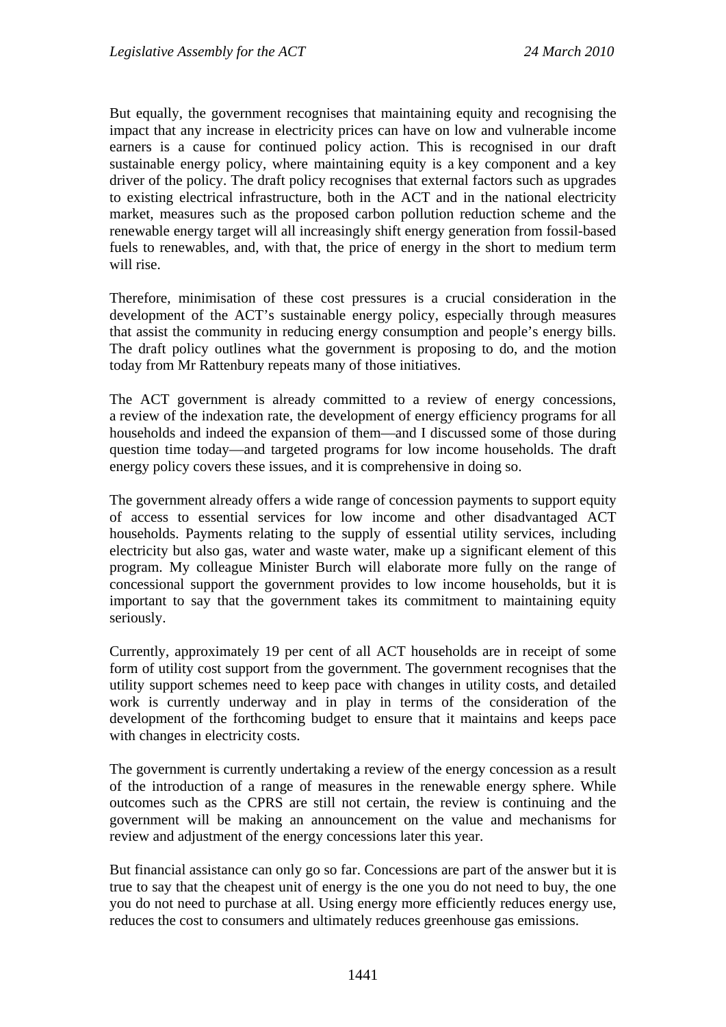But equally, the government recognises that maintaining equity and recognising the impact that any increase in electricity prices can have on low and vulnerable income earners is a cause for continued policy action. This is recognised in our draft sustainable energy policy, where maintaining equity is a key component and a key driver of the policy. The draft policy recognises that external factors such as upgrades to existing electrical infrastructure, both in the ACT and in the national electricity market, measures such as the proposed carbon pollution reduction scheme and the renewable energy target will all increasingly shift energy generation from fossil-based fuels to renewables, and, with that, the price of energy in the short to medium term will rise.

Therefore, minimisation of these cost pressures is a crucial consideration in the development of the ACT's sustainable energy policy, especially through measures that assist the community in reducing energy consumption and people's energy bills. The draft policy outlines what the government is proposing to do, and the motion today from Mr Rattenbury repeats many of those initiatives.

The ACT government is already committed to a review of energy concessions, a review of the indexation rate, the development of energy efficiency programs for all households and indeed the expansion of them—and I discussed some of those during question time today—and targeted programs for low income households. The draft energy policy covers these issues, and it is comprehensive in doing so.

The government already offers a wide range of concession payments to support equity of access to essential services for low income and other disadvantaged ACT households. Payments relating to the supply of essential utility services, including electricity but also gas, water and waste water, make up a significant element of this program. My colleague Minister Burch will elaborate more fully on the range of concessional support the government provides to low income households, but it is important to say that the government takes its commitment to maintaining equity seriously.

Currently, approximately 19 per cent of all ACT households are in receipt of some form of utility cost support from the government. The government recognises that the utility support schemes need to keep pace with changes in utility costs, and detailed work is currently underway and in play in terms of the consideration of the development of the forthcoming budget to ensure that it maintains and keeps pace with changes in electricity costs.

The government is currently undertaking a review of the energy concession as a result of the introduction of a range of measures in the renewable energy sphere. While outcomes such as the CPRS are still not certain, the review is continuing and the government will be making an announcement on the value and mechanisms for review and adjustment of the energy concessions later this year.

But financial assistance can only go so far. Concessions are part of the answer but it is true to say that the cheapest unit of energy is the one you do not need to buy, the one you do not need to purchase at all. Using energy more efficiently reduces energy use, reduces the cost to consumers and ultimately reduces greenhouse gas emissions.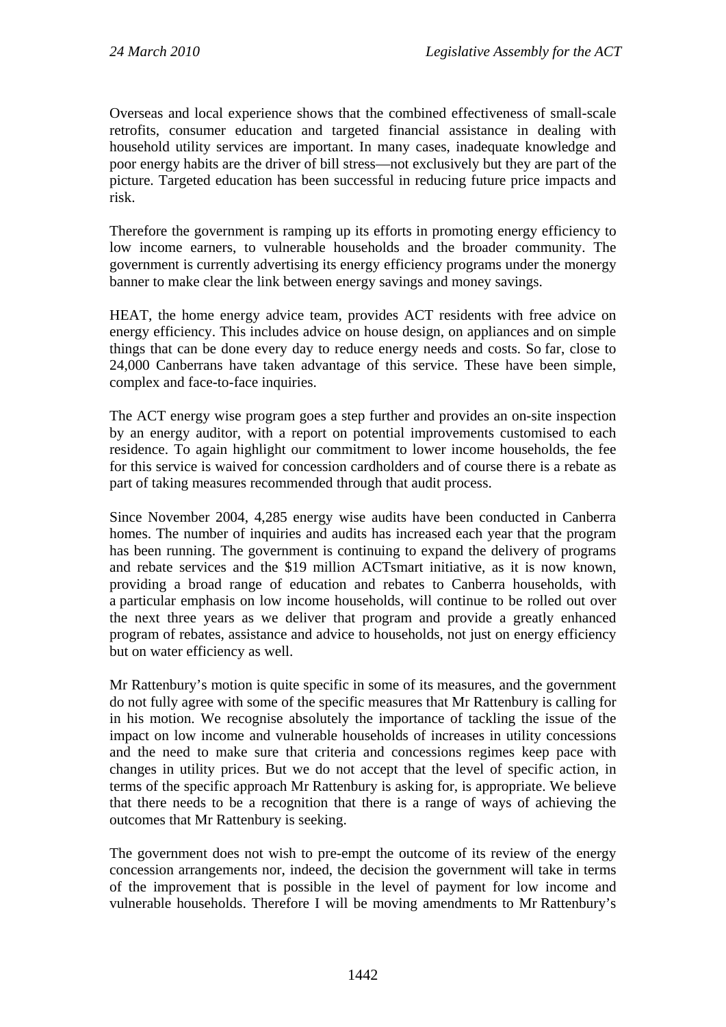Overseas and local experience shows that the combined effectiveness of small-scale retrofits, consumer education and targeted financial assistance in dealing with household utility services are important. In many cases, inadequate knowledge and poor energy habits are the driver of bill stress—not exclusively but they are part of the picture. Targeted education has been successful in reducing future price impacts and risk.

Therefore the government is ramping up its efforts in promoting energy efficiency to low income earners, to vulnerable households and the broader community. The government is currently advertising its energy efficiency programs under the monergy banner to make clear the link between energy savings and money savings.

HEAT, the home energy advice team, provides ACT residents with free advice on energy efficiency. This includes advice on house design, on appliances and on simple things that can be done every day to reduce energy needs and costs. So far, close to 24,000 Canberrans have taken advantage of this service. These have been simple, complex and face-to-face inquiries.

The ACT energy wise program goes a step further and provides an on-site inspection by an energy auditor, with a report on potential improvements customised to each residence. To again highlight our commitment to lower income households, the fee for this service is waived for concession cardholders and of course there is a rebate as part of taking measures recommended through that audit process.

Since November 2004, 4,285 energy wise audits have been conducted in Canberra homes. The number of inquiries and audits has increased each year that the program has been running. The government is continuing to expand the delivery of programs and rebate services and the \$19 million ACTsmart initiative, as it is now known, providing a broad range of education and rebates to Canberra households, with a particular emphasis on low income households, will continue to be rolled out over the next three years as we deliver that program and provide a greatly enhanced program of rebates, assistance and advice to households, not just on energy efficiency but on water efficiency as well.

Mr Rattenbury's motion is quite specific in some of its measures, and the government do not fully agree with some of the specific measures that Mr Rattenbury is calling for in his motion. We recognise absolutely the importance of tackling the issue of the impact on low income and vulnerable households of increases in utility concessions and the need to make sure that criteria and concessions regimes keep pace with changes in utility prices. But we do not accept that the level of specific action, in terms of the specific approach Mr Rattenbury is asking for, is appropriate. We believe that there needs to be a recognition that there is a range of ways of achieving the outcomes that Mr Rattenbury is seeking.

The government does not wish to pre-empt the outcome of its review of the energy concession arrangements nor, indeed, the decision the government will take in terms of the improvement that is possible in the level of payment for low income and vulnerable households. Therefore I will be moving amendments to Mr Rattenbury's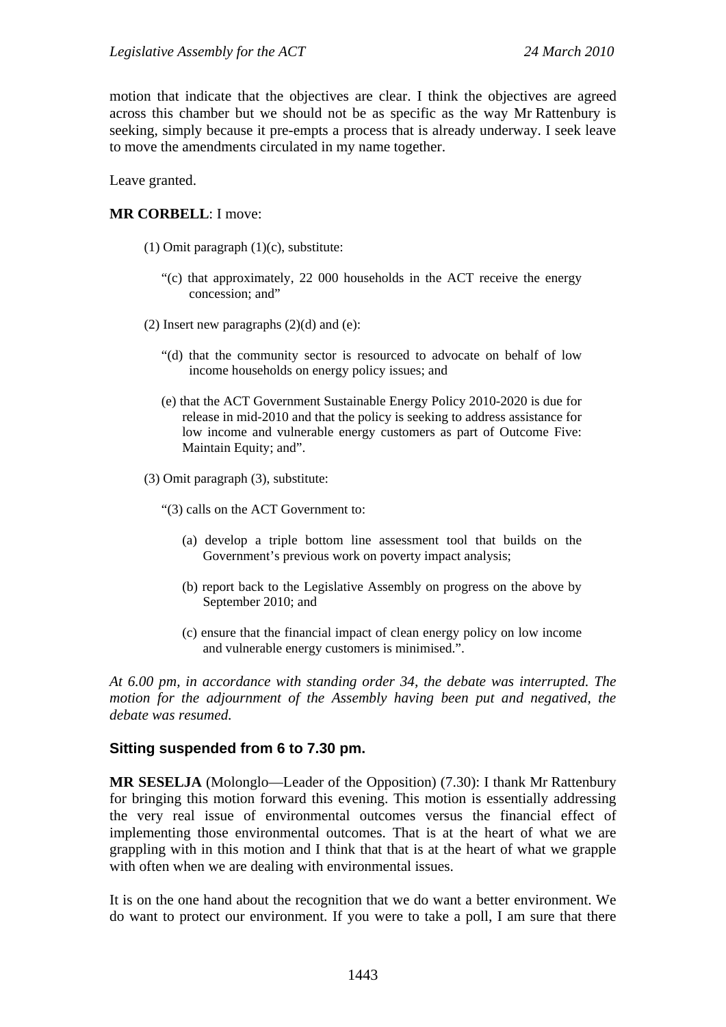motion that indicate that the objectives are clear. I think the objectives are agreed across this chamber but we should not be as specific as the way Mr Rattenbury is seeking, simply because it pre-empts a process that is already underway. I seek leave to move the amendments circulated in my name together.

Leave granted.

### **MR CORBELL**: I move:

- (1) Omit paragraph (1)(c), substitute:
	- "(c) that approximately, 22 000 households in the ACT receive the energy concession; and"
- (2) Insert new paragraphs  $(2)(d)$  and  $(e)$ :
	- "(d) that the community sector is resourced to advocate on behalf of low income households on energy policy issues; and
	- (e) that the ACT Government Sustainable Energy Policy 2010-2020 is due for release in mid-2010 and that the policy is seeking to address assistance for low income and vulnerable energy customers as part of Outcome Five: Maintain Equity; and".
- (3) Omit paragraph (3), substitute:

"(3) calls on the ACT Government to:

- (a) develop a triple bottom line assessment tool that builds on the Government's previous work on poverty impact analysis;
- (b) report back to the Legislative Assembly on progress on the above by September 2010; and
- (c) ensure that the financial impact of clean energy policy on low income and vulnerable energy customers is minimised.".

*At 6.00 pm, in accordance with standing order 34, the debate was interrupted. The motion for the adjournment of the Assembly having been put and negatived, the debate was resumed.*

### **Sitting suspended from 6 to 7.30 pm.**

**MR SESELJA** (Molonglo—Leader of the Opposition) (7.30): I thank Mr Rattenbury for bringing this motion forward this evening. This motion is essentially addressing the very real issue of environmental outcomes versus the financial effect of implementing those environmental outcomes. That is at the heart of what we are grappling with in this motion and I think that that is at the heart of what we grapple with often when we are dealing with environmental issues.

It is on the one hand about the recognition that we do want a better environment. We do want to protect our environment. If you were to take a poll, I am sure that there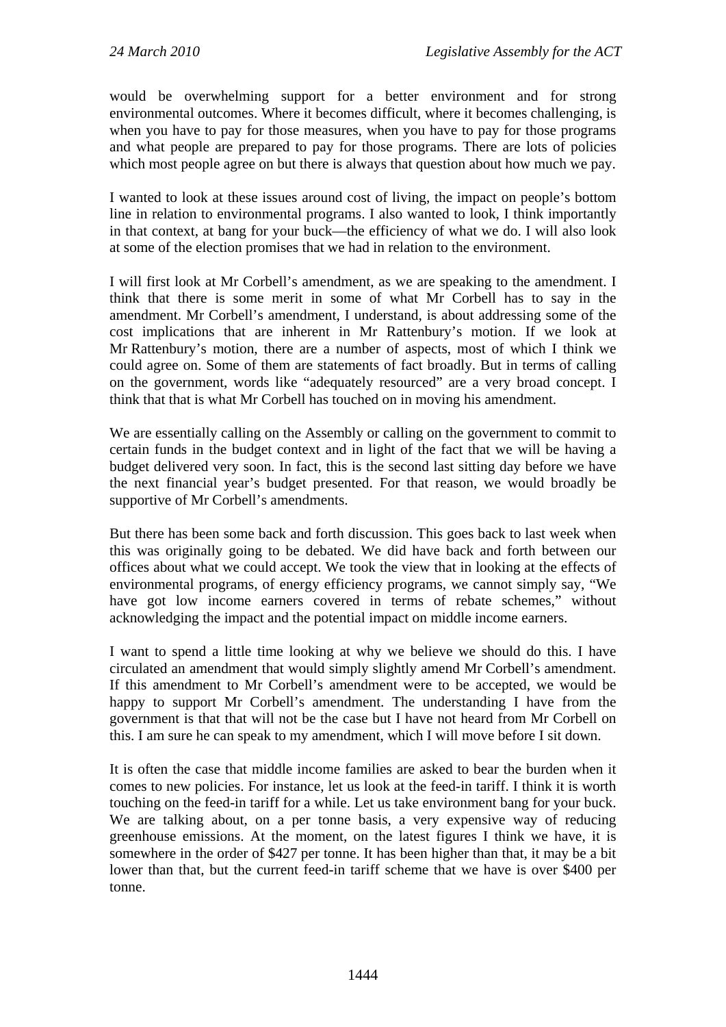would be overwhelming support for a better environment and for strong environmental outcomes. Where it becomes difficult, where it becomes challenging, is when you have to pay for those measures, when you have to pay for those programs and what people are prepared to pay for those programs. There are lots of policies which most people agree on but there is always that question about how much we pay.

I wanted to look at these issues around cost of living, the impact on people's bottom line in relation to environmental programs. I also wanted to look, I think importantly in that context, at bang for your buck—the efficiency of what we do. I will also look at some of the election promises that we had in relation to the environment.

I will first look at Mr Corbell's amendment, as we are speaking to the amendment. I think that there is some merit in some of what Mr Corbell has to say in the amendment. Mr Corbell's amendment, I understand, is about addressing some of the cost implications that are inherent in Mr Rattenbury's motion. If we look at Mr Rattenbury's motion, there are a number of aspects, most of which I think we could agree on. Some of them are statements of fact broadly. But in terms of calling on the government, words like "adequately resourced" are a very broad concept. I think that that is what Mr Corbell has touched on in moving his amendment.

We are essentially calling on the Assembly or calling on the government to commit to certain funds in the budget context and in light of the fact that we will be having a budget delivered very soon. In fact, this is the second last sitting day before we have the next financial year's budget presented. For that reason, we would broadly be supportive of Mr Corbell's amendments.

But there has been some back and forth discussion. This goes back to last week when this was originally going to be debated. We did have back and forth between our offices about what we could accept. We took the view that in looking at the effects of environmental programs, of energy efficiency programs, we cannot simply say, "We have got low income earners covered in terms of rebate schemes," without acknowledging the impact and the potential impact on middle income earners.

I want to spend a little time looking at why we believe we should do this. I have circulated an amendment that would simply slightly amend Mr Corbell's amendment. If this amendment to Mr Corbell's amendment were to be accepted, we would be happy to support Mr Corbell's amendment. The understanding I have from the government is that that will not be the case but I have not heard from Mr Corbell on this. I am sure he can speak to my amendment, which I will move before I sit down.

It is often the case that middle income families are asked to bear the burden when it comes to new policies. For instance, let us look at the feed-in tariff. I think it is worth touching on the feed-in tariff for a while. Let us take environment bang for your buck. We are talking about, on a per tonne basis, a very expensive way of reducing greenhouse emissions. At the moment, on the latest figures I think we have, it is somewhere in the order of \$427 per tonne. It has been higher than that, it may be a bit lower than that, but the current feed-in tariff scheme that we have is over \$400 per tonne.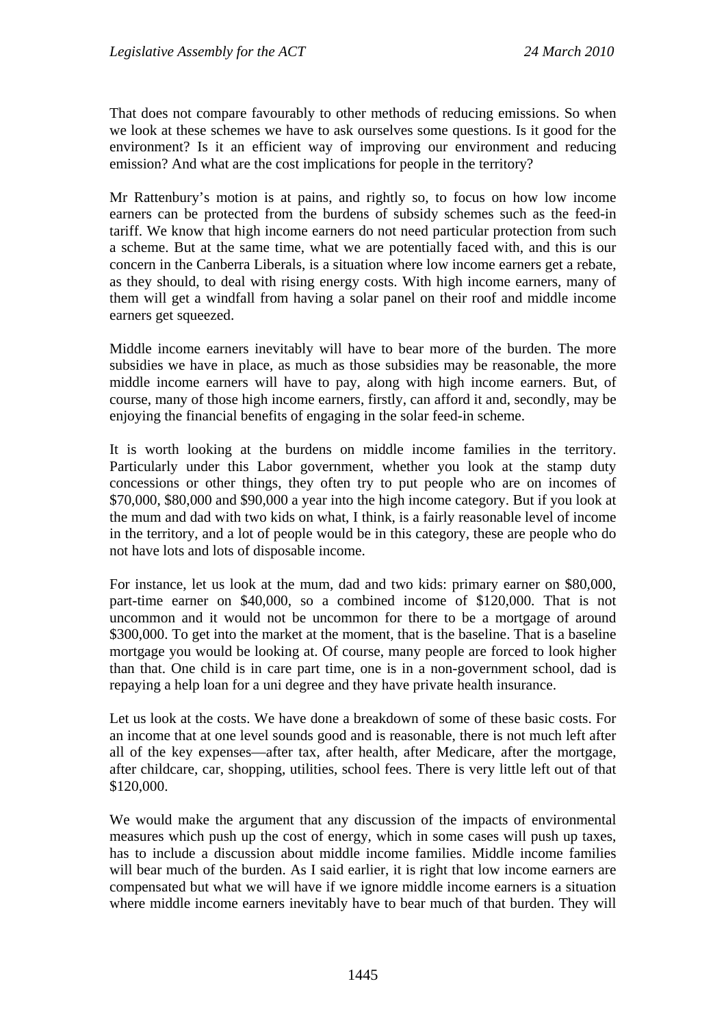That does not compare favourably to other methods of reducing emissions. So when we look at these schemes we have to ask ourselves some questions. Is it good for the environment? Is it an efficient way of improving our environment and reducing emission? And what are the cost implications for people in the territory?

Mr Rattenbury's motion is at pains, and rightly so, to focus on how low income earners can be protected from the burdens of subsidy schemes such as the feed-in tariff. We know that high income earners do not need particular protection from such a scheme. But at the same time, what we are potentially faced with, and this is our concern in the Canberra Liberals, is a situation where low income earners get a rebate, as they should, to deal with rising energy costs. With high income earners, many of them will get a windfall from having a solar panel on their roof and middle income earners get squeezed.

Middle income earners inevitably will have to bear more of the burden. The more subsidies we have in place, as much as those subsidies may be reasonable, the more middle income earners will have to pay, along with high income earners. But, of course, many of those high income earners, firstly, can afford it and, secondly, may be enjoying the financial benefits of engaging in the solar feed-in scheme.

It is worth looking at the burdens on middle income families in the territory. Particularly under this Labor government, whether you look at the stamp duty concessions or other things, they often try to put people who are on incomes of \$70,000, \$80,000 and \$90,000 a year into the high income category. But if you look at the mum and dad with two kids on what, I think, is a fairly reasonable level of income in the territory, and a lot of people would be in this category, these are people who do not have lots and lots of disposable income.

For instance, let us look at the mum, dad and two kids: primary earner on \$80,000, part-time earner on \$40,000, so a combined income of \$120,000. That is not uncommon and it would not be uncommon for there to be a mortgage of around \$300,000. To get into the market at the moment, that is the baseline. That is a baseline mortgage you would be looking at. Of course, many people are forced to look higher than that. One child is in care part time, one is in a non-government school, dad is repaying a help loan for a uni degree and they have private health insurance.

Let us look at the costs. We have done a breakdown of some of these basic costs. For an income that at one level sounds good and is reasonable, there is not much left after all of the key expenses—after tax, after health, after Medicare, after the mortgage, after childcare, car, shopping, utilities, school fees. There is very little left out of that \$120,000.

We would make the argument that any discussion of the impacts of environmental measures which push up the cost of energy, which in some cases will push up taxes, has to include a discussion about middle income families. Middle income families will bear much of the burden. As I said earlier, it is right that low income earners are compensated but what we will have if we ignore middle income earners is a situation where middle income earners inevitably have to bear much of that burden. They will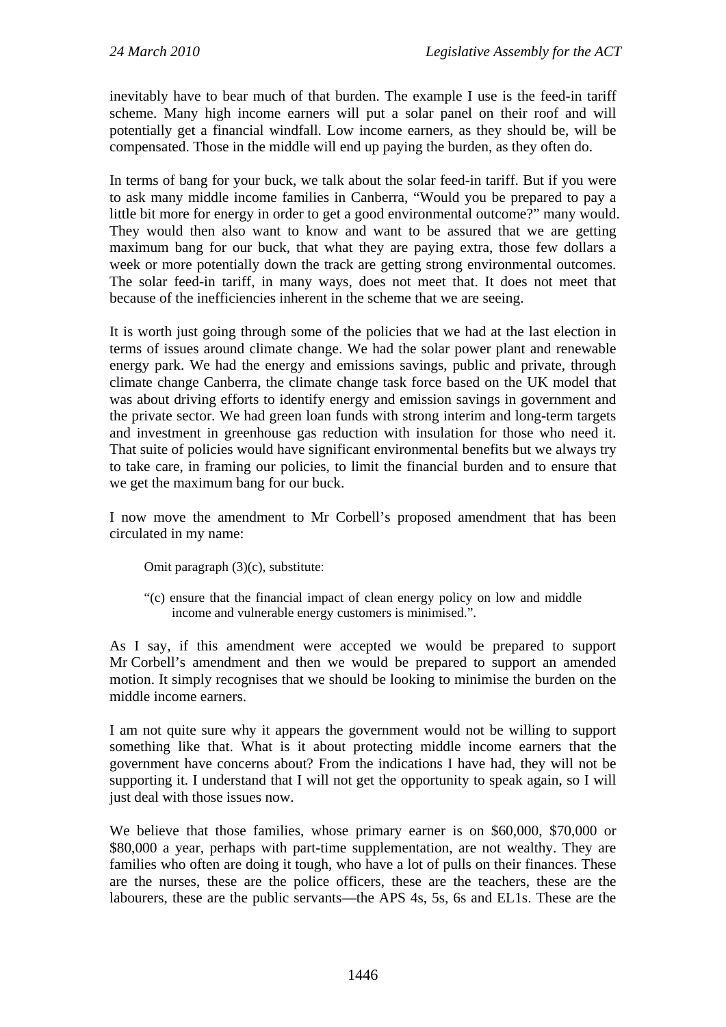inevitably have to bear much of that burden. The example I use is the feed-in tariff scheme. Many high income earners will put a solar panel on their roof and will potentially get a financial windfall. Low income earners, as they should be, will be compensated. Those in the middle will end up paying the burden, as they often do.

In terms of bang for your buck, we talk about the solar feed-in tariff. But if you were to ask many middle income families in Canberra, "Would you be prepared to pay a little bit more for energy in order to get a good environmental outcome?" many would. They would then also want to know and want to be assured that we are getting maximum bang for our buck, that what they are paying extra, those few dollars a week or more potentially down the track are getting strong environmental outcomes. The solar feed-in tariff, in many ways, does not meet that. It does not meet that because of the inefficiencies inherent in the scheme that we are seeing.

It is worth just going through some of the policies that we had at the last election in terms of issues around climate change. We had the solar power plant and renewable energy park. We had the energy and emissions savings, public and private, through climate change Canberra, the climate change task force based on the UK model that was about driving efforts to identify energy and emission savings in government and the private sector. We had green loan funds with strong interim and long-term targets and investment in greenhouse gas reduction with insulation for those who need it. That suite of policies would have significant environmental benefits but we always try to take care, in framing our policies, to limit the financial burden and to ensure that we get the maximum bang for our buck.

I now move the amendment to Mr Corbell's proposed amendment that has been circulated in my name:

Omit paragraph (3)(c), substitute:

"(c) ensure that the financial impact of clean energy policy on low and middle income and vulnerable energy customers is minimised.".

As I say, if this amendment were accepted we would be prepared to support Mr Corbell's amendment and then we would be prepared to support an amended motion. It simply recognises that we should be looking to minimise the burden on the middle income earners.

I am not quite sure why it appears the government would not be willing to support something like that. What is it about protecting middle income earners that the government have concerns about? From the indications I have had, they will not be supporting it. I understand that I will not get the opportunity to speak again, so I will just deal with those issues now.

We believe that those families, whose primary earner is on \$60,000, \$70,000 or \$80,000 a year, perhaps with part-time supplementation, are not wealthy. They are families who often are doing it tough, who have a lot of pulls on their finances. These are the nurses, these are the police officers, these are the teachers, these are the labourers, these are the public servants—the APS 4s, 5s, 6s and EL1s. These are the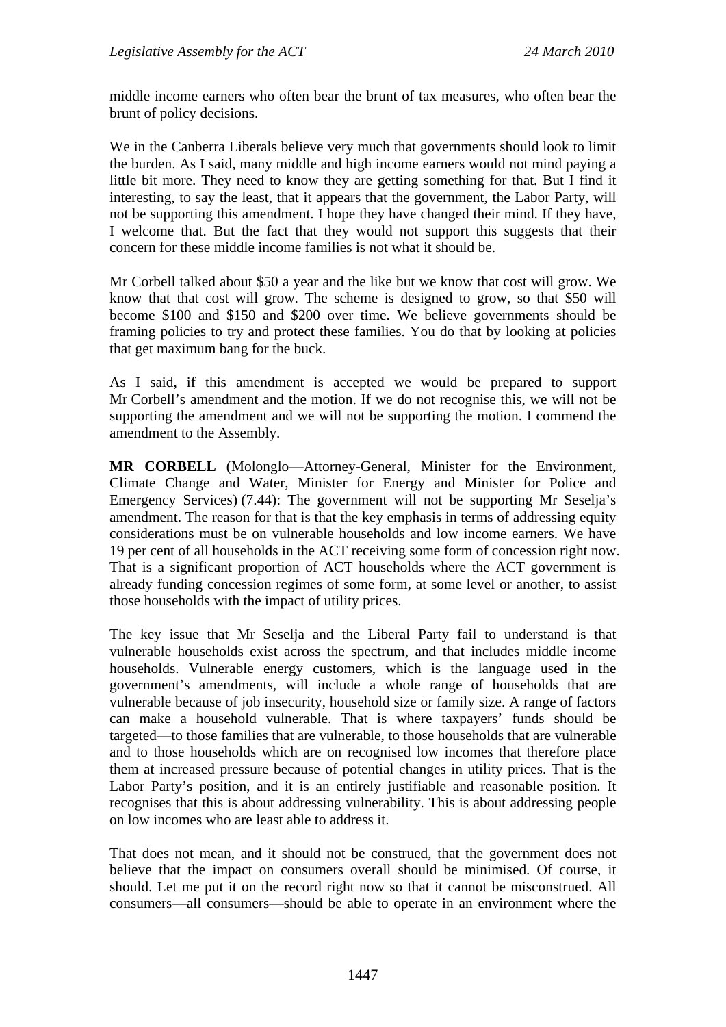middle income earners who often bear the brunt of tax measures, who often bear the brunt of policy decisions.

We in the Canberra Liberals believe very much that governments should look to limit the burden. As I said, many middle and high income earners would not mind paying a little bit more. They need to know they are getting something for that. But I find it interesting, to say the least, that it appears that the government, the Labor Party, will not be supporting this amendment. I hope they have changed their mind. If they have, I welcome that. But the fact that they would not support this suggests that their concern for these middle income families is not what it should be.

Mr Corbell talked about \$50 a year and the like but we know that cost will grow. We know that that cost will grow. The scheme is designed to grow, so that \$50 will become \$100 and \$150 and \$200 over time. We believe governments should be framing policies to try and protect these families. You do that by looking at policies that get maximum bang for the buck.

As I said, if this amendment is accepted we would be prepared to support Mr Corbell's amendment and the motion. If we do not recognise this, we will not be supporting the amendment and we will not be supporting the motion. I commend the amendment to the Assembly.

**MR CORBELL** (Molonglo—Attorney-General, Minister for the Environment, Climate Change and Water, Minister for Energy and Minister for Police and Emergency Services) (7.44): The government will not be supporting Mr Seselja's amendment. The reason for that is that the key emphasis in terms of addressing equity considerations must be on vulnerable households and low income earners. We have 19 per cent of all households in the ACT receiving some form of concession right now. That is a significant proportion of ACT households where the ACT government is already funding concession regimes of some form, at some level or another, to assist those households with the impact of utility prices.

The key issue that Mr Seselja and the Liberal Party fail to understand is that vulnerable households exist across the spectrum, and that includes middle income households. Vulnerable energy customers, which is the language used in the government's amendments, will include a whole range of households that are vulnerable because of job insecurity, household size or family size. A range of factors can make a household vulnerable. That is where taxpayers' funds should be targeted—to those families that are vulnerable, to those households that are vulnerable and to those households which are on recognised low incomes that therefore place them at increased pressure because of potential changes in utility prices. That is the Labor Party's position, and it is an entirely justifiable and reasonable position. It recognises that this is about addressing vulnerability. This is about addressing people on low incomes who are least able to address it.

That does not mean, and it should not be construed, that the government does not believe that the impact on consumers overall should be minimised. Of course, it should. Let me put it on the record right now so that it cannot be misconstrued. All consumers—all consumers—should be able to operate in an environment where the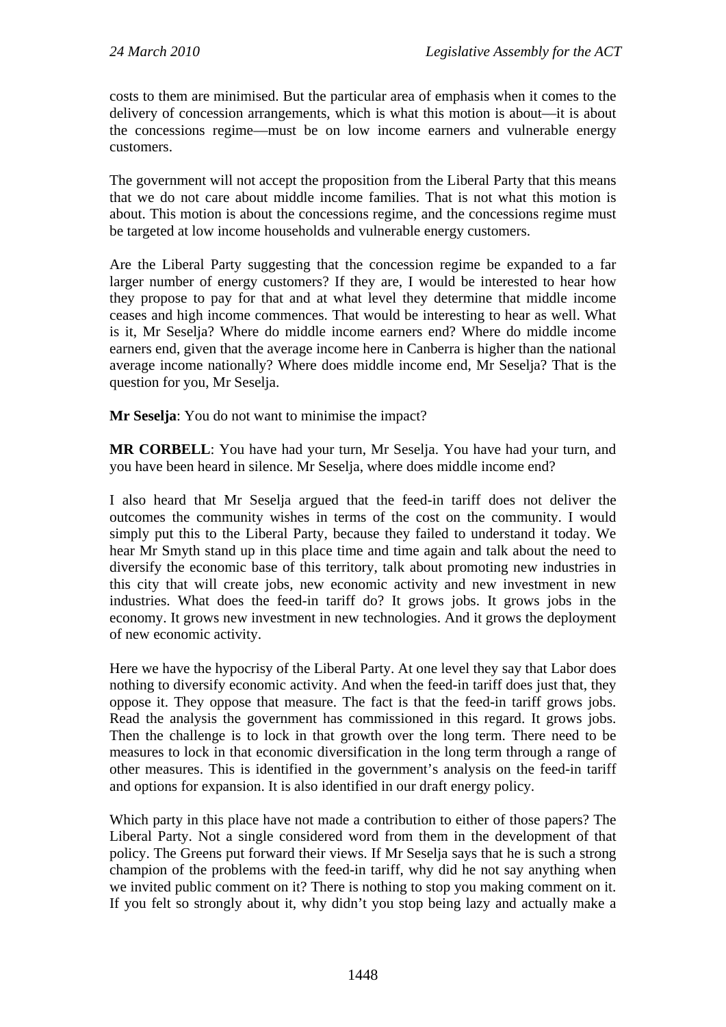costs to them are minimised. But the particular area of emphasis when it comes to the delivery of concession arrangements, which is what this motion is about—it is about the concessions regime—must be on low income earners and vulnerable energy customers.

The government will not accept the proposition from the Liberal Party that this means that we do not care about middle income families. That is not what this motion is about. This motion is about the concessions regime, and the concessions regime must be targeted at low income households and vulnerable energy customers.

Are the Liberal Party suggesting that the concession regime be expanded to a far larger number of energy customers? If they are, I would be interested to hear how they propose to pay for that and at what level they determine that middle income ceases and high income commences. That would be interesting to hear as well. What is it, Mr Seselja? Where do middle income earners end? Where do middle income earners end, given that the average income here in Canberra is higher than the national average income nationally? Where does middle income end, Mr Seselja? That is the question for you, Mr Seselja.

**Mr Seselja**: You do not want to minimise the impact?

**MR CORBELL**: You have had your turn, Mr Seselja. You have had your turn, and you have been heard in silence. Mr Seselja, where does middle income end?

I also heard that Mr Seselja argued that the feed-in tariff does not deliver the outcomes the community wishes in terms of the cost on the community. I would simply put this to the Liberal Party, because they failed to understand it today. We hear Mr Smyth stand up in this place time and time again and talk about the need to diversify the economic base of this territory, talk about promoting new industries in this city that will create jobs, new economic activity and new investment in new industries. What does the feed-in tariff do? It grows jobs. It grows jobs in the economy. It grows new investment in new technologies. And it grows the deployment of new economic activity.

Here we have the hypocrisy of the Liberal Party. At one level they say that Labor does nothing to diversify economic activity. And when the feed-in tariff does just that, they oppose it. They oppose that measure. The fact is that the feed-in tariff grows jobs. Read the analysis the government has commissioned in this regard. It grows jobs. Then the challenge is to lock in that growth over the long term. There need to be measures to lock in that economic diversification in the long term through a range of other measures. This is identified in the government's analysis on the feed-in tariff and options for expansion. It is also identified in our draft energy policy.

Which party in this place have not made a contribution to either of those papers? The Liberal Party. Not a single considered word from them in the development of that policy. The Greens put forward their views. If Mr Seselja says that he is such a strong champion of the problems with the feed-in tariff, why did he not say anything when we invited public comment on it? There is nothing to stop you making comment on it. If you felt so strongly about it, why didn't you stop being lazy and actually make a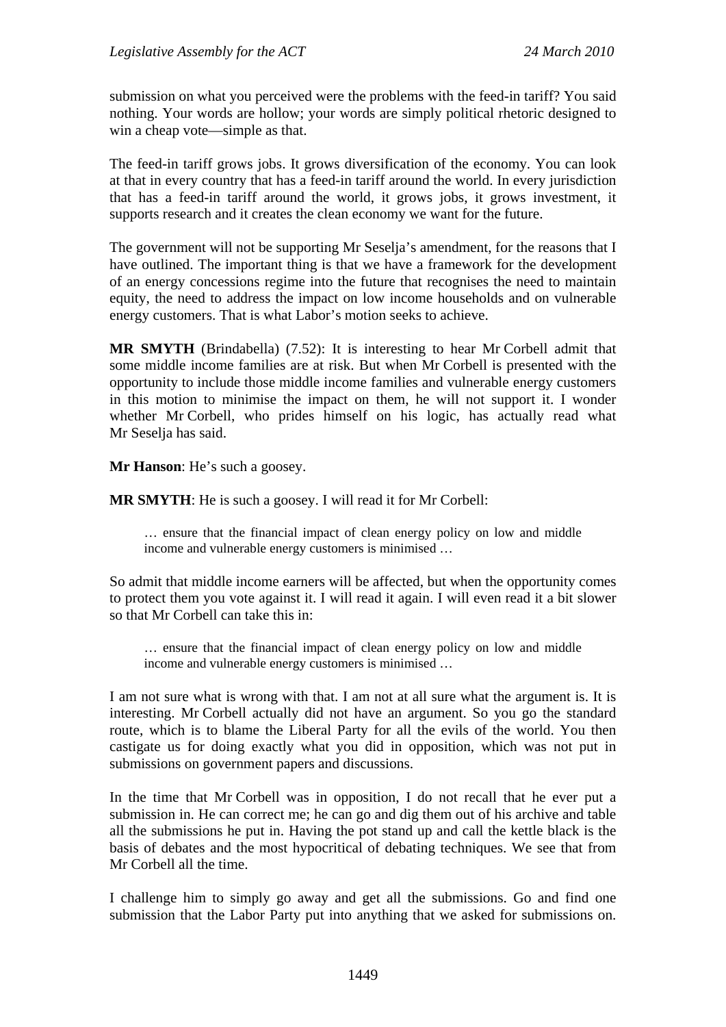submission on what you perceived were the problems with the feed-in tariff? You said nothing. Your words are hollow; your words are simply political rhetoric designed to win a cheap vote—simple as that.

The feed-in tariff grows jobs. It grows diversification of the economy. You can look at that in every country that has a feed-in tariff around the world. In every jurisdiction that has a feed-in tariff around the world, it grows jobs, it grows investment, it supports research and it creates the clean economy we want for the future.

The government will not be supporting Mr Seselja's amendment, for the reasons that I have outlined. The important thing is that we have a framework for the development of an energy concessions regime into the future that recognises the need to maintain equity, the need to address the impact on low income households and on vulnerable energy customers. That is what Labor's motion seeks to achieve.

**MR SMYTH** (Brindabella) (7.52): It is interesting to hear Mr Corbell admit that some middle income families are at risk. But when Mr Corbell is presented with the opportunity to include those middle income families and vulnerable energy customers in this motion to minimise the impact on them, he will not support it. I wonder whether Mr Corbell, who prides himself on his logic, has actually read what Mr Seselja has said.

**Mr Hanson**: He's such a goosey.

**MR SMYTH**: He is such a goosey. I will read it for Mr Corbell:

… ensure that the financial impact of clean energy policy on low and middle income and vulnerable energy customers is minimised …

So admit that middle income earners will be affected, but when the opportunity comes to protect them you vote against it. I will read it again. I will even read it a bit slower so that Mr Corbell can take this in:

… ensure that the financial impact of clean energy policy on low and middle income and vulnerable energy customers is minimised …

I am not sure what is wrong with that. I am not at all sure what the argument is. It is interesting. Mr Corbell actually did not have an argument. So you go the standard route, which is to blame the Liberal Party for all the evils of the world. You then castigate us for doing exactly what you did in opposition, which was not put in submissions on government papers and discussions.

In the time that Mr Corbell was in opposition, I do not recall that he ever put a submission in. He can correct me; he can go and dig them out of his archive and table all the submissions he put in. Having the pot stand up and call the kettle black is the basis of debates and the most hypocritical of debating techniques. We see that from Mr Corbell all the time.

I challenge him to simply go away and get all the submissions. Go and find one submission that the Labor Party put into anything that we asked for submissions on.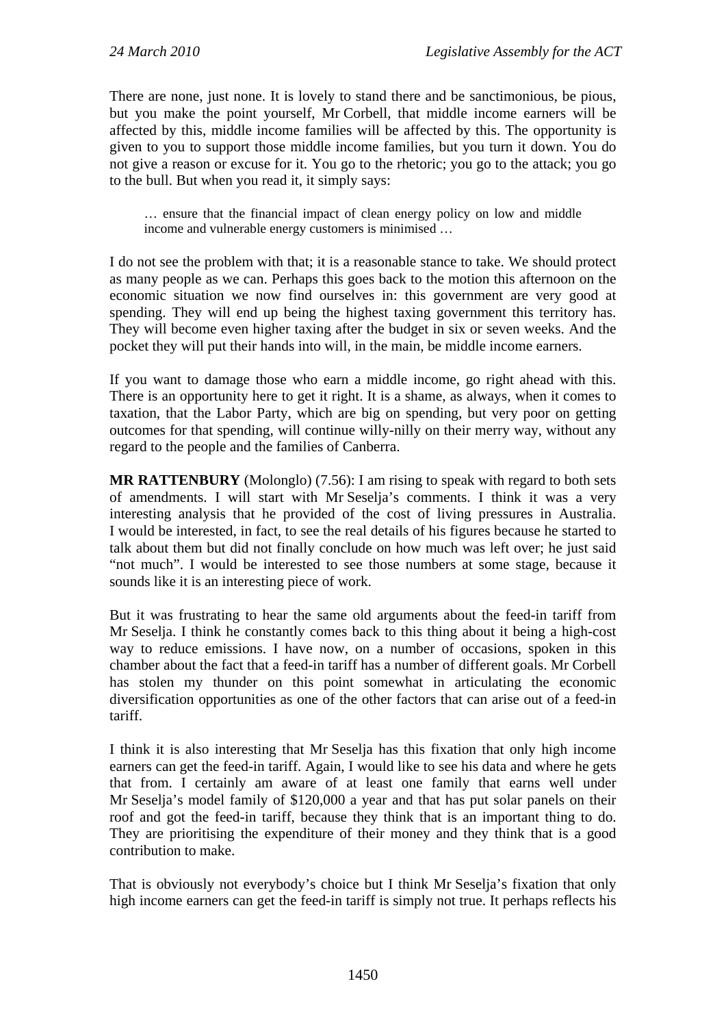There are none, just none. It is lovely to stand there and be sanctimonious, be pious, but you make the point yourself, Mr Corbell, that middle income earners will be affected by this, middle income families will be affected by this. The opportunity is given to you to support those middle income families, but you turn it down. You do not give a reason or excuse for it. You go to the rhetoric; you go to the attack; you go to the bull. But when you read it, it simply says:

… ensure that the financial impact of clean energy policy on low and middle income and vulnerable energy customers is minimised …

I do not see the problem with that; it is a reasonable stance to take. We should protect as many people as we can. Perhaps this goes back to the motion this afternoon on the economic situation we now find ourselves in: this government are very good at spending. They will end up being the highest taxing government this territory has. They will become even higher taxing after the budget in six or seven weeks. And the pocket they will put their hands into will, in the main, be middle income earners.

If you want to damage those who earn a middle income, go right ahead with this. There is an opportunity here to get it right. It is a shame, as always, when it comes to taxation, that the Labor Party, which are big on spending, but very poor on getting outcomes for that spending, will continue willy-nilly on their merry way, without any regard to the people and the families of Canberra.

**MR RATTENBURY** (Molonglo) (7.56): I am rising to speak with regard to both sets of amendments. I will start with Mr Seselja's comments. I think it was a very interesting analysis that he provided of the cost of living pressures in Australia. I would be interested, in fact, to see the real details of his figures because he started to talk about them but did not finally conclude on how much was left over; he just said "not much". I would be interested to see those numbers at some stage, because it sounds like it is an interesting piece of work.

But it was frustrating to hear the same old arguments about the feed-in tariff from Mr Seselja. I think he constantly comes back to this thing about it being a high-cost way to reduce emissions. I have now, on a number of occasions, spoken in this chamber about the fact that a feed-in tariff has a number of different goals. Mr Corbell has stolen my thunder on this point somewhat in articulating the economic diversification opportunities as one of the other factors that can arise out of a feed-in tariff.

I think it is also interesting that Mr Seselja has this fixation that only high income earners can get the feed-in tariff. Again, I would like to see his data and where he gets that from. I certainly am aware of at least one family that earns well under Mr Seselja's model family of \$120,000 a year and that has put solar panels on their roof and got the feed-in tariff, because they think that is an important thing to do. They are prioritising the expenditure of their money and they think that is a good contribution to make.

That is obviously not everybody's choice but I think Mr Seselja's fixation that only high income earners can get the feed-in tariff is simply not true. It perhaps reflects his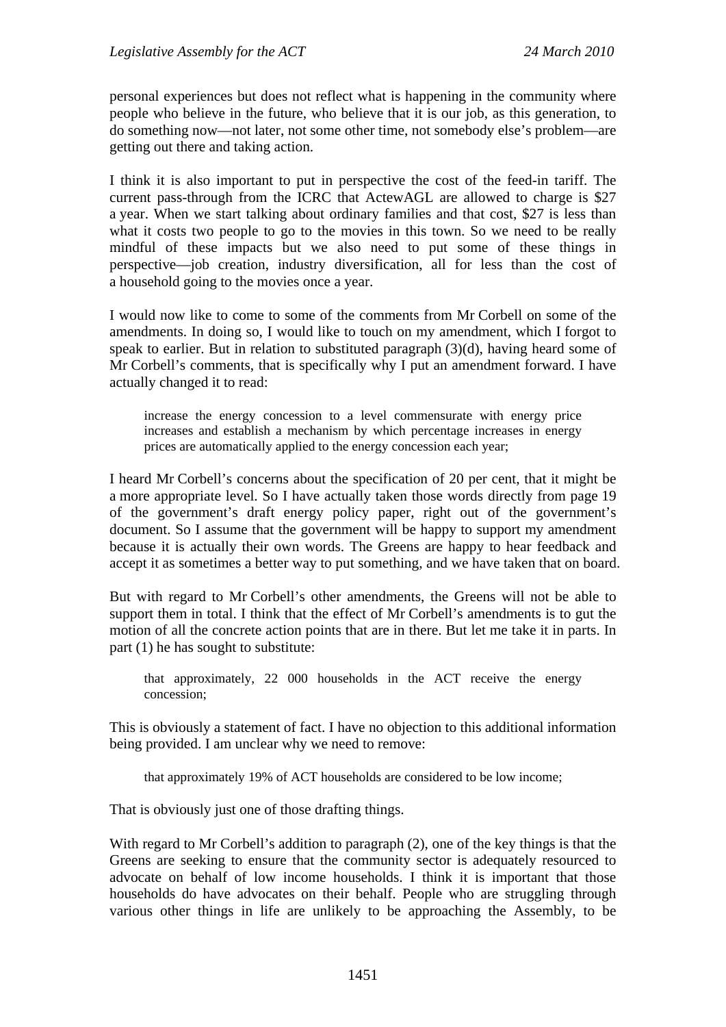personal experiences but does not reflect what is happening in the community where people who believe in the future, who believe that it is our job, as this generation, to do something now—not later, not some other time, not somebody else's problem—are getting out there and taking action.

I think it is also important to put in perspective the cost of the feed-in tariff. The current pass-through from the ICRC that ActewAGL are allowed to charge is \$27 a year. When we start talking about ordinary families and that cost, \$27 is less than what it costs two people to go to the movies in this town. So we need to be really mindful of these impacts but we also need to put some of these things in perspective—job creation, industry diversification, all for less than the cost of a household going to the movies once a year.

I would now like to come to some of the comments from Mr Corbell on some of the amendments. In doing so, I would like to touch on my amendment, which I forgot to speak to earlier. But in relation to substituted paragraph (3)(d), having heard some of Mr Corbell's comments, that is specifically why I put an amendment forward. I have actually changed it to read:

increase the energy concession to a level commensurate with energy price increases and establish a mechanism by which percentage increases in energy prices are automatically applied to the energy concession each year;

I heard Mr Corbell's concerns about the specification of 20 per cent, that it might be a more appropriate level. So I have actually taken those words directly from page 19 of the government's draft energy policy paper, right out of the government's document. So I assume that the government will be happy to support my amendment because it is actually their own words. The Greens are happy to hear feedback and accept it as sometimes a better way to put something, and we have taken that on board.

But with regard to Mr Corbell's other amendments, the Greens will not be able to support them in total. I think that the effect of Mr Corbell's amendments is to gut the motion of all the concrete action points that are in there. But let me take it in parts. In part (1) he has sought to substitute:

that approximately, 22 000 households in the ACT receive the energy concession;

This is obviously a statement of fact. I have no objection to this additional information being provided. I am unclear why we need to remove:

that approximately 19% of ACT households are considered to be low income;

That is obviously just one of those drafting things.

With regard to Mr Corbell's addition to paragraph (2), one of the key things is that the Greens are seeking to ensure that the community sector is adequately resourced to advocate on behalf of low income households. I think it is important that those households do have advocates on their behalf. People who are struggling through various other things in life are unlikely to be approaching the Assembly, to be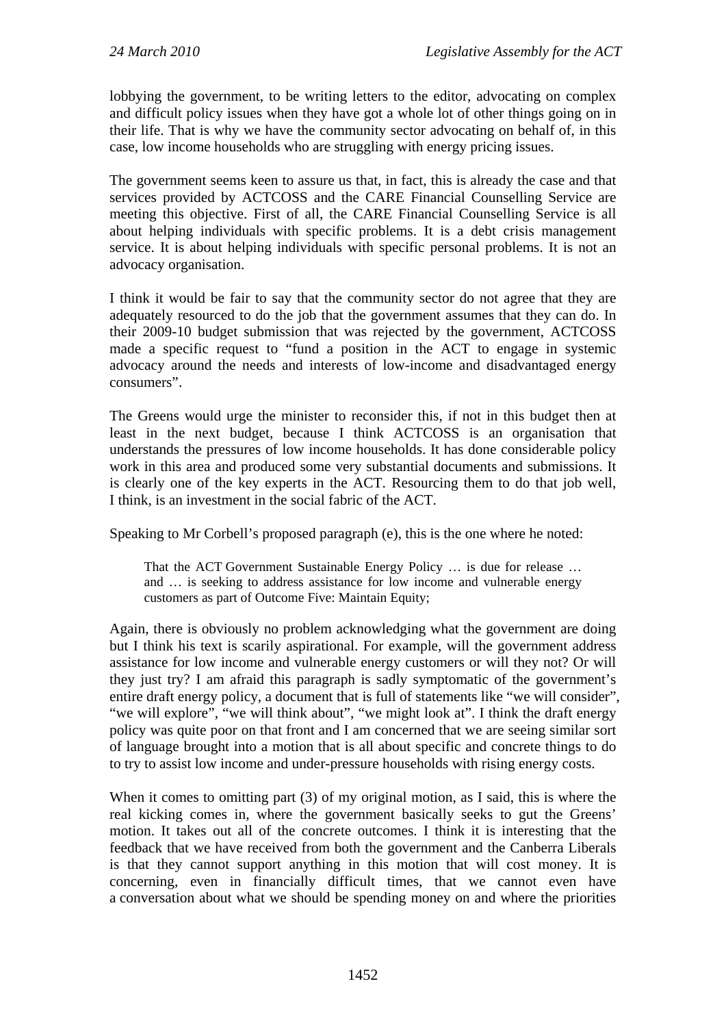lobbying the government, to be writing letters to the editor, advocating on complex and difficult policy issues when they have got a whole lot of other things going on in their life. That is why we have the community sector advocating on behalf of, in this case, low income households who are struggling with energy pricing issues.

The government seems keen to assure us that, in fact, this is already the case and that services provided by ACTCOSS and the CARE Financial Counselling Service are meeting this objective. First of all, the CARE Financial Counselling Service is all about helping individuals with specific problems. It is a debt crisis management service. It is about helping individuals with specific personal problems. It is not an advocacy organisation.

I think it would be fair to say that the community sector do not agree that they are adequately resourced to do the job that the government assumes that they can do. In their 2009-10 budget submission that was rejected by the government, ACTCOSS made a specific request to "fund a position in the ACT to engage in systemic advocacy around the needs and interests of low-income and disadvantaged energy consumers".

The Greens would urge the minister to reconsider this, if not in this budget then at least in the next budget, because I think ACTCOSS is an organisation that understands the pressures of low income households. It has done considerable policy work in this area and produced some very substantial documents and submissions. It is clearly one of the key experts in the ACT. Resourcing them to do that job well, I think, is an investment in the social fabric of the ACT.

Speaking to Mr Corbell's proposed paragraph (e), this is the one where he noted:

That the ACT Government Sustainable Energy Policy … is due for release … and … is seeking to address assistance for low income and vulnerable energy customers as part of Outcome Five: Maintain Equity;

Again, there is obviously no problem acknowledging what the government are doing but I think his text is scarily aspirational. For example, will the government address assistance for low income and vulnerable energy customers or will they not? Or will they just try? I am afraid this paragraph is sadly symptomatic of the government's entire draft energy policy, a document that is full of statements like "we will consider", "we will explore", "we will think about", "we might look at". I think the draft energy policy was quite poor on that front and I am concerned that we are seeing similar sort of language brought into a motion that is all about specific and concrete things to do to try to assist low income and under-pressure households with rising energy costs.

When it comes to omitting part (3) of my original motion, as I said, this is where the real kicking comes in, where the government basically seeks to gut the Greens' motion. It takes out all of the concrete outcomes. I think it is interesting that the feedback that we have received from both the government and the Canberra Liberals is that they cannot support anything in this motion that will cost money. It is concerning, even in financially difficult times, that we cannot even have a conversation about what we should be spending money on and where the priorities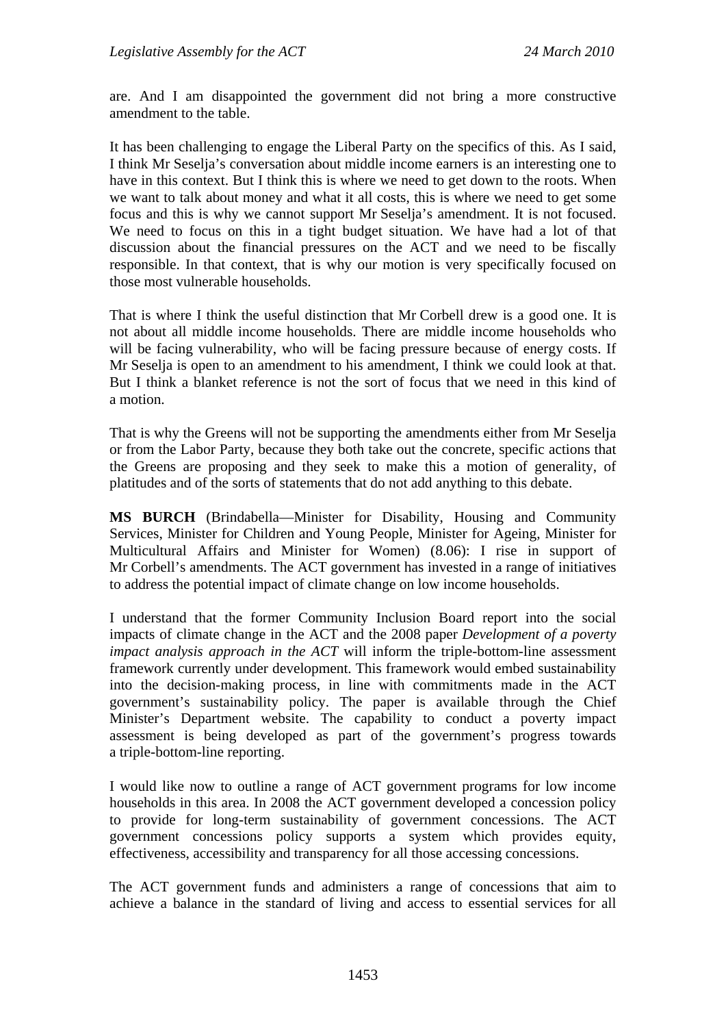are. And I am disappointed the government did not bring a more constructive amendment to the table.

It has been challenging to engage the Liberal Party on the specifics of this. As I said, I think Mr Seselja's conversation about middle income earners is an interesting one to have in this context. But I think this is where we need to get down to the roots. When we want to talk about money and what it all costs, this is where we need to get some focus and this is why we cannot support Mr Seselja's amendment. It is not focused. We need to focus on this in a tight budget situation. We have had a lot of that discussion about the financial pressures on the ACT and we need to be fiscally responsible. In that context, that is why our motion is very specifically focused on those most vulnerable households.

That is where I think the useful distinction that Mr Corbell drew is a good one. It is not about all middle income households. There are middle income households who will be facing vulnerability, who will be facing pressure because of energy costs. If Mr Seselja is open to an amendment to his amendment, I think we could look at that. But I think a blanket reference is not the sort of focus that we need in this kind of a motion.

That is why the Greens will not be supporting the amendments either from Mr Seselja or from the Labor Party, because they both take out the concrete, specific actions that the Greens are proposing and they seek to make this a motion of generality, of platitudes and of the sorts of statements that do not add anything to this debate.

**MS BURCH** (Brindabella—Minister for Disability, Housing and Community Services, Minister for Children and Young People, Minister for Ageing, Minister for Multicultural Affairs and Minister for Women) (8.06): I rise in support of Mr Corbell's amendments. The ACT government has invested in a range of initiatives to address the potential impact of climate change on low income households.

I understand that the former Community Inclusion Board report into the social impacts of climate change in the ACT and the 2008 paper *Development of a poverty impact analysis approach in the ACT* will inform the triple-bottom-line assessment framework currently under development. This framework would embed sustainability into the decision-making process, in line with commitments made in the ACT government's sustainability policy. The paper is available through the Chief Minister's Department website. The capability to conduct a poverty impact assessment is being developed as part of the government's progress towards a triple-bottom-line reporting.

I would like now to outline a range of ACT government programs for low income households in this area. In 2008 the ACT government developed a concession policy to provide for long-term sustainability of government concessions. The ACT government concessions policy supports a system which provides equity, effectiveness, accessibility and transparency for all those accessing concessions.

The ACT government funds and administers a range of concessions that aim to achieve a balance in the standard of living and access to essential services for all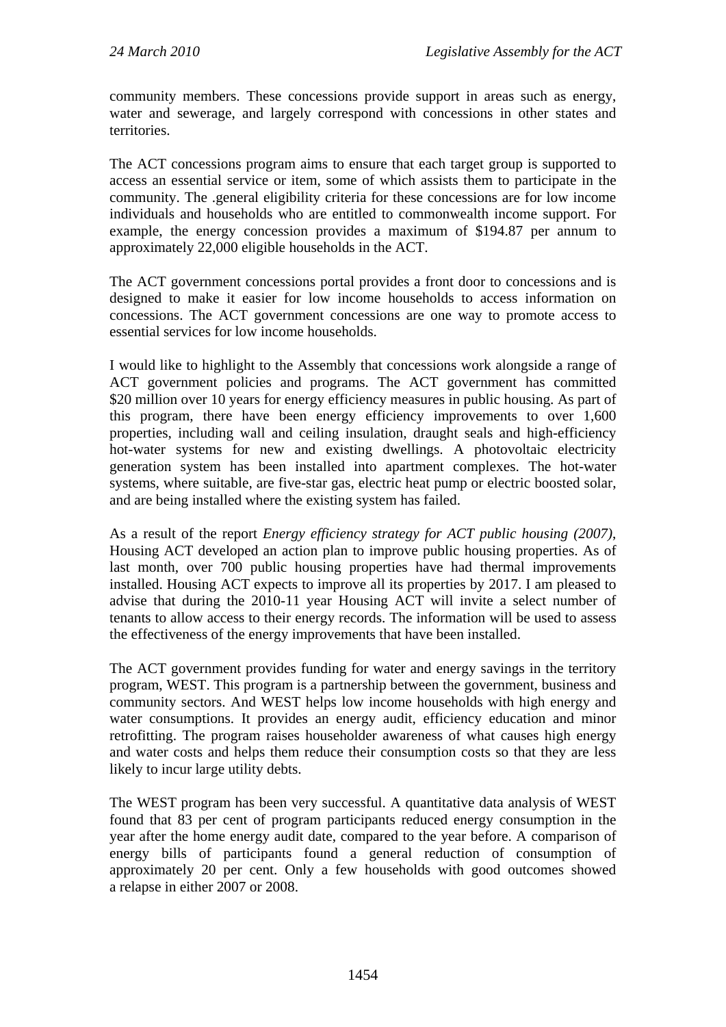community members. These concessions provide support in areas such as energy, water and sewerage, and largely correspond with concessions in other states and territories.

The ACT concessions program aims to ensure that each target group is supported to access an essential service or item, some of which assists them to participate in the community. The .general eligibility criteria for these concessions are for low income individuals and households who are entitled to commonwealth income support. For example, the energy concession provides a maximum of \$194.87 per annum to approximately 22,000 eligible households in the ACT.

The ACT government concessions portal provides a front door to concessions and is designed to make it easier for low income households to access information on concessions. The ACT government concessions are one way to promote access to essential services for low income households.

I would like to highlight to the Assembly that concessions work alongside a range of ACT government policies and programs. The ACT government has committed \$20 million over 10 years for energy efficiency measures in public housing. As part of this program, there have been energy efficiency improvements to over 1,600 properties, including wall and ceiling insulation, draught seals and high-efficiency hot-water systems for new and existing dwellings. A photovoltaic electricity generation system has been installed into apartment complexes. The hot-water systems, where suitable, are five-star gas, electric heat pump or electric boosted solar, and are being installed where the existing system has failed.

As a result of the report *Energy efficiency strategy for ACT public housing (2007)*, Housing ACT developed an action plan to improve public housing properties. As of last month, over 700 public housing properties have had thermal improvements installed. Housing ACT expects to improve all its properties by 2017. I am pleased to advise that during the 2010-11 year Housing ACT will invite a select number of tenants to allow access to their energy records. The information will be used to assess the effectiveness of the energy improvements that have been installed.

The ACT government provides funding for water and energy savings in the territory program, WEST. This program is a partnership between the government, business and community sectors. And WEST helps low income households with high energy and water consumptions. It provides an energy audit, efficiency education and minor retrofitting. The program raises householder awareness of what causes high energy and water costs and helps them reduce their consumption costs so that they are less likely to incur large utility debts.

The WEST program has been very successful. A quantitative data analysis of WEST found that 83 per cent of program participants reduced energy consumption in the year after the home energy audit date, compared to the year before. A comparison of energy bills of participants found a general reduction of consumption of approximately 20 per cent. Only a few households with good outcomes showed a relapse in either 2007 or 2008.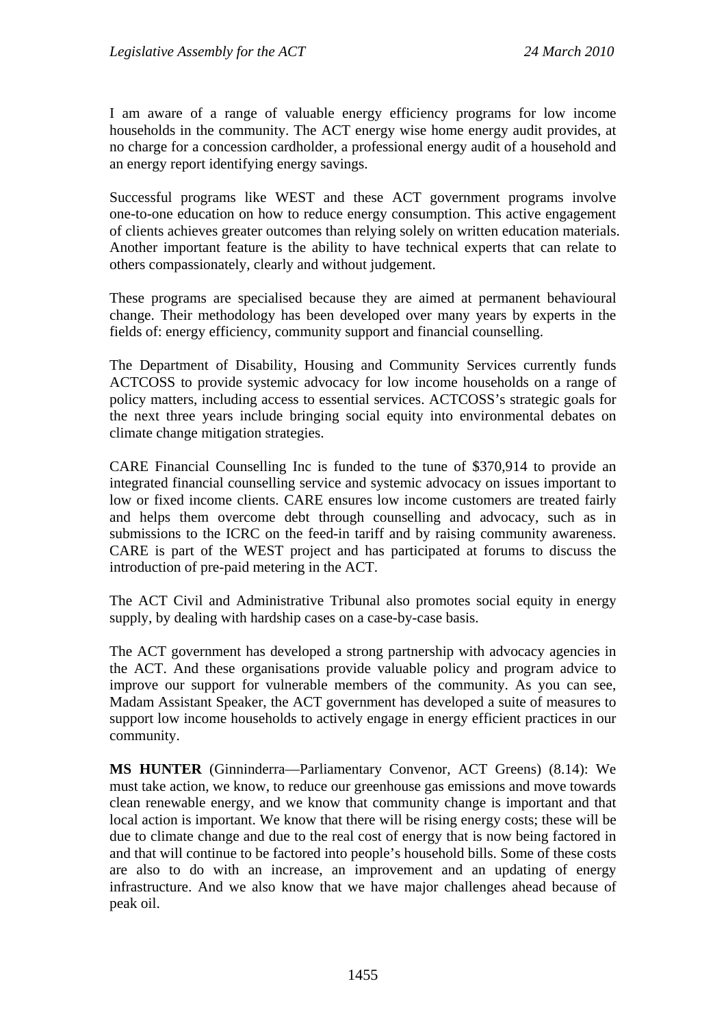I am aware of a range of valuable energy efficiency programs for low income households in the community. The ACT energy wise home energy audit provides, at no charge for a concession cardholder, a professional energy audit of a household and an energy report identifying energy savings.

Successful programs like WEST and these ACT government programs involve one-to-one education on how to reduce energy consumption. This active engagement of clients achieves greater outcomes than relying solely on written education materials. Another important feature is the ability to have technical experts that can relate to others compassionately, clearly and without judgement.

These programs are specialised because they are aimed at permanent behavioural change. Their methodology has been developed over many years by experts in the fields of: energy efficiency, community support and financial counselling.

The Department of Disability, Housing and Community Services currently funds ACTCOSS to provide systemic advocacy for low income households on a range of policy matters, including access to essential services. ACTCOSS's strategic goals for the next three years include bringing social equity into environmental debates on climate change mitigation strategies.

CARE Financial Counselling Inc is funded to the tune of \$370,914 to provide an integrated financial counselling service and systemic advocacy on issues important to low or fixed income clients. CARE ensures low income customers are treated fairly and helps them overcome debt through counselling and advocacy, such as in submissions to the ICRC on the feed-in tariff and by raising community awareness. CARE is part of the WEST project and has participated at forums to discuss the introduction of pre-paid metering in the ACT.

The ACT Civil and Administrative Tribunal also promotes social equity in energy supply, by dealing with hardship cases on a case-by-case basis.

The ACT government has developed a strong partnership with advocacy agencies in the ACT. And these organisations provide valuable policy and program advice to improve our support for vulnerable members of the community. As you can see, Madam Assistant Speaker, the ACT government has developed a suite of measures to support low income households to actively engage in energy efficient practices in our community.

**MS HUNTER** (Ginninderra—Parliamentary Convenor, ACT Greens) (8.14): We must take action, we know, to reduce our greenhouse gas emissions and move towards clean renewable energy, and we know that community change is important and that local action is important. We know that there will be rising energy costs; these will be due to climate change and due to the real cost of energy that is now being factored in and that will continue to be factored into people's household bills. Some of these costs are also to do with an increase, an improvement and an updating of energy infrastructure. And we also know that we have major challenges ahead because of peak oil.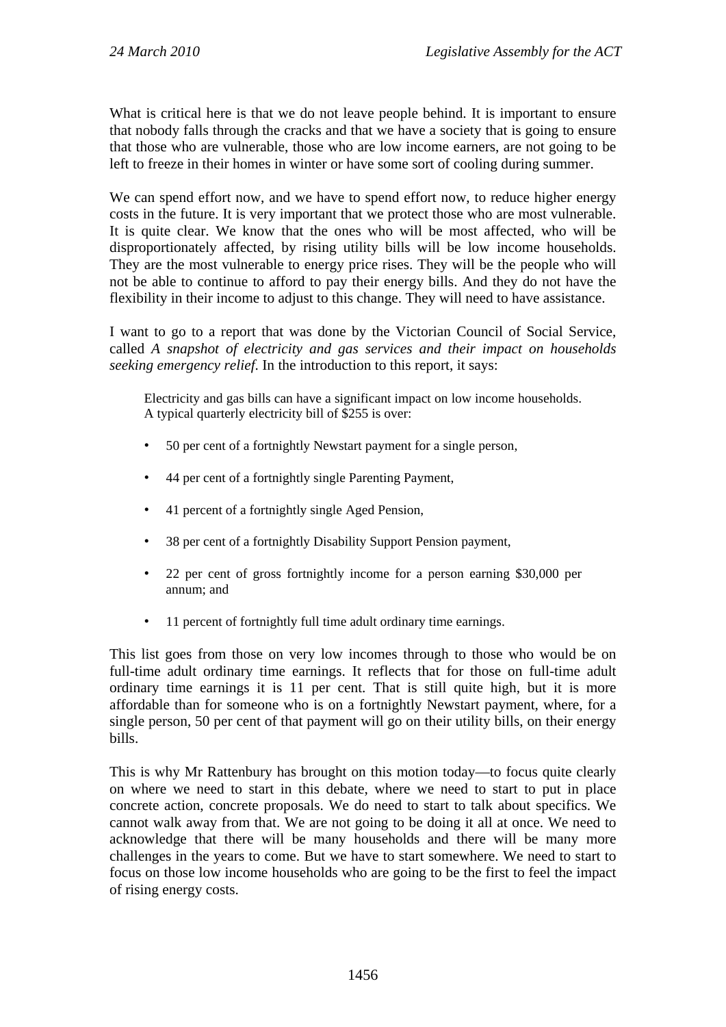What is critical here is that we do not leave people behind. It is important to ensure that nobody falls through the cracks and that we have a society that is going to ensure that those who are vulnerable, those who are low income earners, are not going to be left to freeze in their homes in winter or have some sort of cooling during summer.

We can spend effort now, and we have to spend effort now, to reduce higher energy costs in the future. It is very important that we protect those who are most vulnerable. It is quite clear. We know that the ones who will be most affected, who will be disproportionately affected, by rising utility bills will be low income households. They are the most vulnerable to energy price rises. They will be the people who will not be able to continue to afford to pay their energy bills. And they do not have the flexibility in their income to adjust to this change. They will need to have assistance.

I want to go to a report that was done by the Victorian Council of Social Service, called *A snapshot of electricity and gas services and their impact on households seeking emergency relief*. In the introduction to this report, it says:

Electricity and gas bills can have a significant impact on low income households. A typical quarterly electricity bill of \$255 is over:

- 50 per cent of a fortnightly Newstart payment for a single person,
- 44 per cent of a fortnightly single Parenting Payment,
- 41 percent of a fortnightly single Aged Pension,
- 38 per cent of a fortnightly Disability Support Pension payment,
- 22 per cent of gross fortnightly income for a person earning \$30,000 per annum; and
- 11 percent of fortnightly full time adult ordinary time earnings.

This list goes from those on very low incomes through to those who would be on full-time adult ordinary time earnings. It reflects that for those on full-time adult ordinary time earnings it is 11 per cent. That is still quite high, but it is more affordable than for someone who is on a fortnightly Newstart payment, where, for a single person, 50 per cent of that payment will go on their utility bills, on their energy bills.

This is why Mr Rattenbury has brought on this motion today—to focus quite clearly on where we need to start in this debate, where we need to start to put in place concrete action, concrete proposals. We do need to start to talk about specifics. We cannot walk away from that. We are not going to be doing it all at once. We need to acknowledge that there will be many households and there will be many more challenges in the years to come. But we have to start somewhere. We need to start to focus on those low income households who are going to be the first to feel the impact of rising energy costs.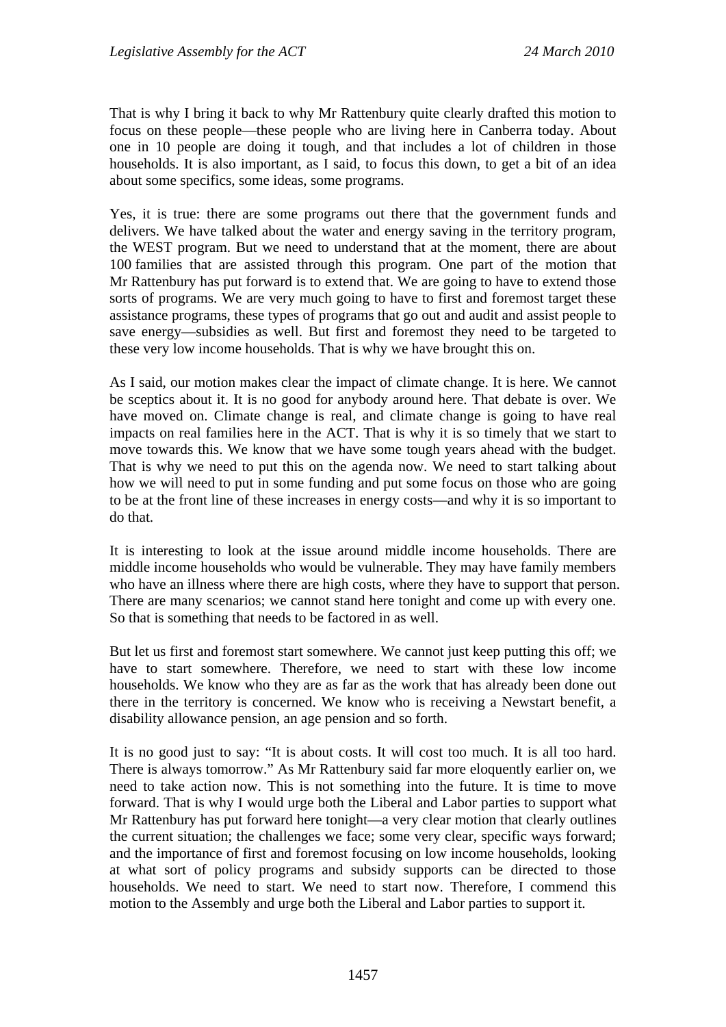That is why I bring it back to why Mr Rattenbury quite clearly drafted this motion to focus on these people—these people who are living here in Canberra today. About one in 10 people are doing it tough, and that includes a lot of children in those households. It is also important, as I said, to focus this down, to get a bit of an idea about some specifics, some ideas, some programs.

Yes, it is true: there are some programs out there that the government funds and delivers. We have talked about the water and energy saving in the territory program, the WEST program. But we need to understand that at the moment, there are about 100 families that are assisted through this program. One part of the motion that Mr Rattenbury has put forward is to extend that. We are going to have to extend those sorts of programs. We are very much going to have to first and foremost target these assistance programs, these types of programs that go out and audit and assist people to save energy—subsidies as well. But first and foremost they need to be targeted to these very low income households. That is why we have brought this on.

As I said, our motion makes clear the impact of climate change. It is here. We cannot be sceptics about it. It is no good for anybody around here. That debate is over. We have moved on. Climate change is real, and climate change is going to have real impacts on real families here in the ACT. That is why it is so timely that we start to move towards this. We know that we have some tough years ahead with the budget. That is why we need to put this on the agenda now. We need to start talking about how we will need to put in some funding and put some focus on those who are going to be at the front line of these increases in energy costs—and why it is so important to do that.

It is interesting to look at the issue around middle income households. There are middle income households who would be vulnerable. They may have family members who have an illness where there are high costs, where they have to support that person. There are many scenarios; we cannot stand here tonight and come up with every one. So that is something that needs to be factored in as well.

But let us first and foremost start somewhere. We cannot just keep putting this off; we have to start somewhere. Therefore, we need to start with these low income households. We know who they are as far as the work that has already been done out there in the territory is concerned. We know who is receiving a Newstart benefit, a disability allowance pension, an age pension and so forth.

It is no good just to say: "It is about costs. It will cost too much. It is all too hard. There is always tomorrow." As Mr Rattenbury said far more eloquently earlier on, we need to take action now. This is not something into the future. It is time to move forward. That is why I would urge both the Liberal and Labor parties to support what Mr Rattenbury has put forward here tonight—a very clear motion that clearly outlines the current situation; the challenges we face; some very clear, specific ways forward; and the importance of first and foremost focusing on low income households, looking at what sort of policy programs and subsidy supports can be directed to those households. We need to start. We need to start now. Therefore, I commend this motion to the Assembly and urge both the Liberal and Labor parties to support it.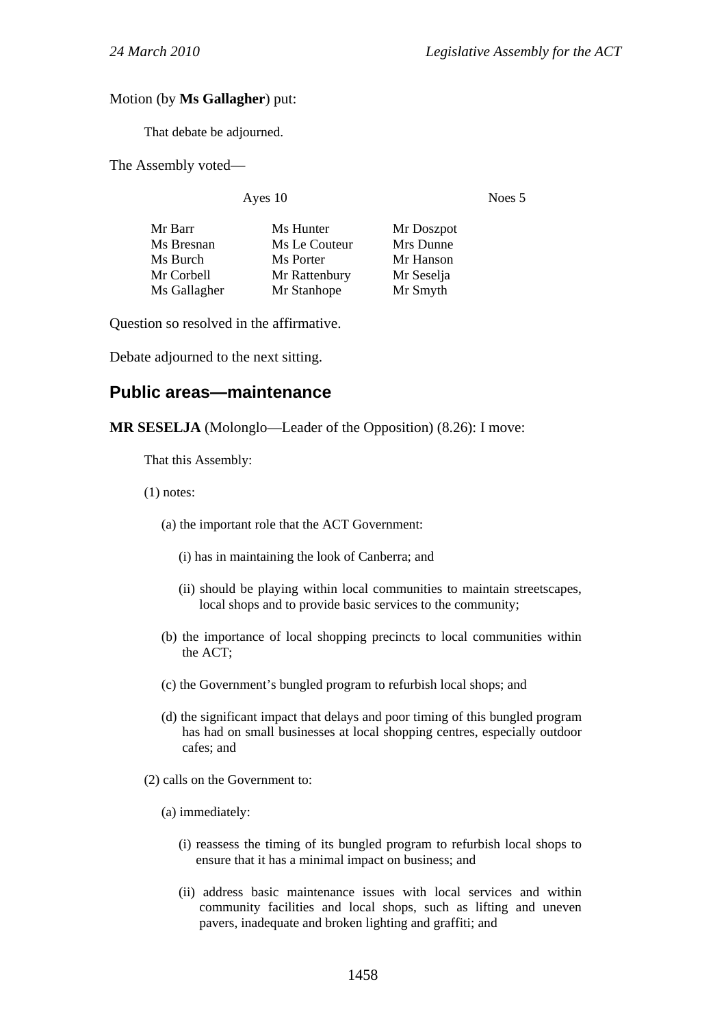#### Motion (by **Ms Gallagher**) put:

That debate be adjourned.

The Assembly voted—

Ayes 10 Noes 5

| Mr Barr      | Ms Hunter     | Mr Doszpot |
|--------------|---------------|------------|
| Ms Bresnan   | Ms Le Couteur | Mrs Dunne  |
| Ms Burch     | Ms Porter     | Mr Hanson  |
| Mr Corbell   | Mr Rattenbury | Mr Seselja |
| Ms Gallagher | Mr Stanhope   | Mr Smyth   |

Question so resolved in the affirmative.

Debate adjourned to the next sitting.

## **Public areas—maintenance**

**MR SESELJA** (Molonglo—Leader of the Opposition) (8.26): I move:

That this Assembly:

(1) notes:

- (a) the important role that the ACT Government:
	- (i) has in maintaining the look of Canberra; and
	- (ii) should be playing within local communities to maintain streetscapes, local shops and to provide basic services to the community;
- (b) the importance of local shopping precincts to local communities within the ACT;
- (c) the Government's bungled program to refurbish local shops; and
- (d) the significant impact that delays and poor timing of this bungled program has had on small businesses at local shopping centres, especially outdoor cafes; and
- (2) calls on the Government to:
	- (a) immediately:
		- (i) reassess the timing of its bungled program to refurbish local shops to ensure that it has a minimal impact on business; and
		- (ii) address basic maintenance issues with local services and within community facilities and local shops, such as lifting and uneven pavers, inadequate and broken lighting and graffiti; and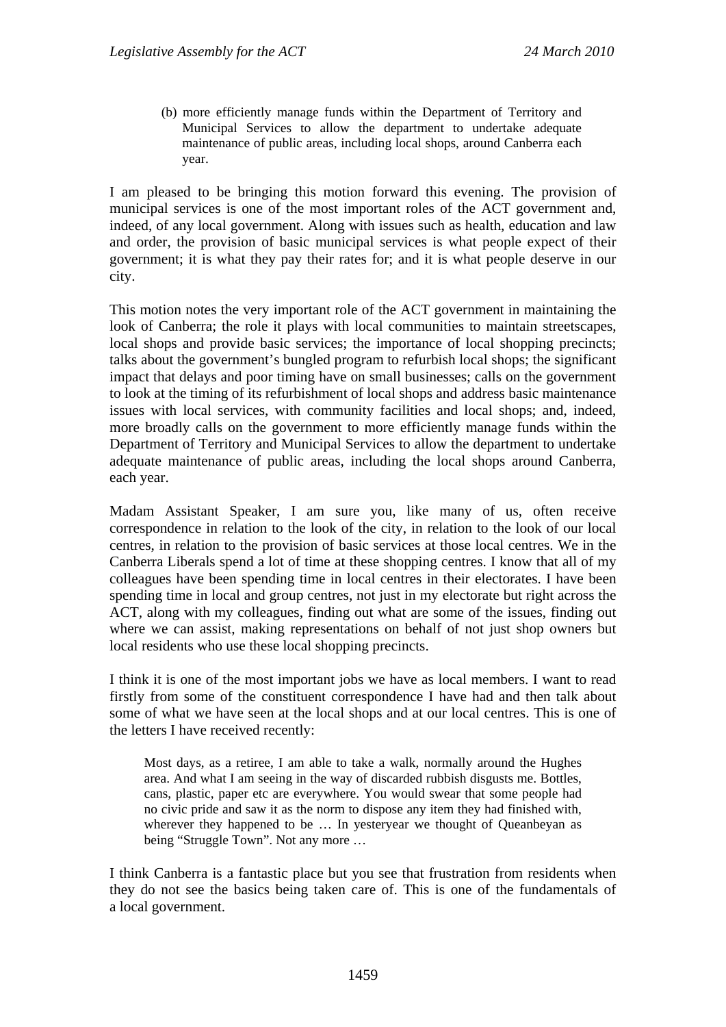(b) more efficiently manage funds within the Department of Territory and Municipal Services to allow the department to undertake adequate maintenance of public areas, including local shops, around Canberra each year.

I am pleased to be bringing this motion forward this evening. The provision of municipal services is one of the most important roles of the ACT government and, indeed, of any local government. Along with issues such as health, education and law and order, the provision of basic municipal services is what people expect of their government; it is what they pay their rates for; and it is what people deserve in our city.

This motion notes the very important role of the ACT government in maintaining the look of Canberra; the role it plays with local communities to maintain streetscapes, local shops and provide basic services; the importance of local shopping precincts; talks about the government's bungled program to refurbish local shops; the significant impact that delays and poor timing have on small businesses; calls on the government to look at the timing of its refurbishment of local shops and address basic maintenance issues with local services, with community facilities and local shops; and, indeed, more broadly calls on the government to more efficiently manage funds within the Department of Territory and Municipal Services to allow the department to undertake adequate maintenance of public areas, including the local shops around Canberra, each year.

Madam Assistant Speaker, I am sure you, like many of us, often receive correspondence in relation to the look of the city, in relation to the look of our local centres, in relation to the provision of basic services at those local centres. We in the Canberra Liberals spend a lot of time at these shopping centres. I know that all of my colleagues have been spending time in local centres in their electorates. I have been spending time in local and group centres, not just in my electorate but right across the ACT, along with my colleagues, finding out what are some of the issues, finding out where we can assist, making representations on behalf of not just shop owners but local residents who use these local shopping precincts.

I think it is one of the most important jobs we have as local members. I want to read firstly from some of the constituent correspondence I have had and then talk about some of what we have seen at the local shops and at our local centres. This is one of the letters I have received recently:

Most days, as a retiree, I am able to take a walk, normally around the Hughes area. And what I am seeing in the way of discarded rubbish disgusts me. Bottles, cans, plastic, paper etc are everywhere. You would swear that some people had no civic pride and saw it as the norm to dispose any item they had finished with, wherever they happened to be ... In yesteryear we thought of Queanbeyan as being "Struggle Town". Not any more …

I think Canberra is a fantastic place but you see that frustration from residents when they do not see the basics being taken care of. This is one of the fundamentals of a local government.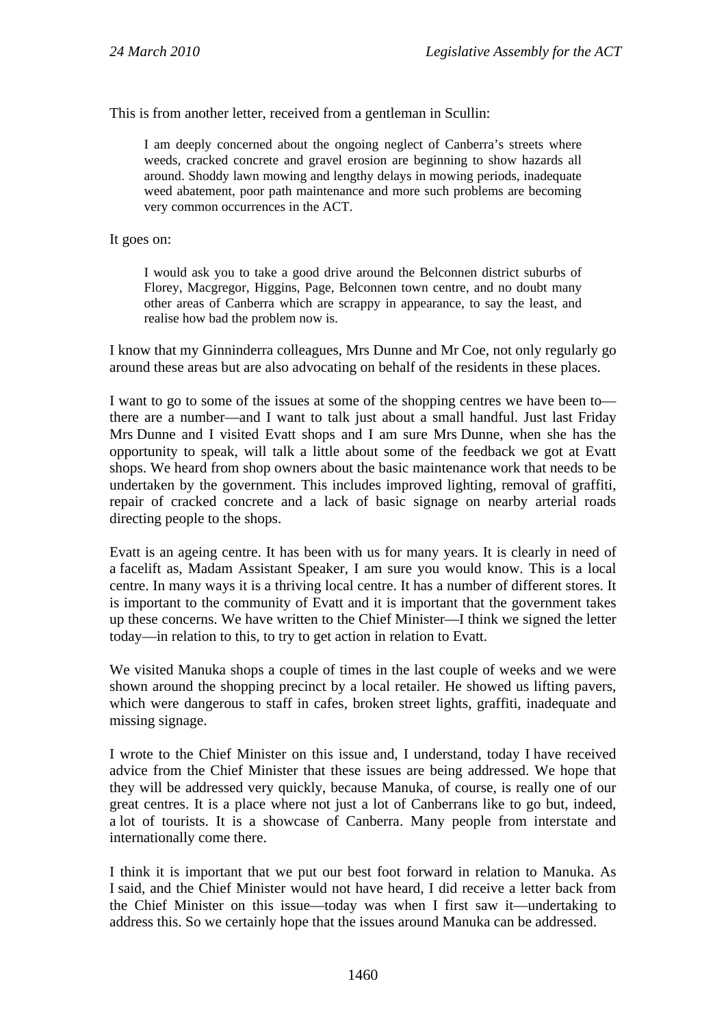This is from another letter, received from a gentleman in Scullin:

I am deeply concerned about the ongoing neglect of Canberra's streets where weeds, cracked concrete and gravel erosion are beginning to show hazards all around. Shoddy lawn mowing and lengthy delays in mowing periods, inadequate weed abatement, poor path maintenance and more such problems are becoming very common occurrences in the ACT.

It goes on:

I would ask you to take a good drive around the Belconnen district suburbs of Florey, Macgregor, Higgins, Page, Belconnen town centre, and no doubt many other areas of Canberra which are scrappy in appearance, to say the least, and realise how bad the problem now is.

I know that my Ginninderra colleagues, Mrs Dunne and Mr Coe, not only regularly go around these areas but are also advocating on behalf of the residents in these places.

I want to go to some of the issues at some of the shopping centres we have been to there are a number—and I want to talk just about a small handful. Just last Friday Mrs Dunne and I visited Evatt shops and I am sure Mrs Dunne, when she has the opportunity to speak, will talk a little about some of the feedback we got at Evatt shops. We heard from shop owners about the basic maintenance work that needs to be undertaken by the government. This includes improved lighting, removal of graffiti, repair of cracked concrete and a lack of basic signage on nearby arterial roads directing people to the shops.

Evatt is an ageing centre. It has been with us for many years. It is clearly in need of a facelift as, Madam Assistant Speaker, I am sure you would know. This is a local centre. In many ways it is a thriving local centre. It has a number of different stores. It is important to the community of Evatt and it is important that the government takes up these concerns. We have written to the Chief Minister—I think we signed the letter today—in relation to this, to try to get action in relation to Evatt.

We visited Manuka shops a couple of times in the last couple of weeks and we were shown around the shopping precinct by a local retailer. He showed us lifting pavers, which were dangerous to staff in cafes, broken street lights, graffiti, inadequate and missing signage.

I wrote to the Chief Minister on this issue and, I understand, today I have received advice from the Chief Minister that these issues are being addressed. We hope that they will be addressed very quickly, because Manuka, of course, is really one of our great centres. It is a place where not just a lot of Canberrans like to go but, indeed, a lot of tourists. It is a showcase of Canberra. Many people from interstate and internationally come there.

I think it is important that we put our best foot forward in relation to Manuka. As I said, and the Chief Minister would not have heard, I did receive a letter back from the Chief Minister on this issue—today was when I first saw it—undertaking to address this. So we certainly hope that the issues around Manuka can be addressed.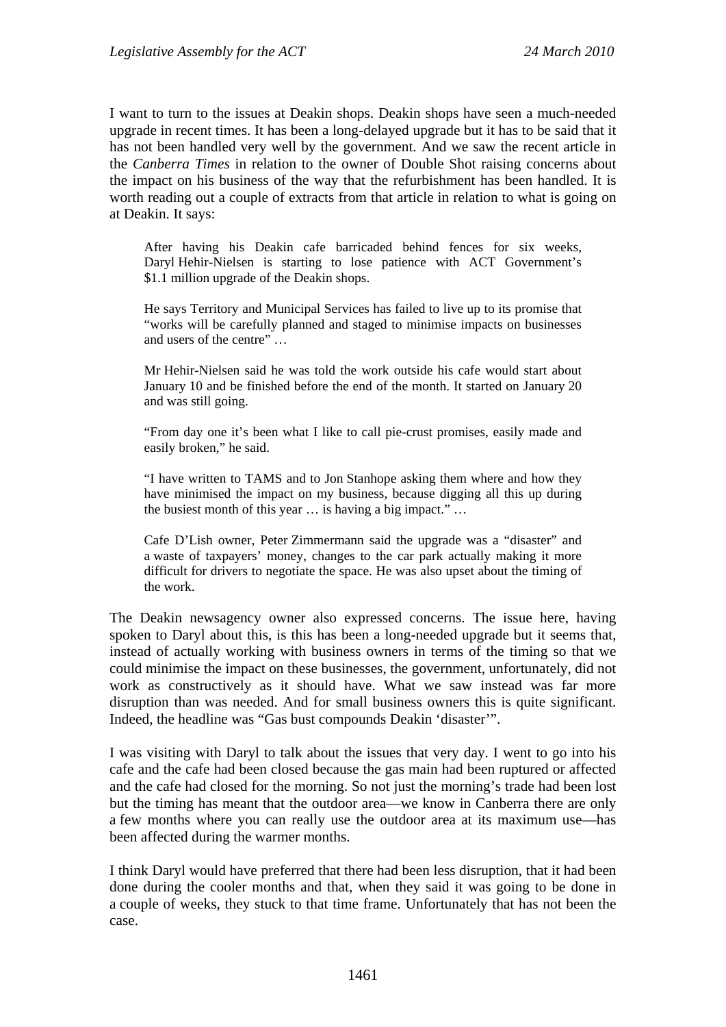I want to turn to the issues at Deakin shops. Deakin shops have seen a much-needed upgrade in recent times. It has been a long-delayed upgrade but it has to be said that it has not been handled very well by the government. And we saw the recent article in the *Canberra Times* in relation to the owner of Double Shot raising concerns about the impact on his business of the way that the refurbishment has been handled. It is worth reading out a couple of extracts from that article in relation to what is going on at Deakin. It says:

After having his Deakin cafe barricaded behind fences for six weeks, Daryl Hehir-Nielsen is starting to lose patience with ACT Government's \$1.1 million upgrade of the Deakin shops.

He says Territory and Municipal Services has failed to live up to its promise that "works will be carefully planned and staged to minimise impacts on businesses and users of the centre" …

Mr Hehir-Nielsen said he was told the work outside his cafe would start about January 10 and be finished before the end of the month. It started on January 20 and was still going.

"From day one it's been what I like to call pie-crust promises, easily made and easily broken," he said.

"I have written to TAMS and to Jon Stanhope asking them where and how they have minimised the impact on my business, because digging all this up during the busiest month of this year … is having a big impact." …

Cafe D'Lish owner, Peter Zimmermann said the upgrade was a "disaster" and a waste of taxpayers' money, changes to the car park actually making it more difficult for drivers to negotiate the space. He was also upset about the timing of the work.

The Deakin newsagency owner also expressed concerns. The issue here, having spoken to Daryl about this, is this has been a long-needed upgrade but it seems that, instead of actually working with business owners in terms of the timing so that we could minimise the impact on these businesses, the government, unfortunately, did not work as constructively as it should have. What we saw instead was far more disruption than was needed. And for small business owners this is quite significant. Indeed, the headline was "Gas bust compounds Deakin 'disaster'".

I was visiting with Daryl to talk about the issues that very day. I went to go into his cafe and the cafe had been closed because the gas main had been ruptured or affected and the cafe had closed for the morning. So not just the morning's trade had been lost but the timing has meant that the outdoor area—we know in Canberra there are only a few months where you can really use the outdoor area at its maximum use—has been affected during the warmer months.

I think Daryl would have preferred that there had been less disruption, that it had been done during the cooler months and that, when they said it was going to be done in a couple of weeks, they stuck to that time frame. Unfortunately that has not been the case.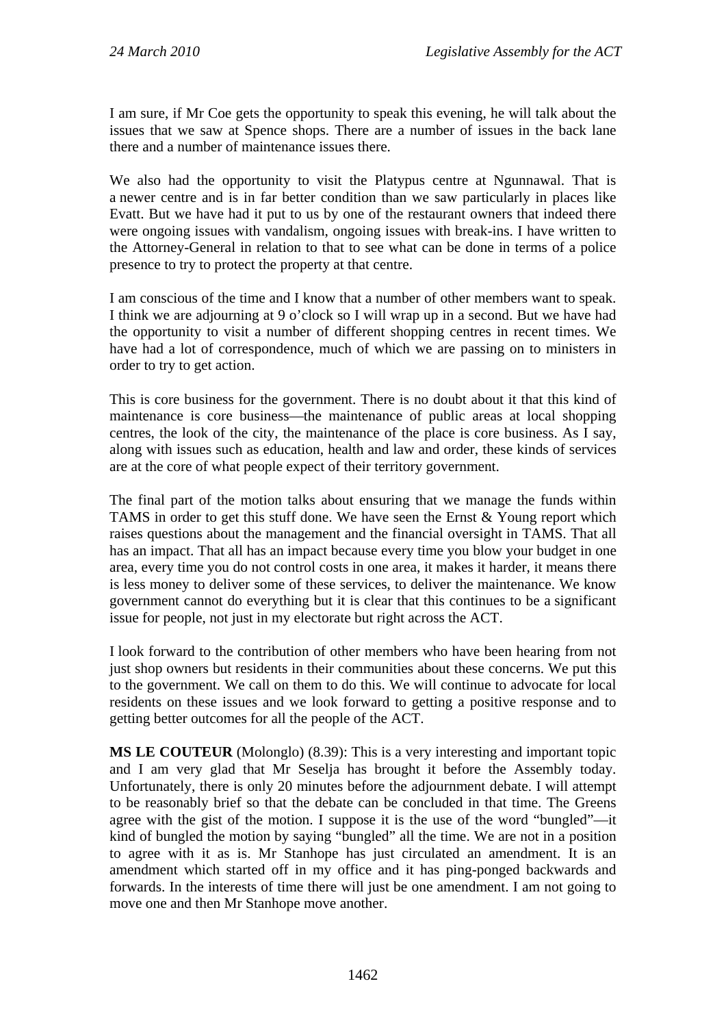I am sure, if Mr Coe gets the opportunity to speak this evening, he will talk about the issues that we saw at Spence shops. There are a number of issues in the back lane there and a number of maintenance issues there.

We also had the opportunity to visit the Platypus centre at Ngunnawal. That is a newer centre and is in far better condition than we saw particularly in places like Evatt. But we have had it put to us by one of the restaurant owners that indeed there were ongoing issues with vandalism, ongoing issues with break-ins. I have written to the Attorney-General in relation to that to see what can be done in terms of a police presence to try to protect the property at that centre.

I am conscious of the time and I know that a number of other members want to speak. I think we are adjourning at 9 o'clock so I will wrap up in a second. But we have had the opportunity to visit a number of different shopping centres in recent times. We have had a lot of correspondence, much of which we are passing on to ministers in order to try to get action.

This is core business for the government. There is no doubt about it that this kind of maintenance is core business—the maintenance of public areas at local shopping centres, the look of the city, the maintenance of the place is core business. As I say, along with issues such as education, health and law and order, these kinds of services are at the core of what people expect of their territory government.

The final part of the motion talks about ensuring that we manage the funds within TAMS in order to get this stuff done. We have seen the Ernst & Young report which raises questions about the management and the financial oversight in TAMS. That all has an impact. That all has an impact because every time you blow your budget in one area, every time you do not control costs in one area, it makes it harder, it means there is less money to deliver some of these services, to deliver the maintenance. We know government cannot do everything but it is clear that this continues to be a significant issue for people, not just in my electorate but right across the ACT.

I look forward to the contribution of other members who have been hearing from not just shop owners but residents in their communities about these concerns. We put this to the government. We call on them to do this. We will continue to advocate for local residents on these issues and we look forward to getting a positive response and to getting better outcomes for all the people of the ACT.

**MS LE COUTEUR** (Molonglo) (8.39): This is a very interesting and important topic and I am very glad that Mr Seselja has brought it before the Assembly today. Unfortunately, there is only 20 minutes before the adjournment debate. I will attempt to be reasonably brief so that the debate can be concluded in that time. The Greens agree with the gist of the motion. I suppose it is the use of the word "bungled"—it kind of bungled the motion by saying "bungled" all the time. We are not in a position to agree with it as is. Mr Stanhope has just circulated an amendment. It is an amendment which started off in my office and it has ping-ponged backwards and forwards. In the interests of time there will just be one amendment. I am not going to move one and then Mr Stanhope move another.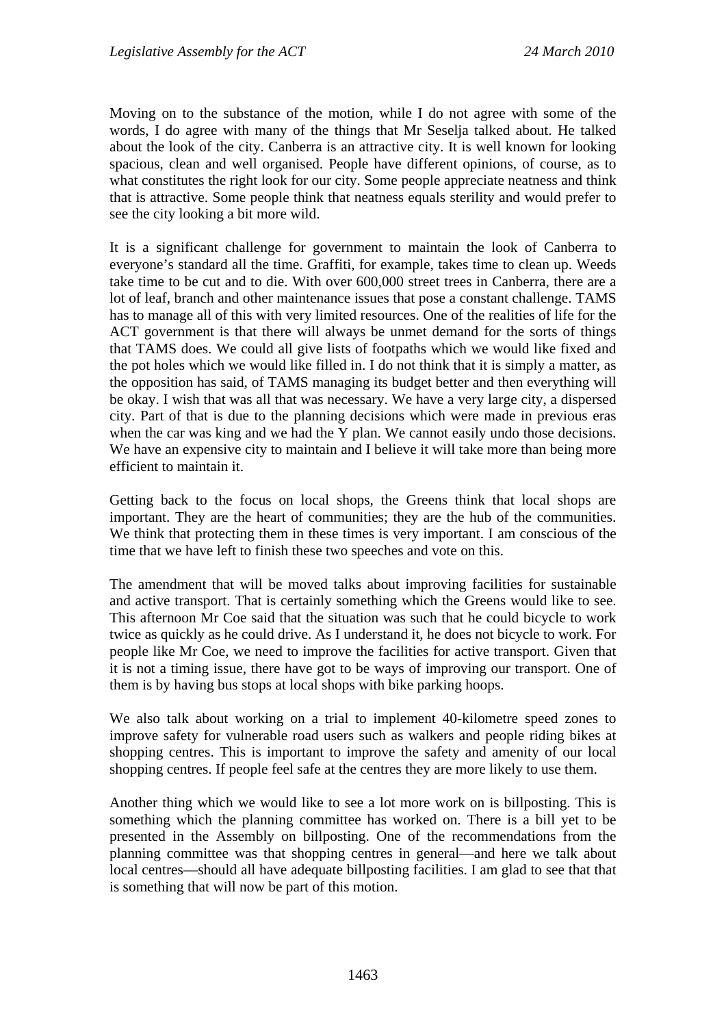Moving on to the substance of the motion, while I do not agree with some of the words, I do agree with many of the things that Mr Seselja talked about. He talked about the look of the city. Canberra is an attractive city. It is well known for looking spacious, clean and well organised. People have different opinions, of course, as to what constitutes the right look for our city. Some people appreciate neatness and think that is attractive. Some people think that neatness equals sterility and would prefer to see the city looking a bit more wild.

It is a significant challenge for government to maintain the look of Canberra to everyone's standard all the time. Graffiti, for example, takes time to clean up. Weeds take time to be cut and to die. With over 600,000 street trees in Canberra, there are a lot of leaf, branch and other maintenance issues that pose a constant challenge. TAMS has to manage all of this with very limited resources. One of the realities of life for the ACT government is that there will always be unmet demand for the sorts of things that TAMS does. We could all give lists of footpaths which we would like fixed and the pot holes which we would like filled in. I do not think that it is simply a matter, as the opposition has said, of TAMS managing its budget better and then everything will be okay. I wish that was all that was necessary. We have a very large city, a dispersed city. Part of that is due to the planning decisions which were made in previous eras when the car was king and we had the Y plan. We cannot easily undo those decisions. We have an expensive city to maintain and I believe it will take more than being more efficient to maintain it.

Getting back to the focus on local shops, the Greens think that local shops are important. They are the heart of communities; they are the hub of the communities. We think that protecting them in these times is very important. I am conscious of the time that we have left to finish these two speeches and vote on this.

The amendment that will be moved talks about improving facilities for sustainable and active transport. That is certainly something which the Greens would like to see. This afternoon Mr Coe said that the situation was such that he could bicycle to work twice as quickly as he could drive. As I understand it, he does not bicycle to work. For people like Mr Coe, we need to improve the facilities for active transport. Given that it is not a timing issue, there have got to be ways of improving our transport. One of them is by having bus stops at local shops with bike parking hoops.

We also talk about working on a trial to implement 40-kilometre speed zones to improve safety for vulnerable road users such as walkers and people riding bikes at shopping centres. This is important to improve the safety and amenity of our local shopping centres. If people feel safe at the centres they are more likely to use them.

Another thing which we would like to see a lot more work on is billposting. This is something which the planning committee has worked on. There is a bill yet to be presented in the Assembly on billposting. One of the recommendations from the planning committee was that shopping centres in general—and here we talk about local centres—should all have adequate billposting facilities. I am glad to see that that is something that will now be part of this motion.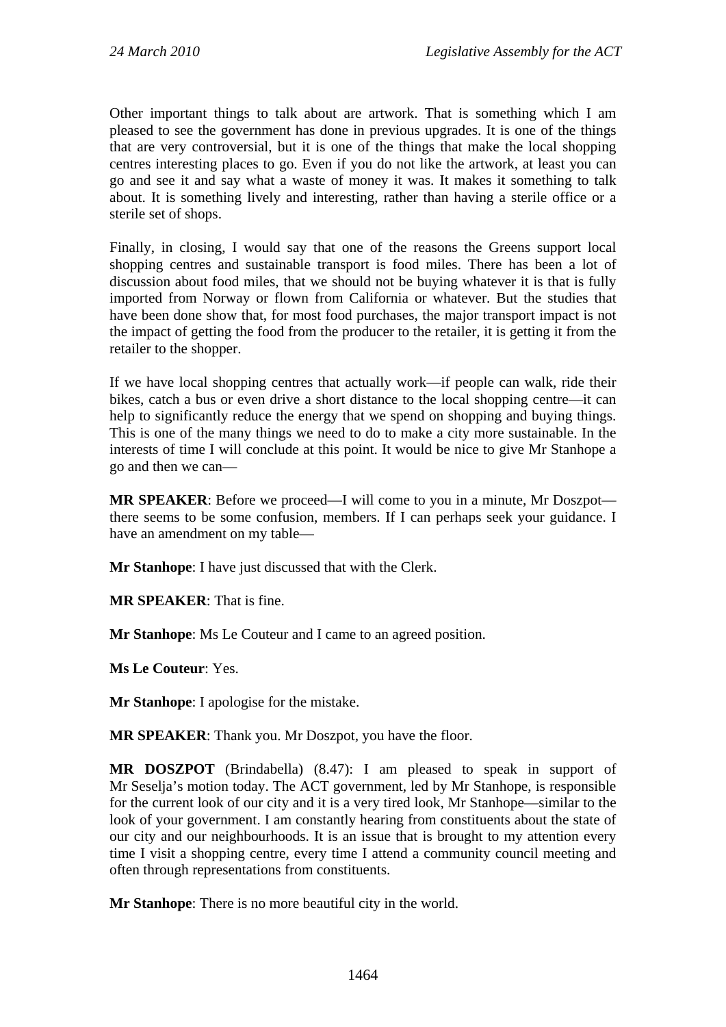Other important things to talk about are artwork. That is something which I am pleased to see the government has done in previous upgrades. It is one of the things that are very controversial, but it is one of the things that make the local shopping centres interesting places to go. Even if you do not like the artwork, at least you can go and see it and say what a waste of money it was. It makes it something to talk about. It is something lively and interesting, rather than having a sterile office or a sterile set of shops.

Finally, in closing, I would say that one of the reasons the Greens support local shopping centres and sustainable transport is food miles. There has been a lot of discussion about food miles, that we should not be buying whatever it is that is fully imported from Norway or flown from California or whatever. But the studies that have been done show that, for most food purchases, the major transport impact is not the impact of getting the food from the producer to the retailer, it is getting it from the retailer to the shopper.

If we have local shopping centres that actually work—if people can walk, ride their bikes, catch a bus or even drive a short distance to the local shopping centre—it can help to significantly reduce the energy that we spend on shopping and buying things. This is one of the many things we need to do to make a city more sustainable. In the interests of time I will conclude at this point. It would be nice to give Mr Stanhope a go and then we can—

**MR SPEAKER**: Before we proceed—I will come to you in a minute, Mr Doszpot there seems to be some confusion, members. If I can perhaps seek your guidance. I have an amendment on my table—

**Mr Stanhope**: I have just discussed that with the Clerk.

**MR SPEAKER**: That is fine.

**Mr Stanhope**: Ms Le Couteur and I came to an agreed position.

**Ms Le Couteur**: Yes.

**Mr Stanhope**: I apologise for the mistake.

**MR SPEAKER**: Thank you. Mr Doszpot, you have the floor.

**MR DOSZPOT** (Brindabella) (8.47): I am pleased to speak in support of Mr Seselja's motion today. The ACT government, led by Mr Stanhope, is responsible for the current look of our city and it is a very tired look, Mr Stanhope—similar to the look of your government. I am constantly hearing from constituents about the state of our city and our neighbourhoods. It is an issue that is brought to my attention every time I visit a shopping centre, every time I attend a community council meeting and often through representations from constituents.

**Mr Stanhope**: There is no more beautiful city in the world.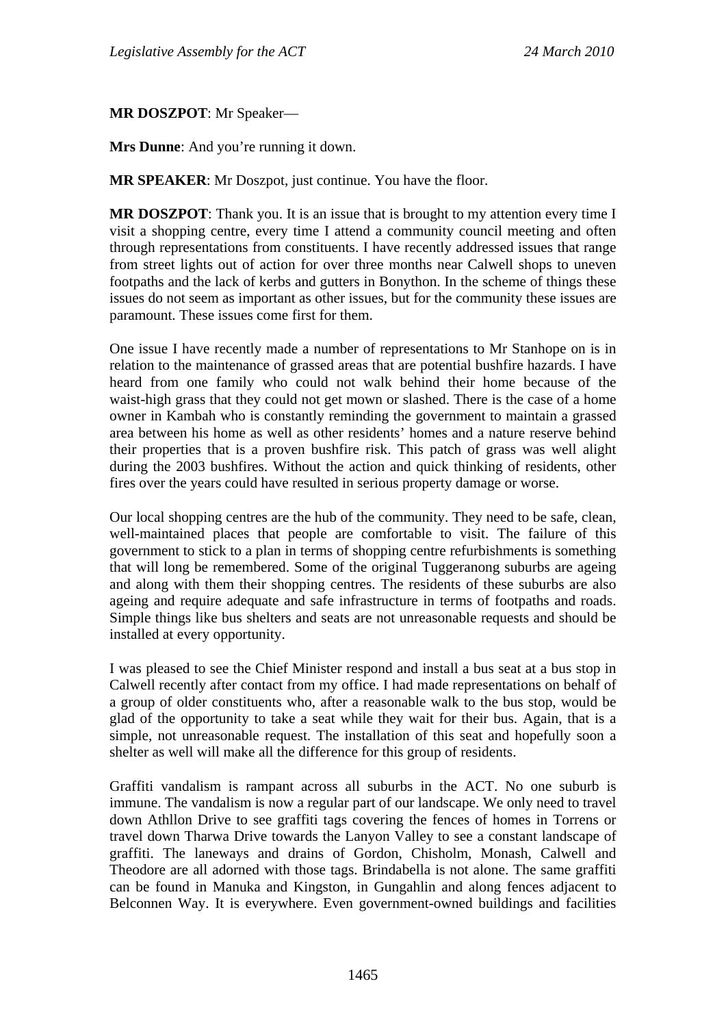**MR DOSZPOT**: Mr Speaker—

**Mrs Dunne**: And you're running it down.

**MR SPEAKER**: Mr Doszpot, just continue. You have the floor.

**MR DOSZPOT**: Thank you. It is an issue that is brought to my attention every time I visit a shopping centre, every time I attend a community council meeting and often through representations from constituents. I have recently addressed issues that range from street lights out of action for over three months near Calwell shops to uneven footpaths and the lack of kerbs and gutters in Bonython. In the scheme of things these issues do not seem as important as other issues, but for the community these issues are paramount. These issues come first for them.

One issue I have recently made a number of representations to Mr Stanhope on is in relation to the maintenance of grassed areas that are potential bushfire hazards. I have heard from one family who could not walk behind their home because of the waist-high grass that they could not get mown or slashed. There is the case of a home owner in Kambah who is constantly reminding the government to maintain a grassed area between his home as well as other residents' homes and a nature reserve behind their properties that is a proven bushfire risk. This patch of grass was well alight during the 2003 bushfires. Without the action and quick thinking of residents, other fires over the years could have resulted in serious property damage or worse.

Our local shopping centres are the hub of the community. They need to be safe, clean, well-maintained places that people are comfortable to visit. The failure of this government to stick to a plan in terms of shopping centre refurbishments is something that will long be remembered. Some of the original Tuggeranong suburbs are ageing and along with them their shopping centres. The residents of these suburbs are also ageing and require adequate and safe infrastructure in terms of footpaths and roads. Simple things like bus shelters and seats are not unreasonable requests and should be installed at every opportunity.

I was pleased to see the Chief Minister respond and install a bus seat at a bus stop in Calwell recently after contact from my office. I had made representations on behalf of a group of older constituents who, after a reasonable walk to the bus stop, would be glad of the opportunity to take a seat while they wait for their bus. Again, that is a simple, not unreasonable request. The installation of this seat and hopefully soon a shelter as well will make all the difference for this group of residents.

Graffiti vandalism is rampant across all suburbs in the ACT. No one suburb is immune. The vandalism is now a regular part of our landscape. We only need to travel down Athllon Drive to see graffiti tags covering the fences of homes in Torrens or travel down Tharwa Drive towards the Lanyon Valley to see a constant landscape of graffiti. The laneways and drains of Gordon, Chisholm, Monash, Calwell and Theodore are all adorned with those tags. Brindabella is not alone. The same graffiti can be found in Manuka and Kingston, in Gungahlin and along fences adjacent to Belconnen Way. It is everywhere. Even government-owned buildings and facilities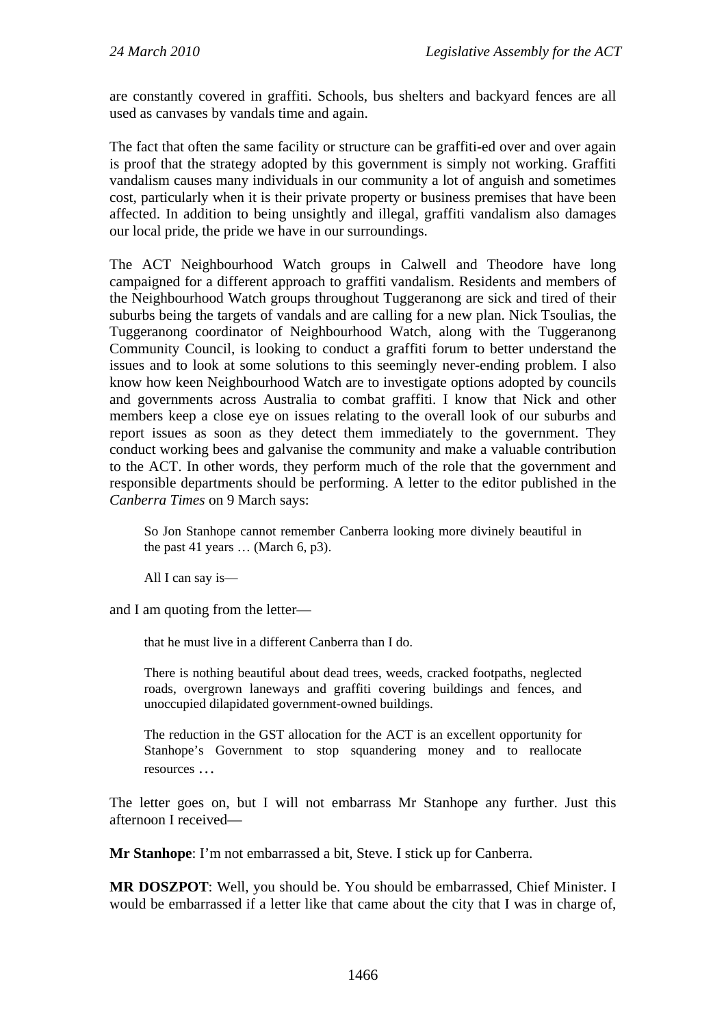are constantly covered in graffiti. Schools, bus shelters and backyard fences are all used as canvases by vandals time and again.

The fact that often the same facility or structure can be graffiti-ed over and over again is proof that the strategy adopted by this government is simply not working. Graffiti vandalism causes many individuals in our community a lot of anguish and sometimes cost, particularly when it is their private property or business premises that have been affected. In addition to being unsightly and illegal, graffiti vandalism also damages our local pride, the pride we have in our surroundings.

The ACT Neighbourhood Watch groups in Calwell and Theodore have long campaigned for a different approach to graffiti vandalism. Residents and members of the Neighbourhood Watch groups throughout Tuggeranong are sick and tired of their suburbs being the targets of vandals and are calling for a new plan. Nick Tsoulias, the Tuggeranong coordinator of Neighbourhood Watch, along with the Tuggeranong Community Council, is looking to conduct a graffiti forum to better understand the issues and to look at some solutions to this seemingly never-ending problem. I also know how keen Neighbourhood Watch are to investigate options adopted by councils and governments across Australia to combat graffiti. I know that Nick and other members keep a close eye on issues relating to the overall look of our suburbs and report issues as soon as they detect them immediately to the government. They conduct working bees and galvanise the community and make a valuable contribution to the ACT. In other words, they perform much of the role that the government and responsible departments should be performing. A letter to the editor published in the *Canberra Times* on 9 March says:

So Jon Stanhope cannot remember Canberra looking more divinely beautiful in the past 41 years … (March 6, p3).

All I can say is—

and I am quoting from the letter—

that he must live in a different Canberra than I do.

There is nothing beautiful about dead trees, weeds, cracked footpaths, neglected roads, overgrown laneways and graffiti covering buildings and fences, and unoccupied dilapidated government-owned buildings.

The reduction in the GST allocation for the ACT is an excellent opportunity for Stanhope's Government to stop squandering money and to reallocate resources …

The letter goes on, but I will not embarrass Mr Stanhope any further. Just this afternoon I received—

**Mr Stanhope**: I'm not embarrassed a bit, Steve. I stick up for Canberra.

**MR DOSZPOT**: Well, you should be. You should be embarrassed, Chief Minister. I would be embarrassed if a letter like that came about the city that I was in charge of,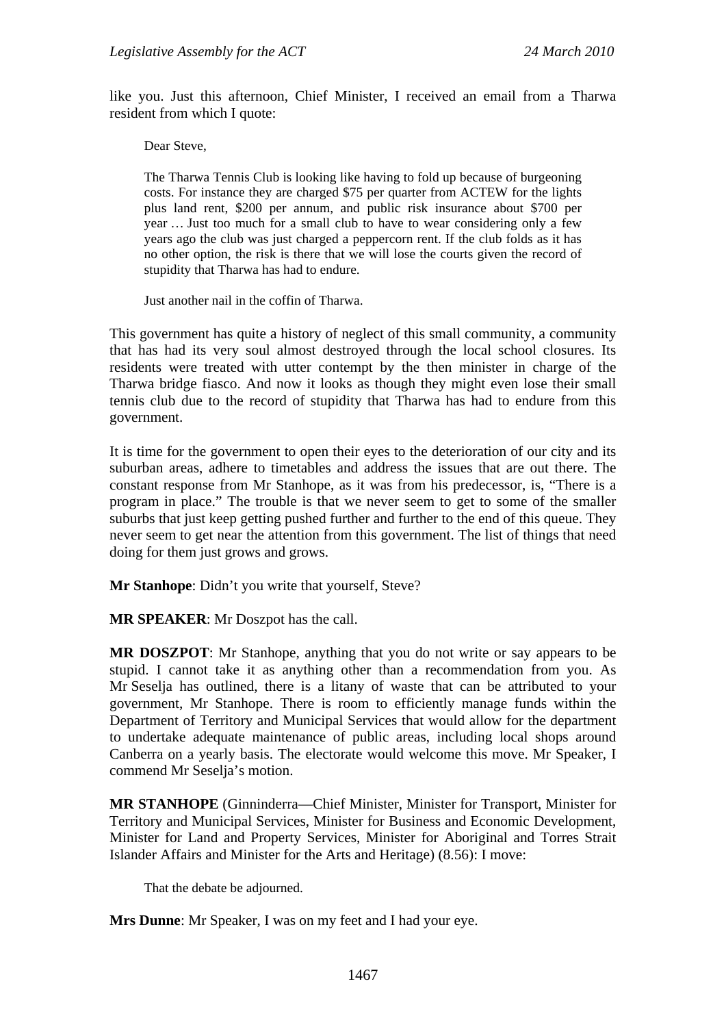like you. Just this afternoon, Chief Minister, I received an email from a Tharwa resident from which I quote:

Dear Steve,

The Tharwa Tennis Club is looking like having to fold up because of burgeoning costs. For instance they are charged \$75 per quarter from ACTEW for the lights plus land rent, \$200 per annum, and public risk insurance about \$700 per year … Just too much for a small club to have to wear considering only a few years ago the club was just charged a peppercorn rent. If the club folds as it has no other option, the risk is there that we will lose the courts given the record of stupidity that Tharwa has had to endure.

Just another nail in the coffin of Tharwa.

This government has quite a history of neglect of this small community, a community that has had its very soul almost destroyed through the local school closures. Its residents were treated with utter contempt by the then minister in charge of the Tharwa bridge fiasco. And now it looks as though they might even lose their small tennis club due to the record of stupidity that Tharwa has had to endure from this government.

It is time for the government to open their eyes to the deterioration of our city and its suburban areas, adhere to timetables and address the issues that are out there. The constant response from Mr Stanhope, as it was from his predecessor, is, "There is a program in place." The trouble is that we never seem to get to some of the smaller suburbs that just keep getting pushed further and further to the end of this queue. They never seem to get near the attention from this government. The list of things that need doing for them just grows and grows.

**Mr Stanhope**: Didn't you write that yourself, Steve?

**MR SPEAKER**: Mr Doszpot has the call.

**MR DOSZPOT**: Mr Stanhope, anything that you do not write or say appears to be stupid. I cannot take it as anything other than a recommendation from you. As Mr Seselja has outlined, there is a litany of waste that can be attributed to your government, Mr Stanhope. There is room to efficiently manage funds within the Department of Territory and Municipal Services that would allow for the department to undertake adequate maintenance of public areas, including local shops around Canberra on a yearly basis. The electorate would welcome this move. Mr Speaker, I commend Mr Seselja's motion.

**MR STANHOPE** (Ginninderra—Chief Minister, Minister for Transport, Minister for Territory and Municipal Services, Minister for Business and Economic Development, Minister for Land and Property Services, Minister for Aboriginal and Torres Strait Islander Affairs and Minister for the Arts and Heritage) (8.56): I move:

That the debate be adjourned.

**Mrs Dunne**: Mr Speaker, I was on my feet and I had your eye.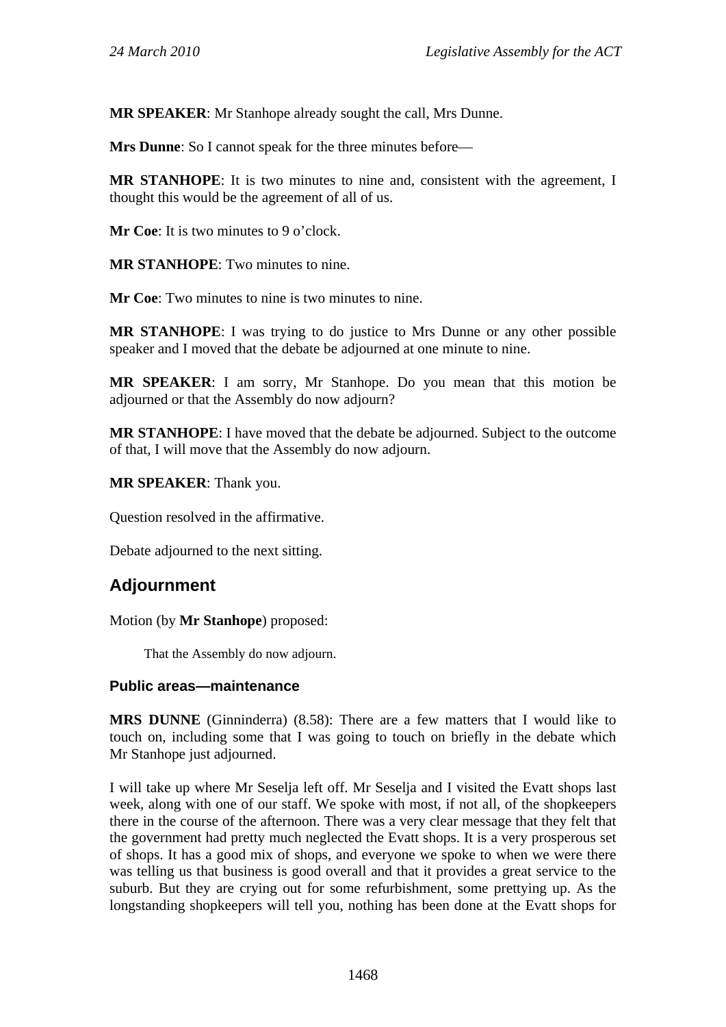**MR SPEAKER**: Mr Stanhope already sought the call, Mrs Dunne.

**Mrs Dunne**: So I cannot speak for the three minutes before—

**MR STANHOPE**: It is two minutes to nine and, consistent with the agreement, I thought this would be the agreement of all of us.

**Mr Coe:** It is two minutes to 9 o'clock.

**MR STANHOPE**: Two minutes to nine.

**Mr Coe**: Two minutes to nine is two minutes to nine.

**MR STANHOPE**: I was trying to do justice to Mrs Dunne or any other possible speaker and I moved that the debate be adjourned at one minute to nine.

**MR SPEAKER**: I am sorry, Mr Stanhope. Do you mean that this motion be adjourned or that the Assembly do now adjourn?

**MR STANHOPE**: I have moved that the debate be adjourned. Subject to the outcome of that, I will move that the Assembly do now adjourn.

**MR SPEAKER**: Thank you.

Question resolved in the affirmative.

Debate adjourned to the next sitting.

# **Adjournment**

Motion (by **Mr Stanhope**) proposed:

That the Assembly do now adjourn.

#### **Public areas—maintenance**

**MRS DUNNE** (Ginninderra) (8.58): There are a few matters that I would like to touch on, including some that I was going to touch on briefly in the debate which Mr Stanhope just adjourned.

I will take up where Mr Seselja left off. Mr Seselja and I visited the Evatt shops last week, along with one of our staff. We spoke with most, if not all, of the shopkeepers there in the course of the afternoon. There was a very clear message that they felt that the government had pretty much neglected the Evatt shops. It is a very prosperous set of shops. It has a good mix of shops, and everyone we spoke to when we were there was telling us that business is good overall and that it provides a great service to the suburb. But they are crying out for some refurbishment, some prettying up. As the longstanding shopkeepers will tell you, nothing has been done at the Evatt shops for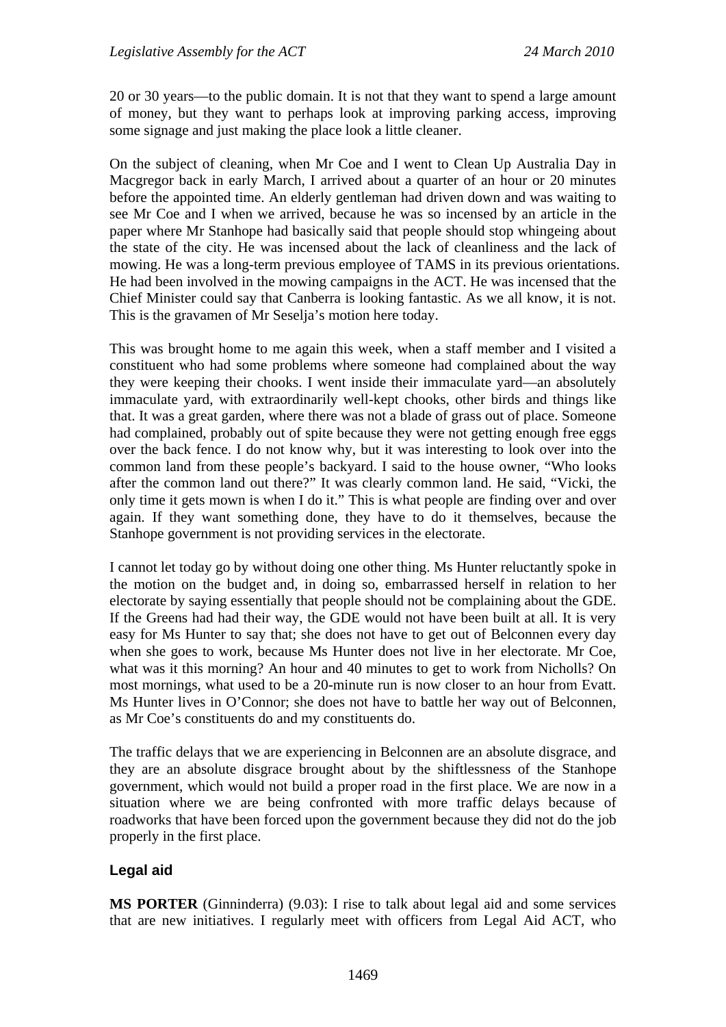20 or 30 years—to the public domain. It is not that they want to spend a large amount of money, but they want to perhaps look at improving parking access, improving some signage and just making the place look a little cleaner.

On the subject of cleaning, when Mr Coe and I went to Clean Up Australia Day in Macgregor back in early March, I arrived about a quarter of an hour or 20 minutes before the appointed time. An elderly gentleman had driven down and was waiting to see Mr Coe and I when we arrived, because he was so incensed by an article in the paper where Mr Stanhope had basically said that people should stop whingeing about the state of the city. He was incensed about the lack of cleanliness and the lack of mowing. He was a long-term previous employee of TAMS in its previous orientations. He had been involved in the mowing campaigns in the ACT. He was incensed that the Chief Minister could say that Canberra is looking fantastic. As we all know, it is not. This is the gravamen of Mr Seselja's motion here today.

This was brought home to me again this week, when a staff member and I visited a constituent who had some problems where someone had complained about the way they were keeping their chooks. I went inside their immaculate yard—an absolutely immaculate yard, with extraordinarily well-kept chooks, other birds and things like that. It was a great garden, where there was not a blade of grass out of place. Someone had complained, probably out of spite because they were not getting enough free eggs over the back fence. I do not know why, but it was interesting to look over into the common land from these people's backyard. I said to the house owner, "Who looks after the common land out there?" It was clearly common land. He said, "Vicki, the only time it gets mown is when I do it." This is what people are finding over and over again. If they want something done, they have to do it themselves, because the Stanhope government is not providing services in the electorate.

I cannot let today go by without doing one other thing. Ms Hunter reluctantly spoke in the motion on the budget and, in doing so, embarrassed herself in relation to her electorate by saying essentially that people should not be complaining about the GDE. If the Greens had had their way, the GDE would not have been built at all. It is very easy for Ms Hunter to say that; she does not have to get out of Belconnen every day when she goes to work, because Ms Hunter does not live in her electorate. Mr Coe, what was it this morning? An hour and 40 minutes to get to work from Nicholls? On most mornings, what used to be a 20-minute run is now closer to an hour from Evatt. Ms Hunter lives in O'Connor; she does not have to battle her way out of Belconnen, as Mr Coe's constituents do and my constituents do.

The traffic delays that we are experiencing in Belconnen are an absolute disgrace, and they are an absolute disgrace brought about by the shiftlessness of the Stanhope government, which would not build a proper road in the first place. We are now in a situation where we are being confronted with more traffic delays because of roadworks that have been forced upon the government because they did not do the job properly in the first place.

### **Legal aid**

**MS PORTER** (Ginninderra) (9.03): I rise to talk about legal aid and some services that are new initiatives. I regularly meet with officers from Legal Aid ACT, who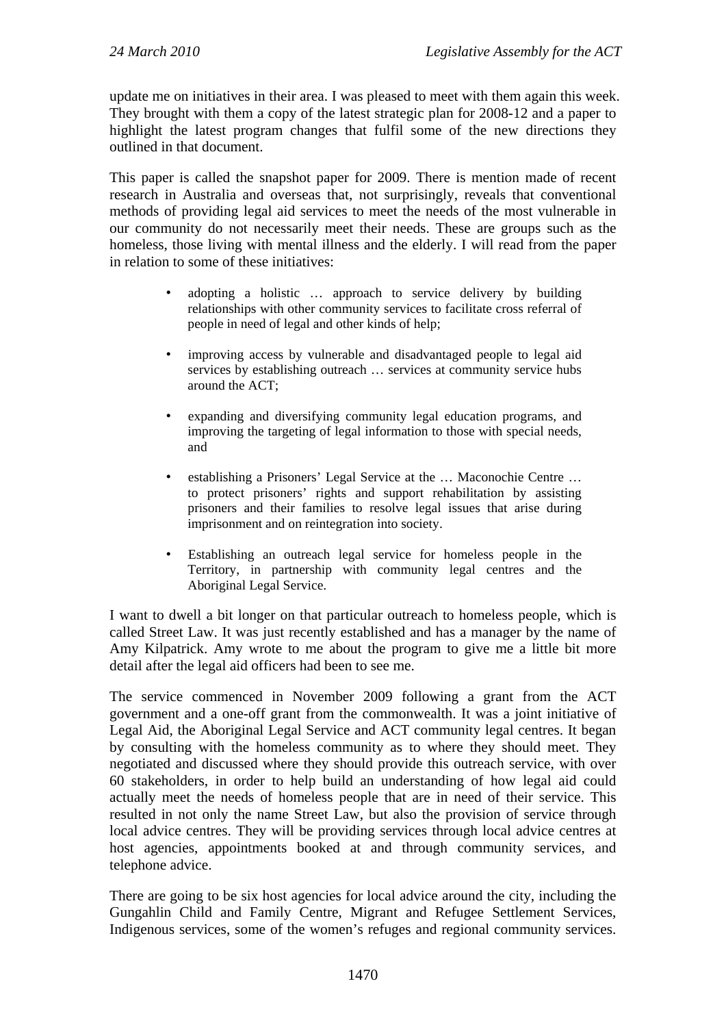update me on initiatives in their area. I was pleased to meet with them again this week. They brought with them a copy of the latest strategic plan for 2008-12 and a paper to highlight the latest program changes that fulfil some of the new directions they outlined in that document.

This paper is called the snapshot paper for 2009. There is mention made of recent research in Australia and overseas that, not surprisingly, reveals that conventional methods of providing legal aid services to meet the needs of the most vulnerable in our community do not necessarily meet their needs. These are groups such as the homeless, those living with mental illness and the elderly. I will read from the paper in relation to some of these initiatives:

- adopting a holistic ... approach to service delivery by building relationships with other community services to facilitate cross referral of people in need of legal and other kinds of help;
- improving access by vulnerable and disadvantaged people to legal aid services by establishing outreach … services at community service hubs around the ACT;
- expanding and diversifying community legal education programs, and improving the targeting of legal information to those with special needs, and
- establishing a Prisoners' Legal Service at the … Maconochie Centre … to protect prisoners' rights and support rehabilitation by assisting prisoners and their families to resolve legal issues that arise during imprisonment and on reintegration into society.
- Establishing an outreach legal service for homeless people in the Territory, in partnership with community legal centres and the Aboriginal Legal Service.

I want to dwell a bit longer on that particular outreach to homeless people, which is called Street Law. It was just recently established and has a manager by the name of Amy Kilpatrick. Amy wrote to me about the program to give me a little bit more detail after the legal aid officers had been to see me.

The service commenced in November 2009 following a grant from the ACT government and a one-off grant from the commonwealth. It was a joint initiative of Legal Aid, the Aboriginal Legal Service and ACT community legal centres. It began by consulting with the homeless community as to where they should meet. They negotiated and discussed where they should provide this outreach service, with over 60 stakeholders, in order to help build an understanding of how legal aid could actually meet the needs of homeless people that are in need of their service. This resulted in not only the name Street Law, but also the provision of service through local advice centres. They will be providing services through local advice centres at host agencies, appointments booked at and through community services, and telephone advice.

There are going to be six host agencies for local advice around the city, including the Gungahlin Child and Family Centre, Migrant and Refugee Settlement Services, Indigenous services, some of the women's refuges and regional community services.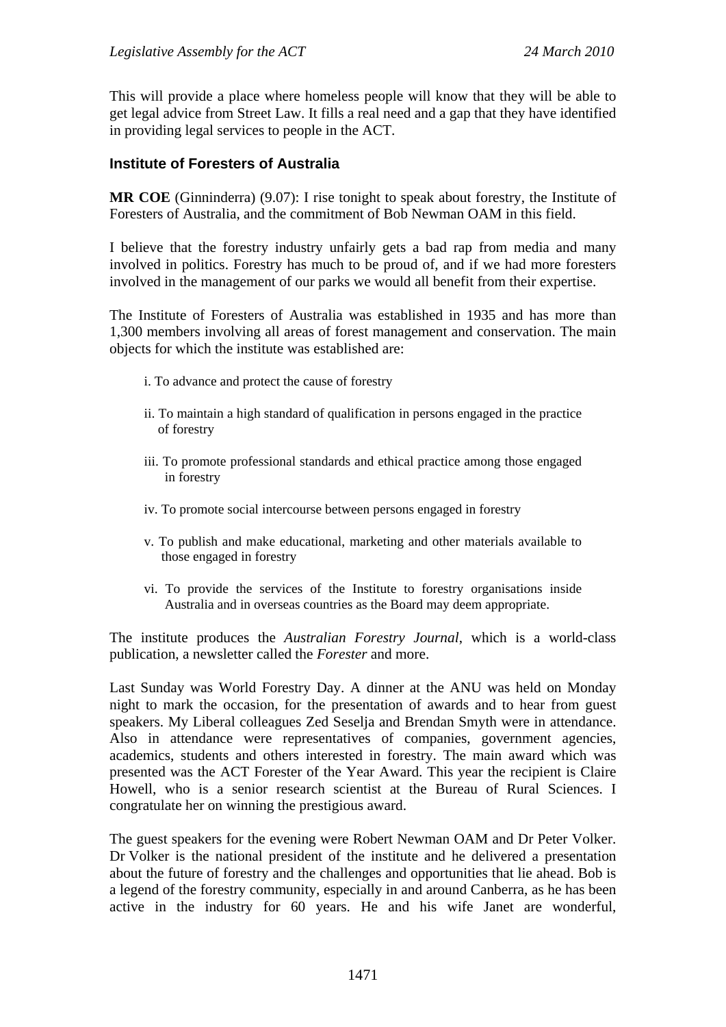This will provide a place where homeless people will know that they will be able to get legal advice from Street Law. It fills a real need and a gap that they have identified in providing legal services to people in the ACT.

#### **Institute of Foresters of Australia**

**MR COE** (Ginninderra) (9.07): I rise tonight to speak about forestry, the Institute of Foresters of Australia, and the commitment of Bob Newman OAM in this field.

I believe that the forestry industry unfairly gets a bad rap from media and many involved in politics. Forestry has much to be proud of, and if we had more foresters involved in the management of our parks we would all benefit from their expertise.

The Institute of Foresters of Australia was established in 1935 and has more than 1,300 members involving all areas of forest management and conservation. The main objects for which the institute was established are:

- i. To advance and protect the cause of forestry
- ii. To maintain a high standard of qualification in persons engaged in the practice of forestry
- iii. To promote professional standards and ethical practice among those engaged in forestry
- iv. To promote social intercourse between persons engaged in forestry
- v. To publish and make educational, marketing and other materials available to those engaged in forestry
- vi. To provide the services of the Institute to forestry organisations inside Australia and in overseas countries as the Board may deem appropriate.

The institute produces the *Australian Forestry Journal*, which is a world-class publication, a newsletter called the *Forester* and more.

Last Sunday was World Forestry Day. A dinner at the ANU was held on Monday night to mark the occasion, for the presentation of awards and to hear from guest speakers. My Liberal colleagues Zed Seselja and Brendan Smyth were in attendance. Also in attendance were representatives of companies, government agencies, academics, students and others interested in forestry. The main award which was presented was the ACT Forester of the Year Award. This year the recipient is Claire Howell, who is a senior research scientist at the Bureau of Rural Sciences. I congratulate her on winning the prestigious award.

The guest speakers for the evening were Robert Newman OAM and Dr Peter Volker. Dr Volker is the national president of the institute and he delivered a presentation about the future of forestry and the challenges and opportunities that lie ahead. Bob is a legend of the forestry community, especially in and around Canberra, as he has been active in the industry for 60 years. He and his wife Janet are wonderful,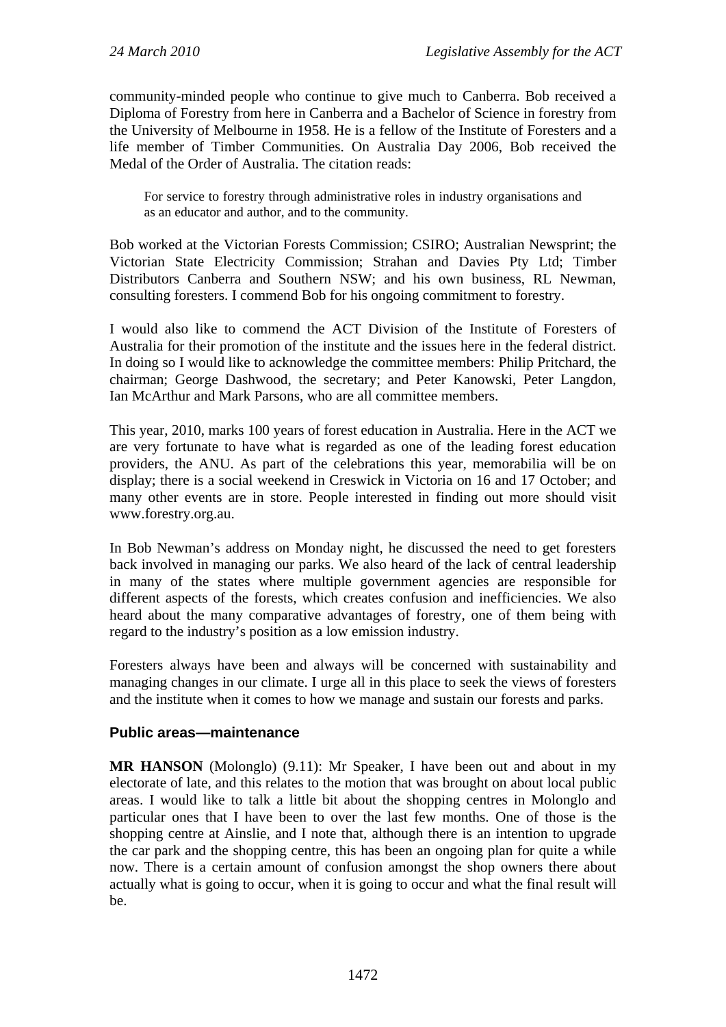community-minded people who continue to give much to Canberra. Bob received a Diploma of Forestry from here in Canberra and a Bachelor of Science in forestry from the University of Melbourne in 1958. He is a fellow of the Institute of Foresters and a life member of Timber Communities. On Australia Day 2006, Bob received the Medal of the Order of Australia. The citation reads:

For service to forestry through administrative roles in industry organisations and as an educator and author, and to the community.

Bob worked at the Victorian Forests Commission; CSIRO; Australian Newsprint; the Victorian State Electricity Commission; Strahan and Davies Pty Ltd; Timber Distributors Canberra and Southern NSW; and his own business, RL Newman, consulting foresters. I commend Bob for his ongoing commitment to forestry.

I would also like to commend the ACT Division of the Institute of Foresters of Australia for their promotion of the institute and the issues here in the federal district. In doing so I would like to acknowledge the committee members: Philip Pritchard, the chairman; George Dashwood, the secretary; and Peter Kanowski, Peter Langdon, Ian McArthur and Mark Parsons, who are all committee members.

This year, 2010, marks 100 years of forest education in Australia. Here in the ACT we are very fortunate to have what is regarded as one of the leading forest education providers, the ANU. As part of the celebrations this year, memorabilia will be on display; there is a social weekend in Creswick in Victoria on 16 and 17 October; and many other events are in store. People interested in finding out more should visit www.forestry.org.au.

In Bob Newman's address on Monday night, he discussed the need to get foresters back involved in managing our parks. We also heard of the lack of central leadership in many of the states where multiple government agencies are responsible for different aspects of the forests, which creates confusion and inefficiencies. We also heard about the many comparative advantages of forestry, one of them being with regard to the industry's position as a low emission industry.

Foresters always have been and always will be concerned with sustainability and managing changes in our climate. I urge all in this place to seek the views of foresters and the institute when it comes to how we manage and sustain our forests and parks.

### **Public areas—maintenance**

**MR HANSON** (Molonglo) (9.11): Mr Speaker, I have been out and about in my electorate of late, and this relates to the motion that was brought on about local public areas. I would like to talk a little bit about the shopping centres in Molonglo and particular ones that I have been to over the last few months. One of those is the shopping centre at Ainslie, and I note that, although there is an intention to upgrade the car park and the shopping centre, this has been an ongoing plan for quite a while now. There is a certain amount of confusion amongst the shop owners there about actually what is going to occur, when it is going to occur and what the final result will be.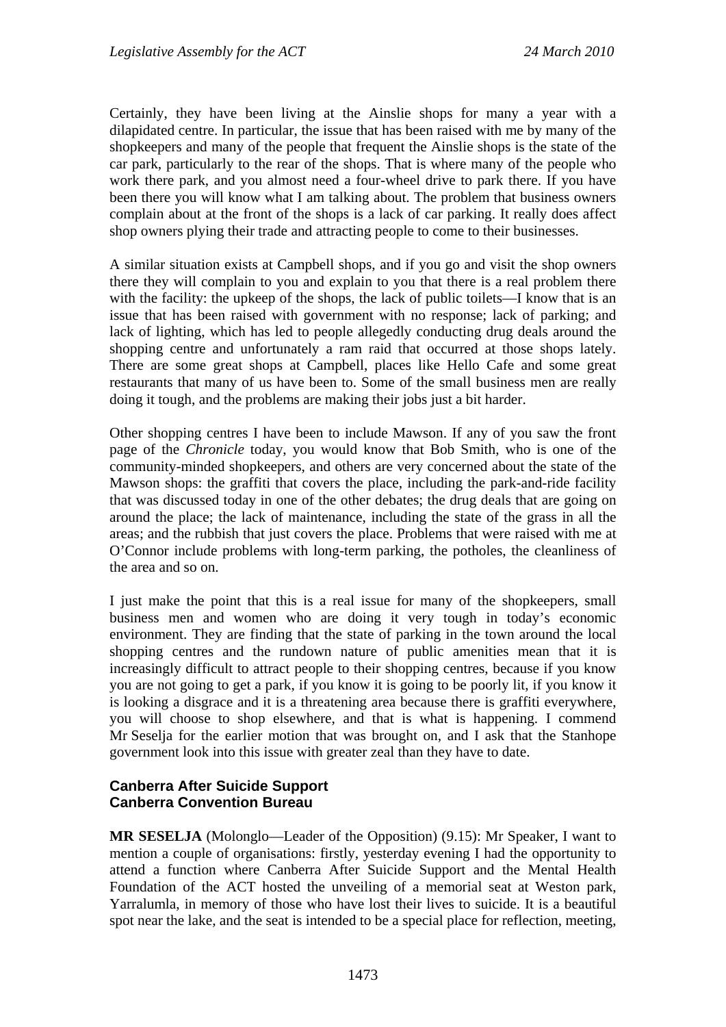Certainly, they have been living at the Ainslie shops for many a year with a dilapidated centre. In particular, the issue that has been raised with me by many of the shopkeepers and many of the people that frequent the Ainslie shops is the state of the car park, particularly to the rear of the shops. That is where many of the people who work there park, and you almost need a four-wheel drive to park there. If you have been there you will know what I am talking about. The problem that business owners complain about at the front of the shops is a lack of car parking. It really does affect shop owners plying their trade and attracting people to come to their businesses.

A similar situation exists at Campbell shops, and if you go and visit the shop owners there they will complain to you and explain to you that there is a real problem there with the facility: the upkeep of the shops, the lack of public toilets—I know that is an issue that has been raised with government with no response; lack of parking; and lack of lighting, which has led to people allegedly conducting drug deals around the shopping centre and unfortunately a ram raid that occurred at those shops lately. There are some great shops at Campbell, places like Hello Cafe and some great restaurants that many of us have been to. Some of the small business men are really doing it tough, and the problems are making their jobs just a bit harder.

Other shopping centres I have been to include Mawson. If any of you saw the front page of the *Chronicle* today, you would know that Bob Smith, who is one of the community-minded shopkeepers, and others are very concerned about the state of the Mawson shops: the graffiti that covers the place, including the park-and-ride facility that was discussed today in one of the other debates; the drug deals that are going on around the place; the lack of maintenance, including the state of the grass in all the areas; and the rubbish that just covers the place. Problems that were raised with me at O'Connor include problems with long-term parking, the potholes, the cleanliness of the area and so on.

I just make the point that this is a real issue for many of the shopkeepers, small business men and women who are doing it very tough in today's economic environment. They are finding that the state of parking in the town around the local shopping centres and the rundown nature of public amenities mean that it is increasingly difficult to attract people to their shopping centres, because if you know you are not going to get a park, if you know it is going to be poorly lit, if you know it is looking a disgrace and it is a threatening area because there is graffiti everywhere, you will choose to shop elsewhere, and that is what is happening. I commend Mr Seselja for the earlier motion that was brought on, and I ask that the Stanhope government look into this issue with greater zeal than they have to date.

### **Canberra After Suicide Support Canberra Convention Bureau**

**MR SESELJA** (Molonglo—Leader of the Opposition) (9.15): Mr Speaker, I want to mention a couple of organisations: firstly, yesterday evening I had the opportunity to attend a function where Canberra After Suicide Support and the Mental Health Foundation of the ACT hosted the unveiling of a memorial seat at Weston park, Yarralumla, in memory of those who have lost their lives to suicide. It is a beautiful spot near the lake, and the seat is intended to be a special place for reflection, meeting,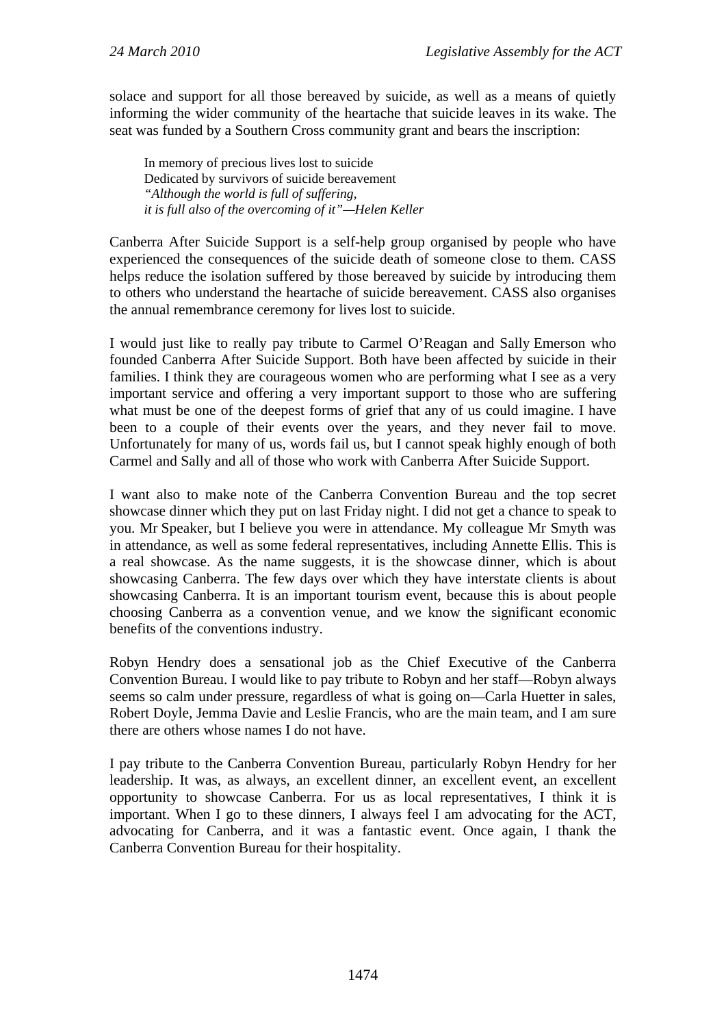solace and support for all those bereaved by suicide, as well as a means of quietly informing the wider community of the heartache that suicide leaves in its wake. The seat was funded by a Southern Cross community grant and bears the inscription:

In memory of precious lives lost to suicide Dedicated by survivors of suicide bereavement *"Although the world is full of suffering, it is full also of the overcoming of it"—Helen Keller* 

Canberra After Suicide Support is a self-help group organised by people who have experienced the consequences of the suicide death of someone close to them. CASS helps reduce the isolation suffered by those bereaved by suicide by introducing them to others who understand the heartache of suicide bereavement. CASS also organises the annual remembrance ceremony for lives lost to suicide.

I would just like to really pay tribute to Carmel O'Reagan and Sally Emerson who founded Canberra After Suicide Support. Both have been affected by suicide in their families. I think they are courageous women who are performing what I see as a very important service and offering a very important support to those who are suffering what must be one of the deepest forms of grief that any of us could imagine. I have been to a couple of their events over the years, and they never fail to move. Unfortunately for many of us, words fail us, but I cannot speak highly enough of both Carmel and Sally and all of those who work with Canberra After Suicide Support.

I want also to make note of the Canberra Convention Bureau and the top secret showcase dinner which they put on last Friday night. I did not get a chance to speak to you. Mr Speaker, but I believe you were in attendance. My colleague Mr Smyth was in attendance, as well as some federal representatives, including Annette Ellis. This is a real showcase. As the name suggests, it is the showcase dinner, which is about showcasing Canberra. The few days over which they have interstate clients is about showcasing Canberra. It is an important tourism event, because this is about people choosing Canberra as a convention venue, and we know the significant economic benefits of the conventions industry.

Robyn Hendry does a sensational job as the Chief Executive of the Canberra Convention Bureau. I would like to pay tribute to Robyn and her staff—Robyn always seems so calm under pressure, regardless of what is going on—Carla Huetter in sales, Robert Doyle, Jemma Davie and Leslie Francis, who are the main team, and I am sure there are others whose names I do not have.

I pay tribute to the Canberra Convention Bureau, particularly Robyn Hendry for her leadership. It was, as always, an excellent dinner, an excellent event, an excellent opportunity to showcase Canberra. For us as local representatives, I think it is important. When I go to these dinners, I always feel I am advocating for the ACT, advocating for Canberra, and it was a fantastic event. Once again, I thank the Canberra Convention Bureau for their hospitality.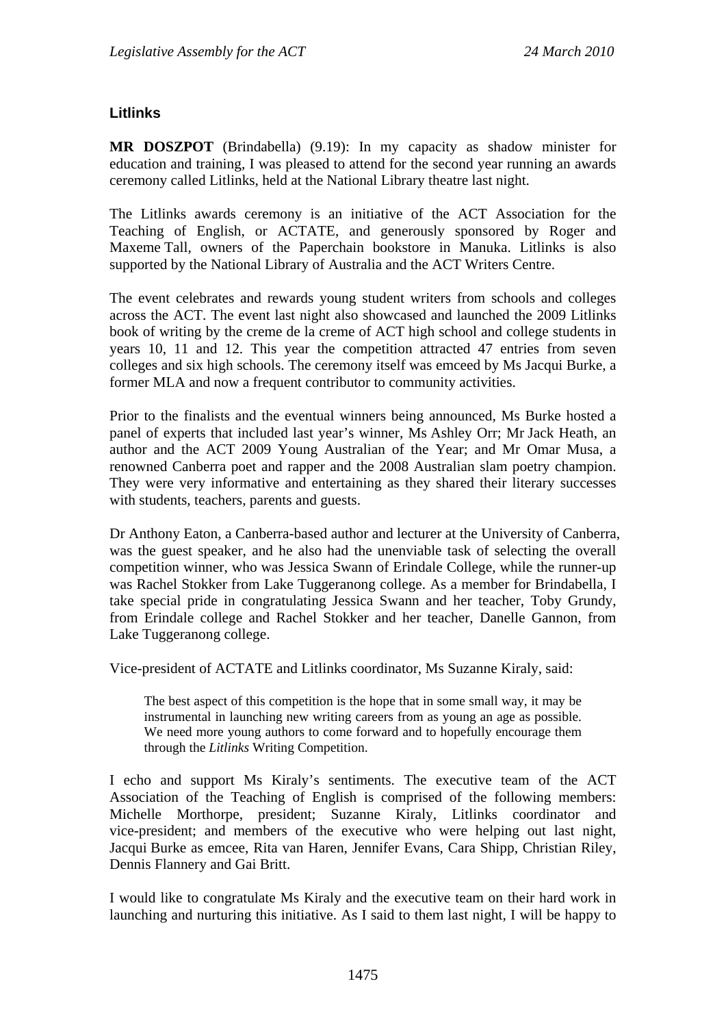### **Litlinks**

**MR DOSZPOT** (Brindabella) (9.19): In my capacity as shadow minister for education and training, I was pleased to attend for the second year running an awards ceremony called Litlinks, held at the National Library theatre last night.

The Litlinks awards ceremony is an initiative of the ACT Association for the Teaching of English, or ACTATE, and generously sponsored by Roger and Maxeme Tall, owners of the Paperchain bookstore in Manuka. Litlinks is also supported by the National Library of Australia and the ACT Writers Centre.

The event celebrates and rewards young student writers from schools and colleges across the ACT. The event last night also showcased and launched the 2009 Litlinks book of writing by the creme de la creme of ACT high school and college students in years 10, 11 and 12. This year the competition attracted 47 entries from seven colleges and six high schools. The ceremony itself was emceed by Ms Jacqui Burke, a former MLA and now a frequent contributor to community activities.

Prior to the finalists and the eventual winners being announced, Ms Burke hosted a panel of experts that included last year's winner, Ms Ashley Orr; Mr Jack Heath, an author and the ACT 2009 Young Australian of the Year; and Mr Omar Musa, a renowned Canberra poet and rapper and the 2008 Australian slam poetry champion. They were very informative and entertaining as they shared their literary successes with students, teachers, parents and guests.

Dr Anthony Eaton, a Canberra-based author and lecturer at the University of Canberra, was the guest speaker, and he also had the unenviable task of selecting the overall competition winner, who was Jessica Swann of Erindale College, while the runner-up was Rachel Stokker from Lake Tuggeranong college. As a member for Brindabella, I take special pride in congratulating Jessica Swann and her teacher, Toby Grundy, from Erindale college and Rachel Stokker and her teacher, Danelle Gannon, from Lake Tuggeranong college.

Vice-president of ACTATE and Litlinks coordinator, Ms Suzanne Kiraly, said:

The best aspect of this competition is the hope that in some small way, it may be instrumental in launching new writing careers from as young an age as possible. We need more young authors to come forward and to hopefully encourage them through the *Litlinks* Writing Competition.

I echo and support Ms Kiraly's sentiments. The executive team of the ACT Association of the Teaching of English is comprised of the following members: Michelle Morthorpe, president; Suzanne Kiraly, Litlinks coordinator and vice-president; and members of the executive who were helping out last night, Jacqui Burke as emcee, Rita van Haren, Jennifer Evans, Cara Shipp, Christian Riley, Dennis Flannery and Gai Britt.

I would like to congratulate Ms Kiraly and the executive team on their hard work in launching and nurturing this initiative. As I said to them last night, I will be happy to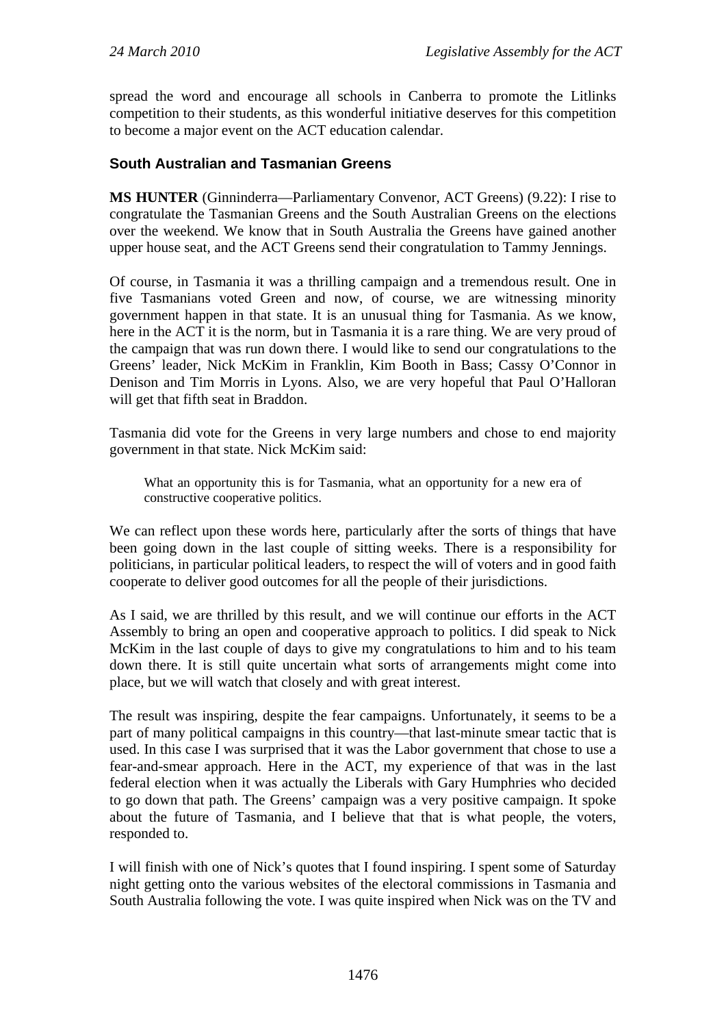spread the word and encourage all schools in Canberra to promote the Litlinks competition to their students, as this wonderful initiative deserves for this competition to become a major event on the ACT education calendar.

### **South Australian and Tasmanian Greens**

**MS HUNTER** (Ginninderra—Parliamentary Convenor, ACT Greens) (9.22): I rise to congratulate the Tasmanian Greens and the South Australian Greens on the elections over the weekend. We know that in South Australia the Greens have gained another upper house seat, and the ACT Greens send their congratulation to Tammy Jennings.

Of course, in Tasmania it was a thrilling campaign and a tremendous result. One in five Tasmanians voted Green and now, of course, we are witnessing minority government happen in that state. It is an unusual thing for Tasmania. As we know, here in the ACT it is the norm, but in Tasmania it is a rare thing. We are very proud of the campaign that was run down there. I would like to send our congratulations to the Greens' leader, Nick McKim in Franklin, Kim Booth in Bass; Cassy O'Connor in Denison and Tim Morris in Lyons. Also, we are very hopeful that Paul O'Halloran will get that fifth seat in Braddon.

Tasmania did vote for the Greens in very large numbers and chose to end majority government in that state. Nick McKim said:

What an opportunity this is for Tasmania, what an opportunity for a new era of constructive cooperative politics.

We can reflect upon these words here, particularly after the sorts of things that have been going down in the last couple of sitting weeks. There is a responsibility for politicians, in particular political leaders, to respect the will of voters and in good faith cooperate to deliver good outcomes for all the people of their jurisdictions.

As I said, we are thrilled by this result, and we will continue our efforts in the ACT Assembly to bring an open and cooperative approach to politics. I did speak to Nick McKim in the last couple of days to give my congratulations to him and to his team down there. It is still quite uncertain what sorts of arrangements might come into place, but we will watch that closely and with great interest.

The result was inspiring, despite the fear campaigns. Unfortunately, it seems to be a part of many political campaigns in this country—that last-minute smear tactic that is used. In this case I was surprised that it was the Labor government that chose to use a fear-and-smear approach. Here in the ACT, my experience of that was in the last federal election when it was actually the Liberals with Gary Humphries who decided to go down that path. The Greens' campaign was a very positive campaign. It spoke about the future of Tasmania, and I believe that that is what people, the voters, responded to.

I will finish with one of Nick's quotes that I found inspiring. I spent some of Saturday night getting onto the various websites of the electoral commissions in Tasmania and South Australia following the vote. I was quite inspired when Nick was on the TV and